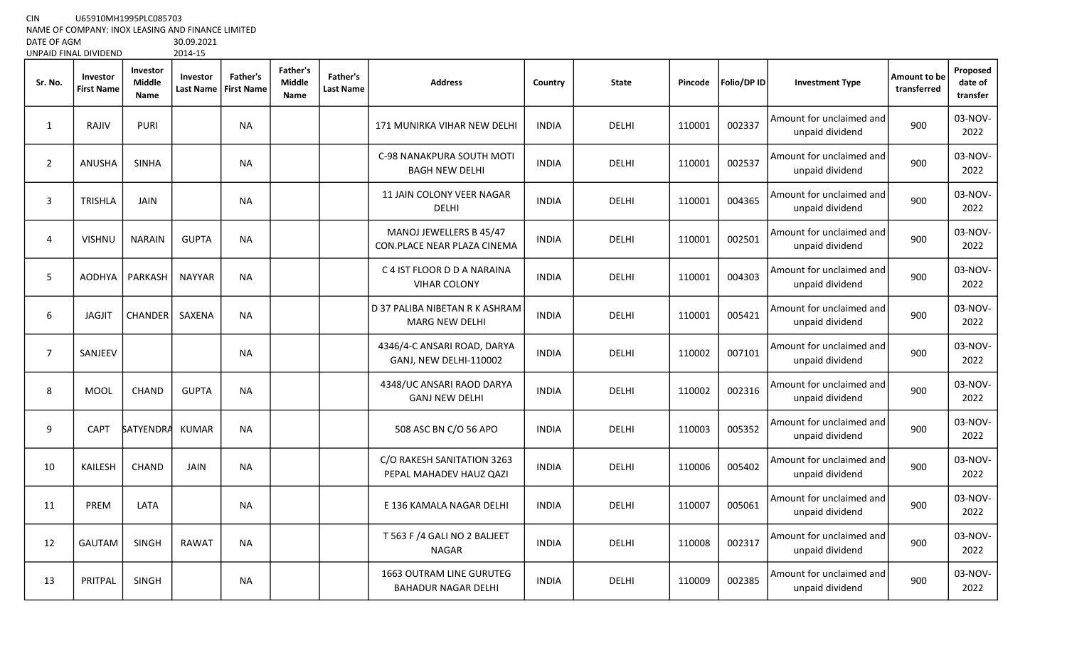CIN U65910MH1995PLC085703

NAME OF COMPANY: INOX LEASING AND FINANCE LIMITED

DATE OF AGM<br>UNPAID FINAL DIVIDEND 2014-15 UNPAID FINAL DIVIDEND

| Sr. No.        | Investor<br><b>First Name</b> | Investor<br><b>Middle</b><br>Name | Investor<br><b>Last Name</b> | Father's<br><b>First Name</b> | <b>Father's</b><br><b>Middle</b><br>Name | <b>Father's</b><br><b>Last Name</b> | <b>Address</b>                                                | Country      | <b>State</b> | Pincode | Folio/DP ID | <b>Investment Type</b>                      | Amount to be<br>transferred | Proposed<br>date of<br>transfer |
|----------------|-------------------------------|-----------------------------------|------------------------------|-------------------------------|------------------------------------------|-------------------------------------|---------------------------------------------------------------|--------------|--------------|---------|-------------|---------------------------------------------|-----------------------------|---------------------------------|
| 1              | RAJIV                         | <b>PURI</b>                       |                              | <b>NA</b>                     |                                          |                                     | 171 MUNIRKA VIHAR NEW DELHI                                   | <b>INDIA</b> | <b>DELHI</b> | 110001  | 002337      | Amount for unclaimed and<br>unpaid dividend | 900                         | 03-NOV-<br>2022                 |
| $\overline{2}$ | ANUSHA                        | <b>SINHA</b>                      |                              | <b>NA</b>                     |                                          |                                     | C-98 NANAKPURA SOUTH MOTI<br><b>BAGH NEW DELHI</b>            | <b>INDIA</b> | DELHI        | 110001  | 002537      | Amount for unclaimed and<br>unpaid dividend | 900                         | 03-NOV-<br>2022                 |
| 3              | <b>TRISHLA</b>                | <b>JAIN</b>                       |                              | <b>NA</b>                     |                                          |                                     | 11 JAIN COLONY VEER NAGAR<br><b>DELHI</b>                     | <b>INDIA</b> | <b>DELHI</b> | 110001  | 004365      | Amount for unclaimed and<br>unpaid dividend | 900                         | 03-NOV-<br>2022                 |
| 4              | <b>VISHNU</b>                 | <b>NARAIN</b>                     | <b>GUPTA</b>                 | <b>NA</b>                     |                                          |                                     | MANOJ JEWELLERS B 45/47<br>CON.PLACE NEAR PLAZA CINEMA        | <b>INDIA</b> | <b>DELHI</b> | 110001  | 002501      | Amount for unclaimed and<br>unpaid dividend | 900                         | 03-NOV-<br>2022                 |
| 5              | <b>AODHYA</b>                 | PARKASH                           | <b>NAYYAR</b>                | <b>NA</b>                     |                                          |                                     | C 4 IST FLOOR D D A NARAINA<br><b>VIHAR COLONY</b>            | <b>INDIA</b> | <b>DELHI</b> | 110001  | 004303      | Amount for unclaimed and<br>unpaid dividend | 900                         | 03-NOV-<br>2022                 |
| 6              | <b>JAGJIT</b>                 | <b>CHANDER</b>                    | SAXENA                       | <b>NA</b>                     |                                          |                                     | D 37 PALIBA NIBETAN R K ASHRAM<br><b>MARG NEW DELHI</b>       | <b>INDIA</b> | <b>DELHI</b> | 110001  | 005421      | Amount for unclaimed and<br>unpaid dividend | 900                         | 03-NOV-<br>2022                 |
| $\overline{7}$ | SANJEEV                       |                                   |                              | <b>NA</b>                     |                                          |                                     | 4346/4-C ANSARI ROAD, DARYA<br><b>GANJ, NEW DELHI-110002</b>  | <b>INDIA</b> | <b>DELHI</b> | 110002  | 007101      | Amount for unclaimed and<br>unpaid dividend | 900                         | 03-NOV-<br>2022                 |
| 8              | <b>MOOL</b>                   | CHAND                             | <b>GUPTA</b>                 | NA                            |                                          |                                     | 4348/UC ANSARI RAOD DARYA<br><b>GANJ NEW DELHI</b>            | <b>INDIA</b> | <b>DELHI</b> | 110002  | 002316      | Amount for unclaimed and<br>unpaid dividend | 900                         | 03-NOV-<br>2022                 |
| 9              | <b>CAPT</b>                   | <b>SATYENDRA</b>                  | <b>KUMAR</b>                 | <b>NA</b>                     |                                          |                                     | 508 ASC BN C/O 56 APO                                         | <b>INDIA</b> | DELHI        | 110003  | 005352      | Amount for unclaimed and<br>unpaid dividend | 900                         | 03-NOV-<br>2022                 |
| 10             | <b>KAILESH</b>                | <b>CHAND</b>                      | JAIN                         | <b>NA</b>                     |                                          |                                     | C/O RAKESH SANITATION 3263<br>PEPAL MAHADEV HAUZ QAZI         | <b>INDIA</b> | <b>DELHI</b> | 110006  | 005402      | Amount for unclaimed and<br>unpaid dividend | 900                         | 03-NOV-<br>2022                 |
| 11             | PREM                          | LATA                              |                              | NA                            |                                          |                                     | E 136 KAMALA NAGAR DELHI                                      | <b>INDIA</b> | <b>DELHI</b> | 110007  | 005061      | Amount for unclaimed and<br>unpaid dividend | 900                         | 03-NOV-<br>2022                 |
| 12             | <b>GAUTAM</b>                 | <b>SINGH</b>                      | <b>RAWAT</b>                 | <b>NA</b>                     |                                          |                                     | T 563 F /4 GALI NO 2 BALJEET<br><b>NAGAR</b>                  | <b>INDIA</b> | <b>DELHI</b> | 110008  | 002317      | Amount for unclaimed and<br>unpaid dividend | 900                         | 03-NOV-<br>2022                 |
| 13             | PRITPAL                       | <b>SINGH</b>                      |                              | <b>NA</b>                     |                                          |                                     | <b>1663 OUTRAM LINE GURUTEG</b><br><b>BAHADUR NAGAR DELHI</b> | <b>INDIA</b> | <b>DELHI</b> | 110009  | 002385      | Amount for unclaimed and<br>unpaid dividend | 900                         | 03-NOV-<br>2022                 |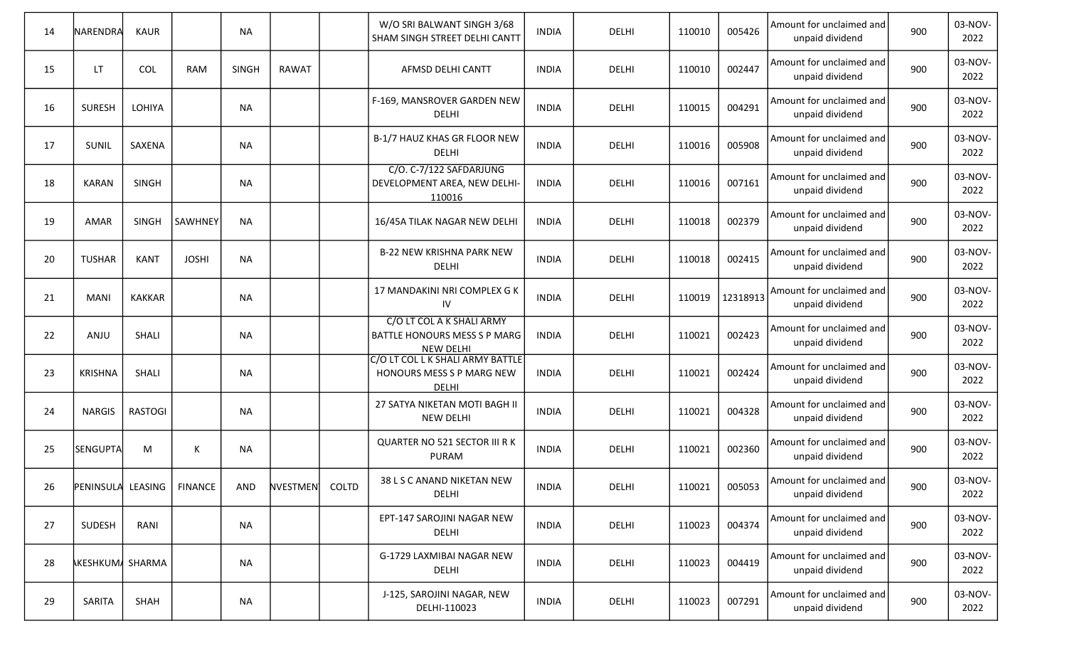| 14 | NARENDRA                    | KAUR           |                | <b>NA</b>    |          |       | W/O SRI BALWANT SINGH 3/68<br>SHAM SINGH STREET DELHI CANTT                   | <b>INDIA</b> | DELHI        | 110010 | 005426   | Amount for unclaimed and<br>unpaid dividend | 900 | 03-NOV-<br>2022 |
|----|-----------------------------|----------------|----------------|--------------|----------|-------|-------------------------------------------------------------------------------|--------------|--------------|--------|----------|---------------------------------------------|-----|-----------------|
| 15 | LT.                         | <b>COL</b>     | <b>RAM</b>     | <b>SINGH</b> | RAWAT    |       | AFMSD DELHI CANTT                                                             | <b>INDIA</b> | DELHI        | 110010 | 002447   | Amount for unclaimed and<br>unpaid dividend | 900 | 03-NOV-<br>2022 |
| 16 | <b>SURESH</b>               | LOHIYA         |                | <b>NA</b>    |          |       | F-169, MANSROVER GARDEN NEW<br>DELHI                                          | <b>INDIA</b> | DELHI        | 110015 | 004291   | Amount for unclaimed and<br>unpaid dividend | 900 | 03-NOV-<br>2022 |
| 17 | SUNIL                       | SAXENA         |                | <b>NA</b>    |          |       | B-1/7 HAUZ KHAS GR FLOOR NEW<br>DELHI                                         | <b>INDIA</b> | DELHI        | 110016 | 005908   | Amount for unclaimed and<br>unpaid dividend | 900 | 03-NOV-<br>2022 |
| 18 | <b>KARAN</b>                | <b>SINGH</b>   |                | <b>NA</b>    |          |       | C/O. C-7/122 SAFDARJUNG<br>DEVELOPMENT AREA, NEW DELHI-<br>110016             | <b>INDIA</b> | DELHI        | 110016 | 007161   | Amount for unclaimed and<br>unpaid dividend | 900 | 03-NOV-<br>2022 |
| 19 | AMAR                        | <b>SINGH</b>   | <b>SAWHNEY</b> | <b>NA</b>    |          |       | 16/45A TILAK NAGAR NEW DELHI                                                  | <b>INDIA</b> | DELHI        | 110018 | 002379   | Amount for unclaimed and<br>unpaid dividend | 900 | 03-NOV-<br>2022 |
| 20 | <b>TUSHAR</b>               | <b>KANT</b>    | <b>JOSHI</b>   | <b>NA</b>    |          |       | <b>B-22 NEW KRISHNA PARK NEW</b><br>DELHI                                     | <b>INDIA</b> | DELHI        | 110018 | 002415   | Amount for unclaimed and<br>unpaid dividend | 900 | 03-NOV-<br>2022 |
| 21 | <b>MANI</b>                 | KAKKAR         |                | NA           |          |       | 17 MANDAKINI NRI COMPLEX G K<br>IV                                            | <b>INDIA</b> | DELHI        | 110019 | 12318913 | Amount for unclaimed and<br>unpaid dividend | 900 | 03-NOV-<br>2022 |
| 22 | ANJU                        | <b>SHALI</b>   |                | <b>NA</b>    |          |       | C/O LT COL A K SHALI ARMY<br>BATTLE HONOURS MESS S P MARG<br><b>NEW DELHI</b> | <b>INDIA</b> | DELHI        | 110021 | 002423   | Amount for unclaimed and<br>unpaid dividend | 900 | 03-NOV-<br>2022 |
| 23 | <b>KRISHNA</b>              | SHALI          |                | <b>NA</b>    |          |       | C/O LT COL L K SHALI ARMY BATTLE<br>HONOURS MESS S P MARG NEW<br><b>DELHI</b> | <b>INDIA</b> | DELHI        | 110021 | 002424   | Amount for unclaimed and<br>unpaid dividend | 900 | 03-NOV-<br>2022 |
| 24 | <b>NARGIS</b>               | <b>RASTOGI</b> |                | <b>NA</b>    |          |       | 27 SATYA NIKETAN MOTI BAGH II<br><b>NEW DELHI</b>                             | <b>INDIA</b> | DELHI        | 110021 | 004328   | Amount for unclaimed and<br>unpaid dividend | 900 | 03-NOV-<br>2022 |
| 25 | SENGUPTA                    | M              | К              | <b>NA</b>    |          |       | QUARTER NO 521 SECTOR III R K<br><b>PURAM</b>                                 | <b>INDIA</b> | DELHI        | 110021 | 002360   | Amount for unclaimed and<br>unpaid dividend | 900 | 03-NOV-<br>2022 |
| 26 | PENINSULA LEASING   FINANCE |                |                | AND          | NVESTMEN | COLTD | 38 L S C ANAND NIKETAN NEW<br>DELHI                                           | <b>INDIA</b> | DELHI        | 110021 | 005053   | Amount for unclaimed and<br>unpaid dividend | 900 | 03-NOV-<br>2022 |
| 27 | SUDESH                      | RANI           |                | <b>NA</b>    |          |       | EPT-147 SAROJINI NAGAR NEW<br>DELHI                                           | <b>INDIA</b> | <b>DELHI</b> | 110023 | 004374   | Amount for unclaimed and<br>unpaid dividend | 900 | 03-NOV-<br>2022 |
| 28 | <b>AKESHKUMA SHARMA</b>     |                |                | <b>NA</b>    |          |       | G-1729 LAXMIBAI NAGAR NEW<br>DELHI                                            | <b>INDIA</b> | <b>DELHI</b> | 110023 | 004419   | Amount for unclaimed and<br>unpaid dividend | 900 | 03-NOV-<br>2022 |
| 29 | SARITA                      | SHAH           |                | <b>NA</b>    |          |       | J-125, SAROJINI NAGAR, NEW<br>DELHI-110023                                    | <b>INDIA</b> | DELHI        | 110023 | 007291   | Amount for unclaimed and<br>unpaid dividend | 900 | 03-NOV-<br>2022 |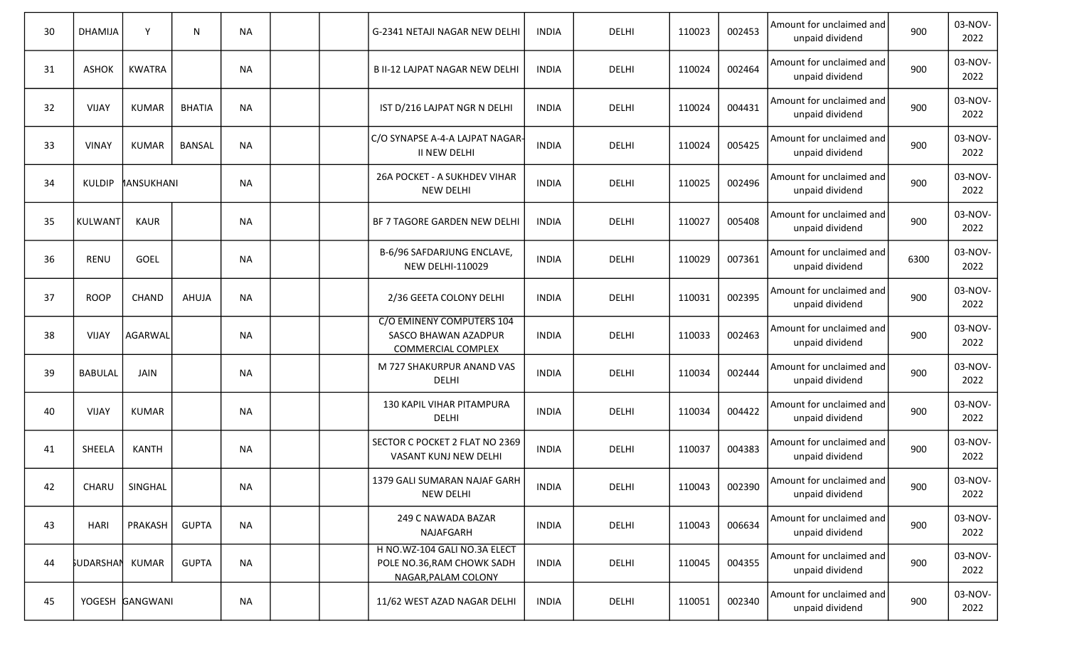| 30 | <b>DHAMIJA</b>         | Y               | ${\sf N}$     | <b>NA</b> |  | G-2341 NETAJI NAGAR NEW DELHI                                                     | <b>INDIA</b> | DELHI        | 110023 | 002453 | Amount for unclaimed and<br>unpaid dividend | 900  | 03-NOV-<br>2022 |
|----|------------------------|-----------------|---------------|-----------|--|-----------------------------------------------------------------------------------|--------------|--------------|--------|--------|---------------------------------------------|------|-----------------|
| 31 | <b>ASHOK</b>           | <b>KWATRA</b>   |               | <b>NA</b> |  | <b>B II-12 LAJPAT NAGAR NEW DELHI</b>                                             | <b>INDIA</b> | DELHI        | 110024 | 002464 | Amount for unclaimed and<br>unpaid dividend | 900  | 03-NOV-<br>2022 |
| 32 | <b>VIJAY</b>           | <b>KUMAR</b>    | <b>BHATIA</b> | <b>NA</b> |  | IST D/216 LAJPAT NGR N DELHI                                                      | <b>INDIA</b> | DELHI        | 110024 | 004431 | Amount for unclaimed and<br>unpaid dividend | 900  | 03-NOV-<br>2022 |
| 33 | <b>VINAY</b>           | <b>KUMAR</b>    | <b>BANSAL</b> | <b>NA</b> |  | C/O SYNAPSE A-4-A LAJPAT NAGAR-<br>II NEW DELHI                                   | <b>INDIA</b> | DELHI        | 110024 | 005425 | Amount for unclaimed and<br>unpaid dividend | 900  | 03-NOV-<br>2022 |
| 34 | <b>KULDIP</b>          | MANSUKHANI      |               | <b>NA</b> |  | 26A POCKET - A SUKHDEV VIHAR<br><b>NEW DELHI</b>                                  | <b>INDIA</b> | DELHI        | 110025 | 002496 | Amount for unclaimed and<br>unpaid dividend | 900  | 03-NOV-<br>2022 |
| 35 | <b>KULWANT</b>         | <b>KAUR</b>     |               | <b>NA</b> |  | BF 7 TAGORE GARDEN NEW DELHI                                                      | <b>INDIA</b> | DELHI        | 110027 | 005408 | Amount for unclaimed and<br>unpaid dividend | 900  | 03-NOV-<br>2022 |
| 36 | <b>RENU</b>            | GOEL            |               | <b>NA</b> |  | B-6/96 SAFDARJUNG ENCLAVE,<br><b>NEW DELHI-110029</b>                             | <b>INDIA</b> | DELHI        | 110029 | 007361 | Amount for unclaimed and<br>unpaid dividend | 6300 | 03-NOV-<br>2022 |
| 37 | <b>ROOP</b>            | CHAND           | AHUJA         | <b>NA</b> |  | 2/36 GEETA COLONY DELHI                                                           | <b>INDIA</b> | DELHI        | 110031 | 002395 | Amount for unclaimed and<br>unpaid dividend | 900  | 03-NOV-<br>2022 |
| 38 | <b>VIJAY</b>           | AGARWAL         |               | <b>NA</b> |  | C/O EMINENY COMPUTERS 104<br>SASCO BHAWAN AZADPUR<br><b>COMMERCIAL COMPLEX</b>    | <b>INDIA</b> | DELHI        | 110033 | 002463 | Amount for unclaimed and<br>unpaid dividend | 900  | 03-NOV-<br>2022 |
| 39 | <b>BABULAL</b>         | JAIN            |               | <b>NA</b> |  | M 727 SHAKURPUR ANAND VAS<br>DELHI                                                | <b>INDIA</b> | DELHI        | 110034 | 002444 | Amount for unclaimed and<br>unpaid dividend | 900  | 03-NOV-<br>2022 |
| 40 | <b>VIJAY</b>           | <b>KUMAR</b>    |               | <b>NA</b> |  | 130 KAPIL VIHAR PITAMPURA<br><b>DELHI</b>                                         | <b>INDIA</b> | DELHI        | 110034 | 004422 | Amount for unclaimed and<br>unpaid dividend | 900  | 03-NOV-<br>2022 |
| 41 | SHEELA                 | <b>KANTH</b>    |               | <b>NA</b> |  | SECTOR C POCKET 2 FLAT NO 2369<br>VASANT KUNJ NEW DELHI                           | <b>INDIA</b> | DELHI        | 110037 | 004383 | Amount for unclaimed and<br>unpaid dividend | 900  | 03-NOV-<br>2022 |
| 42 | CHARU                  | SINGHAL         |               | NA        |  | 1379 GALI SUMARAN NAJAF GARH<br><b>NEW DELHI</b>                                  | <b>INDIA</b> | DELHI        | 110043 | 002390 | Amount for unclaimed and<br>unpaid dividend | 900  | 03-NOV-<br>2022 |
| 43 | <b>HARI</b>            | PRAKASH         | <b>GUPTA</b>  | <b>NA</b> |  | 249 C NAWADA BAZAR<br>NAJAFGARH                                                   | <b>INDIA</b> | <b>DELHI</b> | 110043 | 006634 | Amount for unclaimed and<br>unpaid dividend | 900  | 03-NOV-<br>2022 |
| 44 | <b>SUDARSHAN KUMAR</b> |                 | <b>GUPTA</b>  | <b>NA</b> |  | H NO.WZ-104 GALI NO.3A ELECT<br>POLE NO.36, RAM CHOWK SADH<br>NAGAR, PALAM COLONY | <b>INDIA</b> | <b>DELHI</b> | 110045 | 004355 | Amount for unclaimed and<br>unpaid dividend | 900  | 03-NOV-<br>2022 |
| 45 |                        | YOGESH GANGWANI |               | <b>NA</b> |  | 11/62 WEST AZAD NAGAR DELHI                                                       | <b>INDIA</b> | <b>DELHI</b> | 110051 | 002340 | Amount for unclaimed and<br>unpaid dividend | 900  | 03-NOV-<br>2022 |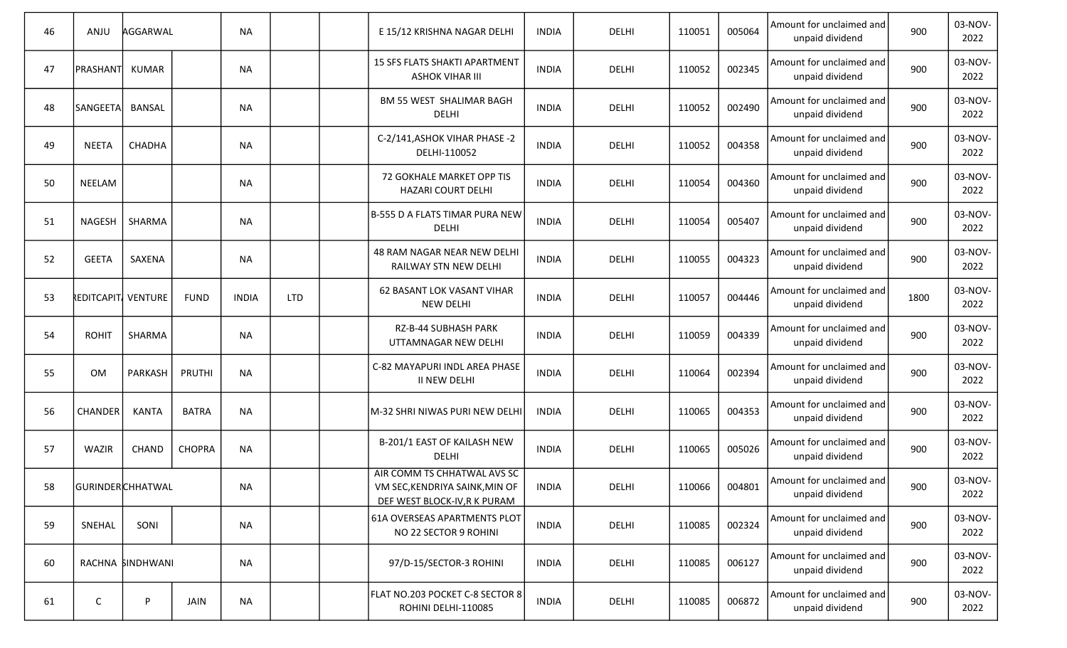| 46 | ANJU                      | AGGARWAL         |               | <b>NA</b>    |            | E 15/12 KRISHNA NAGAR DELHI                                                                   | <b>INDIA</b> | DELHI        | 110051 | 005064 | Amount for unclaimed and<br>unpaid dividend | 900  | 03-NOV-<br>2022 |
|----|---------------------------|------------------|---------------|--------------|------------|-----------------------------------------------------------------------------------------------|--------------|--------------|--------|--------|---------------------------------------------|------|-----------------|
| 47 | PRASHANT KUMAR            |                  |               | <b>NA</b>    |            | <b>15 SFS FLATS SHAKTI APARTMENT</b><br><b>ASHOK VIHAR III</b>                                | <b>INDIA</b> | DELHI        | 110052 | 002345 | Amount for unclaimed and<br>unpaid dividend | 900  | 03-NOV-<br>2022 |
| 48 | SANGEETA                  | BANSAL           |               | <b>NA</b>    |            | <b>BM 55 WEST SHALIMAR BAGH</b><br>DELHI                                                      | <b>INDIA</b> | DELHI        | 110052 | 002490 | Amount for unclaimed and<br>unpaid dividend | 900  | 03-NOV-<br>2022 |
| 49 | <b>NEETA</b>              | CHADHA           |               | <b>NA</b>    |            | C-2/141, ASHOK VIHAR PHASE -2<br>DELHI-110052                                                 | <b>INDIA</b> | <b>DELHI</b> | 110052 | 004358 | Amount for unclaimed and<br>unpaid dividend | 900  | 03-NOV-<br>2022 |
| 50 | NEELAM                    |                  |               | <b>NA</b>    |            | 72 GOKHALE MARKET OPP TIS<br>HAZARI COURT DELHI                                               | <b>INDIA</b> | <b>DELHI</b> | 110054 | 004360 | Amount for unclaimed and<br>unpaid dividend | 900  | 03-NOV-<br>2022 |
| 51 | <b>NAGESH</b>             | SHARMA           |               | <b>NA</b>    |            | B-555 D A FLATS TIMAR PURA NEW<br>DELHI                                                       | <b>INDIA</b> | DELHI        | 110054 | 005407 | Amount for unclaimed and<br>unpaid dividend | 900  | 03-NOV-<br>2022 |
| 52 | <b>GEETA</b>              | SAXENA           |               | <b>NA</b>    |            | <b>48 RAM NAGAR NEAR NEW DELHI</b><br>RAILWAY STN NEW DELHI                                   | <b>INDIA</b> | DELHI        | 110055 | 004323 | Amount for unclaimed and<br>unpaid dividend | 900  | 03-NOV-<br>2022 |
| 53 | <b>REDITCAPIT VENTURE</b> |                  | <b>FUND</b>   | <b>INDIA</b> | <b>LTD</b> | 62 BASANT LOK VASANT VIHAR<br>NEW DELHI                                                       | <b>INDIA</b> | DELHI        | 110057 | 004446 | Amount for unclaimed and<br>unpaid dividend | 1800 | 03-NOV-<br>2022 |
| 54 | <b>ROHIT</b>              | SHARMA           |               | <b>NA</b>    |            | RZ-B-44 SUBHASH PARK<br>UTTAMNAGAR NEW DELHI                                                  | <b>INDIA</b> | DELHI        | 110059 | 004339 | Amount for unclaimed and<br>unpaid dividend | 900  | 03-NOV-<br>2022 |
| 55 | <b>OM</b>                 | PARKASH          | PRUTHI        | <b>NA</b>    |            | C-82 MAYAPURI INDL AREA PHASE<br>II NEW DELHI                                                 | <b>INDIA</b> | DELHI        | 110064 | 002394 | Amount for unclaimed and<br>unpaid dividend | 900  | 03-NOV-<br>2022 |
| 56 | <b>CHANDER</b>            | <b>KANTA</b>     | <b>BATRA</b>  | <b>NA</b>    |            | M-32 SHRI NIWAS PURI NEW DELHI                                                                | <b>INDIA</b> | DELHI        | 110065 | 004353 | Amount for unclaimed and<br>unpaid dividend | 900  | 03-NOV-<br>2022 |
| 57 | WAZIR                     | CHAND            | <b>CHOPRA</b> | <b>NA</b>    |            | B-201/1 EAST OF KAILASH NEW<br>DELHI                                                          | <b>INDIA</b> | DELHI        | 110065 | 005026 | Amount for unclaimed and<br>unpaid dividend | 900  | 03-NOV-<br>2022 |
| 58 | GURINDERCHHATWAL          |                  |               | NA           |            | AIR COMM TS CHHATWAL AVS SC<br>VM SEC, KENDRIYA SAINK, MIN OF<br>DEF WEST BLOCK-IV, R K PURAM | <b>INDIA</b> | DELHI        | 110066 | 004801 | Amount for unclaimed and<br>unpaid dividend | 900  | 03-NOV-<br>2022 |
| 59 | SNEHAL                    | SONI             |               | <b>NA</b>    |            | 61A OVERSEAS APARTMENTS PLOT<br>NO 22 SECTOR 9 ROHINI                                         | <b>INDIA</b> | <b>DELHI</b> | 110085 | 002324 | Amount for unclaimed and<br>unpaid dividend | 900  | 03-NOV-<br>2022 |
| 60 |                           | RACHNA SINDHWANI |               | <b>NA</b>    |            | 97/D-15/SECTOR-3 ROHINI                                                                       | <b>INDIA</b> | <b>DELHI</b> | 110085 | 006127 | Amount for unclaimed and<br>unpaid dividend | 900  | 03-NOV-<br>2022 |
| 61 | $\mathsf C$               | P                | <b>JAIN</b>   | <b>NA</b>    |            | FLAT NO.203 POCKET C-8 SECTOR 8<br>ROHINI DELHI-110085                                        | <b>INDIA</b> | DELHI        | 110085 | 006872 | Amount for unclaimed and<br>unpaid dividend | 900  | 03-NOV-<br>2022 |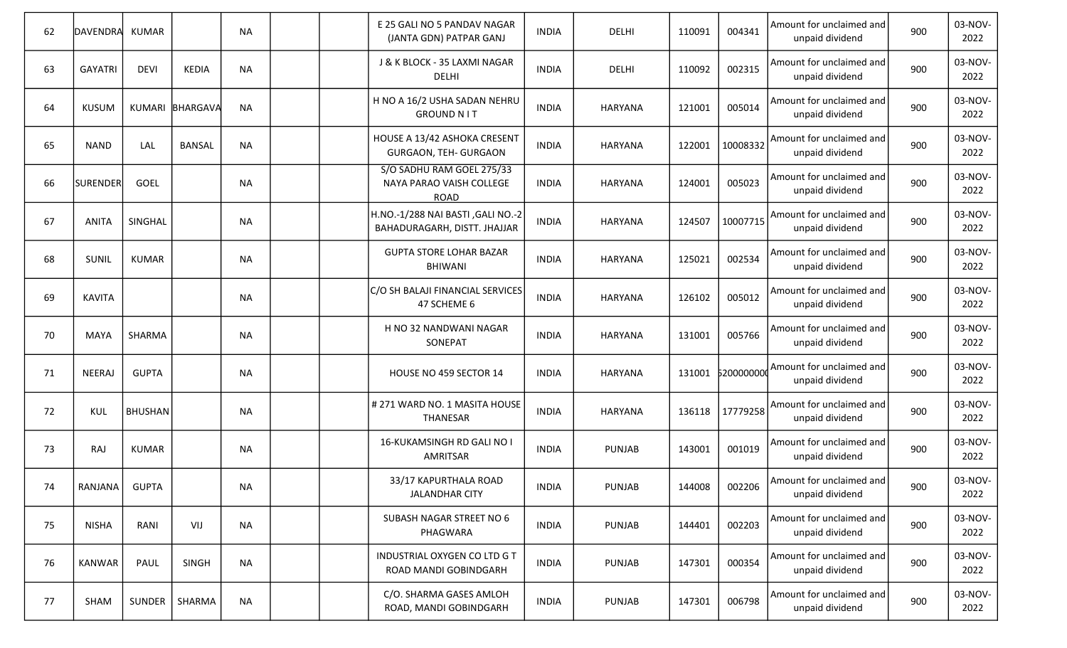| 62 | DAVENDRA       | KUMAR          |                 | <b>NA</b> |  | E 25 GALI NO 5 PANDAV NAGAR<br>(JANTA GDN) PATPAR GANJ               | <b>INDIA</b> | DELHI         | 110091 | 004341     | Amount for unclaimed and<br>unpaid dividend | 900 | 03-NOV-<br>2022 |
|----|----------------|----------------|-----------------|-----------|--|----------------------------------------------------------------------|--------------|---------------|--------|------------|---------------------------------------------|-----|-----------------|
| 63 | <b>GAYATRI</b> | <b>DEVI</b>    | <b>KEDIA</b>    | <b>NA</b> |  | J & K BLOCK - 35 LAXMI NAGAR<br>DELHI                                | <b>INDIA</b> | DELHI         | 110092 | 002315     | Amount for unclaimed and<br>unpaid dividend | 900 | 03-NOV-<br>2022 |
| 64 | <b>KUSUM</b>   |                | KUMARI BHARGAVA | <b>NA</b> |  | H NO A 16/2 USHA SADAN NEHRU<br><b>GROUND N IT</b>                   | <b>INDIA</b> | HARYANA       | 121001 | 005014     | Amount for unclaimed and<br>unpaid dividend | 900 | 03-NOV-<br>2022 |
| 65 | <b>NAND</b>    | LAL            | <b>BANSAL</b>   | <b>NA</b> |  | HOUSE A 13/42 ASHOKA CRESENT<br>GURGAON, TEH- GURGAON                | <b>INDIA</b> | HARYANA       | 122001 | 10008332   | Amount for unclaimed and<br>unpaid dividend | 900 | 03-NOV-<br>2022 |
| 66 | SURENDER       | GOEL           |                 | <b>NA</b> |  | S/O SADHU RAM GOEL 275/33<br>NAYA PARAO VAISH COLLEGE<br><b>ROAD</b> | <b>INDIA</b> | HARYANA       | 124001 | 005023     | Amount for unclaimed and<br>unpaid dividend | 900 | 03-NOV-<br>2022 |
| 67 | <b>ANITA</b>   | SINGHAL        |                 | <b>NA</b> |  | H.NO.-1/288 NAI BASTI, GALI NO.-2<br>BAHADURAGARH, DISTT. JHAJJAR    | <b>INDIA</b> | HARYANA       | 124507 | 10007715   | Amount for unclaimed and<br>unpaid dividend | 900 | 03-NOV-<br>2022 |
| 68 | SUNIL          | <b>KUMAR</b>   |                 | <b>NA</b> |  | <b>GUPTA STORE LOHAR BAZAR</b><br><b>BHIWANI</b>                     | <b>INDIA</b> | HARYANA       | 125021 | 002534     | Amount for unclaimed and<br>unpaid dividend | 900 | 03-NOV-<br>2022 |
| 69 | <b>KAVITA</b>  |                |                 | <b>NA</b> |  | C/O SH BALAJI FINANCIAL SERVICES<br>47 SCHEME 6                      | <b>INDIA</b> | HARYANA       | 126102 | 005012     | Amount for unclaimed and<br>unpaid dividend | 900 | 03-NOV-<br>2022 |
| 70 | <b>MAYA</b>    | SHARMA         |                 | <b>NA</b> |  | H NO 32 NANDWANI NAGAR<br>SONEPAT                                    | <b>INDIA</b> | HARYANA       | 131001 | 005766     | Amount for unclaimed and<br>unpaid dividend | 900 | 03-NOV-<br>2022 |
| 71 | NEERAJ         | <b>GUPTA</b>   |                 | <b>NA</b> |  | HOUSE NO 459 SECTOR 14                                               | <b>INDIA</b> | HARYANA       | 131001 | \$20000000 | Amount for unclaimed and<br>unpaid dividend | 900 | 03-NOV-<br>2022 |
| 72 | KUL            | <b>BHUSHAN</b> |                 | <b>NA</b> |  | # 271 WARD NO. 1 MASITA HOUSE<br>THANESAR                            | <b>INDIA</b> | HARYANA       | 136118 | 17779258   | Amount for unclaimed and<br>unpaid dividend | 900 | 03-NOV-<br>2022 |
| 73 | RAJ            | <b>KUMAR</b>   |                 | <b>NA</b> |  | 16-KUKAMSINGH RD GALI NO I<br>AMRITSAR                               | <b>INDIA</b> | <b>PUNJAB</b> | 143001 | 001019     | Amount for unclaimed and<br>unpaid dividend | 900 | 03-NOV-<br>2022 |
| 74 | RANJANA        | <b>GUPTA</b>   |                 | <b>NA</b> |  | 33/17 KAPURTHALA ROAD<br><b>JALANDHAR CITY</b>                       | <b>INDIA</b> | <b>PUNJAB</b> | 144008 | 002206     | Amount for unclaimed and<br>unpaid dividend | 900 | 03-NOV-<br>2022 |
| 75 | <b>NISHA</b>   | RANI           | VIJ             | <b>NA</b> |  | SUBASH NAGAR STREET NO 6<br>PHAGWARA                                 | <b>INDIA</b> | <b>PUNJAB</b> | 144401 | 002203     | Amount for unclaimed and<br>unpaid dividend | 900 | 03-NOV-<br>2022 |
| 76 | <b>KANWAR</b>  | PAUL           | <b>SINGH</b>    | <b>NA</b> |  | INDUSTRIAL OXYGEN CO LTD G T<br>ROAD MANDI GOBINDGARH                | <b>INDIA</b> | <b>PUNJAB</b> | 147301 | 000354     | Amount for unclaimed and<br>unpaid dividend | 900 | 03-NOV-<br>2022 |
| 77 | SHAM           |                | SUNDER   SHARMA | <b>NA</b> |  | C/O. SHARMA GASES AMLOH<br>ROAD, MANDI GOBINDGARH                    | <b>INDIA</b> | <b>PUNJAB</b> | 147301 | 006798     | Amount for unclaimed and<br>unpaid dividend | 900 | 03-NOV-<br>2022 |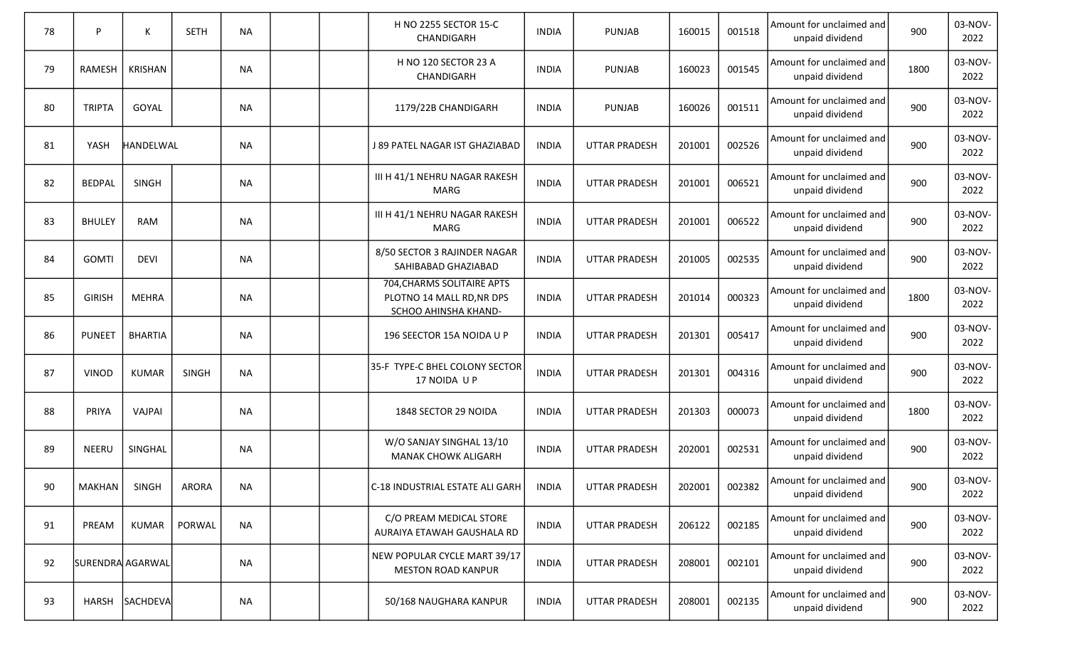| 78 | P                | К                | <b>SETH</b> | <b>NA</b> |  | H NO 2255 SECTOR 15-C<br>CHANDIGARH                                             | <b>INDIA</b> | <b>PUNJAB</b>        | 160015 | 001518 | Amount for unclaimed and<br>unpaid dividend | 900  | 03-NOV-<br>2022 |
|----|------------------|------------------|-------------|-----------|--|---------------------------------------------------------------------------------|--------------|----------------------|--------|--------|---------------------------------------------|------|-----------------|
| 79 | <b>RAMESH</b>    | <b>KRISHAN</b>   |             | <b>NA</b> |  | H NO 120 SECTOR 23 A<br>CHANDIGARH                                              | <b>INDIA</b> | <b>PUNJAB</b>        | 160023 | 001545 | Amount for unclaimed and<br>unpaid dividend | 1800 | 03-NOV-<br>2022 |
| 80 | <b>TRIPTA</b>    | GOYAL            |             | <b>NA</b> |  | 1179/22B CHANDIGARH                                                             | <b>INDIA</b> | <b>PUNJAB</b>        | 160026 | 001511 | Amount for unclaimed and<br>unpaid dividend | 900  | 03-NOV-<br>2022 |
| 81 | YASH             | <b>HANDELWAL</b> |             | <b>NA</b> |  | J 89 PATEL NAGAR IST GHAZIABAD                                                  | <b>INDIA</b> | <b>UTTAR PRADESH</b> | 201001 | 002526 | Amount for unclaimed and<br>unpaid dividend | 900  | 03-NOV-<br>2022 |
| 82 | <b>BEDPAL</b>    | <b>SINGH</b>     |             | <b>NA</b> |  | III H 41/1 NEHRU NAGAR RAKESH<br>MARG                                           | <b>INDIA</b> | <b>UTTAR PRADESH</b> | 201001 | 006521 | Amount for unclaimed and<br>unpaid dividend | 900  | 03-NOV-<br>2022 |
| 83 | <b>BHULEY</b>    | <b>RAM</b>       |             | <b>NA</b> |  | III H 41/1 NEHRU NAGAR RAKESH<br>MARG                                           | <b>INDIA</b> | <b>UTTAR PRADESH</b> | 201001 | 006522 | Amount for unclaimed and<br>unpaid dividend | 900  | 03-NOV-<br>2022 |
| 84 | <b>GOMTI</b>     | <b>DEVI</b>      |             | <b>NA</b> |  | 8/50 SECTOR 3 RAJINDER NAGAR<br>SAHIBABAD GHAZIABAD                             | <b>INDIA</b> | <b>UTTAR PRADESH</b> | 201005 | 002535 | Amount for unclaimed and<br>unpaid dividend | 900  | 03-NOV-<br>2022 |
| 85 | <b>GIRISH</b>    | <b>MEHRA</b>     |             | <b>NA</b> |  | 704, CHARMS SOLITAIRE APTS<br>PLOTNO 14 MALL RD, NR DPS<br>SCHOO AHINSHA KHAND- | <b>INDIA</b> | <b>UTTAR PRADESH</b> | 201014 | 000323 | Amount for unclaimed and<br>unpaid dividend | 1800 | 03-NOV-<br>2022 |
| 86 | <b>PUNEET</b>    | <b>BHARTIA</b>   |             | <b>NA</b> |  | 196 SEECTOR 15A NOIDA U P                                                       | <b>INDIA</b> | <b>UTTAR PRADESH</b> | 201301 | 005417 | Amount for unclaimed and<br>unpaid dividend | 900  | 03-NOV-<br>2022 |
| 87 | <b>VINOD</b>     | <b>KUMAR</b>     | SINGH       | <b>NA</b> |  | 35-F TYPE-C BHEL COLONY SECTOR<br>17 NOIDA U P                                  | <b>INDIA</b> | <b>UTTAR PRADESH</b> | 201301 | 004316 | Amount for unclaimed and<br>unpaid dividend | 900  | 03-NOV-<br>2022 |
| 88 | PRIYA            | VAJPAI           |             | <b>NA</b> |  | 1848 SECTOR 29 NOIDA                                                            | <b>INDIA</b> | <b>UTTAR PRADESH</b> | 201303 | 000073 | Amount for unclaimed and<br>unpaid dividend | 1800 | 03-NOV-<br>2022 |
| 89 | <b>NEERU</b>     | SINGHAL          |             | <b>NA</b> |  | W/O SANJAY SINGHAL 13/10<br><b>MANAK CHOWK ALIGARH</b>                          | <b>INDIA</b> | <b>UTTAR PRADESH</b> | 202001 | 002531 | Amount for unclaimed and<br>unpaid dividend | 900  | 03-NOV-<br>2022 |
| 90 | <b>MAKHAN</b>    | SINGH            | ARORA       | NA        |  | C-18 INDUSTRIAL ESTATE ALI GARH                                                 | <b>INDIA</b> | UTTAR PRADESH        | 202001 | 002382 | Amount for unclaimed and<br>unpaid dividend | 900  | 03-NOV-<br>2022 |
| 91 | PREAM            | <b>KUMAR</b>     | PORWAL      | <b>NA</b> |  | C/O PREAM MEDICAL STORE<br>AURAIYA ETAWAH GAUSHALA RD                           | <b>INDIA</b> | <b>UTTAR PRADESH</b> | 206122 | 002185 | Amount for unclaimed and<br>unpaid dividend | 900  | 03-NOV-<br>2022 |
| 92 | SURENDRA AGARWAL |                  |             | <b>NA</b> |  | NEW POPULAR CYCLE MART 39/17<br><b>MESTON ROAD KANPUR</b>                       | <b>INDIA</b> | <b>UTTAR PRADESH</b> | 208001 | 002101 | Amount for unclaimed and<br>unpaid dividend | 900  | 03-NOV-<br>2022 |
| 93 |                  | HARSH SACHDEVA   |             | <b>NA</b> |  | 50/168 NAUGHARA KANPUR                                                          | <b>INDIA</b> | <b>UTTAR PRADESH</b> | 208001 | 002135 | Amount for unclaimed and<br>unpaid dividend | 900  | 03-NOV-<br>2022 |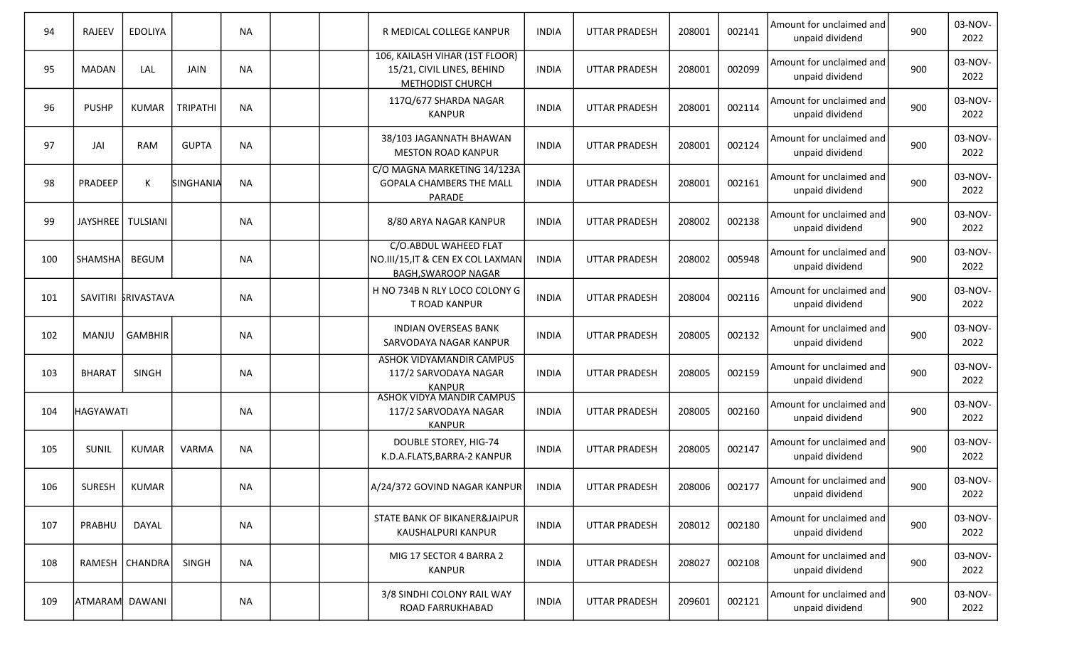| 94  | <b>RAJEEV</b>    | <b>EDOLIYA</b>      |                 | <b>NA</b> |  | R MEDICAL COLLEGE KANPUR                                                                | <b>INDIA</b> | <b>UTTAR PRADESH</b> | 208001 | 002141 | Amount for unclaimed and<br>unpaid dividend | 900 | 03-NOV-<br>2022 |
|-----|------------------|---------------------|-----------------|-----------|--|-----------------------------------------------------------------------------------------|--------------|----------------------|--------|--------|---------------------------------------------|-----|-----------------|
| 95  | <b>MADAN</b>     | LAL                 | <b>JAIN</b>     | <b>NA</b> |  | 106, KAILASH VIHAR (1ST FLOOR)<br>15/21, CIVIL LINES, BEHIND<br>METHODIST CHURCH        | INDIA        | <b>UTTAR PRADESH</b> | 208001 | 002099 | Amount for unclaimed and<br>unpaid dividend | 900 | 03-NOV-<br>2022 |
| 96  | <b>PUSHP</b>     | <b>KUMAR</b>        | <b>TRIPATHI</b> | <b>NA</b> |  | 117Q/677 SHARDA NAGAR<br><b>KANPUR</b>                                                  | <b>INDIA</b> | <b>UTTAR PRADESH</b> | 208001 | 002114 | Amount for unclaimed and<br>unpaid dividend | 900 | 03-NOV-<br>2022 |
| 97  | JAI              | <b>RAM</b>          | <b>GUPTA</b>    | <b>NA</b> |  | 38/103 JAGANNATH BHAWAN<br><b>MESTON ROAD KANPUR</b>                                    | <b>INDIA</b> | <b>UTTAR PRADESH</b> | 208001 | 002124 | Amount for unclaimed and<br>unpaid dividend | 900 | 03-NOV-<br>2022 |
| 98  | PRADEEP          | К                   | SINGHANIA       | <b>NA</b> |  | C/O MAGNA MARKETING 14/123A<br><b>GOPALA CHAMBERS THE MALL</b><br>PARADE                | <b>INDIA</b> | <b>UTTAR PRADESH</b> | 208001 | 002161 | Amount for unclaimed and<br>unpaid dividend | 900 | 03-NOV-<br>2022 |
| 99  |                  | JAYSHREE   TULSIANI |                 | <b>NA</b> |  | 8/80 ARYA NAGAR KANPUR                                                                  | <b>INDIA</b> | <b>UTTAR PRADESH</b> | 208002 | 002138 | Amount for unclaimed and<br>unpaid dividend | 900 | 03-NOV-<br>2022 |
| 100 | SHAMSHA          | <b>BEGUM</b>        |                 | <b>NA</b> |  | C/O.ABDUL WAHEED FLAT<br>NO.III/15,IT & CEN EX COL LAXMAN<br><b>BAGH, SWAROOP NAGAR</b> | <b>INDIA</b> | <b>UTTAR PRADESH</b> | 208002 | 005948 | Amount for unclaimed and<br>unpaid dividend | 900 | 03-NOV-<br>2022 |
| 101 |                  | SAVITIRI KRIVASTAVA |                 | <b>NA</b> |  | H NO 734B N RLY LOCO COLONY G<br>T ROAD KANPUR                                          | <b>INDIA</b> | <b>UTTAR PRADESH</b> | 208004 | 002116 | Amount for unclaimed and<br>unpaid dividend | 900 | 03-NOV-<br>2022 |
| 102 | MANJU            | <b>GAMBHIR</b>      |                 | <b>NA</b> |  | <b>INDIAN OVERSEAS BANK</b><br>SARVODAYA NAGAR KANPUR                                   | <b>INDIA</b> | <b>UTTAR PRADESH</b> | 208005 | 002132 | Amount for unclaimed and<br>unpaid dividend | 900 | 03-NOV-<br>2022 |
| 103 | <b>BHARAT</b>    | SINGH               |                 | <b>NA</b> |  | ASHOK VIDYAMANDIR CAMPUS<br>117/2 SARVODAYA NAGAR<br><b>KANPUR</b>                      | <b>INDIA</b> | <b>UTTAR PRADESH</b> | 208005 | 002159 | Amount for unclaimed and<br>unpaid dividend | 900 | 03-NOV-<br>2022 |
| 104 | <b>HAGYAWATI</b> |                     |                 | <b>NA</b> |  | <b>ASHOK VIDYA MANDIR CAMPUS</b><br>117/2 SARVODAYA NAGAR<br>KANPUR                     | <b>INDIA</b> | <b>UTTAR PRADESH</b> | 208005 | 002160 | Amount for unclaimed and<br>unpaid dividend | 900 | 03-NOV-<br>2022 |
| 105 | SUNIL            | KUMAR               | VARMA           | <b>NA</b> |  | <b>DOUBLE STOREY, HIG-74</b><br>K.D.A.FLATS, BARRA-2 KANPUR                             | <b>INDIA</b> | <b>UTTAR PRADESH</b> | 208005 | 002147 | Amount for unclaimed and<br>unpaid dividend | 900 | 03-NOV-<br>2022 |
| 106 | SURESH           | <b>KUMAR</b>        |                 | NA        |  | A/24/372 GOVIND NAGAR KANPUR                                                            | <b>INDIA</b> | UTTAR PRADESH        | 208006 | 002177 | Amount for unclaimed and<br>unpaid dividend | 900 | 03-NOV-<br>2022 |
| 107 | PRABHU           | DAYAL               |                 | <b>NA</b> |  | STATE BANK OF BIKANER&JAIPUR<br>KAUSHALPURI KANPUR                                      | <b>INDIA</b> | <b>UTTAR PRADESH</b> | 208012 | 002180 | Amount for unclaimed and<br>unpaid dividend | 900 | 03-NOV-<br>2022 |
| 108 |                  | RAMESH   CHANDRA    | SINGH           | <b>NA</b> |  | MIG 17 SECTOR 4 BARRA 2<br><b>KANPUR</b>                                                | <b>INDIA</b> | <b>UTTAR PRADESH</b> | 208027 | 002108 | Amount for unclaimed and<br>unpaid dividend | 900 | 03-NOV-<br>2022 |
| 109 | ATMARAM DAWANI   |                     |                 | <b>NA</b> |  | 3/8 SINDHI COLONY RAIL WAY<br>ROAD FARRUKHABAD                                          | <b>INDIA</b> | <b>UTTAR PRADESH</b> | 209601 | 002121 | Amount for unclaimed and<br>unpaid dividend | 900 | 03-NOV-<br>2022 |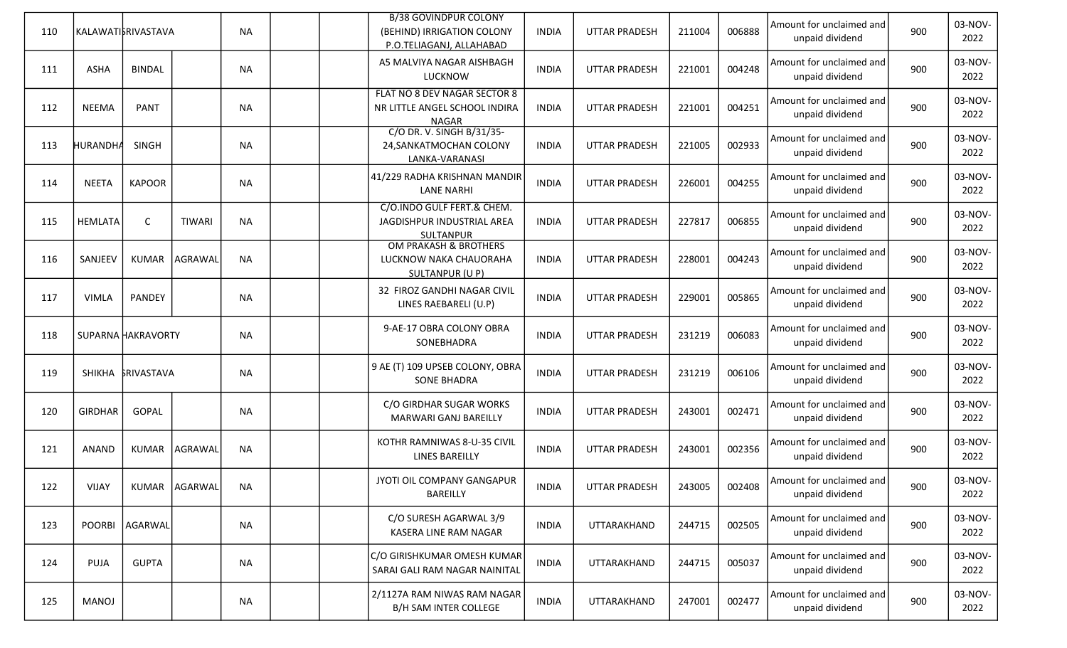| 110 |                 | KALAWATI\$RIVASTAVA |               | <b>NA</b> |  | <b>B/38 GOVINDPUR COLONY</b><br>(BEHIND) IRRIGATION COLONY<br>P.O.TELIAGANJ, ALLAHABAD | <b>INDIA</b> | <b>UTTAR PRADESH</b> | 211004 | 006888 | Amount for unclaimed and<br>unpaid dividend | 900 | 03-NOV-<br>2022 |
|-----|-----------------|---------------------|---------------|-----------|--|----------------------------------------------------------------------------------------|--------------|----------------------|--------|--------|---------------------------------------------|-----|-----------------|
| 111 | <b>ASHA</b>     | <b>BINDAL</b>       |               | <b>NA</b> |  | A5 MALVIYA NAGAR AISHBAGH<br><b>LUCKNOW</b>                                            | <b>INDIA</b> | <b>UTTAR PRADESH</b> | 221001 | 004248 | Amount for unclaimed and<br>unpaid dividend | 900 | 03-NOV-<br>2022 |
| 112 | <b>NEEMA</b>    | <b>PANT</b>         |               | <b>NA</b> |  | FLAT NO 8 DEV NAGAR SECTOR 8<br>NR LITTLE ANGEL SCHOOL INDIRA<br><b>NAGAR</b>          | <b>INDIA</b> | <b>UTTAR PRADESH</b> | 221001 | 004251 | Amount for unclaimed and<br>unpaid dividend | 900 | 03-NOV-<br>2022 |
| 113 | <b>HURANDHA</b> | <b>SINGH</b>        |               | <b>NA</b> |  | C/O DR. V. SINGH B/31/35-<br>24, SANKATMOCHAN COLONY<br>LANKA-VARANASI                 | INDIA        | <b>UTTAR PRADESH</b> | 221005 | 002933 | Amount for unclaimed and<br>unpaid dividend | 900 | 03-NOV-<br>2022 |
| 114 | <b>NEETA</b>    | <b>KAPOOR</b>       |               | <b>NA</b> |  | 41/229 RADHA KRISHNAN MANDIR<br><b>LANE NARHI</b>                                      | <b>INDIA</b> | <b>UTTAR PRADESH</b> | 226001 | 004255 | Amount for unclaimed and<br>unpaid dividend | 900 | 03-NOV-<br>2022 |
| 115 | HEMLATA         | C                   | <b>TIWARI</b> | <b>NA</b> |  | C/O.INDO GULF FERT.& CHEM.<br>JAGDISHPUR INDUSTRIAL AREA<br><b>SULTANPUR</b>           | <b>INDIA</b> | <b>UTTAR PRADESH</b> | 227817 | 006855 | Amount for unclaimed and<br>unpaid dividend | 900 | 03-NOV-<br>2022 |
| 116 | SANJEEV         | <b>KUMAR</b>        | AGRAWAL       | <b>NA</b> |  | <b>OM PRAKASH &amp; BROTHERS</b><br>LUCKNOW NAKA CHAUORAHA<br>SULTANPUR (U P)          | <b>INDIA</b> | <b>UTTAR PRADESH</b> | 228001 | 004243 | Amount for unclaimed and<br>unpaid dividend | 900 | 03-NOV-<br>2022 |
| 117 | <b>VIMLA</b>    | PANDEY              |               | <b>NA</b> |  | 32 FIROZ GANDHI NAGAR CIVIL<br>LINES RAEBARELI (U.P)                                   | <b>INDIA</b> | <b>UTTAR PRADESH</b> | 229001 | 005865 | Amount for unclaimed and<br>unpaid dividend | 900 | 03-NOV-<br>2022 |
| 118 |                 | SUPARNA HAKRAVORTY  |               | <b>NA</b> |  | 9-AE-17 OBRA COLONY OBRA<br>SONEBHADRA                                                 | <b>INDIA</b> | <b>UTTAR PRADESH</b> | 231219 | 006083 | Amount for unclaimed and<br>unpaid dividend | 900 | 03-NOV-<br>2022 |
| 119 |                 | SHIKHA SRIVASTAVA   |               | <b>NA</b> |  | 9 AE (T) 109 UPSEB COLONY, OBRA<br><b>SONE BHADRA</b>                                  | <b>INDIA</b> | <b>UTTAR PRADESH</b> | 231219 | 006106 | Amount for unclaimed and<br>unpaid dividend | 900 | 03-NOV-<br>2022 |
| 120 | <b>GIRDHAR</b>  | GOPAL               |               | <b>NA</b> |  | C/O GIRDHAR SUGAR WORKS<br>MARWARI GANJ BAREILLY                                       | <b>INDIA</b> | <b>UTTAR PRADESH</b> | 243001 | 002471 | Amount for unclaimed and<br>unpaid dividend | 900 | 03-NOV-<br>2022 |
| 121 | ANAND           | <b>KUMAR</b>        | AGRAWAL       | <b>NA</b> |  | KOTHR RAMNIWAS 8-U-35 CIVIL<br><b>LINES BAREILLY</b>                                   | <b>INDIA</b> | <b>UTTAR PRADESH</b> | 243001 | 002356 | Amount for unclaimed and<br>unpaid dividend | 900 | 03-NOV-<br>2022 |
| 122 | VIJAY           |                     | KUMAR AGARWAL | NA        |  | JYOTI OIL COMPANY GANGAPUR<br>BAREILLY                                                 | <b>INDIA</b> | UTTAR PRADESH        | 243005 | 002408 | Amount for unclaimed and<br>unpaid dividend | 900 | 03-NOV-<br>2022 |
| 123 |                 | POORBI AGARWAL      |               | <b>NA</b> |  | C/O SURESH AGARWAL 3/9<br>KASERA LINE RAM NAGAR                                        | <b>INDIA</b> | UTTARAKHAND          | 244715 | 002505 | Amount for unclaimed and<br>unpaid dividend | 900 | 03-NOV-<br>2022 |
| 124 | PUJA            | <b>GUPTA</b>        |               | <b>NA</b> |  | C/O GIRISHKUMAR OMESH KUMAR<br>SARAI GALI RAM NAGAR NAINITAL                           | <b>INDIA</b> | UTTARAKHAND          | 244715 | 005037 | Amount for unclaimed and<br>unpaid dividend | 900 | 03-NOV-<br>2022 |
| 125 | MANOJ           |                     |               | <b>NA</b> |  | 2/1127A RAM NIWAS RAM NAGAR<br>B/H SAM INTER COLLEGE                                   | <b>INDIA</b> | UTTARAKHAND          | 247001 | 002477 | Amount for unclaimed and<br>unpaid dividend | 900 | 03-NOV-<br>2022 |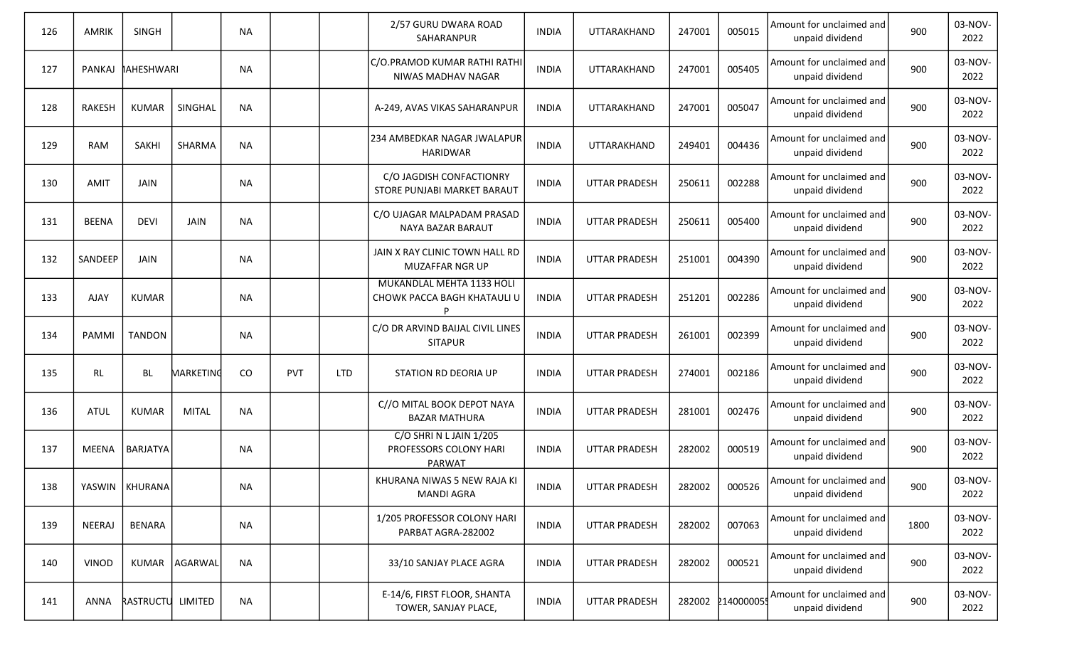| 126 | AMRIK         | <b>SINGH</b>      |                 | <b>NA</b> |            |            | 2/57 GURU DWARA ROAD<br>SAHARANPUR                               | <b>INDIA</b> | UTTARAKHAND          | 247001 | 005015           | Amount for unclaimed and<br>unpaid dividend | 900  | 03-NOV-<br>2022 |
|-----|---------------|-------------------|-----------------|-----------|------------|------------|------------------------------------------------------------------|--------------|----------------------|--------|------------------|---------------------------------------------|------|-----------------|
| 127 | PANKAJ        | <b>IAHESHWARI</b> |                 | <b>NA</b> |            |            | C/O.PRAMOD KUMAR RATHI RATHI<br>NIWAS MADHAV NAGAR               | <b>INDIA</b> | UTTARAKHAND          | 247001 | 005405           | Amount for unclaimed and<br>unpaid dividend | 900  | 03-NOV-<br>2022 |
| 128 | <b>RAKESH</b> | <b>KUMAR</b>      | SINGHAL         | <b>NA</b> |            |            | A-249, AVAS VIKAS SAHARANPUR                                     | <b>INDIA</b> | UTTARAKHAND          | 247001 | 005047           | Amount for unclaimed and<br>unpaid dividend | 900  | 03-NOV-<br>2022 |
| 129 | <b>RAM</b>    | SAKHI             | SHARMA          | <b>NA</b> |            |            | 234 AMBEDKAR NAGAR JWALAPUR<br><b>HARIDWAR</b>                   | <b>INDIA</b> | UTTARAKHAND          | 249401 | 004436           | Amount for unclaimed and<br>unpaid dividend | 900  | 03-NOV-<br>2022 |
| 130 | <b>AMIT</b>   | JAIN              |                 | <b>NA</b> |            |            | C/O JAGDISH CONFACTIONRY<br>STORE PUNJABI MARKET BARAUT          | <b>INDIA</b> | <b>UTTAR PRADESH</b> | 250611 | 002288           | Amount for unclaimed and<br>unpaid dividend | 900  | 03-NOV-<br>2022 |
| 131 | <b>BEENA</b>  | <b>DEVI</b>       | JAIN            | <b>NA</b> |            |            | C/O UJAGAR MALPADAM PRASAD<br>NAYA BAZAR BARAUT                  | <b>INDIA</b> | <b>UTTAR PRADESH</b> | 250611 | 005400           | Amount for unclaimed and<br>unpaid dividend | 900  | 03-NOV-<br>2022 |
| 132 | SANDEEP       | JAIN              |                 | <b>NA</b> |            |            | JAIN X RAY CLINIC TOWN HALL RD<br>MUZAFFAR NGR UP                | <b>INDIA</b> | <b>UTTAR PRADESH</b> | 251001 | 004390           | Amount for unclaimed and<br>unpaid dividend | 900  | 03-NOV-<br>2022 |
| 133 | <b>AJAY</b>   | <b>KUMAR</b>      |                 | <b>NA</b> |            |            | MUKANDLAL MEHTA 1133 HOLI<br>CHOWK PACCA BAGH KHATAULI U         | <b>INDIA</b> | <b>UTTAR PRADESH</b> | 251201 | 002286           | Amount for unclaimed and<br>unpaid dividend | 900  | 03-NOV-<br>2022 |
| 134 | <b>PAMMI</b>  | <b>TANDON</b>     |                 | <b>NA</b> |            |            | C/O DR ARVIND BAIJAL CIVIL LINES<br><b>SITAPUR</b>               | <b>INDIA</b> | <b>UTTAR PRADESH</b> | 261001 | 002399           | Amount for unclaimed and<br>unpaid dividend | 900  | 03-NOV-<br>2022 |
| 135 | RL            | <b>BL</b>         | MARKETING       | $\rm CO$  | <b>PVT</b> | <b>LTD</b> | STATION RD DEORIA UP                                             | <b>INDIA</b> | <b>UTTAR PRADESH</b> | 274001 | 002186           | Amount for unclaimed and<br>unpaid dividend | 900  | 03-NOV-<br>2022 |
| 136 | <b>ATUL</b>   | <b>KUMAR</b>      | <b>MITAL</b>    | <b>NA</b> |            |            | C//O MITAL BOOK DEPOT NAYA<br><b>BAZAR MATHURA</b>               | <b>INDIA</b> | <b>UTTAR PRADESH</b> | 281001 | 002476           | Amount for unclaimed and<br>unpaid dividend | 900  | 03-NOV-<br>2022 |
| 137 | MEENA         | <b>BARJATYA</b>   |                 | NA        |            |            | C/O SHRIN LJAIN 1/205<br>PROFESSORS COLONY HARI<br><b>PARWAT</b> | <b>INDIA</b> | <b>UTTAR PRADESH</b> | 282002 | 000519           | Amount for unclaimed and<br>unpaid dividend | 900  | 03-NOV-<br>2022 |
| 138 |               | YASWIN   KHURANA  |                 | <b>NA</b> |            |            | KHURANA NIWAS 5 NEW RAJA KI<br><b>MANDI AGRA</b>                 | <b>INDIA</b> | UTTAR PRADESH        | 282002 | 000526           | Amount for unclaimed and<br>unpaid dividend | 900  | 03-NOV-<br>2022 |
| 139 | NEERAJ        | BENARA            |                 | <b>NA</b> |            |            | 1/205 PROFESSOR COLONY HARI<br>PARBAT AGRA-282002                | <b>INDIA</b> | UTTAR PRADESH        | 282002 | 007063           | Amount for unclaimed and<br>unpaid dividend | 1800 | 03-NOV-<br>2022 |
| 140 | VINOD         |                   | KUMAR   AGARWAL | <b>NA</b> |            |            | 33/10 SANJAY PLACE AGRA                                          | <b>INDIA</b> | UTTAR PRADESH        | 282002 | 000521           | Amount for unclaimed and<br>unpaid dividend | 900  | 03-NOV-<br>2022 |
| 141 | ANNA          | RASTRUCTU LIMITED |                 | <b>NA</b> |            |            | E-14/6, FIRST FLOOR, SHANTA<br>TOWER, SANJAY PLACE,              | <b>INDIA</b> | UTTAR PRADESH        |        | 282002 214000005 | Amount for unclaimed and<br>unpaid dividend | 900  | 03-NOV-<br>2022 |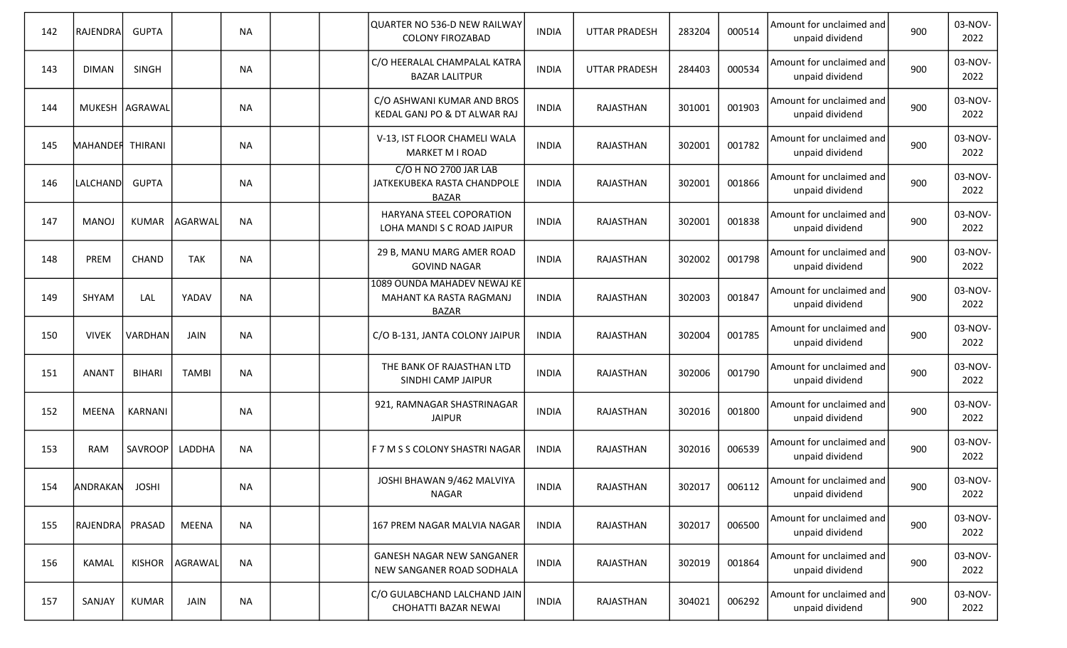| 142 | RAJENDRA         | <b>GUPTA</b>     |              | <b>NA</b> |  | QUARTER NO 536-D NEW RAILWAY<br><b>COLONY FIROZABAD</b>                | INDIA        | <b>UTTAR PRADESH</b> | 283204 | 000514 | Amount for unclaimed and<br>unpaid dividend | 900 | 03-NOV-<br>2022 |
|-----|------------------|------------------|--------------|-----------|--|------------------------------------------------------------------------|--------------|----------------------|--------|--------|---------------------------------------------|-----|-----------------|
| 143 | <b>DIMAN</b>     | <b>SINGH</b>     |              | <b>NA</b> |  | C/O HEERALAL CHAMPALAL KATRA<br><b>BAZAR LALITPUR</b>                  | INDIA        | <b>UTTAR PRADESH</b> | 284403 | 000534 | Amount for unclaimed and<br>unpaid dividend | 900 | 03-NOV-<br>2022 |
| 144 |                  | MUKESH   AGRAWAL |              | <b>NA</b> |  | C/O ASHWANI KUMAR AND BROS<br>KEDAL GANJ PO & DT ALWAR RAJ             | INDIA        | RAJASTHAN            | 301001 | 001903 | Amount for unclaimed and<br>unpaid dividend | 900 | 03-NOV-<br>2022 |
| 145 | MAHANDER THIRANI |                  |              | <b>NA</b> |  | V-13, IST FLOOR CHAMELI WALA<br>MARKET M I ROAD                        | <b>INDIA</b> | RAJASTHAN            | 302001 | 001782 | Amount for unclaimed and<br>unpaid dividend | 900 | 03-NOV-<br>2022 |
| 146 | LALCHAND         | <b>GUPTA</b>     |              | <b>NA</b> |  | C/O H NO 2700 JAR LAB<br>JATKEKUBEKA RASTA CHANDPOLE<br><b>BAZAR</b>   | <b>INDIA</b> | RAJASTHAN            | 302001 | 001866 | Amount for unclaimed and<br>unpaid dividend | 900 | 03-NOV-<br>2022 |
| 147 | <b>MANOJ</b>     | KUMAR            | AGARWAL      | <b>NA</b> |  | HARYANA STEEL COPORATION<br>LOHA MANDI S C ROAD JAIPUR                 | <b>INDIA</b> | RAJASTHAN            | 302001 | 001838 | Amount for unclaimed and<br>unpaid dividend | 900 | 03-NOV-<br>2022 |
| 148 | PREM             | <b>CHAND</b>     | <b>TAK</b>   | <b>NA</b> |  | 29 B, MANU MARG AMER ROAD<br><b>GOVIND NAGAR</b>                       | <b>INDIA</b> | RAJASTHAN            | 302002 | 001798 | Amount for unclaimed and<br>unpaid dividend | 900 | 03-NOV-<br>2022 |
| 149 | SHYAM            | LAL              | YADAV        | <b>NA</b> |  | 1089 OUNDA MAHADEV NEWAJ KE<br>MAHANT KA RASTA RAGMANJ<br><b>BAZAR</b> | <b>INDIA</b> | RAJASTHAN            | 302003 | 001847 | Amount for unclaimed and<br>unpaid dividend | 900 | 03-NOV-<br>2022 |
| 150 | <b>VIVEK</b>     | VARDHAN          | <b>JAIN</b>  | <b>NA</b> |  | C/O B-131, JANTA COLONY JAIPUR                                         | <b>INDIA</b> | RAJASTHAN            | 302004 | 001785 | Amount for unclaimed and<br>unpaid dividend | 900 | 03-NOV-<br>2022 |
| 151 | <b>ANANT</b>     | <b>BIHARI</b>    | <b>TAMBI</b> | <b>NA</b> |  | THE BANK OF RAJASTHAN LTD<br>SINDHI CAMP JAIPUR                        | INDIA        | RAJASTHAN            | 302006 | 001790 | Amount for unclaimed and<br>unpaid dividend | 900 | 03-NOV-<br>2022 |
| 152 | MEENA            | <b>KARNANI</b>   |              | NA        |  | 921, RAMNAGAR SHASTRINAGAR<br><b>JAIPUR</b>                            | INDIA        | RAJASTHAN            | 302016 | 001800 | Amount for unclaimed and<br>unpaid dividend | 900 | 03-NOV-<br>2022 |
| 153 | <b>RAM</b>       | SAVROOP          | LADDHA       | <b>NA</b> |  | F 7 M S S COLONY SHASTRI NAGAR                                         | <b>INDIA</b> | RAJASTHAN            | 302016 | 006539 | Amount for unclaimed and<br>unpaid dividend | 900 | 03-NOV-<br>2022 |
| 154 | ANDRAKAN         | <b>JOSHI</b>     |              | <b>NA</b> |  | JOSHI BHAWAN 9/462 MALVIYA<br><b>NAGAR</b>                             | <b>INDIA</b> | RAJASTHAN            | 302017 | 006112 | Amount for unclaimed and<br>unpaid dividend | 900 | 03-NOV-<br>2022 |
| 155 | RAJENDRA         | PRASAD           | <b>MEENA</b> | <b>NA</b> |  | 167 PREM NAGAR MALVIA NAGAR                                            | <b>INDIA</b> | RAJASTHAN            | 302017 | 006500 | Amount for unclaimed and<br>unpaid dividend | 900 | 03-NOV-<br>2022 |
| 156 | KAMAL            | <b>KISHOR</b>    | AGRAWAL      | <b>NA</b> |  | <b>GANESH NAGAR NEW SANGANER</b><br>NEW SANGANER ROAD SODHALA          | <b>INDIA</b> | RAJASTHAN            | 302019 | 001864 | Amount for unclaimed and<br>unpaid dividend | 900 | 03-NOV-<br>2022 |
| 157 | SANJAY           | KUMAR            | <b>JAIN</b>  | <b>NA</b> |  | C/O GULABCHAND LALCHAND JAIN<br>CHOHATTI BAZAR NEWAI                   | <b>INDIA</b> | RAJASTHAN            | 304021 | 006292 | Amount for unclaimed and<br>unpaid dividend | 900 | 03-NOV-<br>2022 |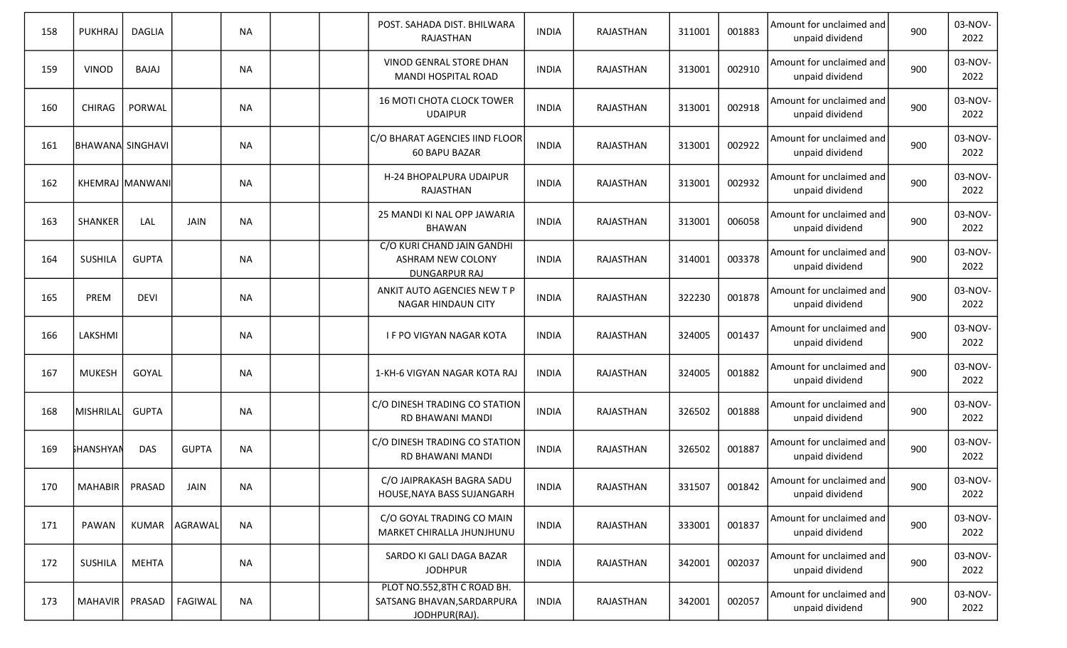| 158 | <b>PUKHRAJ</b>   | <b>DAGLIA</b>   |               | <b>NA</b> |  | POST. SAHADA DIST. BHILWARA<br>RAJASTHAN                                       | <b>INDIA</b> | RAJASTHAN | 311001 | 001883 | Amount for unclaimed and<br>unpaid dividend | 900 | 03-NOV-<br>2022 |
|-----|------------------|-----------------|---------------|-----------|--|--------------------------------------------------------------------------------|--------------|-----------|--------|--------|---------------------------------------------|-----|-----------------|
| 159 | <b>VINOD</b>     | <b>BAJAJ</b>    |               | <b>NA</b> |  | VINOD GENRAL STORE DHAN<br><b>MANDI HOSPITAL ROAD</b>                          | <b>INDIA</b> | RAJASTHAN | 313001 | 002910 | Amount for unclaimed and<br>unpaid dividend | 900 | 03-NOV-<br>2022 |
| 160 | CHIRAG           | PORWAL          |               | <b>NA</b> |  | <b>16 MOTI CHOTA CLOCK TOWER</b><br><b>UDAIPUR</b>                             | <b>INDIA</b> | RAJASTHAN | 313001 | 002918 | Amount for unclaimed and<br>unpaid dividend | 900 | 03-NOV-<br>2022 |
| 161 | BHAWANA SINGHAVI |                 |               | <b>NA</b> |  | C/O BHARAT AGENCIES IIND FLOOR<br><b>60 BAPU BAZAR</b>                         | <b>INDIA</b> | RAJASTHAN | 313001 | 002922 | Amount for unclaimed and<br>unpaid dividend | 900 | 03-NOV-<br>2022 |
| 162 |                  | KHEMRAJ MANWANI |               | <b>NA</b> |  | H-24 BHOPALPURA UDAIPUR<br>RAJASTHAN                                           | <b>INDIA</b> | RAJASTHAN | 313001 | 002932 | Amount for unclaimed and<br>unpaid dividend | 900 | 03-NOV-<br>2022 |
| 163 | SHANKER          | LAL             | <b>JAIN</b>   | <b>NA</b> |  | 25 MANDI KI NAL OPP JAWARIA<br><b>BHAWAN</b>                                   | <b>INDIA</b> | RAJASTHAN | 313001 | 006058 | Amount for unclaimed and<br>unpaid dividend | 900 | 03-NOV-<br>2022 |
| 164 | <b>SUSHILA</b>   | <b>GUPTA</b>    |               | <b>NA</b> |  | C/O KURI CHAND JAIN GANDHI<br><b>ASHRAM NEW COLONY</b><br><b>DUNGARPUR RAJ</b> | <b>INDIA</b> | RAJASTHAN | 314001 | 003378 | Amount for unclaimed and<br>unpaid dividend | 900 | 03-NOV-<br>2022 |
| 165 | PREM             | <b>DEVI</b>     |               | <b>NA</b> |  | ANKIT AUTO AGENCIES NEW T P<br><b>NAGAR HINDAUN CITY</b>                       | <b>INDIA</b> | RAJASTHAN | 322230 | 001878 | Amount for unclaimed and<br>unpaid dividend | 900 | 03-NOV-<br>2022 |
| 166 | LAKSHMI          |                 |               | <b>NA</b> |  | I F PO VIGYAN NAGAR KOTA                                                       | <b>INDIA</b> | RAJASTHAN | 324005 | 001437 | Amount for unclaimed and<br>unpaid dividend | 900 | 03-NOV-<br>2022 |
| 167 | <b>MUKESH</b>    | GOYAL           |               | NA        |  | 1-KH-6 VIGYAN NAGAR KOTA RAJ                                                   | <b>INDIA</b> | RAJASTHAN | 324005 | 001882 | Amount for unclaimed and<br>unpaid dividend | 900 | 03-NOV-<br>2022 |
| 168 | MISHRILAL        | <b>GUPTA</b>    |               | <b>NA</b> |  | C/O DINESH TRADING CO STATION<br>RD BHAWANI MANDI                              | <b>INDIA</b> | RAJASTHAN | 326502 | 001888 | Amount for unclaimed and<br>unpaid dividend | 900 | 03-NOV-<br>2022 |
| 169 | <b>FHANSHYAN</b> | <b>DAS</b>      | <b>GUPTA</b>  | <b>NA</b> |  | C/O DINESH TRADING CO STATION<br>RD BHAWANI MANDI                              | <b>INDIA</b> | RAJASTHAN | 326502 | 001887 | Amount for unclaimed and<br>unpaid dividend | 900 | 03-NOV-<br>2022 |
| 170 | MAHABIR   PRASAD |                 | JAIN          | NA        |  | C/O JAIPRAKASH BAGRA SADU<br>HOUSE, NAYA BASS SUJANGARH                        | <b>INDIA</b> | RAJASTHAN | 331507 | 001842 | Amount for unclaimed and<br>unpaid dividend | 900 | 03-NOV-<br>2022 |
| 171 | PAWAN            |                 | KUMAR AGRAWAL | <b>NA</b> |  | C/O GOYAL TRADING CO MAIN<br>MARKET CHIRALLA JHUNJHUNU                         | <b>INDIA</b> | RAJASTHAN | 333001 | 001837 | Amount for unclaimed and<br>unpaid dividend | 900 | 03-NOV-<br>2022 |
| 172 | <b>SUSHILA</b>   | <b>MEHTA</b>    |               | <b>NA</b> |  | SARDO KI GALI DAGA BAZAR<br><b>JODHPUR</b>                                     | <b>INDIA</b> | RAJASTHAN | 342001 | 002037 | Amount for unclaimed and<br>unpaid dividend | 900 | 03-NOV-<br>2022 |
| 173 | <b>MAHAVIR</b>   | PRASAD          | FAGIWAL       | <b>NA</b> |  | PLOT NO.552,8TH C ROAD BH.<br>SATSANG BHAVAN, SARDARPURA<br>JODHPUR(RAJ).      | <b>INDIA</b> | RAJASTHAN | 342001 | 002057 | Amount for unclaimed and<br>unpaid dividend | 900 | 03-NOV-<br>2022 |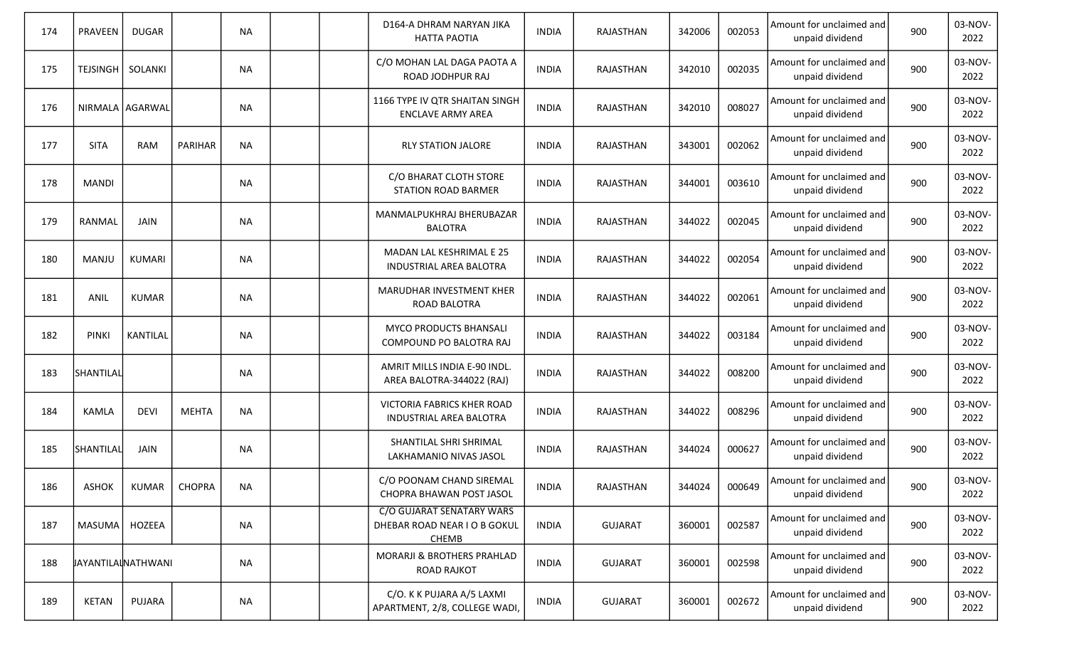| 174 | PRAVEEN      | <b>DUGAR</b>              |               | <b>NA</b> |  | D164-A DHRAM NARYAN JIKA<br><b>HATTA PAOTIA</b>                    | <b>INDIA</b> | RAJASTHAN      | 342006 | 002053 | Amount for unclaimed and<br>unpaid dividend | 900 | 03-NOV-<br>2022 |
|-----|--------------|---------------------------|---------------|-----------|--|--------------------------------------------------------------------|--------------|----------------|--------|--------|---------------------------------------------|-----|-----------------|
| 175 | TEJSINGH     | SOLANKI                   |               | <b>NA</b> |  | C/O MOHAN LAL DAGA PAOTA A<br>ROAD JODHPUR RAJ                     | <b>INDIA</b> | RAJASTHAN      | 342010 | 002035 | Amount for unclaimed and<br>unpaid dividend | 900 | 03-NOV-<br>2022 |
| 176 |              | NIRMALA AGARWAL           |               | <b>NA</b> |  | 1166 TYPE IV QTR SHAITAN SINGH<br><b>ENCLAVE ARMY AREA</b>         | <b>INDIA</b> | RAJASTHAN      | 342010 | 008027 | Amount for unclaimed and<br>unpaid dividend | 900 | 03-NOV-<br>2022 |
| 177 | <b>SITA</b>  | RAM                       | PARIHAR       | <b>NA</b> |  | <b>RLY STATION JALORE</b>                                          | <b>INDIA</b> | RAJASTHAN      | 343001 | 002062 | Amount for unclaimed and<br>unpaid dividend | 900 | 03-NOV-<br>2022 |
| 178 | <b>MANDI</b> |                           |               | <b>NA</b> |  | C/O BHARAT CLOTH STORE<br><b>STATION ROAD BARMER</b>               | <b>INDIA</b> | RAJASTHAN      | 344001 | 003610 | Amount for unclaimed and<br>unpaid dividend | 900 | 03-NOV-<br>2022 |
| 179 | RANMAL       | JAIN                      |               | <b>NA</b> |  | MANMALPUKHRAJ BHERUBAZAR<br><b>BALOTRA</b>                         | <b>INDIA</b> | RAJASTHAN      | 344022 | 002045 | Amount for unclaimed and<br>unpaid dividend | 900 | 03-NOV-<br>2022 |
| 180 | MANJU        | <b>KUMARI</b>             |               | <b>NA</b> |  | MADAN LAL KESHRIMAL E 25<br>INDUSTRIAL AREA BALOTRA                | <b>INDIA</b> | RAJASTHAN      | 344022 | 002054 | Amount for unclaimed and<br>unpaid dividend | 900 | 03-NOV-<br>2022 |
| 181 | ANIL         | <b>KUMAR</b>              |               | <b>NA</b> |  | MARUDHAR INVESTMENT KHER<br><b>ROAD BALOTRA</b>                    | <b>INDIA</b> | RAJASTHAN      | 344022 | 002061 | Amount for unclaimed and<br>unpaid dividend | 900 | 03-NOV-<br>2022 |
| 182 | <b>PINKI</b> | KANTILAL                  |               | <b>NA</b> |  | MYCO PRODUCTS BHANSALI<br>COMPOUND PO BALOTRA RAJ                  | <b>INDIA</b> | RAJASTHAN      | 344022 | 003184 | Amount for unclaimed and<br>unpaid dividend | 900 | 03-NOV-<br>2022 |
| 183 | SHANTILAL    |                           |               | <b>NA</b> |  | AMRIT MILLS INDIA E-90 INDL.<br>AREA BALOTRA-344022 (RAJ)          | <b>INDIA</b> | RAJASTHAN      | 344022 | 008200 | Amount for unclaimed and<br>unpaid dividend | 900 | 03-NOV-<br>2022 |
| 184 | KAMLA        | <b>DEVI</b>               | <b>MEHTA</b>  | <b>NA</b> |  | VICTORIA FABRICS KHER ROAD<br>INDUSTRIAL AREA BALOTRA              | <b>INDIA</b> | RAJASTHAN      | 344022 | 008296 | Amount for unclaimed and<br>unpaid dividend | 900 | 03-NOV-<br>2022 |
| 185 | SHANTILAL    | JAIN                      |               | <b>NA</b> |  | SHANTILAL SHRI SHRIMAL<br>LAKHAMANIO NIVAS JASOL                   | <b>INDIA</b> | RAJASTHAN      | 344024 | 000627 | Amount for unclaimed and<br>unpaid dividend | 900 | 03-NOV-<br>2022 |
| 186 | ASHOK        | KUMAR                     | <b>CHOPRA</b> | NA        |  | C/O POONAM CHAND SIREMAL<br>CHOPRA BHAWAN POST JASOL               | <b>INDIA</b> | RAJASTHAN      | 344024 | 000649 | Amount for unclaimed and<br>unpaid dividend | 900 | 03-NOV-<br>2022 |
| 187 | MASUMA       | HOZEEA                    |               | <b>NA</b> |  | C/O GUJARAT SENATARY WARS<br>DHEBAR ROAD NEAR I O B GOKUL<br>CHEMB | <b>INDIA</b> | <b>GUJARAT</b> | 360001 | 002587 | Amount for unclaimed and<br>unpaid dividend | 900 | 03-NOV-<br>2022 |
| 188 |              | <b>JAYANTILALNATHWANI</b> |               | <b>NA</b> |  | MORARJI & BROTHERS PRAHLAD<br><b>ROAD RAJKOT</b>                   | <b>INDIA</b> | <b>GUJARAT</b> | 360001 | 002598 | Amount for unclaimed and<br>unpaid dividend | 900 | 03-NOV-<br>2022 |
| 189 | <b>KETAN</b> | PUJARA                    |               | NA        |  | C/O. K K PUJARA A/5 LAXMI<br>APARTMENT, 2/8, COLLEGE WADI,         | <b>INDIA</b> | <b>GUJARAT</b> | 360001 | 002672 | Amount for unclaimed and<br>unpaid dividend | 900 | 03-NOV-<br>2022 |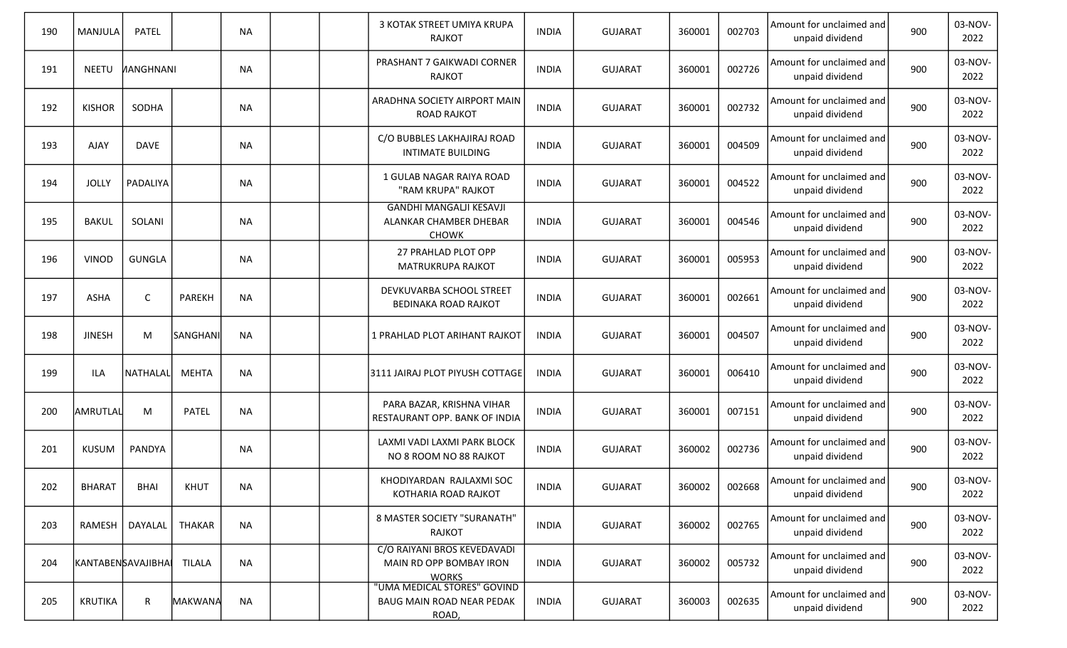| 190 | MANJULA       | <b>PATEL</b>       |                | <b>NA</b> |  | 3 KOTAK STREET UMIYA KRUPA<br><b>RAJKOT</b>                              | <b>INDIA</b> | <b>GUJARAT</b> | 360001 | 002703 | Amount for unclaimed and<br>unpaid dividend | 900 | 03-NOV-<br>2022 |
|-----|---------------|--------------------|----------------|-----------|--|--------------------------------------------------------------------------|--------------|----------------|--------|--------|---------------------------------------------|-----|-----------------|
| 191 | <b>NEETU</b>  | <b>NANGHNANI</b>   |                | <b>NA</b> |  | PRASHANT 7 GAIKWADI CORNER<br><b>RAJKOT</b>                              | <b>INDIA</b> | <b>GUJARAT</b> | 360001 | 002726 | Amount for unclaimed and<br>unpaid dividend | 900 | 03-NOV-<br>2022 |
| 192 | <b>KISHOR</b> | SODHA              |                | <b>NA</b> |  | ARADHNA SOCIETY AIRPORT MAIN<br><b>ROAD RAJKOT</b>                       | <b>INDIA</b> | <b>GUJARAT</b> | 360001 | 002732 | Amount for unclaimed and<br>unpaid dividend | 900 | 03-NOV-<br>2022 |
| 193 | <b>AJAY</b>   | <b>DAVE</b>        |                | <b>NA</b> |  | C/O BUBBLES LAKHAJIRAJ ROAD<br><b>INTIMATE BUILDING</b>                  | <b>INDIA</b> | <b>GUJARAT</b> | 360001 | 004509 | Amount for unclaimed and<br>unpaid dividend | 900 | 03-NOV-<br>2022 |
| 194 | <b>JOLLY</b>  | PADALIYA           |                | <b>NA</b> |  | 1 GULAB NAGAR RAIYA ROAD<br>"RAM KRUPA" RAJKOT                           | <b>INDIA</b> | <b>GUJARAT</b> | 360001 | 004522 | Amount for unclaimed and<br>unpaid dividend | 900 | 03-NOV-<br>2022 |
| 195 | <b>BAKUL</b>  | SOLANI             |                | <b>NA</b> |  | <b>GANDHI MANGALJI KESAVJI</b><br>ALANKAR CHAMBER DHEBAR<br><b>CHOWK</b> | <b>INDIA</b> | <b>GUJARAT</b> | 360001 | 004546 | Amount for unclaimed and<br>unpaid dividend | 900 | 03-NOV-<br>2022 |
| 196 | <b>VINOD</b>  | <b>GUNGLA</b>      |                | <b>NA</b> |  | 27 PRAHLAD PLOT OPP<br>MATRUKRUPA RAJKOT                                 | <b>INDIA</b> | <b>GUJARAT</b> | 360001 | 005953 | Amount for unclaimed and<br>unpaid dividend | 900 | 03-NOV-<br>2022 |
| 197 | ASHA          | $\mathsf{C}$       | PAREKH         | <b>NA</b> |  | DEVKUVARBA SCHOOL STREET<br><b>BEDINAKA ROAD RAJKOT</b>                  | <b>INDIA</b> | <b>GUJARAT</b> | 360001 | 002661 | Amount for unclaimed and<br>unpaid dividend | 900 | 03-NOV-<br>2022 |
| 198 | <b>JINESH</b> | M                  | SANGHANI       | <b>NA</b> |  | 1 PRAHLAD PLOT ARIHANT RAJKOT                                            | <b>INDIA</b> | <b>GUJARAT</b> | 360001 | 004507 | Amount for unclaimed and<br>unpaid dividend | 900 | 03-NOV-<br>2022 |
| 199 | ILA           | NATHALAL           | MEHTA          | <b>NA</b> |  | 3111 JAIRAJ PLOT PIYUSH COTTAGE                                          | <b>INDIA</b> | <b>GUJARAT</b> | 360001 | 006410 | Amount for unclaimed and<br>unpaid dividend | 900 | 03-NOV-<br>2022 |
| 200 | AMRUTLAL      | M                  | <b>PATEL</b>   | <b>NA</b> |  | PARA BAZAR, KRISHNA VIHAR<br>RESTAURANT OPP. BANK OF INDIA               | <b>INDIA</b> | <b>GUJARAT</b> | 360001 | 007151 | Amount for unclaimed and<br>unpaid dividend | 900 | 03-NOV-<br>2022 |
| 201 | <b>KUSUM</b>  | PANDYA             |                | NA        |  | LAXMI VADI LAXMI PARK BLOCK<br>NO 8 ROOM NO 88 RAJKOT                    | <b>INDIA</b> | <b>GUJARAT</b> | 360002 | 002736 | Amount for unclaimed and<br>unpaid dividend | 900 | 03-NOV-<br>2022 |
| 202 | <b>BHARAT</b> | <b>BHAI</b>        | KHUT           | ΝA        |  | KHODIYARDAN RAJLAXMI SOC<br>KOTHARIA ROAD RAJKOT                         | <b>INDIA</b> | <b>GUJARAT</b> | 360002 | 002668 | Amount for unclaimed and<br>unpaid dividend | 900 | 03-NOV-<br>2022 |
| 203 | RAMESH        | DAYALAL            | <b>THAKAR</b>  | <b>NA</b> |  | 8 MASTER SOCIETY "SURANATH"<br>RAJKOT                                    | <b>INDIA</b> | <b>GUJARAT</b> | 360002 | 002765 | Amount for unclaimed and<br>unpaid dividend | 900 | 03-NOV-<br>2022 |
| 204 |               | KANTABENSAVAJIBHAI | <b>TILALA</b>  | <b>NA</b> |  | C/O RAIYANI BROS KEVEDAVADI<br>MAIN RD OPP BOMBAY IRON<br><b>WORKS</b>   | <b>INDIA</b> | <b>GUJARAT</b> | 360002 | 005732 | Amount for unclaimed and<br>unpaid dividend | 900 | 03-NOV-<br>2022 |
| 205 | KRUTIKA       | R                  | <b>MAKWANA</b> | <b>NA</b> |  | "UMA MEDICAL STORES" GOVIND<br>BAUG MAIN ROAD NEAR PEDAK<br>ROAD,        | <b>INDIA</b> | <b>GUJARAT</b> | 360003 | 002635 | Amount for unclaimed and<br>unpaid dividend | 900 | 03-NOV-<br>2022 |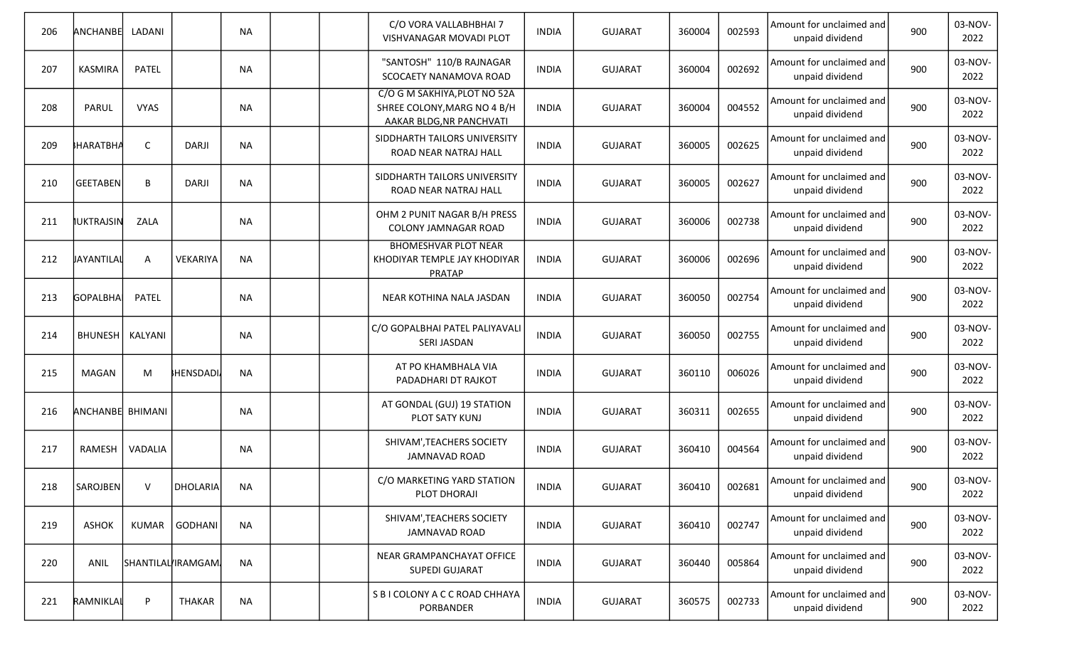| 206 | ANCHANBE          | LADANI       |                    | <b>NA</b> |  | C/O VORA VALLABHBHAI 7<br>VISHVANAGAR MOVADI PLOT                                       | <b>INDIA</b> | <b>GUJARAT</b> | 360004 | 002593 | Amount for unclaimed and<br>unpaid dividend | 900 | 03-NOV-<br>2022 |
|-----|-------------------|--------------|--------------------|-----------|--|-----------------------------------------------------------------------------------------|--------------|----------------|--------|--------|---------------------------------------------|-----|-----------------|
| 207 | <b>KASMIRA</b>    | <b>PATEL</b> |                    | <b>NA</b> |  | "SANTOSH" 110/B RAJNAGAR<br>SCOCAETY NANAMOVA ROAD                                      | <b>INDIA</b> | <b>GUJARAT</b> | 360004 | 002692 | Amount for unclaimed and<br>unpaid dividend | 900 | 03-NOV-<br>2022 |
| 208 | PARUL             | <b>VYAS</b>  |                    | <b>NA</b> |  | C/O G M SAKHIYA, PLOT NO 52A<br>SHREE COLONY, MARG NO 4 B/H<br>AAKAR BLDG, NR PANCHVATI | <b>INDIA</b> | <b>GUJARAT</b> | 360004 | 004552 | Amount for unclaimed and<br>unpaid dividend | 900 | 03-NOV-<br>2022 |
| 209 | <b>HARATBHA</b>   | $\mathsf C$  | <b>DARJI</b>       | <b>NA</b> |  | SIDDHARTH TAILORS UNIVERSITY<br>ROAD NEAR NATRAJ HALL                                   | <b>INDIA</b> | <b>GUJARAT</b> | 360005 | 002625 | Amount for unclaimed and<br>unpaid dividend | 900 | 03-NOV-<br>2022 |
| 210 | GEETABEN          | В            | <b>DARJI</b>       | <b>NA</b> |  | SIDDHARTH TAILORS UNIVERSITY<br>ROAD NEAR NATRAJ HALL                                   | INDIA        | <b>GUJARAT</b> | 360005 | 002627 | Amount for unclaimed and<br>unpaid dividend | 900 | 03-NOV-<br>2022 |
| 211 | <b>IUKTRAJSIN</b> | ZALA         |                    | <b>NA</b> |  | OHM 2 PUNIT NAGAR B/H PRESS<br>COLONY JAMNAGAR ROAD                                     | <b>INDIA</b> | <b>GUJARAT</b> | 360006 | 002738 | Amount for unclaimed and<br>unpaid dividend | 900 | 03-NOV-<br>2022 |
| 212 | JAYANTILAL        | Α            | VEKARIYA           | <b>NA</b> |  | <b>BHOMESHVAR PLOT NEAR</b><br>KHODIYAR TEMPLE JAY KHODIYAR<br><b>PRATAP</b>            | <b>INDIA</b> | <b>GUJARAT</b> | 360006 | 002696 | Amount for unclaimed and<br>unpaid dividend | 900 | 03-NOV-<br>2022 |
| 213 | GOPALBHA          | <b>PATEL</b> |                    | <b>NA</b> |  | NEAR KOTHINA NALA JASDAN                                                                | <b>INDIA</b> | <b>GUJARAT</b> | 360050 | 002754 | Amount for unclaimed and<br>unpaid dividend | 900 | 03-NOV-<br>2022 |
| 214 | BHUNESH   KALYANI |              |                    | <b>NA</b> |  | C/O GOPALBHAI PATEL PALIYAVALI<br>SERI JASDAN                                           | <b>INDIA</b> | <b>GUJARAT</b> | 360050 | 002755 | Amount for unclaimed and<br>unpaid dividend | 900 | 03-NOV-<br>2022 |
| 215 | MAGAN             | M            | HENSDADI           | <b>NA</b> |  | AT PO KHAMBHALA VIA<br>PADADHARI DT RAJKOT                                              | <b>INDIA</b> | <b>GUJARAT</b> | 360110 | 006026 | Amount for unclaimed and<br>unpaid dividend | 900 | 03-NOV-<br>2022 |
| 216 | ANCHANBE BHIMANI  |              |                    | <b>NA</b> |  | AT GONDAL (GUJ) 19 STATION<br>PLOT SATY KUNJ                                            | <b>INDIA</b> | <b>GUJARAT</b> | 360311 | 002655 | Amount for unclaimed and<br>unpaid dividend | 900 | 03-NOV-<br>2022 |
| 217 | RAMESH            | VADALIA      |                    | <b>NA</b> |  | SHIVAM', TEACHERS SOCIETY<br><b>JAMNAVAD ROAD</b>                                       | <b>INDIA</b> | <b>GUJARAT</b> | 360410 | 004564 | Amount for unclaimed and<br>unpaid dividend | 900 | 03-NOV-<br>2022 |
| 218 | SAROJBEN          | V            | DHOLARIA           | <b>NA</b> |  | C/O MARKETING YARD STATION<br>PLOT DHORAJI                                              | <b>INDIA</b> | <b>GUJARAT</b> | 360410 | 002681 | Amount for unclaimed and<br>unpaid dividend | 900 | 03-NOV-<br>2022 |
| 219 | ASHOK             | KUMAR        | <b>GODHANI</b>     | <b>NA</b> |  | SHIVAM', TEACHERS SOCIETY<br><b>JAMNAVAD ROAD</b>                                       | <b>INDIA</b> | <b>GUJARAT</b> | 360410 | 002747 | Amount for unclaimed and<br>unpaid dividend | 900 | 03-NOV-<br>2022 |
| 220 | ANIL              |              | SHANTILAL IRAMGAM. | <b>NA</b> |  | NEAR GRAMPANCHAYAT OFFICE<br><b>SUPEDI GUJARAT</b>                                      | <b>INDIA</b> | <b>GUJARAT</b> | 360440 | 005864 | Amount for unclaimed and<br>unpaid dividend | 900 | 03-NOV-<br>2022 |
| 221 | RAMNIKLAL         | P            | THAKAR             | <b>NA</b> |  | S B I COLONY A C C ROAD CHHAYA<br>PORBANDER                                             | <b>INDIA</b> | <b>GUJARAT</b> | 360575 | 002733 | Amount for unclaimed and<br>unpaid dividend | 900 | 03-NOV-<br>2022 |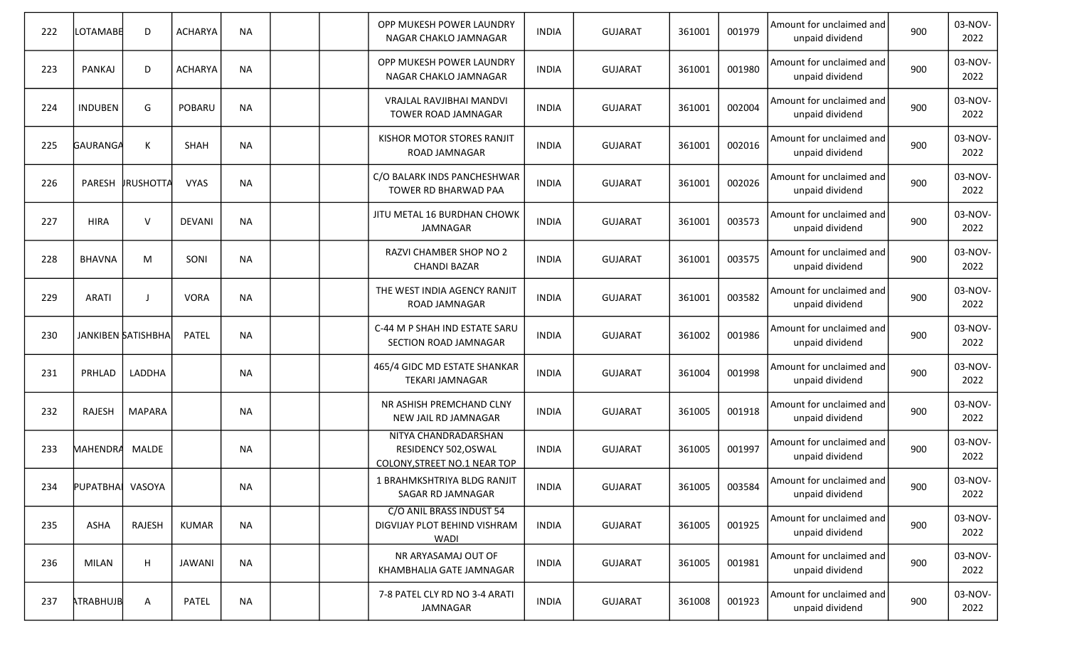| 222 | LOTAMABE         | D                  | <b>ACHARYA</b> | <b>NA</b> |  | OPP MUKESH POWER LAUNDRY<br>NAGAR CHAKLO JAMNAGAR                            | <b>INDIA</b> | <b>GUJARAT</b> | 361001 | 001979 | Amount for unclaimed and<br>unpaid dividend | 900 | 03-NOV-<br>2022 |
|-----|------------------|--------------------|----------------|-----------|--|------------------------------------------------------------------------------|--------------|----------------|--------|--------|---------------------------------------------|-----|-----------------|
| 223 | PANKAJ           | D                  | <b>ACHARYA</b> | <b>NA</b> |  | OPP MUKESH POWER LAUNDRY<br>NAGAR CHAKLO JAMNAGAR                            | <b>INDIA</b> | <b>GUJARAT</b> | 361001 | 001980 | Amount for unclaimed and<br>unpaid dividend | 900 | 03-NOV-<br>2022 |
| 224 | <b>INDUBEN</b>   | G                  | POBARU         | <b>NA</b> |  | VRAJLAL RAVJIBHAI MANDVI<br>TOWER ROAD JAMNAGAR                              | <b>INDIA</b> | <b>GUJARAT</b> | 361001 | 002004 | Amount for unclaimed and<br>unpaid dividend | 900 | 03-NOV-<br>2022 |
| 225 | GAURANGA         | К                  | <b>SHAH</b>    | <b>NA</b> |  | KISHOR MOTOR STORES RANJIT<br>ROAD JAMNAGAR                                  | <b>INDIA</b> | <b>GUJARAT</b> | 361001 | 002016 | Amount for unclaimed and<br>unpaid dividend | 900 | 03-NOV-<br>2022 |
| 226 | PARESH           | <b>IRUSHOTTA</b>   | <b>VYAS</b>    | <b>NA</b> |  | C/O BALARK INDS PANCHESHWAR<br>TOWER RD BHARWAD PAA                          | <b>INDIA</b> | <b>GUJARAT</b> | 361001 | 002026 | Amount for unclaimed and<br>unpaid dividend | 900 | 03-NOV-<br>2022 |
| 227 | <b>HIRA</b>      | $\vee$             | <b>DEVANI</b>  | <b>NA</b> |  | JITU METAL 16 BURDHAN CHOWK<br>JAMNAGAR                                      | <b>INDIA</b> | <b>GUJARAT</b> | 361001 | 003573 | Amount for unclaimed and<br>unpaid dividend | 900 | 03-NOV-<br>2022 |
| 228 | <b>BHAVNA</b>    | M                  | SONI           | <b>NA</b> |  | RAZVI CHAMBER SHOP NO 2<br><b>CHANDI BAZAR</b>                               | <b>INDIA</b> | <b>GUJARAT</b> | 361001 | 003575 | Amount for unclaimed and<br>unpaid dividend | 900 | 03-NOV-<br>2022 |
| 229 | <b>ARATI</b>     |                    | <b>VORA</b>    | <b>NA</b> |  | THE WEST INDIA AGENCY RANJIT<br>ROAD JAMNAGAR                                | <b>INDIA</b> | <b>GUJARAT</b> | 361001 | 003582 | Amount for unclaimed and<br>unpaid dividend | 900 | 03-NOV-<br>2022 |
| 230 |                  | JANKIBEN SATISHBHA | PATEL          | <b>NA</b> |  | C-44 M P SHAH IND ESTATE SARU<br>SECTION ROAD JAMNAGAR                       | <b>INDIA</b> | <b>GUJARAT</b> | 361002 | 001986 | Amount for unclaimed and<br>unpaid dividend | 900 | 03-NOV-<br>2022 |
| 231 | PRHLAD           | LADDHA             |                | <b>NA</b> |  | 465/4 GIDC MD ESTATE SHANKAR<br><b>TEKARI JAMNAGAR</b>                       | <b>INDIA</b> | <b>GUJARAT</b> | 361004 | 001998 | Amount for unclaimed and<br>unpaid dividend | 900 | 03-NOV-<br>2022 |
| 232 | <b>RAJESH</b>    | MAPARA             |                | NA        |  | NR ASHISH PREMCHAND CLNY<br>NEW JAIL RD JAMNAGAR                             | <b>INDIA</b> | <b>GUJARAT</b> | 361005 | 001918 | Amount for unclaimed and<br>unpaid dividend | 900 | 03-NOV-<br>2022 |
| 233 | MAHENDRA         | MALDE              |                | NA        |  | NITYA CHANDRADARSHAN<br>RESIDENCY 502, OSWAL<br>COLONY, STREET NO.1 NEAR TOP | <b>INDIA</b> | <b>GUJARAT</b> | 361005 | 001997 | Amount for unclaimed and<br>unpaid dividend | 900 | 03-NOV-<br>2022 |
| 234 | PUPATBHAI VASOYA |                    |                | <b>NA</b> |  | 1 BRAHMKSHTRIYA BLDG RANJIT<br>SAGAR RD JAMNAGAR                             | <b>INDIA</b> | <b>GUJARAT</b> | 361005 | 003584 | Amount for unclaimed and<br>unpaid dividend | 900 | 03-NOV-<br>2022 |
| 235 | ASHA             | RAJESH             | KUMAR          | <b>NA</b> |  | C/O ANIL BRASS INDUST 54<br>DIGVIJAY PLOT BEHIND VISHRAM<br>WADI             | <b>INDIA</b> | <b>GUJARAT</b> | 361005 | 001925 | Amount for unclaimed and<br>unpaid dividend | 900 | 03-NOV-<br>2022 |
| 236 | MILAN            | H                  | JAWANI         | <b>NA</b> |  | NR ARYASAMAJ OUT OF<br>KHAMBHALIA GATE JAMNAGAR                              | <b>INDIA</b> | <b>GUJARAT</b> | 361005 | 001981 | Amount for unclaimed and<br>unpaid dividend | 900 | 03-NOV-<br>2022 |
| 237 | ATRABHUJB        | A                  | PATEL          | <b>NA</b> |  | 7-8 PATEL CLY RD NO 3-4 ARATI<br>JAMNAGAR                                    | <b>INDIA</b> | <b>GUJARAT</b> | 361008 | 001923 | Amount for unclaimed and<br>unpaid dividend | 900 | 03-NOV-<br>2022 |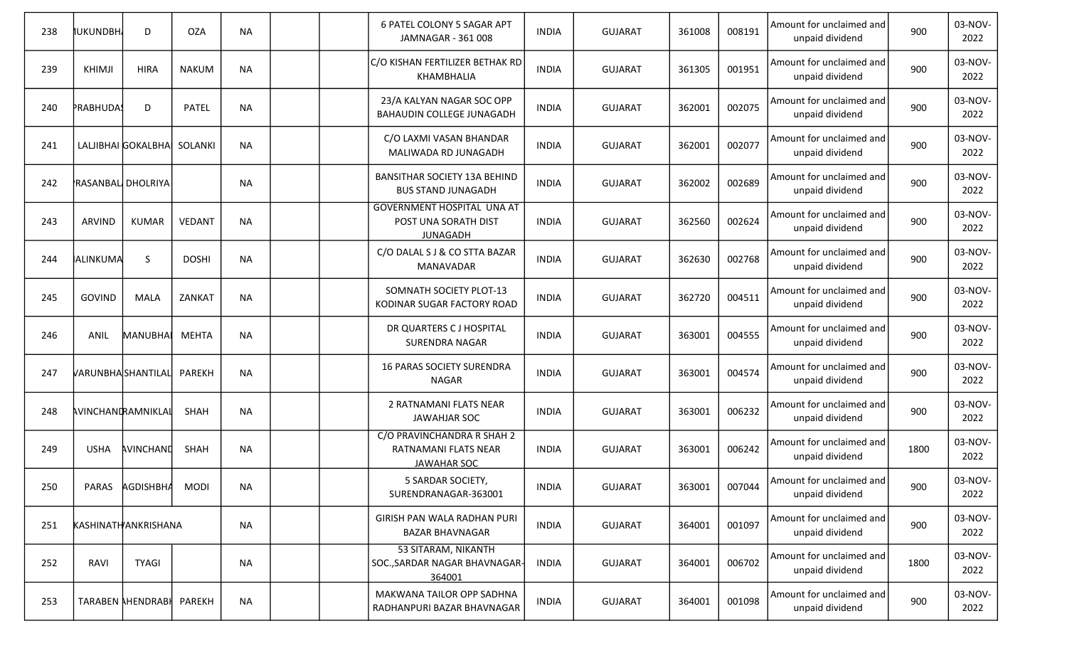| 238 | IUKUNDBH.          | D                        | <b>OZA</b>    | <b>NA</b> |  | 6 PATEL COLONY 5 SAGAR APT<br>JAMNAGAR - 361 008                             | <b>INDIA</b> | <b>GUJARAT</b> | 361008 | 008191 | Amount for unclaimed and<br>unpaid dividend | 900  | 03-NOV-<br>2022 |
|-----|--------------------|--------------------------|---------------|-----------|--|------------------------------------------------------------------------------|--------------|----------------|--------|--------|---------------------------------------------|------|-----------------|
| 239 | <b>KHIMJI</b>      | <b>HIRA</b>              | <b>NAKUM</b>  | <b>NA</b> |  | C/O KISHAN FERTILIZER BETHAK RD<br>KHAMBHALIA                                | <b>INDIA</b> | <b>GUJARAT</b> | 361305 | 001951 | Amount for unclaimed and<br>unpaid dividend | 900  | 03-NOV-<br>2022 |
| 240 | PRABHUDA!          | D                        | <b>PATEL</b>  | <b>NA</b> |  | 23/A KALYAN NAGAR SOC OPP<br>BAHAUDIN COLLEGE JUNAGADH                       | <b>INDIA</b> | <b>GUJARAT</b> | 362001 | 002075 | Amount for unclaimed and<br>unpaid dividend | 900  | 03-NOV-<br>2022 |
| 241 |                    | LALJIBHAI GOKALBHAI      | SOLANKI       | <b>NA</b> |  | C/O LAXMI VASAN BHANDAR<br>MALIWADA RD JUNAGADH                              | <b>INDIA</b> | <b>GUJARAT</b> | 362001 | 002077 | Amount for unclaimed and<br>unpaid dividend | 900  | 03-NOV-<br>2022 |
| 242 | RASANBAL DHOLRIYA  |                          |               | <b>NA</b> |  | <b>BANSITHAR SOCIETY 13A BEHIND</b><br><b>BUS STAND JUNAGADH</b>             | INDIA        | <b>GUJARAT</b> | 362002 | 002689 | Amount for unclaimed and<br>unpaid dividend | 900  | 03-NOV-<br>2022 |
| 243 | <b>ARVIND</b>      | <b>KUMAR</b>             | <b>VEDANT</b> | <b>NA</b> |  | <b>GOVERNMENT HOSPITAL UNA AT</b><br>POST UNA SORATH DIST<br><b>JUNAGADH</b> | <b>INDIA</b> | <b>GUJARAT</b> | 362560 | 002624 | Amount for unclaimed and<br>unpaid dividend | 900  | 03-NOV-<br>2022 |
| 244 | <b>ALINKUMA</b>    | <sub>S</sub>             | <b>DOSHI</b>  | <b>NA</b> |  | C/O DALAL S J & CO STTA BAZAR<br><b>MANAVADAR</b>                            | <b>INDIA</b> | <b>GUJARAT</b> | 362630 | 002768 | Amount for unclaimed and<br>unpaid dividend | 900  | 03-NOV-<br>2022 |
| 245 | <b>GOVIND</b>      | <b>MALA</b>              | ZANKAT        | <b>NA</b> |  | SOMNATH SOCIETY PLOT-13<br>KODINAR SUGAR FACTORY ROAD                        | <b>INDIA</b> | <b>GUJARAT</b> | 362720 | 004511 | Amount for unclaimed and<br>unpaid dividend | 900  | 03-NOV-<br>2022 |
| 246 | ANIL               | MANUBHAI                 | <b>MEHTA</b>  | <b>NA</b> |  | DR QUARTERS C J HOSPITAL<br>SURENDRA NAGAR                                   | <b>INDIA</b> | <b>GUJARAT</b> | 363001 | 004555 | Amount for unclaimed and<br>unpaid dividend | 900  | 03-NOV-<br>2022 |
| 247 |                    | VARUNBHASHANTILAL        | <b>PAREKH</b> | <b>NA</b> |  | <b>16 PARAS SOCIETY SURENDRA</b><br><b>NAGAR</b>                             | <b>INDIA</b> | <b>GUJARAT</b> | 363001 | 004574 | Amount for unclaimed and<br>unpaid dividend | 900  | 03-NOV-<br>2022 |
| 248 | AVINCHANDRAMNIKLAI |                          | <b>SHAH</b>   | <b>NA</b> |  | 2 RATNAMANI FLATS NEAR<br><b>JAWAHJAR SOC</b>                                | <b>INDIA</b> | <b>GUJARAT</b> | 363001 | 006232 | Amount for unclaimed and<br>unpaid dividend | 900  | 03-NOV-<br>2022 |
| 249 | <b>USHA</b>        | AVINCHAND                | SHAH          | <b>NA</b> |  | C/O PRAVINCHANDRA R SHAH 2<br>RATNAMANI FLATS NEAR<br>JAWAHAR SOC            | <b>INDIA</b> | <b>GUJARAT</b> | 363001 | 006242 | Amount for unclaimed and<br>unpaid dividend | 1800 | 03-NOV-<br>2022 |
| 250 |                    | PARAS AGDISHBHA          | <b>MODI</b>   | <b>NA</b> |  | 5 SARDAR SOCIETY,<br>SURENDRANAGAR-363001                                    | <b>INDIA</b> | <b>GUJARAT</b> | 363001 | 007044 | Amount for unclaimed and<br>unpaid dividend | 900  | 03-NOV-<br>2022 |
| 251 |                    | KASHINATHANKRISHANA      |               | <b>NA</b> |  | GIRISH PAN WALA RADHAN PURI<br><b>BAZAR BHAVNAGAR</b>                        | <b>INDIA</b> | GUJARAT        | 364001 | 001097 | Amount for unclaimed and<br>unpaid dividend | 900  | 03-NOV-<br>2022 |
| 252 | RAVI               | <b>TYAGI</b>             |               | <b>NA</b> |  | 53 SITARAM, NIKANTH<br>SOC., SARDAR NAGAR BHAVNAGAR-<br>364001               | <b>INDIA</b> | GUJARAT        | 364001 | 006702 | Amount for unclaimed and<br>unpaid dividend | 1800 | 03-NOV-<br>2022 |
| 253 |                    | <b>TARABEN AHENDRABH</b> | PAREKH        | <b>NA</b> |  | MAKWANA TAILOR OPP SADHNA<br>RADHANPURI BAZAR BHAVNAGAR                      | <b>INDIA</b> | GUJARAT        | 364001 | 001098 | Amount for unclaimed and<br>unpaid dividend | 900  | 03-NOV-<br>2022 |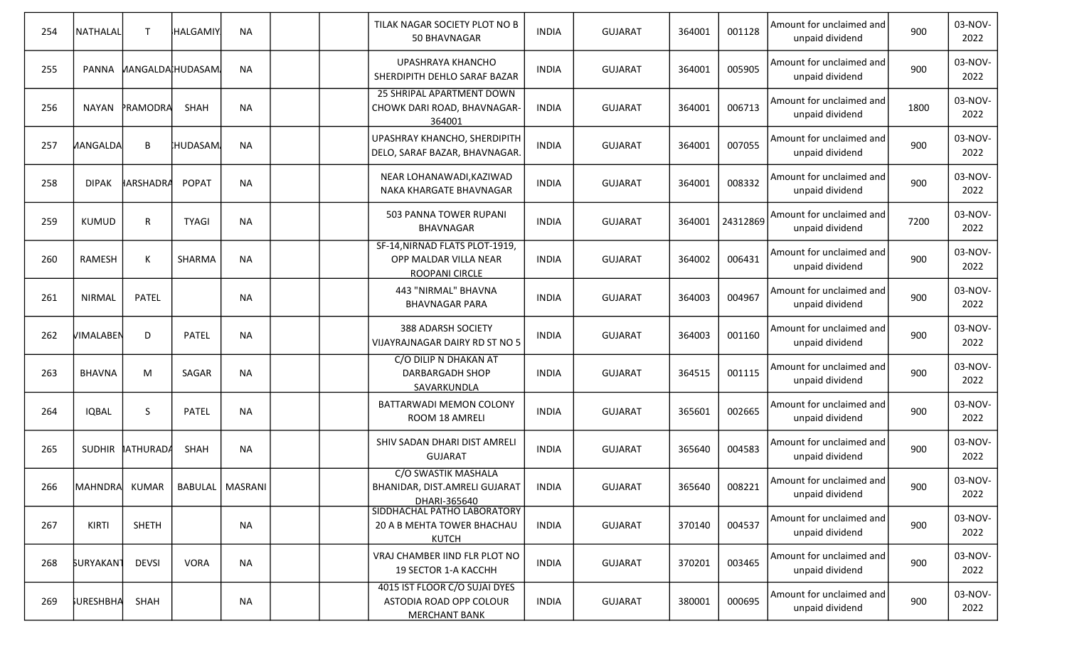| 254 | <b>NATHALAL</b>                   | $\mathsf{T}$            | HALGAMIY     | <b>NA</b> | TILAK NAGAR SOCIETY PLOT NO B<br>50 BHAVNAGAR                                    | <b>INDIA</b> | <b>GUJARAT</b> | 364001 | 001128   | Amount for unclaimed and<br>unpaid dividend | 900  | 03-NOV-<br>2022 |
|-----|-----------------------------------|-------------------------|--------------|-----------|----------------------------------------------------------------------------------|--------------|----------------|--------|----------|---------------------------------------------|------|-----------------|
| 255 | <b>PANNA</b>                      | <b>MANGALDAIHUDASAM</b> |              | <b>NA</b> | UPASHRAYA KHANCHO<br>SHERDIPITH DEHLO SARAF BAZAR                                | <b>INDIA</b> | <b>GUJARAT</b> | 364001 | 005905   | Amount for unclaimed and<br>unpaid dividend | 900  | 03-NOV-<br>2022 |
| 256 | NAYAN                             | PRAMODRA                | SHAH         | <b>NA</b> | 25 SHRIPAL APARTMENT DOWN<br>CHOWK DARI ROAD, BHAVNAGAR-<br>364001               | <b>INDIA</b> | <b>GUJARAT</b> | 364001 | 006713   | Amount for unclaimed and<br>unpaid dividend | 1800 | 03-NOV-<br>2022 |
| 257 | <b>MANGALDA</b>                   | B                       | HUDASAM,     | <b>NA</b> | UPASHRAY KHANCHO, SHERDIPITH<br>DELO, SARAF BAZAR, BHAVNAGAR.                    | <b>INDIA</b> | <b>GUJARAT</b> | 364001 | 007055   | Amount for unclaimed and<br>unpaid dividend | 900  | 03-NOV-<br>2022 |
| 258 | <b>DIPAK</b>                      | <b>HARSHADRA</b>        | <b>POPAT</b> | <b>NA</b> | NEAR LOHANAWADI, KAZIWAD<br>NAKA KHARGATE BHAVNAGAR                              | <b>INDIA</b> | <b>GUJARAT</b> | 364001 | 008332   | Amount for unclaimed and<br>unpaid dividend | 900  | 03-NOV-<br>2022 |
| 259 | <b>KUMUD</b>                      | R                       | <b>TYAGI</b> | <b>NA</b> | 503 PANNA TOWER RUPANI<br>BHAVNAGAR                                              | <b>INDIA</b> | <b>GUJARAT</b> | 364001 | 24312869 | Amount for unclaimed and<br>unpaid dividend | 7200 | 03-NOV-<br>2022 |
| 260 | RAMESH                            | К                       | SHARMA       | <b>NA</b> | SF-14, NIRNAD FLATS PLOT-1919,<br>OPP MALDAR VILLA NEAR<br>ROOPANI CIRCLE        | <b>INDIA</b> | <b>GUJARAT</b> | 364002 | 006431   | Amount for unclaimed and<br>unpaid dividend | 900  | 03-NOV-<br>2022 |
| 261 | <b>NIRMAL</b>                     | PATEL                   |              | <b>NA</b> | 443 "NIRMAL" BHAVNA<br><b>BHAVNAGAR PARA</b>                                     | <b>INDIA</b> | <b>GUJARAT</b> | 364003 | 004967   | Amount for unclaimed and<br>unpaid dividend | 900  | 03-NOV-<br>2022 |
| 262 | VIMALABEN                         | D                       | PATEL        | <b>NA</b> | 388 ADARSH SOCIETY<br>VIJAYRAJNAGAR DAIRY RD ST NO 5                             | <b>INDIA</b> | <b>GUJARAT</b> | 364003 | 001160   | Amount for unclaimed and<br>unpaid dividend | 900  | 03-NOV-<br>2022 |
| 263 | <b>BHAVNA</b>                     | M                       | SAGAR        | <b>NA</b> | C/O DILIP N DHAKAN AT<br>DARBARGADH SHOP<br>SAVARKUNDLA                          | <b>INDIA</b> | <b>GUJARAT</b> | 364515 | 001115   | Amount for unclaimed and<br>unpaid dividend | 900  | 03-NOV-<br>2022 |
| 264 | <b>IQBAL</b>                      | S                       | <b>PATEL</b> | <b>NA</b> | BATTARWADI MEMON COLONY<br>ROOM 18 AMRELI                                        | <b>INDIA</b> | <b>GUJARAT</b> | 365601 | 002665   | Amount for unclaimed and<br>unpaid dividend | 900  | 03-NOV-<br>2022 |
| 265 |                                   | SUDHIR ATHURADA         | SHAH         | <b>NA</b> | SHIV SADAN DHARI DIST AMRELI<br><b>GUJARAT</b>                                   | <b>INDIA</b> | <b>GUJARAT</b> | 365640 | 004583   | Amount for unclaimed and<br>unpaid dividend | 900  | 03-NOV-<br>2022 |
| 266 | MAHNDRA KUMAR   BABULAL   MASRANI |                         |              |           | C/O SWASTIK MASHALA<br>BHANIDAR, DIST.AMRELI GUJARAT<br>DHARI-365640             | <b>INDIA</b> | <b>GUJARAT</b> | 365640 | 008221   | Amount for unclaimed and<br>unpaid dividend | 900  | 03-NOV-<br>2022 |
| 267 | KIRTI                             | <b>SHETH</b>            |              | <b>NA</b> | SIDDHACHAL PATHO LABORATORY<br>20 A B MEHTA TOWER BHACHAU<br><b>KUTCH</b>        | <b>INDIA</b> | <b>GUJARAT</b> | 370140 | 004537   | Amount for unclaimed and<br>unpaid dividend | 900  | 03-NOV-<br>2022 |
| 268 | <b>SURYAKAN1</b>                  | <b>DEVSI</b>            | <b>VORA</b>  | <b>NA</b> | VRAJ CHAMBER IIND FLR PLOT NO<br>19 SECTOR 1-A KACCHH                            | <b>INDIA</b> | <b>GUJARAT</b> | 370201 | 003465   | Amount for unclaimed and<br>unpaid dividend | 900  | 03-NOV-<br>2022 |
| 269 | <b>FURESHBHA</b>                  | SHAH                    |              | NA        | 4015 IST FLOOR C/O SUJAI DYES<br>ASTODIA ROAD OPP COLOUR<br><b>MERCHANT BANK</b> | <b>INDIA</b> | <b>GUJARAT</b> | 380001 | 000695   | Amount for unclaimed and<br>unpaid dividend | 900  | 03-NOV-<br>2022 |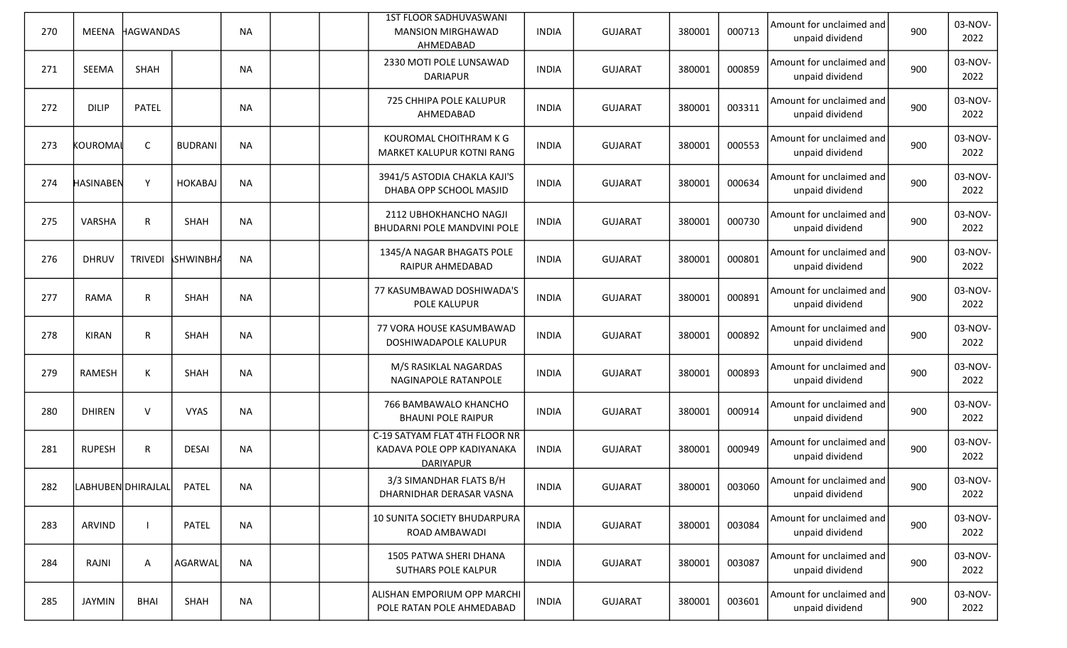| 270 | MEENA              | <b>HAGWANDAS</b> |                 | <b>NA</b> |  | <b>1ST FLOOR SADHUVASWANI</b><br><b>MANSION MIRGHAWAD</b><br>AHMEDABAD          | <b>INDIA</b> | <b>GUJARAT</b> | 380001 | 000713 | Amount for unclaimed and<br>unpaid dividend | 900 | 03-NOV-<br>2022 |
|-----|--------------------|------------------|-----------------|-----------|--|---------------------------------------------------------------------------------|--------------|----------------|--------|--------|---------------------------------------------|-----|-----------------|
| 271 | SEEMA              | SHAH             |                 | <b>NA</b> |  | 2330 MOTI POLE LUNSAWAD<br><b>DARIAPUR</b>                                      | <b>INDIA</b> | <b>GUJARAT</b> | 380001 | 000859 | Amount for unclaimed and<br>unpaid dividend | 900 | 03-NOV-<br>2022 |
| 272 | <b>DILIP</b>       | <b>PATEL</b>     |                 | <b>NA</b> |  | 725 CHHIPA POLE KALUPUR<br>AHMEDABAD                                            | <b>INDIA</b> | <b>GUJARAT</b> | 380001 | 003311 | Amount for unclaimed and<br>unpaid dividend | 900 | 03-NOV-<br>2022 |
| 273 | kouromai           | $\mathsf C$      | <b>BUDRANI</b>  | <b>NA</b> |  | KOUROMAL CHOITHRAM K G<br>MARKET KALUPUR KOTNI RANG                             | <b>INDIA</b> | <b>GUJARAT</b> | 380001 | 000553 | Amount for unclaimed and<br>unpaid dividend | 900 | 03-NOV-<br>2022 |
| 274 | <b>HASINABEN</b>   | Y                | HOKABAJ         | <b>NA</b> |  | 3941/5 ASTODIA CHAKLA KAJI'S<br>DHABA OPP SCHOOL MASJID                         | <b>INDIA</b> | <b>GUJARAT</b> | 380001 | 000634 | Amount for unclaimed and<br>unpaid dividend | 900 | 03-NOV-<br>2022 |
| 275 | VARSHA             | R                | <b>SHAH</b>     | <b>NA</b> |  | 2112 UBHOKHANCHO NAGJI<br>BHUDARNI POLE MANDVINI POLE                           | <b>INDIA</b> | <b>GUJARAT</b> | 380001 | 000730 | Amount for unclaimed and<br>unpaid dividend | 900 | 03-NOV-<br>2022 |
| 276 | <b>DHRUV</b>       | <b>TRIVEDI</b>   | <b>SHWINBHA</b> | <b>NA</b> |  | 1345/A NAGAR BHAGATS POLE<br><b>RAIPUR AHMEDABAD</b>                            | <b>INDIA</b> | <b>GUJARAT</b> | 380001 | 000801 | Amount for unclaimed and<br>unpaid dividend | 900 | 03-NOV-<br>2022 |
| 277 | RAMA               | $\mathsf{R}$     | SHAH            | <b>NA</b> |  | 77 KASUMBAWAD DOSHIWADA'S<br>POLE KALUPUR                                       | <b>INDIA</b> | <b>GUJARAT</b> | 380001 | 000891 | Amount for unclaimed and<br>unpaid dividend | 900 | 03-NOV-<br>2022 |
| 278 | KIRAN              | $\mathsf{R}$     | SHAH            | <b>NA</b> |  | 77 VORA HOUSE KASUMBAWAD<br>DOSHIWADAPOLE KALUPUR                               | <b>INDIA</b> | <b>GUJARAT</b> | 380001 | 000892 | Amount for unclaimed and<br>unpaid dividend | 900 | 03-NOV-<br>2022 |
| 279 | RAMESH             | K                | <b>SHAH</b>     | <b>NA</b> |  | M/S RASIKLAL NAGARDAS<br>NAGINAPOLE RATANPOLE                                   | <b>INDIA</b> | <b>GUJARAT</b> | 380001 | 000893 | Amount for unclaimed and<br>unpaid dividend | 900 | 03-NOV-<br>2022 |
| 280 | <b>DHIREN</b>      | $\vee$           | <b>VYAS</b>     | <b>NA</b> |  | 766 BAMBAWALO KHANCHO<br><b>BHAUNI POLE RAIPUR</b>                              | <b>INDIA</b> | <b>GUJARAT</b> | 380001 | 000914 | Amount for unclaimed and<br>unpaid dividend | 900 | 03-NOV-<br>2022 |
| 281 | <b>RUPESH</b>      | R                | <b>DESAI</b>    | <b>NA</b> |  | C-19 SATYAM FLAT 4TH FLOOR NR<br>KADAVA POLE OPP KADIYANAKA<br><b>DARIYAPUR</b> | <b>INDIA</b> | <b>GUJARAT</b> | 380001 | 000949 | Amount for unclaimed and<br>unpaid dividend | 900 | 03-NOV-<br>2022 |
| 282 | LABHUBEN DHIRAJLAL |                  | PATEL           | NA        |  | 3/3 SIMANDHAR FLATS B/H<br>DHARNIDHAR DERASAR VASNA                             | <b>INDIA</b> | <b>GUJARAT</b> | 380001 | 003060 | Amount for unclaimed and<br>unpaid dividend | 900 | 03-NOV-<br>2022 |
| 283 | ARVIND             |                  | PATEL           | <b>NA</b> |  | 10 SUNITA SOCIETY BHUDARPURA<br>ROAD AMBAWADI                                   | <b>INDIA</b> | <b>GUJARAT</b> | 380001 | 003084 | Amount for unclaimed and<br>unpaid dividend | 900 | 03-NOV-<br>2022 |
| 284 | RAJNI              | A                | AGARWAL         | <b>NA</b> |  | 1505 PATWA SHERI DHANA<br>SUTHARS POLE KALPUR                                   | <b>INDIA</b> | <b>GUJARAT</b> | 380001 | 003087 | Amount for unclaimed and<br>unpaid dividend | 900 | 03-NOV-<br>2022 |
| 285 | JAYMIN             | <b>BHAI</b>      | SHAH            | NA        |  | ALISHAN EMPORIUM OPP MARCHI<br>POLE RATAN POLE AHMEDABAD                        | <b>INDIA</b> | <b>GUJARAT</b> | 380001 | 003601 | Amount for unclaimed and<br>unpaid dividend | 900 | 03-NOV-<br>2022 |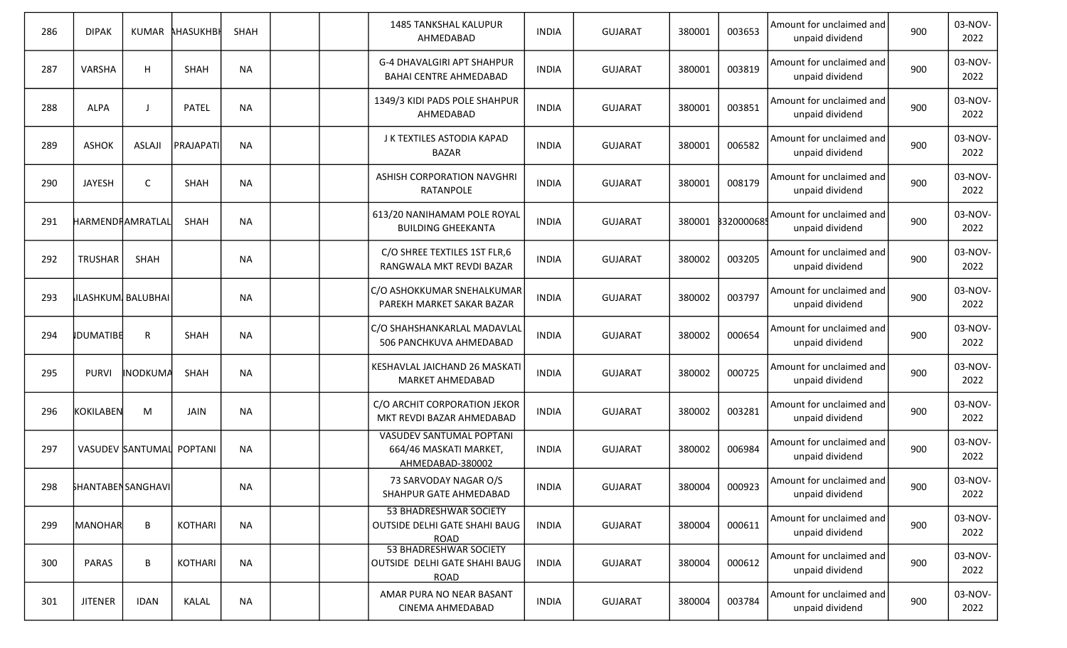| 286 | <b>DIPAK</b>              | <b>KUMAR</b>     | <b>AHASUKHBI</b> | SHAH      |  | <b>1485 TANKSHAL KALUPUR</b><br>AHMEDABAD                                     | <b>INDIA</b> | <b>GUJARAT</b> | 380001 | 003653           | Amount for unclaimed and<br>unpaid dividend | 900 | 03-NOV-<br>2022 |
|-----|---------------------------|------------------|------------------|-----------|--|-------------------------------------------------------------------------------|--------------|----------------|--------|------------------|---------------------------------------------|-----|-----------------|
| 287 | <b>VARSHA</b>             | H                | SHAH             | <b>NA</b> |  | <b>G-4 DHAVALGIRI APT SHAHPUR</b><br><b>BAHAI CENTRE AHMEDABAD</b>            | <b>INDIA</b> | <b>GUJARAT</b> | 380001 | 003819           | Amount for unclaimed and<br>unpaid dividend | 900 | 03-NOV-<br>2022 |
| 288 | <b>ALPA</b>               |                  | <b>PATEL</b>     | <b>NA</b> |  | 1349/3 KIDI PADS POLE SHAHPUR<br>AHMEDABAD                                    | <b>INDIA</b> | <b>GUJARAT</b> | 380001 | 003851           | Amount for unclaimed and<br>unpaid dividend | 900 | 03-NOV-<br>2022 |
| 289 | <b>ASHOK</b>              | <b>ASLAJI</b>    | <b>PRAJAPATI</b> | <b>NA</b> |  | J K TEXTILES ASTODIA KAPAD<br><b>BAZAR</b>                                    | <b>INDIA</b> | <b>GUJARAT</b> | 380001 | 006582           | Amount for unclaimed and<br>unpaid dividend | 900 | 03-NOV-<br>2022 |
| 290 | <b>JAYESH</b>             | C                | SHAH             | <b>NA</b> |  | <b>ASHISH CORPORATION NAVGHRI</b><br>RATANPOLE                                | <b>INDIA</b> | <b>GUJARAT</b> | 380001 | 008179           | Amount for unclaimed and<br>unpaid dividend | 900 | 03-NOV-<br>2022 |
| 291 | HARMENDRAMRATLAL          |                  | SHAH             | <b>NA</b> |  | 613/20 NANIHAMAM POLE ROYAL<br><b>BUILDING GHEEKANTA</b>                      | <b>INDIA</b> | <b>GUJARAT</b> | 380001 | <b>320000685</b> | Amount for unclaimed and<br>unpaid dividend | 900 | 03-NOV-<br>2022 |
| 292 | TRUSHAR                   | SHAH             |                  | <b>NA</b> |  | C/O SHREE TEXTILES 1ST FLR,6<br>RANGWALA MKT REVDI BAZAR                      | <b>INDIA</b> | <b>GUJARAT</b> | 380002 | 003205           | Amount for unclaimed and<br>unpaid dividend | 900 | 03-NOV-<br>2022 |
| 293 | ILASHKUM BALUBHAI         |                  |                  | <b>NA</b> |  | C/O ASHOKKUMAR SNEHALKUMAR<br>PAREKH MARKET SAKAR BAZAR                       | INDIA        | <b>GUJARAT</b> | 380002 | 003797           | Amount for unclaimed and<br>unpaid dividend | 900 | 03-NOV-<br>2022 |
| 294 | <b>IDUMATIBE</b>          | R                | <b>SHAH</b>      | <b>NA</b> |  | C/O SHAHSHANKARLAL MADAVLAL<br>506 PANCHKUVA AHMEDABAD                        | INDIA        | <b>GUJARAT</b> | 380002 | 000654           | Amount for unclaimed and<br>unpaid dividend | 900 | 03-NOV-<br>2022 |
| 295 | <b>PURVI</b>              | INODKUMA         | SHAH             | <b>NA</b> |  | KESHAVLAL JAICHAND 26 MASKATI<br>MARKET AHMEDABAD                             | <b>INDIA</b> | <b>GUJARAT</b> | 380002 | 000725           | Amount for unclaimed and<br>unpaid dividend | 900 | 03-NOV-<br>2022 |
| 296 | KOKILABEN                 | M                | JAIN             | <b>NA</b> |  | C/O ARCHIT CORPORATION JEKOR<br>MKT REVDI BAZAR AHMEDABAD                     | <b>INDIA</b> | <b>GUJARAT</b> | 380002 | 003281           | Amount for unclaimed and<br>unpaid dividend | 900 | 03-NOV-<br>2022 |
| 297 |                           | VASUDEV SANTUMAL | POPTANI          | <b>NA</b> |  | <b>VASUDEV SANTUMAL POPTANI</b><br>664/46 MASKATI MARKET,<br>AHMEDABAD-380002 | <b>INDIA</b> | <b>GUJARAT</b> | 380002 | 006984           | Amount for unclaimed and<br>unpaid dividend | 900 | 03-NOV-<br>2022 |
| 298 | <b>SHANTABEN SANGHAVI</b> |                  |                  | <b>NA</b> |  | 73 SARVODAY NAGAR O/S<br>SHAHPUR GATE AHMEDABAD                               | <b>INDIA</b> | <b>GUJARAT</b> | 380004 | 000923           | Amount for unclaimed and<br>unpaid dividend | 900 | 03-NOV-<br>2022 |
| 299 | MANOHAR                   | B                | KOTHARI          | <b>NA</b> |  | 53 BHADRESHWAR SOCIETY<br>OUTSIDE DELHI GATE SHAHI BAUG<br><b>ROAD</b>        | <b>INDIA</b> | <b>GUJARAT</b> | 380004 | 000611           | Amount for unclaimed and<br>unpaid dividend | 900 | 03-NOV-<br>2022 |
| 300 | <b>PARAS</b>              | B                | KOTHARI          | <b>NA</b> |  | 53 BHADRESHWAR SOCIETY<br>OUTSIDE DELHI GATE SHAHI BAUG<br><b>ROAD</b>        | <b>INDIA</b> | <b>GUJARAT</b> | 380004 | 000612           | Amount for unclaimed and<br>unpaid dividend | 900 | 03-NOV-<br>2022 |
| 301 | <b>JITENER</b>            | <b>IDAN</b>      | KALAL            | <b>NA</b> |  | AMAR PURA NO NEAR BASANT<br>CINEMA AHMEDABAD                                  | <b>INDIA</b> | <b>GUJARAT</b> | 380004 | 003784           | Amount for unclaimed and<br>unpaid dividend | 900 | 03-NOV-<br>2022 |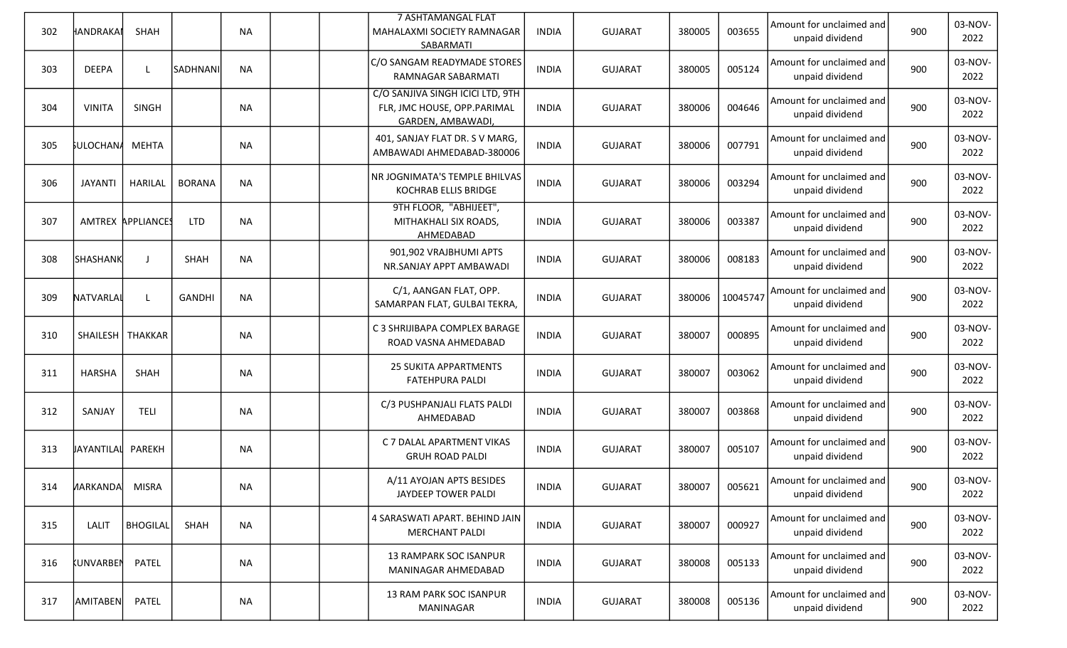| 302 | HANDRAKAI          | SHAH              |               | <b>NA</b> |  | <b>7 ASHTAMANGAL FLAT</b><br>MAHALAXMI SOCIETY RAMNAGAR<br>SABARMATI                 | <b>INDIA</b> | <b>GUJARAT</b> | 380005 | 003655   | Amount for unclaimed and<br>unpaid dividend | 900 | 03-NOV-<br>2022 |
|-----|--------------------|-------------------|---------------|-----------|--|--------------------------------------------------------------------------------------|--------------|----------------|--------|----------|---------------------------------------------|-----|-----------------|
| 303 | <b>DEEPA</b>       |                   | SADHNANI      | <b>NA</b> |  | C/O SANGAM READYMADE STORES<br>RAMNAGAR SABARMATI                                    | INDIA        | <b>GUJARAT</b> | 380005 | 005124   | Amount for unclaimed and<br>unpaid dividend | 900 | 03-NOV-<br>2022 |
| 304 | <b>VINITA</b>      | <b>SINGH</b>      |               | <b>NA</b> |  | C/O SANJIVA SINGH ICICI LTD, 9TH<br>FLR, JMC HOUSE, OPP.PARIMAL<br>GARDEN, AMBAWADI, | <b>INDIA</b> | <b>GUJARAT</b> | 380006 | 004646   | Amount for unclaimed and<br>unpaid dividend | 900 | 03-NOV-<br>2022 |
| 305 | <b>SULOCHANA</b>   | MEHTA             |               | <b>NA</b> |  | 401, SANJAY FLAT DR. S V MARG,<br>AMBAWADI AHMEDABAD-380006                          | INDIA        | <b>GUJARAT</b> | 380006 | 007791   | Amount for unclaimed and<br>unpaid dividend | 900 | 03-NOV-<br>2022 |
| 306 | <b>JAYANTI</b>     | HARILAL           | <b>BORANA</b> | <b>NA</b> |  | NR JOGNIMATA'S TEMPLE BHILVAS<br>KOCHRAB ELLIS BRIDGE                                | INDIA        | <b>GUJARAT</b> | 380006 | 003294   | Amount for unclaimed and<br>unpaid dividend | 900 | 03-NOV-<br>2022 |
| 307 |                    | AMTREX APPLIANCES | <b>LTD</b>    | <b>NA</b> |  | 9TH FLOOR, "ABHIJEET",<br>MITHAKHALI SIX ROADS,<br>AHMEDABAD                         | <b>INDIA</b> | <b>GUJARAT</b> | 380006 | 003387   | Amount for unclaimed and<br>unpaid dividend | 900 | 03-NOV-<br>2022 |
| 308 | <b>SHASHANK</b>    | J                 | <b>SHAH</b>   | <b>NA</b> |  | 901,902 VRAJBHUMI APTS<br>NR.SANJAY APPT AMBAWADI                                    | <b>INDIA</b> | <b>GUJARAT</b> | 380006 | 008183   | Amount for unclaimed and<br>unpaid dividend | 900 | 03-NOV-<br>2022 |
| 309 | NATVARLAI          | L                 | <b>GANDHI</b> | <b>NA</b> |  | C/1, AANGAN FLAT, OPP.<br>SAMARPAN FLAT, GULBAI TEKRA,                               | <b>INDIA</b> | <b>GUJARAT</b> | 380006 | 10045747 | Amount for unclaimed and<br>unpaid dividend | 900 | 03-NOV-<br>2022 |
| 310 | SHAILESH   THAKKAR |                   |               | <b>NA</b> |  | C 3 SHRIJIBAPA COMPLEX BARAGE<br>ROAD VASNA AHMEDABAD                                | INDIA        | <b>GUJARAT</b> | 380007 | 000895   | Amount for unclaimed and<br>unpaid dividend | 900 | 03-NOV-<br>2022 |
| 311 | <b>HARSHA</b>      | SHAH              |               | <b>NA</b> |  | <b>25 SUKITA APPARTMENTS</b><br><b>FATEHPURA PALDI</b>                               | INDIA        | <b>GUJARAT</b> | 380007 | 003062   | Amount for unclaimed and<br>unpaid dividend | 900 | 03-NOV-<br>2022 |
| 312 | SANJAY             | <b>TELI</b>       |               | <b>NA</b> |  | C/3 PUSHPANJALI FLATS PALDI<br>AHMEDABAD                                             | INDIA        | <b>GUJARAT</b> | 380007 | 003868   | Amount for unclaimed and<br>unpaid dividend | 900 | 03-NOV-<br>2022 |
| 313 | <b>JAYANTILAL</b>  | PAREKH            |               | <b>NA</b> |  | C 7 DALAL APARTMENT VIKAS<br><b>GRUH ROAD PALDI</b>                                  | INDIA        | <b>GUJARAT</b> | 380007 | 005107   | Amount for unclaimed and<br>unpaid dividend | 900 | 03-NOV-<br>2022 |
| 314 | HARKANDA MISRA     |                   |               | <b>NA</b> |  | A/11 AYOJAN APTS BESIDES<br>JAYDEEP TOWER PALDI                                      | <b>INDIA</b> | <b>GUJARAT</b> | 380007 | 005621   | Amount for unclaimed and<br>unpaid dividend | 900 | 03-NOV-<br>2022 |
| 315 | LALIT              | <b>BHOGILAL</b>   | SHAH          | <b>NA</b> |  | 4 SARASWATI APART. BEHIND JAIN<br><b>MERCHANT PALDI</b>                              | <b>INDIA</b> | <b>GUJARAT</b> | 380007 | 000927   | Amount for unclaimed and<br>unpaid dividend | 900 | 03-NOV-<br>2022 |
| 316 | KUNVARBEN          | PATEL             |               | <b>NA</b> |  | <b>13 RAMPARK SOC ISANPUR</b><br>MANINAGAR AHMEDABAD                                 | <b>INDIA</b> | <b>GUJARAT</b> | 380008 | 005133   | Amount for unclaimed and<br>unpaid dividend | 900 | 03-NOV-<br>2022 |
| 317 | AMITABEN           | PATEL             |               | NA        |  | 13 RAM PARK SOC ISANPUR<br>MANINAGAR                                                 | <b>INDIA</b> | <b>GUJARAT</b> | 380008 | 005136   | Amount for unclaimed and<br>unpaid dividend | 900 | 03-NOV-<br>2022 |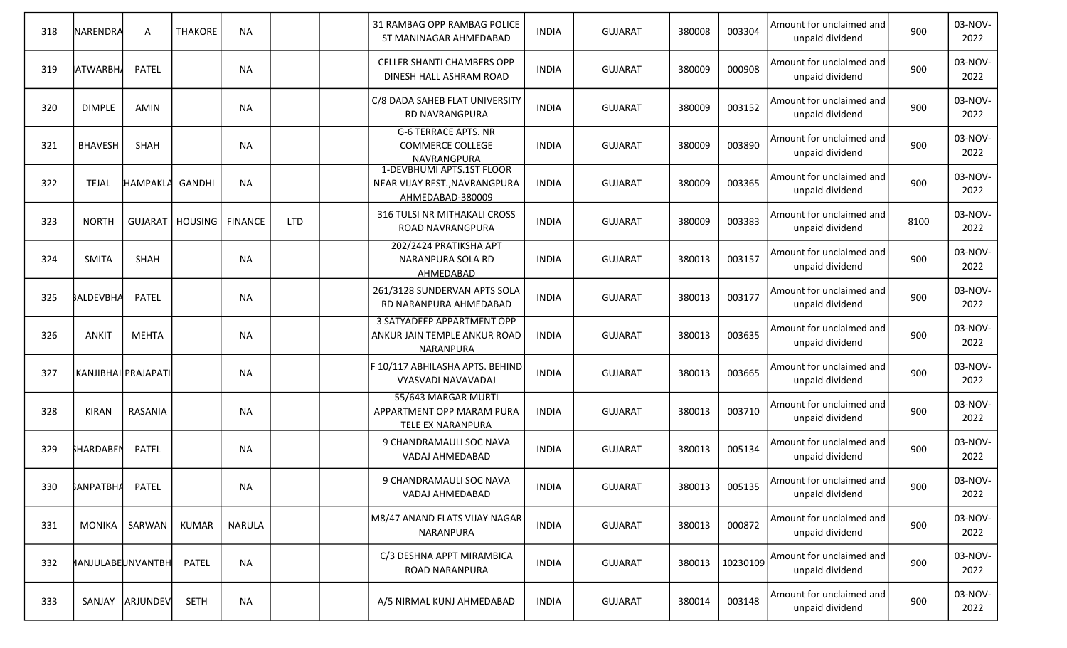| 318 | NARENDRA                 | Α              | <b>THAKORE</b> | <b>NA</b>      |            | 31 RAMBAG OPP RAMBAG POLICE<br>ST MANINAGAR AHMEDABAD                          | INDIA        | <b>GUJARAT</b> | 380008 | 003304   | Amount for unclaimed and<br>unpaid dividend | 900  | 03-NOV-<br>2022 |
|-----|--------------------------|----------------|----------------|----------------|------------|--------------------------------------------------------------------------------|--------------|----------------|--------|----------|---------------------------------------------|------|-----------------|
| 319 | <b>ATWARBH</b>           | PATEL          |                | <b>NA</b>      |            | <b>CELLER SHANTI CHAMBERS OPP</b><br>DINESH HALL ASHRAM ROAD                   | <b>INDIA</b> | <b>GUJARAT</b> | 380009 | 000908   | Amount for unclaimed and<br>unpaid dividend | 900  | 03-NOV-<br>2022 |
| 320 | <b>DIMPLE</b>            | <b>AMIN</b>    |                | <b>NA</b>      |            | C/8 DADA SAHEB FLAT UNIVERSITY<br>RD NAVRANGPURA                               | INDIA        | <b>GUJARAT</b> | 380009 | 003152   | Amount for unclaimed and<br>unpaid dividend | 900  | 03-NOV-<br>2022 |
| 321 | <b>BHAVESH</b>           | SHAH           |                | <b>NA</b>      |            | <b>G-6 TERRACE APTS. NR</b><br><b>COMMERCE COLLEGE</b><br>NAVRANGPURA          | <b>INDIA</b> | <b>GUJARAT</b> | 380009 | 003890   | Amount for unclaimed and<br>unpaid dividend | 900  | 03-NOV-<br>2022 |
| 322 | <b>TEJAL</b>             | HAMPAKLA       | GANDHI         | <b>NA</b>      |            | 1-DEVBHUMI APTS.1ST FLOOR<br>NEAR VIJAY REST., NAVRANGPURA<br>AHMEDABAD-380009 | <b>INDIA</b> | <b>GUJARAT</b> | 380009 | 003365   | Amount for unclaimed and<br>unpaid dividend | 900  | 03-NOV-<br>2022 |
| 323 | <b>NORTH</b>             | <b>GUJARAT</b> | <b>HOUSING</b> | <b>FINANCE</b> | <b>LTD</b> | 316 TULSI NR MITHAKALI CROSS<br>ROAD NAVRANGPURA                               | <b>INDIA</b> | <b>GUJARAT</b> | 380009 | 003383   | Amount for unclaimed and<br>unpaid dividend | 8100 | 03-NOV-<br>2022 |
| 324 | <b>SMITA</b>             | SHAH           |                | <b>NA</b>      |            | 202/2424 PRATIKSHA APT<br>NARANPURA SOLA RD<br>AHMEDABAD                       | <b>INDIA</b> | <b>GUJARAT</b> | 380013 | 003157   | Amount for unclaimed and<br>unpaid dividend | 900  | 03-NOV-<br>2022 |
| 325 | <b>BALDEVBHA</b>         | <b>PATEL</b>   |                | <b>NA</b>      |            | 261/3128 SUNDERVAN APTS SOLA<br>RD NARANPURA AHMEDABAD                         | INDIA        | <b>GUJARAT</b> | 380013 | 003177   | Amount for unclaimed and<br>unpaid dividend | 900  | 03-NOV-<br>2022 |
| 326 | <b>ANKIT</b>             | <b>MEHTA</b>   |                | <b>NA</b>      |            | 3 SATYADEEP APPARTMENT OPP<br>ANKUR JAIN TEMPLE ANKUR ROAD<br>NARANPURA        | <b>INDIA</b> | <b>GUJARAT</b> | 380013 | 003635   | Amount for unclaimed and<br>unpaid dividend | 900  | 03-NOV-<br>2022 |
| 327 | KANJIBHAI PRAJAPATI      |                |                | <b>NA</b>      |            | F 10/117 ABHILASHA APTS. BEHIND<br>VYASVADI NAVAVADAJ                          | INDIA        | <b>GUJARAT</b> | 380013 | 003665   | Amount for unclaimed and<br>unpaid dividend | 900  | 03-NOV-<br>2022 |
| 328 | <b>KIRAN</b>             | RASANIA        |                | <b>NA</b>      |            | 55/643 MARGAR MURTI<br>APPARTMENT OPP MARAM PURA<br>TELE EX NARANPURA          | INDIA        | <b>GUJARAT</b> | 380013 | 003710   | Amount for unclaimed and<br>unpaid dividend | 900  | 03-NOV-<br>2022 |
| 329 | <b>SHARDABEN</b>         | PATEL          |                | <b>NA</b>      |            | 9 CHANDRAMAULI SOC NAVA<br>VADAJ AHMEDABAD                                     | INDIA        | <b>GUJARAT</b> | 380013 | 005134   | Amount for unclaimed and<br>unpaid dividend | 900  | 03-NOV-<br>2022 |
| 330 | <b>GANPATBHA</b>         | <b>PATEL</b>   |                | <b>NA</b>      |            | 9 CHANDRAMAULI SOC NAVA<br>VADAJ AHMEDABAD                                     | <b>INDIA</b> | <b>GUJARAT</b> | 380013 | 005135   | Amount for unclaimed and<br>unpaid dividend | 900  | 03-NOV-<br>2022 |
| 331 | <b>MONIKA</b>            | SARWAN         | <b>KUMAR</b>   | NARULA         |            | M8/47 ANAND FLATS VIJAY NAGAR<br>NARANPURA                                     | <b>INDIA</b> | <b>GUJARAT</b> | 380013 | 000872   | Amount for unclaimed and<br>unpaid dividend | 900  | 03-NOV-<br>2022 |
| 332 | <b>MANJULABEUNVANTBH</b> |                | <b>PATEL</b>   | <b>NA</b>      |            | C/3 DESHNA APPT MIRAMBICA<br>ROAD NARANPURA                                    | <b>INDIA</b> | <b>GUJARAT</b> | 380013 | 10230109 | Amount for unclaimed and<br>unpaid dividend | 900  | 03-NOV-<br>2022 |
| 333 | SANJAY                   | ARJUNDEV       | <b>SETH</b>    | <b>NA</b>      |            | A/5 NIRMAL KUNJ AHMEDABAD                                                      | <b>INDIA</b> | <b>GUJARAT</b> | 380014 | 003148   | Amount for unclaimed and<br>unpaid dividend | 900  | 03-NOV-<br>2022 |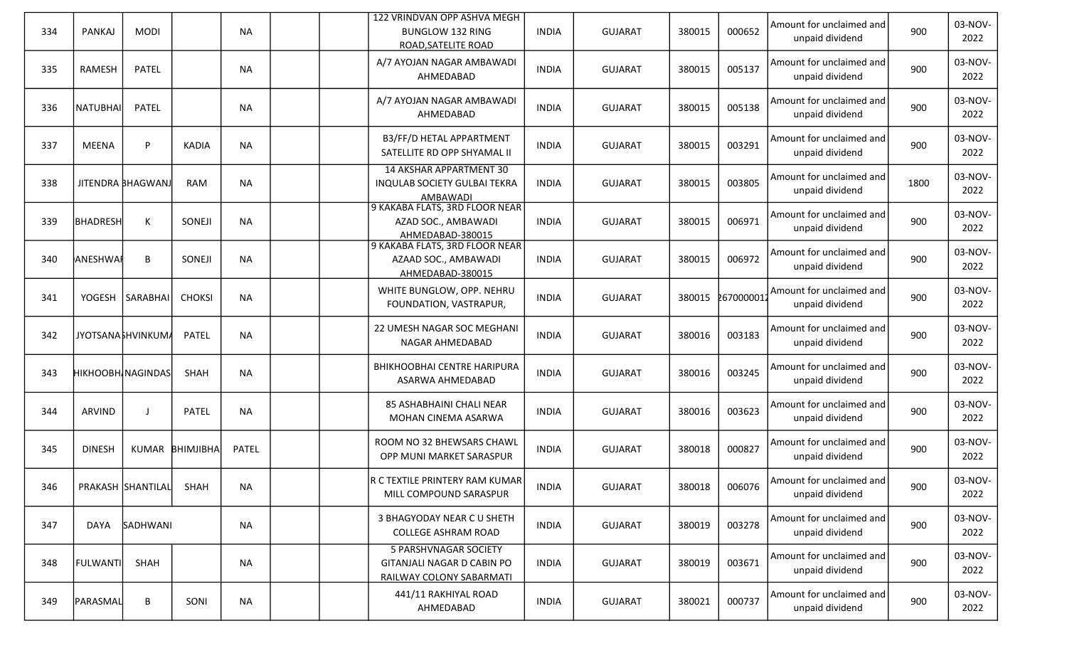| 334 | PANKAJ          | <b>MODI</b>              |                 | <b>NA</b>    |  | 122 VRINDVAN OPP ASHVA MEGH<br><b>BUNGLOW 132 RING</b><br>ROAD, SATELITE ROAD     | <b>INDIA</b> | <b>GUJARAT</b> | 380015 | 000652    | Amount for unclaimed and<br>unpaid dividend | 900  | 03-NOV-<br>2022 |
|-----|-----------------|--------------------------|-----------------|--------------|--|-----------------------------------------------------------------------------------|--------------|----------------|--------|-----------|---------------------------------------------|------|-----------------|
| 335 | RAMESH          | <b>PATEL</b>             |                 | <b>NA</b>    |  | A/7 AYOJAN NAGAR AMBAWADI<br>AHMEDABAD                                            | <b>INDIA</b> | <b>GUJARAT</b> | 380015 | 005137    | Amount for unclaimed and<br>unpaid dividend | 900  | 03-NOV-<br>2022 |
| 336 | NATUBHAI        | <b>PATEL</b>             |                 | <b>NA</b>    |  | A/7 AYOJAN NAGAR AMBAWADI<br>AHMEDABAD                                            | <b>INDIA</b> | <b>GUJARAT</b> | 380015 | 005138    | Amount for unclaimed and<br>unpaid dividend | 900  | 03-NOV-<br>2022 |
| 337 | MEENA           | P                        | <b>KADIA</b>    | <b>NA</b>    |  | B3/FF/D HETAL APPARTMENT<br>SATELLITE RD OPP SHYAMAL II                           | <b>INDIA</b> | <b>GUJARAT</b> | 380015 | 003291    | Amount for unclaimed and<br>unpaid dividend | 900  | 03-NOV-<br>2022 |
| 338 |                 | JITENDRA BHAGWANJ        | <b>RAM</b>      | <b>NA</b>    |  | <b>14 AKSHAR APPARTMENT 30</b><br><b>INQULAB SOCIETY GULBAI TEKRA</b><br>AMBAWADI | <b>INDIA</b> | <b>GUJARAT</b> | 380015 | 003805    | Amount for unclaimed and<br>unpaid dividend | 1800 | 03-NOV-<br>2022 |
| 339 | BHADRESH        | K                        | SONEJI          | <b>NA</b>    |  | 9 KAKABA FLATS, 3RD FLOOR NEAR<br>AZAD SOC., AMBAWADI<br>AHMEDABAD-380015         | <b>INDIA</b> | <b>GUJARAT</b> | 380015 | 006971    | Amount for unclaimed and<br>unpaid dividend | 900  | 03-NOV-<br>2022 |
| 340 | ANESHWAI        | В                        | SONEJI          | <b>NA</b>    |  | 9 KAKABA FLATS, 3RD FLOOR NEAR<br>AZAAD SOC., AMBAWADI<br>AHMEDABAD-380015        | <b>INDIA</b> | <b>GUJARAT</b> | 380015 | 006972    | Amount for unclaimed and<br>unpaid dividend | 900  | 03-NOV-<br>2022 |
| 341 |                 | YOGESH   SARABHAI        | <b>CHOKSI</b>   | <b>NA</b>    |  | WHITE BUNGLOW, OPP. NEHRU<br>FOUNDATION, VASTRAPUR,                               | INDIA        | <b>GUJARAT</b> | 380015 | 267000001 | Amount for unclaimed and<br>unpaid dividend | 900  | 03-NOV-<br>2022 |
| 342 |                 | JYOTSANA FHVINKUMA       | <b>PATEL</b>    | <b>NA</b>    |  | 22 UMESH NAGAR SOC MEGHANI<br>NAGAR AHMEDABAD                                     | <b>INDIA</b> | <b>GUJARAT</b> | 380016 | 003183    | Amount for unclaimed and<br>unpaid dividend | 900  | 03-NOV-<br>2022 |
| 343 |                 | <b>HIKHOOBH NAGINDAS</b> | <b>SHAH</b>     | <b>NA</b>    |  | BHIKHOOBHAI CENTRE HARIPURA<br>ASARWA AHMEDABAD                                   | <b>INDIA</b> | <b>GUJARAT</b> | 380016 | 003245    | Amount for unclaimed and<br>unpaid dividend | 900  | 03-NOV-<br>2022 |
| 344 | ARVIND          |                          | <b>PATEL</b>    | <b>NA</b>    |  | 85 ASHABHAINI CHALI NEAR<br>MOHAN CINEMA ASARWA                                   | <b>INDIA</b> | <b>GUJARAT</b> | 380016 | 003623    | Amount for unclaimed and<br>unpaid dividend | 900  | 03-NOV-<br>2022 |
| 345 | <b>DINESH</b>   |                          | KUMAR BHIMJIBHA | <b>PATEL</b> |  | ROOM NO 32 BHEWSARS CHAWL<br>OPP MUNI MARKET SARASPUR                             | <b>INDIA</b> | <b>GUJARAT</b> | 380018 | 000827    | Amount for unclaimed and<br>unpaid dividend | 900  | 03-NOV-<br>2022 |
| 346 |                 | PRAKASH SHANTILAL        | SHAH            | <b>NA</b>    |  | R C TEXTILE PRINTERY RAM KUMAR<br>MILL COMPOUND SARASPUR                          | <b>INDIA</b> | <b>GUJARAT</b> | 380018 | 006076    | Amount for unclaimed and<br>unpaid dividend | 900  | 03-NOV-<br>2022 |
| 347 | DAYA            | SADHWANI                 |                 | <b>NA</b>    |  | 3 BHAGYODAY NEAR C U SHETH<br><b>COLLEGE ASHRAM ROAD</b>                          | <b>INDIA</b> | <b>GUJARAT</b> | 380019 | 003278    | Amount for unclaimed and<br>unpaid dividend | 900  | 03-NOV-<br>2022 |
| 348 | <b>FULWANTI</b> | SHAH                     |                 | <b>NA</b>    |  | 5 PARSHVNAGAR SOCIETY<br>GITANJALI NAGAR D CABIN PO<br>RAILWAY COLONY SABARMATI   | <b>INDIA</b> | <b>GUJARAT</b> | 380019 | 003671    | Amount for unclaimed and<br>unpaid dividend | 900  | 03-NOV-<br>2022 |
| 349 | <b>PARASMAL</b> | B                        | SONI            | <b>NA</b>    |  | 441/11 RAKHIYAL ROAD<br>AHMEDABAD                                                 | <b>INDIA</b> | <b>GUJARAT</b> | 380021 | 000737    | Amount for unclaimed and<br>unpaid dividend | 900  | 03-NOV-<br>2022 |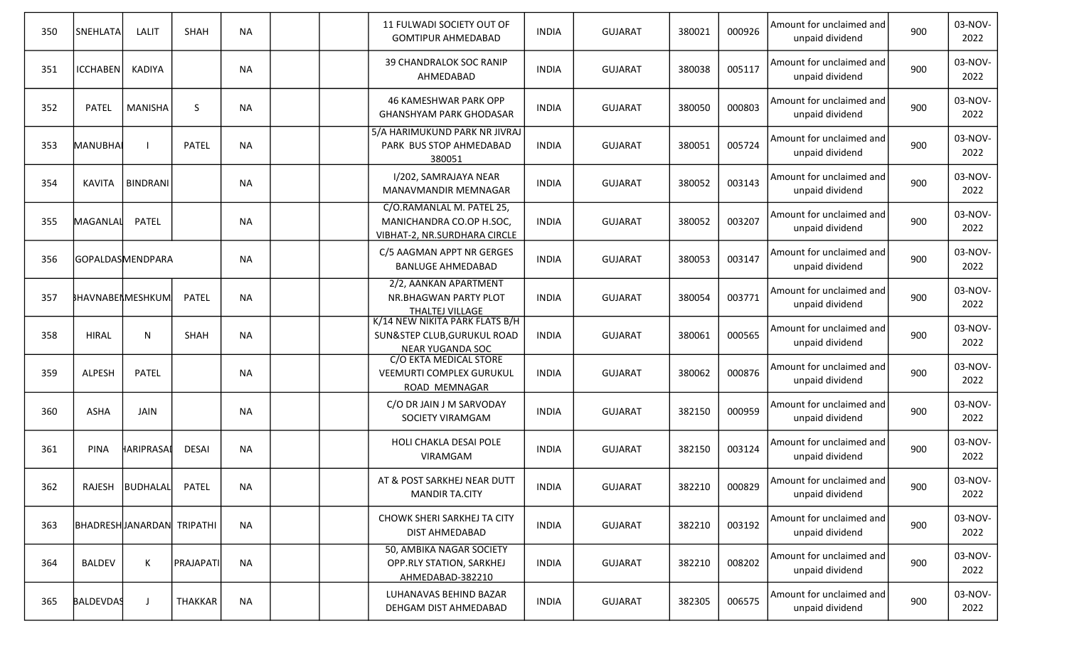| 350 | SNEHLATA         | LALIT                      | <b>SHAH</b>      | <b>NA</b> |  | 11 FULWADI SOCIETY OUT OF<br><b>GOMTIPUR AHMEDABAD</b>                                   | <b>INDIA</b> | <b>GUJARAT</b> | 380021 | 000926 | Amount for unclaimed and<br>unpaid dividend | 900 | 03-NOV-<br>2022 |
|-----|------------------|----------------------------|------------------|-----------|--|------------------------------------------------------------------------------------------|--------------|----------------|--------|--------|---------------------------------------------|-----|-----------------|
| 351 | ICCHABEN         | KADIYA                     |                  | <b>NA</b> |  | 39 CHANDRALOK SOC RANIP<br>AHMEDABAD                                                     | <b>INDIA</b> | <b>GUJARAT</b> | 380038 | 005117 | Amount for unclaimed and<br>unpaid dividend | 900 | 03-NOV-<br>2022 |
| 352 | <b>PATEL</b>     | <b>MANISHA</b>             | S.               | <b>NA</b> |  | 46 KAMESHWAR PARK OPP<br><b>GHANSHYAM PARK GHODASAR</b>                                  | <b>INDIA</b> | <b>GUJARAT</b> | 380050 | 000803 | Amount for unclaimed and<br>unpaid dividend | 900 | 03-NOV-<br>2022 |
| 353 | MANUBHAI         |                            | <b>PATEL</b>     | <b>NA</b> |  | 5/A HARIMUKUND PARK NR JIVRAJ<br>PARK BUS STOP AHMEDABAD<br>380051                       | <b>INDIA</b> | <b>GUJARAT</b> | 380051 | 005724 | Amount for unclaimed and<br>unpaid dividend | 900 | 03-NOV-<br>2022 |
| 354 | <b>KAVITA</b>    | <b>BINDRANI</b>            |                  | <b>NA</b> |  | I/202, SAMRAJAYA NEAR<br>MANAVMANDIR MEMNAGAR                                            | INDIA        | <b>GUJARAT</b> | 380052 | 003143 | Amount for unclaimed and<br>unpaid dividend | 900 | 03-NOV-<br>2022 |
| 355 | MAGANLAL         | <b>PATEL</b>               |                  | <b>NA</b> |  | C/O.RAMANLAL M. PATEL 25,<br>MANICHANDRA CO.OP H.SOC,<br>VIBHAT-2, NR.SURDHARA CIRCLE    | <b>INDIA</b> | <b>GUJARAT</b> | 380052 | 003207 | Amount for unclaimed and<br>unpaid dividend | 900 | 03-NOV-<br>2022 |
| 356 |                  | GOPALDASMENDPARA           |                  | <b>NA</b> |  | C/5 AAGMAN APPT NR GERGES<br><b>BANLUGE AHMEDABAD</b>                                    | <b>INDIA</b> | <b>GUJARAT</b> | 380053 | 003147 | Amount for unclaimed and<br>unpaid dividend | 900 | 03-NOV-<br>2022 |
| 357 |                  | BHAVNABENMESHKUM           | <b>PATEL</b>     | <b>NA</b> |  | 2/2, AANKAN APARTMENT<br>NR.BHAGWAN PARTY PLOT<br>THALTEJ VILLAGE                        | <b>INDIA</b> | <b>GUJARAT</b> | 380054 | 003771 | Amount for unclaimed and<br>unpaid dividend | 900 | 03-NOV-<br>2022 |
| 358 | <b>HIRAL</b>     | N                          | SHAH             | <b>NA</b> |  | K/14 NEW NIKITA PARK FLATS B/H<br>SUN&STEP CLUB, GURUKUL ROAD<br><b>NEAR YUGANDA SOC</b> | <b>INDIA</b> | <b>GUJARAT</b> | 380061 | 000565 | Amount for unclaimed and<br>unpaid dividend | 900 | 03-NOV-<br>2022 |
| 359 | <b>ALPESH</b>    | <b>PATEL</b>               |                  | <b>NA</b> |  | C/O EKTA MEDICAL STORE<br>VEEMURTI COMPLEX GURUKUL<br>ROAD MEMNAGAR                      | <b>INDIA</b> | <b>GUJARAT</b> | 380062 | 000876 | Amount for unclaimed and<br>unpaid dividend | 900 | 03-NOV-<br>2022 |
| 360 | <b>ASHA</b>      | <b>JAIN</b>                |                  | <b>NA</b> |  | C/O DR JAIN J M SARVODAY<br>SOCIETY VIRAMGAM                                             | <b>INDIA</b> | <b>GUJARAT</b> | 382150 | 000959 | Amount for unclaimed and<br>unpaid dividend | 900 | 03-NOV-<br>2022 |
| 361 | <b>PINA</b>      | HARIPRASAL                 | DESAI            | <b>NA</b> |  | HOLI CHAKLA DESAI POLE<br>VIRAMGAM                                                       | <b>INDIA</b> | <b>GUJARAT</b> | 382150 | 003124 | Amount for unclaimed and<br>unpaid dividend | 900 | 03-NOV-<br>2022 |
| 362 |                  | RAJESH  BUDHALAL           | <b>PATEL</b>     | NA        |  | AT & POST SARKHEJ NEAR DUTT<br><b>MANDIR TA.CITY</b>                                     | <b>INDIA</b> | <b>GUJARAT</b> | 382210 | 000829 | Amount for unclaimed and<br>unpaid dividend | 900 | 03-NOV-<br>2022 |
| 363 |                  | BHADRESH JANARDAN TRIPATHI |                  | <b>NA</b> |  | CHOWK SHERI SARKHEJ TA CITY<br>DIST AHMEDABAD                                            | <b>INDIA</b> | <b>GUJARAT</b> | 382210 | 003192 | Amount for unclaimed and<br>unpaid dividend | 900 | 03-NOV-<br>2022 |
| 364 | <b>BALDEV</b>    | К                          | <b>PRAJAPATI</b> | <b>NA</b> |  | 50, AMBIKA NAGAR SOCIETY<br>OPP.RLY STATION, SARKHEJ<br>AHMEDABAD-382210                 | <b>INDIA</b> | GUJARAT        | 382210 | 008202 | Amount for unclaimed and<br>unpaid dividend | 900 | 03-NOV-<br>2022 |
| 365 | <b>BALDEVDAS</b> | J                          | THAKKAR          | <b>NA</b> |  | LUHANAVAS BEHIND BAZAR<br>DEHGAM DIST AHMEDABAD                                          | <b>INDIA</b> | <b>GUJARAT</b> | 382305 | 006575 | Amount for unclaimed and<br>unpaid dividend | 900 | 03-NOV-<br>2022 |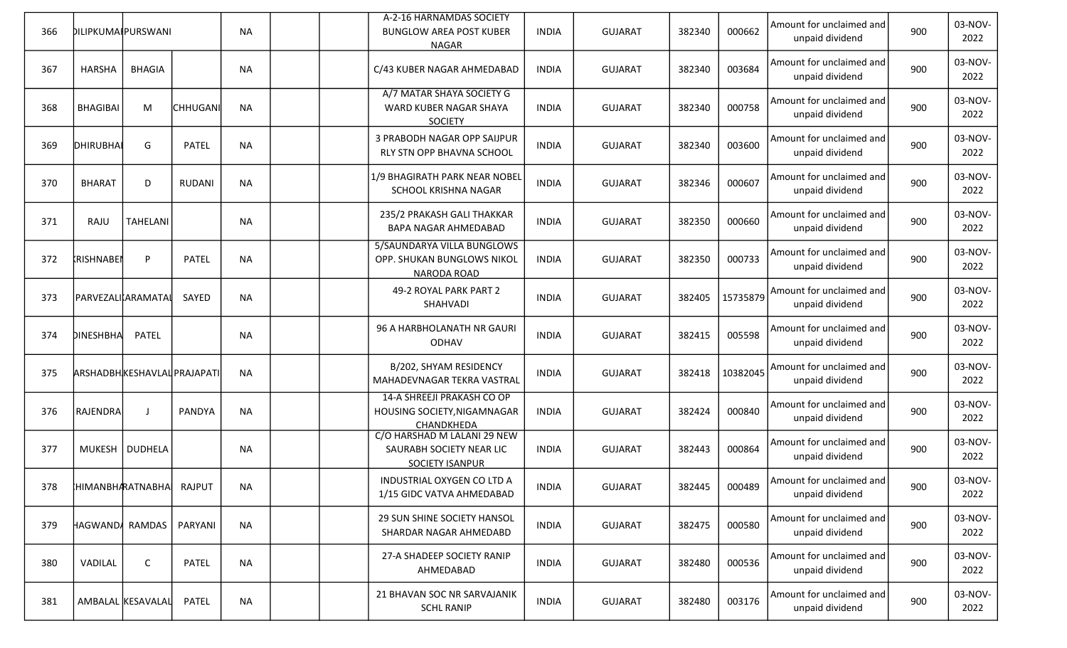|     |                                    |                   |                 |           |  | A-2-16 HARNAMDAS SOCIETY                                                          |              |                |        |          | Amount for unclaimed and                    |     | 03-NOV-         |
|-----|------------------------------------|-------------------|-----------------|-----------|--|-----------------------------------------------------------------------------------|--------------|----------------|--------|----------|---------------------------------------------|-----|-----------------|
| 366 | DILIPKUMAIPURSWANI                 |                   |                 | <b>NA</b> |  | <b>BUNGLOW AREA POST KUBER</b><br><b>NAGAR</b>                                    | <b>INDIA</b> | <b>GUJARAT</b> | 382340 | 000662   | unpaid dividend                             | 900 | 2022            |
| 367 | <b>HARSHA</b>                      | <b>BHAGIA</b>     |                 | <b>NA</b> |  | C/43 KUBER NAGAR AHMEDABAD                                                        | <b>INDIA</b> | <b>GUJARAT</b> | 382340 | 003684   | Amount for unclaimed and<br>unpaid dividend | 900 | 03-NOV-<br>2022 |
| 368 | <b>BHAGIBAI</b>                    | M                 | <b>CHHUGANI</b> | <b>NA</b> |  | A/7 MATAR SHAYA SOCIETY G<br>WARD KUBER NAGAR SHAYA<br><b>SOCIETY</b>             | <b>INDIA</b> | <b>GUJARAT</b> | 382340 | 000758   | Amount for unclaimed and<br>unpaid dividend | 900 | 03-NOV-<br>2022 |
| 369 | DHIRUBHAI                          | G                 | <b>PATEL</b>    | <b>NA</b> |  | 3 PRABODH NAGAR OPP SAIJPUR<br>RLY STN OPP BHAVNA SCHOOL                          | <b>INDIA</b> | <b>GUJARAT</b> | 382340 | 003600   | Amount for unclaimed and<br>unpaid dividend | 900 | 03-NOV-<br>2022 |
| 370 | <b>BHARAT</b>                      | D                 | <b>RUDANI</b>   | <b>NA</b> |  | 1/9 BHAGIRATH PARK NEAR NOBEL<br>SCHOOL KRISHNA NAGAR                             | INDIA        | <b>GUJARAT</b> | 382346 | 000607   | Amount for unclaimed and<br>unpaid dividend | 900 | 03-NOV-<br>2022 |
| 371 | RAJU                               | <b>TAHELANI</b>   |                 | <b>NA</b> |  | 235/2 PRAKASH GALI THAKKAR<br>BAPA NAGAR AHMEDABAD                                | <b>INDIA</b> | <b>GUJARAT</b> | 382350 | 000660   | Amount for unclaimed and<br>unpaid dividend | 900 | 03-NOV-<br>2022 |
| 372 | <b>KRISHNABEI</b>                  | P                 | <b>PATEL</b>    | <b>NA</b> |  | 5/SAUNDARYA VILLA BUNGLOWS<br>OPP. SHUKAN BUNGLOWS NIKOL<br>NARODA ROAD           | <b>INDIA</b> | <b>GUJARAT</b> | 382350 | 000733   | Amount for unclaimed and<br>unpaid dividend | 900 | 03-NOV-<br>2022 |
| 373 | PARVEZALIARAMATAL                  |                   | SAYED           | <b>NA</b> |  | 49-2 ROYAL PARK PART 2<br>SHAHVADI                                                | <b>INDIA</b> | <b>GUJARAT</b> | 382405 | 15735879 | Amount for unclaimed and<br>unpaid dividend | 900 | 03-NOV-<br>2022 |
| 374 | <b>DINESHBHA</b>                   | PATEL             |                 | <b>NA</b> |  | 96 A HARBHOLANATH NR GAURI<br><b>ODHAV</b>                                        | <b>INDIA</b> | <b>GUJARAT</b> | 382415 | 005598   | Amount for unclaimed and<br>unpaid dividend | 900 | 03-NOV-<br>2022 |
| 375 | <b>ARSHADBHKESHAVLAL PRAJAPATI</b> |                   |                 | <b>NA</b> |  | B/202, SHYAM RESIDENCY<br>MAHADEVNAGAR TEKRA VASTRAL                              | <b>INDIA</b> | <b>GUJARAT</b> | 382418 | 10382045 | Amount for unclaimed and<br>unpaid dividend | 900 | 03-NOV-<br>2022 |
| 376 | <b>RAJENDRA</b>                    | J                 | PANDYA          | <b>NA</b> |  | 14-A SHREEJI PRAKASH CO OP<br>HOUSING SOCIETY, NIGAMNAGAR<br>CHANDKHEDA           | <b>INDIA</b> | <b>GUJARAT</b> | 382424 | 000840   | Amount for unclaimed and<br>unpaid dividend | 900 | 03-NOV-<br>2022 |
| 377 |                                    | MUKESH   DUDHELA  |                 | <b>NA</b> |  | C/O HARSHAD M LALANI 29 NEW<br>SAURABH SOCIETY NEAR LIC<br><b>SOCIETY ISANPUR</b> | <b>INDIA</b> | <b>GUJARAT</b> | 382443 | 000864   | Amount for unclaimed and<br>unpaid dividend | 900 | 03-NOV-<br>2022 |
| 378 | HIMANBHARATNABHA                   |                   | <b>RAJPUT</b>   | <b>NA</b> |  | INDUSTRIAL OXYGEN CO LTD A<br>1/15 GIDC VATVA AHMEDABAD                           | <b>INDIA</b> | <b>GUJARAT</b> | 382445 | 000489   | Amount for unclaimed and<br>unpaid dividend | 900 | 03-NOV-<br>2022 |
| 379 | HAGWANDA RAMDAS                    |                   | PARYANI         | <b>NA</b> |  | 29 SUN SHINE SOCIETY HANSOL<br>SHARDAR NAGAR AHMEDABD                             | <b>INDIA</b> | <b>GUJARAT</b> | 382475 | 000580   | Amount for unclaimed and<br>unpaid dividend | 900 | 03-NOV-<br>2022 |
| 380 | VADILAL                            | $\mathsf{C}$      | <b>PATEL</b>    | <b>NA</b> |  | 27-A SHADEEP SOCIETY RANIP<br>AHMEDABAD                                           | <b>INDIA</b> | <b>GUJARAT</b> | 382480 | 000536   | Amount for unclaimed and<br>unpaid dividend | 900 | 03-NOV-<br>2022 |
| 381 |                                    | AMBALAL KESAVALAL | PATEL           | <b>NA</b> |  | 21 BHAVAN SOC NR SARVAJANIK<br><b>SCHL RANIP</b>                                  | <b>INDIA</b> | <b>GUJARAT</b> | 382480 | 003176   | Amount for unclaimed and<br>unpaid dividend | 900 | 03-NOV-<br>2022 |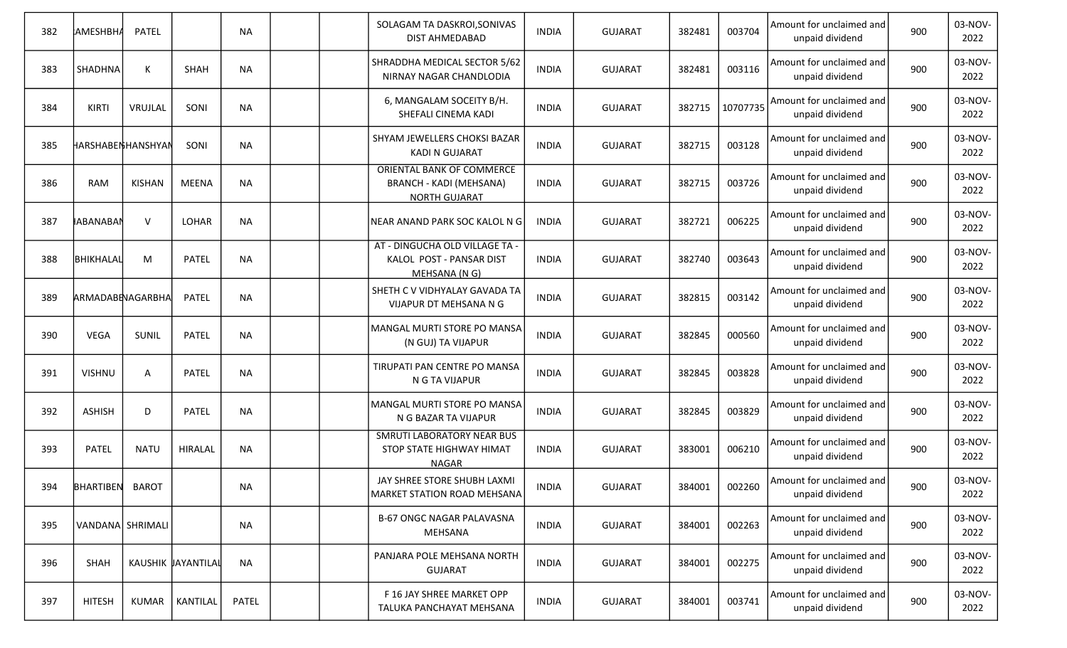| 382 | АМЕЅНВН <i>А</i>  | <b>PATEL</b> |                    | <b>NA</b> |  | SOLAGAM TA DASKROI, SONIVAS<br>DIST AHMEDABAD                                       | <b>INDIA</b> | <b>GUJARAT</b> | 382481 | 003704   | Amount for unclaimed and<br>unpaid dividend | 900 | 03-NOV-<br>2022 |
|-----|-------------------|--------------|--------------------|-----------|--|-------------------------------------------------------------------------------------|--------------|----------------|--------|----------|---------------------------------------------|-----|-----------------|
| 383 | SHADHNA           | К            | <b>SHAH</b>        | <b>NA</b> |  | SHRADDHA MEDICAL SECTOR 5/62<br>NIRNAY NAGAR CHANDLODIA                             | <b>INDIA</b> | <b>GUJARAT</b> | 382481 | 003116   | Amount for unclaimed and<br>unpaid dividend | 900 | 03-NOV-<br>2022 |
| 384 | KIRTI             | VRUJLAL      | SONI               | <b>NA</b> |  | 6, MANGALAM SOCEITY B/H.<br>SHEFALI CINEMA KADI                                     | INDIA        | <b>GUJARAT</b> | 382715 | 10707735 | Amount for unclaimed and<br>unpaid dividend | 900 | 03-NOV-<br>2022 |
| 385 | HARSHABENHANSHYAN |              | SONI               | <b>NA</b> |  | SHYAM JEWELLERS CHOKSI BAZAR<br><b>KADI N GUJARAT</b>                               | <b>INDIA</b> | <b>GUJARAT</b> | 382715 | 003128   | Amount for unclaimed and<br>unpaid dividend | 900 | 03-NOV-<br>2022 |
| 386 | <b>RAM</b>        | KISHAN       | <b>MEENA</b>       | <b>NA</b> |  | ORIENTAL BANK OF COMMERCE<br><b>BRANCH - KADI (MEHSANA)</b><br><b>NORTH GUJARAT</b> | <b>INDIA</b> | <b>GUJARAT</b> | 382715 | 003726   | Amount for unclaimed and<br>unpaid dividend | 900 | 03-NOV-<br>2022 |
| 387 | <b>HABANABAN</b>  | $\vee$       | LOHAR              | <b>NA</b> |  | NEAR ANAND PARK SOC KALOL N G                                                       | <b>INDIA</b> | <b>GUJARAT</b> | 382721 | 006225   | Amount for unclaimed and<br>unpaid dividend | 900 | 03-NOV-<br>2022 |
| 388 | ВНІКНАLАЦ         | M            | PATEL              | <b>NA</b> |  | AT - DINGUCHA OLD VILLAGE TA -<br>KALOL POST - PANSAR DIST<br>MEHSANA (N G)         | <b>INDIA</b> | <b>GUJARAT</b> | 382740 | 003643   | Amount for unclaimed and<br>unpaid dividend | 900 | 03-NOV-<br>2022 |
| 389 | ARMADABENAGARBHA  |              | PATEL              | <b>NA</b> |  | SHETH C V VIDHYALAY GAVADA TA<br>VIJAPUR DT MEHSANA N G                             | <b>INDIA</b> | <b>GUJARAT</b> | 382815 | 003142   | Amount for unclaimed and<br>unpaid dividend | 900 | 03-NOV-<br>2022 |
| 390 | VEGA              | SUNIL        | <b>PATEL</b>       | <b>NA</b> |  | MANGAL MURTI STORE PO MANSA<br>(N GUJ) TA VIJAPUR                                   | <b>INDIA</b> | <b>GUJARAT</b> | 382845 | 000560   | Amount for unclaimed and<br>unpaid dividend | 900 | 03-NOV-<br>2022 |
| 391 | <b>VISHNU</b>     | A            | <b>PATEL</b>       | <b>NA</b> |  | TIRUPATI PAN CENTRE PO MANSA<br>N G TA VIJAPUR                                      | <b>INDIA</b> | <b>GUJARAT</b> | 382845 | 003828   | Amount for unclaimed and<br>unpaid dividend | 900 | 03-NOV-<br>2022 |
| 392 | <b>ASHISH</b>     | D            | <b>PATEL</b>       | <b>NA</b> |  | MANGAL MURTI STORE PO MANSA<br>N G BAZAR TA VIJAPUR                                 | <b>INDIA</b> | <b>GUJARAT</b> | 382845 | 003829   | Amount for unclaimed and<br>unpaid dividend | 900 | 03-NOV-<br>2022 |
| 393 | <b>PATEL</b>      | <b>NATU</b>  | <b>HIRALAL</b>     | <b>NA</b> |  | <b>SMRUTI LABORATORY NEAR BUS</b><br>STOP STATE HIGHWAY HIMAT<br><b>NAGAR</b>       | <b>INDIA</b> | <b>GUJARAT</b> | 383001 | 006210   | Amount for unclaimed and<br>unpaid dividend | 900 | 03-NOV-<br>2022 |
| 394 | BHARTIBEN BAROT   |              |                    | <b>NA</b> |  | JAY SHREE STORE SHUBH LAXMI<br><b>MARKET STATION ROAD MEHSANA</b>                   | <b>INDIA</b> | <b>GUJARAT</b> | 384001 | 002260   | Amount for unclaimed and<br>unpaid dividend | 900 | 03-NOV-<br>2022 |
| 395 | VANDANA SHRIMALI  |              |                    | NA        |  | <b>B-67 ONGC NAGAR PALAVASNA</b><br>MEHSANA                                         | <b>INDIA</b> | <b>GUJARAT</b> | 384001 | 002263   | Amount for unclaimed and<br>unpaid dividend | 900 | 03-NOV-<br>2022 |
| 396 | SHAH              |              | KAUSHIK JAYANTILAL | <b>NA</b> |  | PANJARA POLE MEHSANA NORTH<br><b>GUJARAT</b>                                        | <b>INDIA</b> | <b>GUJARAT</b> | 384001 | 002275   | Amount for unclaimed and<br>unpaid dividend | 900 | 03-NOV-<br>2022 |
| 397 | <b>HITESH</b>     | KUMAR        | KANTILAL           | PATEL     |  | F 16 JAY SHREE MARKET OPP<br>TALUKA PANCHAYAT MEHSANA                               | <b>INDIA</b> | <b>GUJARAT</b> | 384001 | 003741   | Amount for unclaimed and<br>unpaid dividend | 900 | 03-NOV-<br>2022 |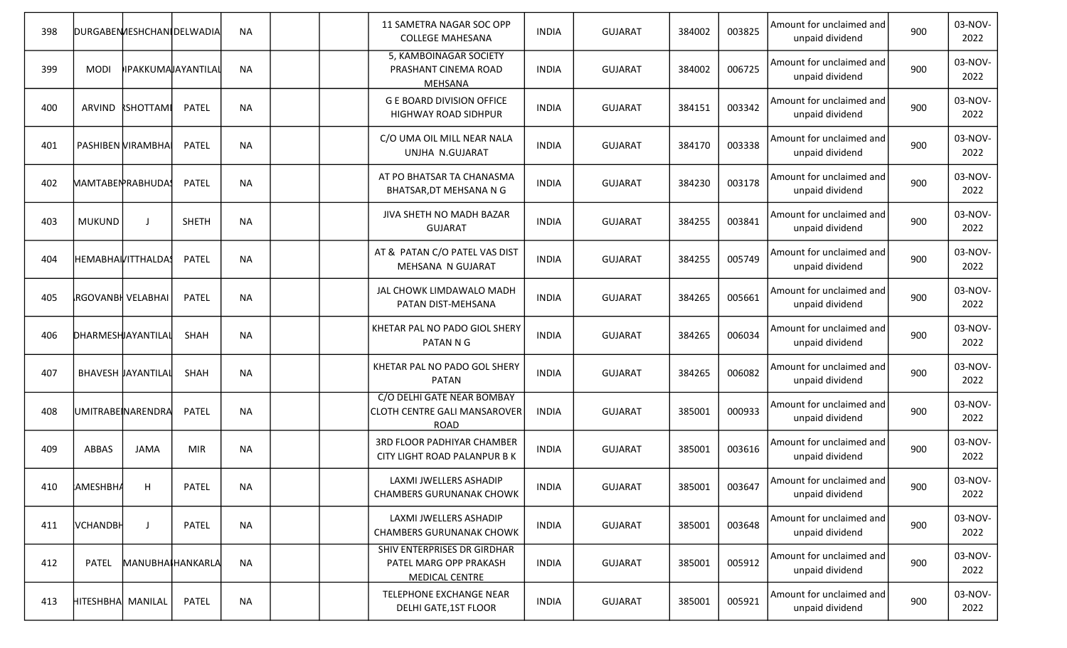| 398 |                          | DURGABEN/IESHCHAN   DELWADIA |                    | <b>NA</b> |  | 11 SAMETRA NAGAR SOC OPP<br><b>COLLEGE MAHESANA</b>                            | <b>INDIA</b> | <b>GUJARAT</b> | 384002 | 003825 | Amount for unclaimed and<br>unpaid dividend | 900 | 03-NOV-<br>2022 |
|-----|--------------------------|------------------------------|--------------------|-----------|--|--------------------------------------------------------------------------------|--------------|----------------|--------|--------|---------------------------------------------|-----|-----------------|
| 399 | <b>MODI</b>              |                              | IPAKKUMAJAYANTILAL | <b>NA</b> |  | 5, KAMBOINAGAR SOCIETY<br>PRASHANT CINEMA ROAD<br><b>MEHSANA</b>               | <b>INDIA</b> | <b>GUJARAT</b> | 384002 | 006725 | Amount for unclaimed and<br>unpaid dividend | 900 | 03-NOV-<br>2022 |
| 400 | ARVIND                   | <b>RSHOTTAMI</b>             | <b>PATEL</b>       | <b>NA</b> |  | <b>G E BOARD DIVISION OFFICE</b><br>HIGHWAY ROAD SIDHPUR                       | <b>INDIA</b> | <b>GUJARAT</b> | 384151 | 003342 | Amount for unclaimed and<br>unpaid dividend | 900 | 03-NOV-<br>2022 |
| 401 | PASHIBEN VIRAMBHA        |                              | <b>PATEL</b>       | <b>NA</b> |  | C/O UMA OIL MILL NEAR NALA<br>UNJHA N.GUJARAT                                  | <b>INDIA</b> | <b>GUJARAT</b> | 384170 | 003338 | Amount for unclaimed and<br>unpaid dividend | 900 | 03-NOV-<br>2022 |
| 402 |                          | MAMTABEN RABHUDA!            | <b>PATEL</b>       | <b>NA</b> |  | AT PO BHATSAR TA CHANASMA<br>BHATSAR, DT MEHSANA N G                           | <b>INDIA</b> | <b>GUJARAT</b> | 384230 | 003178 | Amount for unclaimed and<br>unpaid dividend | 900 | 03-NOV-<br>2022 |
| 403 | <b>MUKUND</b>            | $\mathbf{J}$                 | <b>SHETH</b>       | <b>NA</b> |  | JIVA SHETH NO MADH BAZAR<br><b>GUJARAT</b>                                     | <b>INDIA</b> | <b>GUJARAT</b> | 384255 | 003841 | Amount for unclaimed and<br>unpaid dividend | 900 | 03-NOV-<br>2022 |
| 404 |                          | HEMABHAIVITTHALDA!           | PATEL              | <b>NA</b> |  | AT & PATAN C/O PATEL VAS DIST<br>MEHSANA N GUJARAT                             | <b>INDIA</b> | <b>GUJARAT</b> | 384255 | 005749 | Amount for unclaimed and<br>unpaid dividend | 900 | 03-NOV-<br>2022 |
| 405 | <b>RGOVANBH VELABHAI</b> |                              | <b>PATEL</b>       | <b>NA</b> |  | JAL CHOWK LIMDAWALO MADH<br>PATAN DIST-MEHSANA                                 | <b>INDIA</b> | <b>GUJARAT</b> | 384265 | 005661 | Amount for unclaimed and<br>unpaid dividend | 900 | 03-NOV-<br>2022 |
| 406 | DHARMESHJAYANTILAI       |                              | SHAH               | <b>NA</b> |  | KHETAR PAL NO PADO GIOL SHERY<br>PATAN N G                                     | <b>INDIA</b> | <b>GUJARAT</b> | 384265 | 006034 | Amount for unclaimed and<br>unpaid dividend | 900 | 03-NOV-<br>2022 |
| 407 |                          | <b>BHAVESH JAYANTILA</b>     | SHAH               | <b>NA</b> |  | KHETAR PAL NO PADO GOL SHERY<br><b>PATAN</b>                                   | <b>INDIA</b> | <b>GUJARAT</b> | 384265 | 006082 | Amount for unclaimed and<br>unpaid dividend | 900 | 03-NOV-<br>2022 |
| 408 |                          | UMITRABE NARENDRA            | <b>PATEL</b>       | <b>NA</b> |  | C/O DELHI GATE NEAR BOMBAY<br>CLOTH CENTRE GALI MANSAROVER<br><b>ROAD</b>      | <b>INDIA</b> | <b>GUJARAT</b> | 385001 | 000933 | Amount for unclaimed and<br>unpaid dividend | 900 | 03-NOV-<br>2022 |
| 409 | <b>ABBAS</b>             | <b>JAMA</b>                  | <b>MIR</b>         | <b>NA</b> |  | <b>3RD FLOOR PADHIYAR CHAMBER</b><br>CITY LIGHT ROAD PALANPUR B K              | <b>INDIA</b> | <b>GUJARAT</b> | 385001 | 003616 | Amount for unclaimed and<br>unpaid dividend | 900 | 03-NOV-<br>2022 |
| 410 | AMESHBHA                 | H                            | <b>PATEL</b>       | <b>NA</b> |  | LAXMI JWELLERS ASHADIP<br><b>CHAMBERS GURUNANAK CHOWK</b>                      | <b>INDIA</b> | <b>GUJARAT</b> | 385001 | 003647 | Amount for unclaimed and<br>unpaid dividend | 900 | 03-NOV-<br>2022 |
| 411 | <b>VCHANDBH</b>          | J                            | PATEL              | <b>NA</b> |  | LAXMI JWELLERS ASHADIP<br><b>CHAMBERS GURUNANAK CHOWK</b>                      | <b>INDIA</b> | <b>GUJARAT</b> | 385001 | 003648 | Amount for unclaimed and<br>unpaid dividend | 900 | 03-NOV-<br>2022 |
| 412 | PATEL                    | MANUBHAIHANKARLA             |                    | <b>NA</b> |  | SHIV ENTERPRISES DR GIRDHAR<br>PATEL MARG OPP PRAKASH<br><b>MEDICAL CENTRE</b> | <b>INDIA</b> | <b>GUJARAT</b> | 385001 | 005912 | Amount for unclaimed and<br>unpaid dividend | 900 | 03-NOV-<br>2022 |
| 413 | HITESHBHA  MANILAL       |                              | PATEL              | <b>NA</b> |  | TELEPHONE EXCHANGE NEAR<br>DELHI GATE, 1ST FLOOR                               | <b>INDIA</b> | <b>GUJARAT</b> | 385001 | 005921 | Amount for unclaimed and<br>unpaid dividend | 900 | 03-NOV-<br>2022 |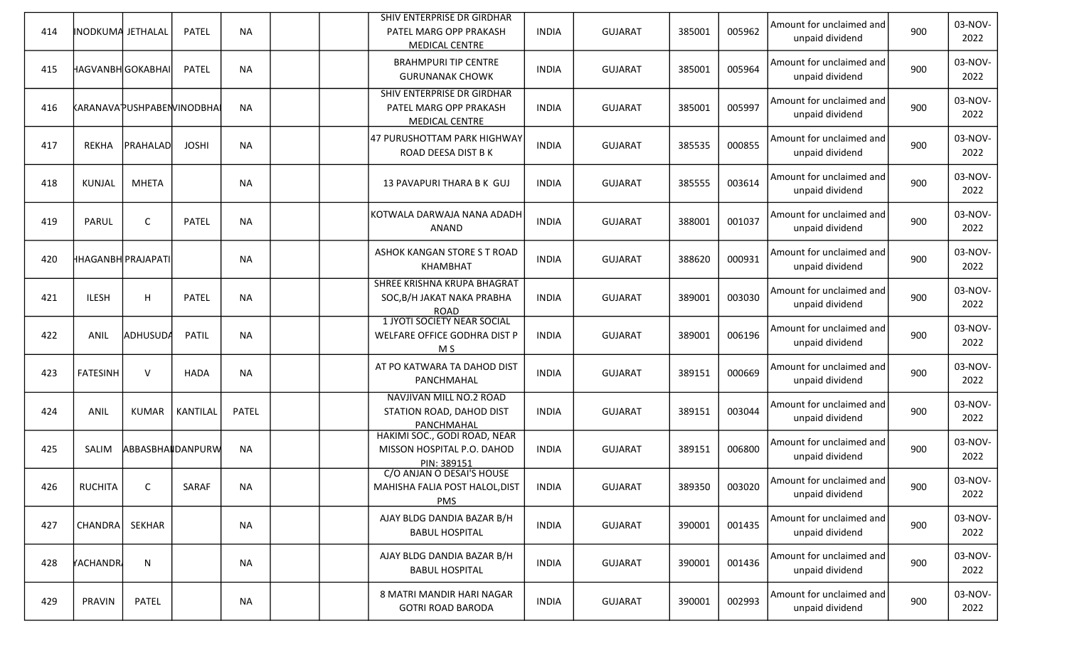| 414 | INODKUMA JETHALAL  |                           | <b>PATEL</b>     | <b>NA</b>    |  | SHIV ENTERPRISE DR GIRDHAR<br>PATEL MARG OPP PRAKASH<br><b>MEDICAL CENTRE</b> | <b>INDIA</b> | <b>GUJARAT</b> | 385001 | 005962 | Amount for unclaimed and<br>unpaid dividend | 900 | 03-NOV-<br>2022 |
|-----|--------------------|---------------------------|------------------|--------------|--|-------------------------------------------------------------------------------|--------------|----------------|--------|--------|---------------------------------------------|-----|-----------------|
| 415 | HAGVANBH GOKABHAI  |                           | <b>PATEL</b>     | <b>NA</b>    |  | <b>BRAHMPURI TIP CENTRE</b><br><b>GURUNANAK CHOWK</b>                         | <b>INDIA</b> | <b>GUJARAT</b> | 385001 | 005964 | Amount for unclaimed and<br>unpaid dividend | 900 | 03-NOV-<br>2022 |
| 416 |                    | KARANAVAPUSHPABENVINODBHA |                  | <b>NA</b>    |  | SHIV ENTERPRISE DR GIRDHAR<br>PATEL MARG OPP PRAKASH<br><b>MEDICAL CENTRE</b> | <b>INDIA</b> | <b>GUJARAT</b> | 385001 | 005997 | Amount for unclaimed and<br>unpaid dividend | 900 | 03-NOV-<br>2022 |
| 417 | <b>REKHA</b>       | PRAHALAD                  | <b>JOSHI</b>     | <b>NA</b>    |  | 47 PURUSHOTTAM PARK HIGHWAY<br>ROAD DEESA DIST B K                            | <b>INDIA</b> | <b>GUJARAT</b> | 385535 | 000855 | Amount for unclaimed and<br>unpaid dividend | 900 | 03-NOV-<br>2022 |
| 418 | KUNJAL             | <b>MHETA</b>              |                  | <b>NA</b>    |  | 13 PAVAPURI THARA B K GUJ                                                     | <b>INDIA</b> | <b>GUJARAT</b> | 385555 | 003614 | Amount for unclaimed and<br>unpaid dividend | 900 | 03-NOV-<br>2022 |
| 419 | PARUL              | $\mathsf{C}$              | <b>PATEL</b>     | <b>NA</b>    |  | KOTWALA DARWAJA NANA ADADH<br><b>ANAND</b>                                    | <b>INDIA</b> | <b>GUJARAT</b> | 388001 | 001037 | Amount for unclaimed and<br>unpaid dividend | 900 | 03-NOV-<br>2022 |
| 420 | HHAGANBH PRAJAPATI |                           |                  | <b>NA</b>    |  | ASHOK KANGAN STORE S T ROAD<br><b>KHAMBHAT</b>                                | <b>INDIA</b> | <b>GUJARAT</b> | 388620 | 000931 | Amount for unclaimed and<br>unpaid dividend | 900 | 03-NOV-<br>2022 |
| 421 | ILESH              | H                         | <b>PATEL</b>     | <b>NA</b>    |  | <b>SHREE KRISHNA KRUPA BHAGRAT</b><br>SOC, B/H JAKAT NAKA PRABHA<br>ROAD      | <b>INDIA</b> | <b>GUJARAT</b> | 389001 | 003030 | Amount for unclaimed and<br>unpaid dividend | 900 | 03-NOV-<br>2022 |
| 422 | ANIL               | <b>ADHUSUDA</b>           | <b>PATIL</b>     | <b>NA</b>    |  | <b>1 JYOTI SOCIETY NEAR SOCIAL</b><br>WELFARE OFFICE GODHRA DIST P<br>M S     | <b>INDIA</b> | <b>GUJARAT</b> | 389001 | 006196 | Amount for unclaimed and<br>unpaid dividend | 900 | 03-NOV-<br>2022 |
| 423 | <b>FATESINH</b>    | $\vee$                    | <b>HADA</b>      | <b>NA</b>    |  | AT PO KATWARA TA DAHOD DIST<br>PANCHMAHAL                                     | <b>INDIA</b> | <b>GUJARAT</b> | 389151 | 000669 | Amount for unclaimed and<br>unpaid dividend | 900 | 03-NOV-<br>2022 |
| 424 | ANIL               | KUMAR                     | KANTILAL         | <b>PATEL</b> |  | NAVJIVAN MILL NO.2 ROAD<br>STATION ROAD, DAHOD DIST<br>PANCHMAHAL             | <b>INDIA</b> | <b>GUJARAT</b> | 389151 | 003044 | Amount for unclaimed and<br>unpaid dividend | 900 | 03-NOV-<br>2022 |
| 425 | SALIM              |                           | ABBASBHAIDANPURW | <b>NA</b>    |  | HAKIMI SOC., GODI ROAD, NEAR<br>MISSON HOSPITAL P.O. DAHOD<br>PIN: 389151     | <b>INDIA</b> | <b>GUJARAT</b> | 389151 | 006800 | Amount for unclaimed and<br>unpaid dividend | 900 | 03-NOV-<br>2022 |
| 426 | RUCHITA            | C                         | SARAF            | <b>NA</b>    |  | C/O ANJAN O DESAI'S HOUSE<br>MAHISHA FALIA POST HALOL, DIST<br>PMS            | <b>INDIA</b> | <b>GUJARAT</b> | 389350 | 003020 | Amount for unclaimed and<br>unpaid dividend | 900 | 03-NOV-<br>2022 |
| 427 | CHANDRA            | SEKHAR                    |                  | <b>NA</b>    |  | AJAY BLDG DANDIA BAZAR B/H<br><b>BABUL HOSPITAL</b>                           | <b>INDIA</b> | <b>GUJARAT</b> | 390001 | 001435 | Amount for unclaimed and<br>unpaid dividend | 900 | 03-NOV-<br>2022 |
| 428 | <b>YACHANDR</b>    | N                         |                  | <b>NA</b>    |  | AJAY BLDG DANDIA BAZAR B/H<br><b>BABUL HOSPITAL</b>                           | <b>INDIA</b> | <b>GUJARAT</b> | 390001 | 001436 | Amount for unclaimed and<br>unpaid dividend | 900 | 03-NOV-<br>2022 |
| 429 | <b>PRAVIN</b>      | PATEL                     |                  | NA           |  | 8 MATRI MANDIR HARI NAGAR<br><b>GOTRI ROAD BARODA</b>                         | <b>INDIA</b> | <b>GUJARAT</b> | 390001 | 002993 | Amount for unclaimed and<br>unpaid dividend | 900 | 03-NOV-<br>2022 |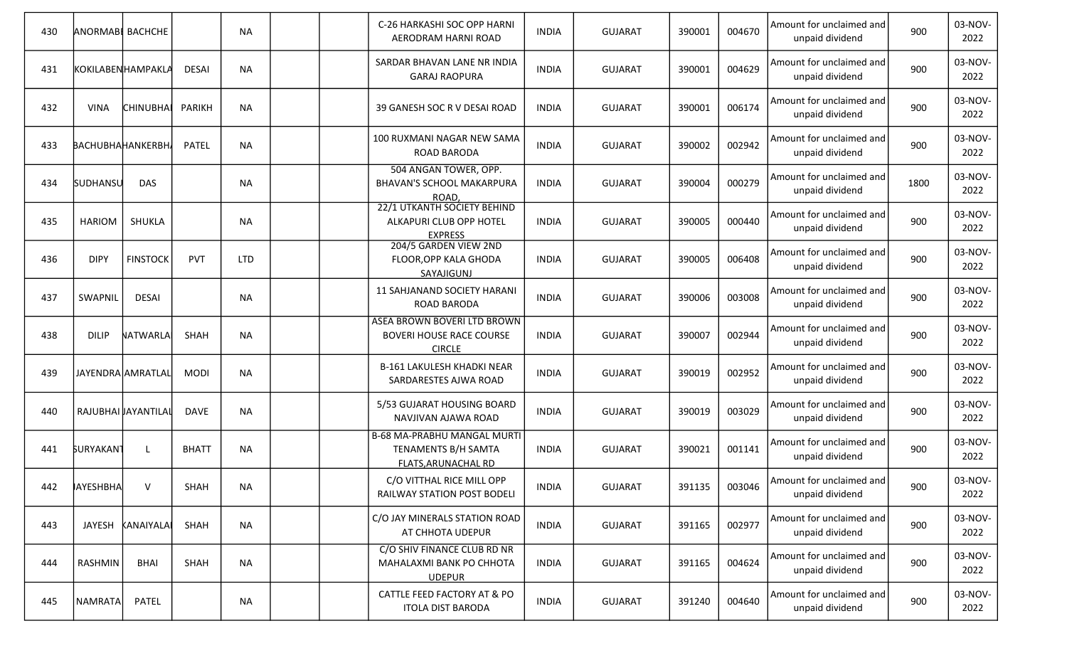| 430 | <b>ANORMABI BACHCHE</b> |                         |               | <b>NA</b>  |  | C-26 HARKASHI SOC OPP HARNI<br>AERODRAM HARNI ROAD                               | <b>INDIA</b> | <b>GUJARAT</b> | 390001 | 004670 | Amount for unclaimed and<br>unpaid dividend | 900  | 03-NOV-<br>2022 |
|-----|-------------------------|-------------------------|---------------|------------|--|----------------------------------------------------------------------------------|--------------|----------------|--------|--------|---------------------------------------------|------|-----------------|
| 431 |                         | KOKILABENHAMPAKLA       | <b>DESAI</b>  | <b>NA</b>  |  | SARDAR BHAVAN LANE NR INDIA<br><b>GARAJ RAOPURA</b>                              | <b>INDIA</b> | <b>GUJARAT</b> | 390001 | 004629 | Amount for unclaimed and<br>unpaid dividend | 900  | 03-NOV-<br>2022 |
| 432 | <b>VINA</b>             | <b>CHINUBHAI</b>        | <b>PARIKH</b> | <b>NA</b>  |  | 39 GANESH SOC R V DESAI ROAD                                                     | <b>INDIA</b> | <b>GUJARAT</b> | 390001 | 006174 | Amount for unclaimed and<br>unpaid dividend | 900  | 03-NOV-<br>2022 |
| 433 |                         | <b>BACHUBHAHANKERBH</b> | PATEL         | <b>NA</b>  |  | 100 RUXMANI NAGAR NEW SAMA<br>ROAD BARODA                                        | <b>INDIA</b> | <b>GUJARAT</b> | 390002 | 002942 | Amount for unclaimed and<br>unpaid dividend | 900  | 03-NOV-<br>2022 |
| 434 | SUDHANSU                | <b>DAS</b>              |               | <b>NA</b>  |  | 504 ANGAN TOWER, OPP.<br><b>BHAVAN'S SCHOOL MAKARPURA</b><br>ROAD,               | <b>INDIA</b> | <b>GUJARAT</b> | 390004 | 000279 | Amount for unclaimed and<br>unpaid dividend | 1800 | 03-NOV-<br>2022 |
| 435 | HARIOM                  | SHUKLA                  |               | <b>NA</b>  |  | 22/1 UTKANTH SOCIETY BEHIND<br>ALKAPURI CLUB OPP HOTEL<br><b>EXPRESS</b>         | <b>INDIA</b> | <b>GUJARAT</b> | 390005 | 000440 | Amount for unclaimed and<br>unpaid dividend | 900  | 03-NOV-<br>2022 |
| 436 | <b>DIPY</b>             | <b>FINSTOCK</b>         | <b>PVT</b>    | <b>LTD</b> |  | 204/5 GARDEN VIEW 2ND<br>FLOOR, OPP KALA GHODA<br>SAYAJIGUNJ                     | <b>INDIA</b> | <b>GUJARAT</b> | 390005 | 006408 | Amount for unclaimed and<br>unpaid dividend | 900  | 03-NOV-<br>2022 |
| 437 | SWAPNIL                 | <b>DESAI</b>            |               | <b>NA</b>  |  | 11 SAHJANAND SOCIETY HARANI<br>ROAD BARODA                                       | <b>INDIA</b> | <b>GUJARAT</b> | 390006 | 003008 | Amount for unclaimed and<br>unpaid dividend | 900  | 03-NOV-<br>2022 |
| 438 | <b>DILIP</b>            | NATWARLA                | SHAH          | <b>NA</b>  |  | ASEA BROWN BOVERI LTD BROWN<br><b>BOVERI HOUSE RACE COURSE</b><br><b>CIRCLE</b>  | <b>INDIA</b> | <b>GUJARAT</b> | 390007 | 002944 | Amount for unclaimed and<br>unpaid dividend | 900  | 03-NOV-<br>2022 |
| 439 |                         | JAYENDRA AMRATLAL       | <b>MODI</b>   | <b>NA</b>  |  | <b>B-161 LAKULESH KHADKI NEAR</b><br>SARDARESTES AJWA ROAD                       | <b>INDIA</b> | <b>GUJARAT</b> | 390019 | 002952 | Amount for unclaimed and<br>unpaid dividend | 900  | 03-NOV-<br>2022 |
| 440 | RAJUBHAI JAYANTILAI     |                         | <b>DAVE</b>   | <b>NA</b>  |  | 5/53 GUJARAT HOUSING BOARD<br>NAVJIVAN AJAWA ROAD                                | INDIA        | <b>GUJARAT</b> | 390019 | 003029 | Amount for unclaimed and<br>unpaid dividend | 900  | 03-NOV-<br>2022 |
| 441 | <b>SURYAKAN1</b>        | L                       | <b>BHATT</b>  | <b>NA</b>  |  | <b>B-68 MA-PRABHU MANGAL MURTI</b><br>TENAMENTS B/H SAMTA<br>FLATS, ARUNACHAL RD | <b>INDIA</b> | <b>GUJARAT</b> | 390021 | 001141 | Amount for unclaimed and<br>unpaid dividend | 900  | 03-NOV-<br>2022 |
| 442 | <b>AYESHBHA</b>         | $\vee$                  | SHAH          | <b>NA</b>  |  | C/O VITTHAL RICE MILL OPP<br>RAILWAY STATION POST BODELI                         | <b>INDIA</b> | <b>GUJARAT</b> | 391135 | 003046 | Amount for unclaimed and<br>unpaid dividend | 900  | 03-NOV-<br>2022 |
| 443 |                         | JAYESH KANAIYALAI       | SHAH          | <b>NA</b>  |  | C/O JAY MINERALS STATION ROAD<br>AT CHHOTA UDEPUR                                | <b>INDIA</b> | <b>GUJARAT</b> | 391165 | 002977 | Amount for unclaimed and<br>unpaid dividend | 900  | 03-NOV-<br>2022 |
| 444 | RASHMIN                 | <b>BHAI</b>             | SHAH          | <b>NA</b>  |  | C/O SHIV FINANCE CLUB RD NR<br>MAHALAXMI BANK PO CHHOTA<br><b>UDEPUR</b>         | <b>INDIA</b> | <b>GUJARAT</b> | 391165 | 004624 | Amount for unclaimed and<br>unpaid dividend | 900  | 03-NOV-<br>2022 |
| 445 | NAMRATA                 | PATEL                   |               | <b>NA</b>  |  | CATTLE FEED FACTORY AT & PO<br><b>ITOLA DIST BARODA</b>                          | <b>INDIA</b> | <b>GUJARAT</b> | 391240 | 004640 | Amount for unclaimed and<br>unpaid dividend | 900  | 03-NOV-<br>2022 |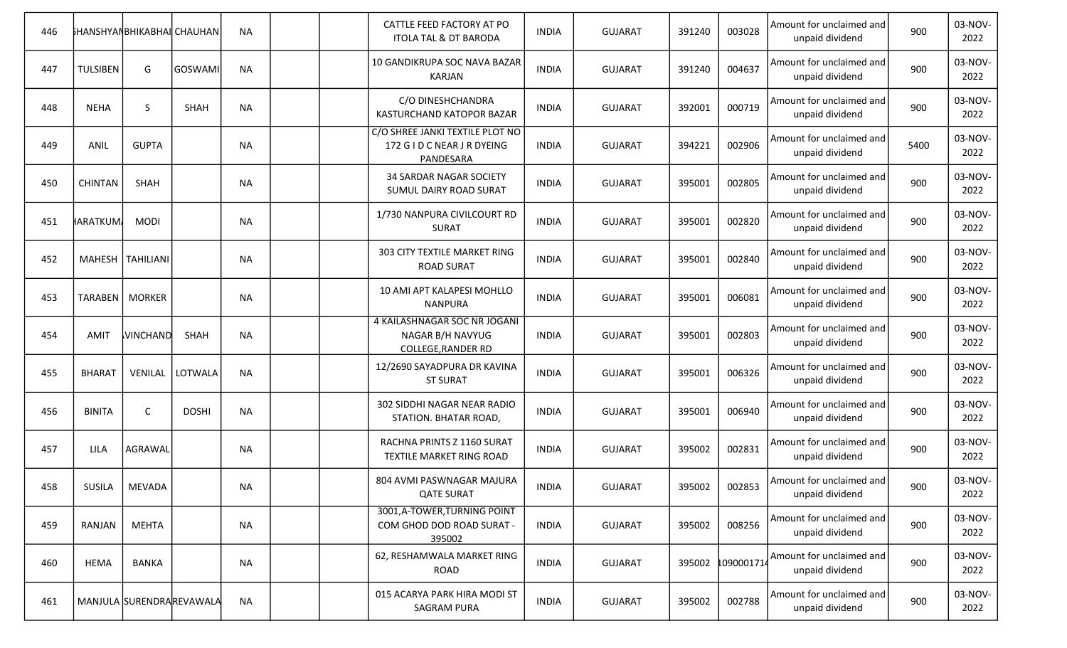| 446 |                 | <b>İ</b> HANSHYANBHIKABHAI CHAUHAN |                          | <b>NA</b> |  | CATTLE FEED FACTORY AT PO<br><b>ITOLA TAL &amp; DT BARODA</b>                 | <b>INDIA</b> | <b>GUJARAT</b> | 391240 | 003028           | Amount for unclaimed and<br>unpaid dividend | 900  | 03-NOV-<br>2022 |
|-----|-----------------|------------------------------------|--------------------------|-----------|--|-------------------------------------------------------------------------------|--------------|----------------|--------|------------------|---------------------------------------------|------|-----------------|
| 447 | <b>TULSIBEN</b> | G                                  | GOSWAMI                  | <b>NA</b> |  | 10 GANDIKRUPA SOC NAVA BAZAR<br><b>KARJAN</b>                                 | <b>INDIA</b> | <b>GUJARAT</b> | 391240 | 004637           | Amount for unclaimed and<br>unpaid dividend | 900  | 03-NOV-<br>2022 |
| 448 | <b>NEHA</b>     | S                                  | <b>SHAH</b>              | <b>NA</b> |  | C/O DINESHCHANDRA<br>KASTURCHAND KATOPOR BAZAR                                | <b>INDIA</b> | <b>GUJARAT</b> | 392001 | 000719           | Amount for unclaimed and<br>unpaid dividend | 900  | 03-NOV-<br>2022 |
| 449 | ANIL            | <b>GUPTA</b>                       |                          | <b>NA</b> |  | C/O SHREE JANKI TEXTILE PLOT NO<br>172 G I D C NEAR J R DYEING<br>PANDESARA   | <b>INDIA</b> | <b>GUJARAT</b> | 394221 | 002906           | Amount for unclaimed and<br>unpaid dividend | 5400 | 03-NOV-<br>2022 |
| 450 | <b>CHINTAN</b>  | SHAH                               |                          | <b>NA</b> |  | 34 SARDAR NAGAR SOCIETY<br>SUMUL DAIRY ROAD SURAT                             | <b>INDIA</b> | <b>GUJARAT</b> | 395001 | 002805           | Amount for unclaimed and<br>unpaid dividend | 900  | 03-NOV-<br>2022 |
| 451 | <b>HARATKUM</b> | <b>MODI</b>                        |                          | <b>NA</b> |  | 1/730 NANPURA CIVILCOURT RD<br><b>SURAT</b>                                   | <b>INDIA</b> | <b>GUJARAT</b> | 395001 | 002820           | Amount for unclaimed and<br>unpaid dividend | 900  | 03-NOV-<br>2022 |
| 452 |                 | MAHESH   TAHILIANI                 |                          | <b>NA</b> |  | 303 CITY TEXTILE MARKET RING<br><b>ROAD SURAT</b>                             | <b>INDIA</b> | <b>GUJARAT</b> | 395001 | 002840           | Amount for unclaimed and<br>unpaid dividend | 900  | 03-NOV-<br>2022 |
| 453 |                 | TARABEN   MORKER                   |                          | <b>NA</b> |  | 10 AMI APT KALAPESI MOHLLO<br><b>NANPURA</b>                                  | <b>INDIA</b> | <b>GUJARAT</b> | 395001 | 006081           | Amount for unclaimed and<br>unpaid dividend | 900  | 03-NOV-<br>2022 |
| 454 | AMIT            | <b>VINCHAND</b>                    | SHAH                     | <b>NA</b> |  | 4 KAILASHNAGAR SOC NR JOGANI<br>NAGAR B/H NAVYUG<br><b>COLLEGE, RANDER RD</b> | <b>INDIA</b> | <b>GUJARAT</b> | 395001 | 002803           | Amount for unclaimed and<br>unpaid dividend | 900  | 03-NOV-<br>2022 |
| 455 | <b>BHARAT</b>   | VENILAL                            | LOTWALA                  | <b>NA</b> |  | 12/2690 SAYADPURA DR KAVINA<br><b>ST SURAT</b>                                | <b>INDIA</b> | <b>GUJARAT</b> | 395001 | 006326           | Amount for unclaimed and<br>unpaid dividend | 900  | 03-NOV-<br>2022 |
| 456 | <b>BINITA</b>   | $\mathsf{C}$                       | <b>DOSHI</b>             | <b>NA</b> |  | 302 SIDDHI NAGAR NEAR RADIO<br>STATION. BHATAR ROAD,                          | <b>INDIA</b> | <b>GUJARAT</b> | 395001 | 006940           | Amount for unclaimed and<br>unpaid dividend | 900  | 03-NOV-<br>2022 |
| 457 | LILA            | AGRAWAL                            |                          | <b>NA</b> |  | RACHNA PRINTS Z 1160 SURAT<br>TEXTILE MARKET RING ROAD                        | <b>INDIA</b> | <b>GUJARAT</b> | 395002 | 002831           | Amount for unclaimed and<br>unpaid dividend | 900  | 03-NOV-<br>2022 |
| 458 | <b>SUSILA</b>   | MEVADA                             |                          | <b>NA</b> |  | 804 AVMI PASWNAGAR MAJURA<br><b>QATE SURAT</b>                                | <b>INDIA</b> | <b>GUJARAT</b> | 395002 | 002853           | Amount for unclaimed and<br>unpaid dividend | 900  | 03-NOV-<br>2022 |
| 459 | RANJAN          | <b>MEHTA</b>                       |                          | NA        |  | 3001, A-TOWER, TURNING POINT<br>COM GHOD DOD ROAD SURAT -<br>395002           | <b>INDIA</b> | <b>GUJARAT</b> | 395002 | 008256           | Amount for unclaimed and<br>unpaid dividend | 900  | 03-NOV-<br>2022 |
| 460 | <b>HEMA</b>     | <b>BANKA</b>                       |                          | NA        |  | 62, RESHAMWALA MARKET RING<br>ROAD                                            | <b>INDIA</b> | <b>GUJARAT</b> |        | 395002 109000171 | Amount for unclaimed and<br>unpaid dividend | 900  | 03-NOV-<br>2022 |
| 461 |                 |                                    | MANJULA SURENDRAREVAWALA | <b>NA</b> |  | 015 ACARYA PARK HIRA MODI ST<br><b>SAGRAM PURA</b>                            | <b>INDIA</b> | <b>GUJARAT</b> | 395002 | 002788           | Amount for unclaimed and<br>unpaid dividend | 900  | 03-NOV-<br>2022 |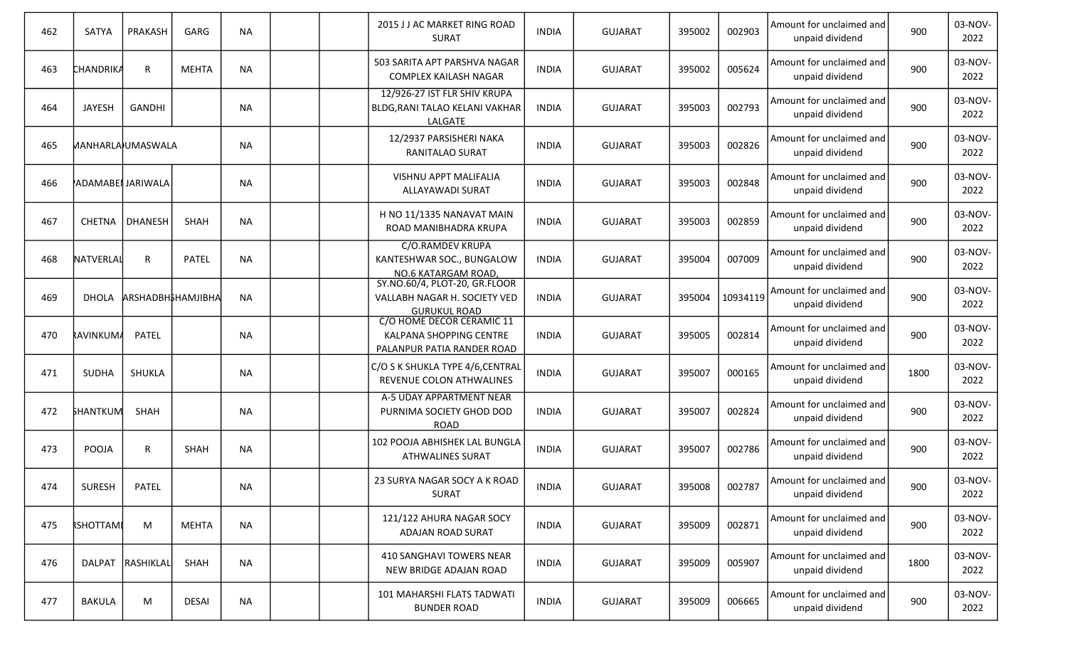| 462 | SATYA            | PRAKASH           | GARG              | <b>NA</b> |  | 2015 J J AC MARKET RING ROAD<br><b>SURAT</b>                                         | <b>INDIA</b> | <b>GUJARAT</b> | 395002 | 002903   | Amount for unclaimed and<br>unpaid dividend | 900  | 03-NOV-<br>2022 |
|-----|------------------|-------------------|-------------------|-----------|--|--------------------------------------------------------------------------------------|--------------|----------------|--------|----------|---------------------------------------------|------|-----------------|
| 463 | <b>CHANDRIKA</b> | R                 | <b>MEHTA</b>      | <b>NA</b> |  | 503 SARITA APT PARSHVA NAGAR<br>COMPLEX KAILASH NAGAR                                | <b>INDIA</b> | <b>GUJARAT</b> | 395002 | 005624   | Amount for unclaimed and<br>unpaid dividend | 900  | 03-NOV-<br>2022 |
| 464 | <b>JAYESH</b>    | <b>GANDHI</b>     |                   | <b>NA</b> |  | 12/926-27 IST FLR SHIV KRUPA<br>BLDG, RANI TALAO KELANI VAKHAR<br>LALGATE            | <b>INDIA</b> | <b>GUJARAT</b> | 395003 | 002793   | Amount for unclaimed and<br>unpaid dividend | 900  | 03-NOV-<br>2022 |
| 465 |                  | MANHARLA)UMASWALA |                   | <b>NA</b> |  | 12/2937 PARSISHERI NAKA<br>RANITALAO SURAT                                           | <b>INDIA</b> | <b>GUJARAT</b> | 395003 | 002826   | Amount for unclaimed and<br>unpaid dividend | 900  | 03-NOV-<br>2022 |
| 466 |                  | ADAMABEI JARIWALA |                   | <b>NA</b> |  | VISHNU APPT MALIFALIA<br>ALLAYAWADI SURAT                                            | <b>INDIA</b> | <b>GUJARAT</b> | 395003 | 002848   | Amount for unclaimed and<br>unpaid dividend | 900  | 03-NOV-<br>2022 |
| 467 | <b>CHETNA</b>    | <b>DHANESH</b>    | SHAH              | <b>NA</b> |  | H NO 11/1335 NANAVAT MAIN<br>ROAD MANIBHADRA KRUPA                                   | <b>INDIA</b> | <b>GUJARAT</b> | 395003 | 002859   | Amount for unclaimed and<br>unpaid dividend | 900  | 03-NOV-<br>2022 |
| 468 | NATVERLAL        | R                 | <b>PATEL</b>      | <b>NA</b> |  | C/O.RAMDEV KRUPA<br>KANTESHWAR SOC., BUNGALOW<br>NO.6 KATARGAM ROAD,                 | <b>INDIA</b> | <b>GUJARAT</b> | 395004 | 007009   | Amount for unclaimed and<br>unpaid dividend | 900  | 03-NOV-<br>2022 |
| 469 | <b>DHOLA</b>     |                   | ARSHADBH&HAMJIBHA | <b>NA</b> |  | SY.NO.60/4, PLOT-20, GR.FLOOR<br>VALLABH NAGAR H. SOCIETY VED<br><b>GURUKUL ROAD</b> | <b>INDIA</b> | <b>GUJARAT</b> | 395004 | 10934119 | Amount for unclaimed and<br>unpaid dividend | 900  | 03-NOV-<br>2022 |
| 470 | <b>RAVINKUMA</b> | <b>PATEL</b>      |                   | <b>NA</b> |  | C/O HOME DECOR CERAMIC 11<br>KALPANA SHOPPING CENTRE<br>PALANPUR PATIA RANDER ROAD   | <b>INDIA</b> | <b>GUJARAT</b> | 395005 | 002814   | Amount for unclaimed and<br>unpaid dividend | 900  | 03-NOV-<br>2022 |
| 471 | <b>SUDHA</b>     | SHUKLA            |                   | <b>NA</b> |  | C/O S K SHUKLA TYPE 4/6, CENTRAL<br>REVENUE COLON ATHWALINES                         | <b>INDIA</b> | <b>GUJARAT</b> | 395007 | 000165   | Amount for unclaimed and<br>unpaid dividend | 1800 | 03-NOV-<br>2022 |
| 472 | <b>SHANTKUM</b>  | SHAH              |                   | <b>NA</b> |  | A-5 UDAY APPARTMENT NEAR<br>PURNIMA SOCIETY GHOD DOD<br><b>ROAD</b>                  | <b>INDIA</b> | <b>GUJARAT</b> | 395007 | 002824   | Amount for unclaimed and<br>unpaid dividend | 900  | 03-NOV-<br>2022 |
| 473 | POOJA            | R                 | <b>SHAH</b>       | <b>NA</b> |  | 102 POOJA ABHISHEK LAL BUNGLA<br><b>ATHWALINES SURAT</b>                             | <b>INDIA</b> | <b>GUJARAT</b> | 395007 | 002786   | Amount for unclaimed and<br>unpaid dividend | 900  | 03-NOV-<br>2022 |
| 474 | SURESH           | PATEL             |                   | <b>NA</b> |  | 23 SURYA NAGAR SOCY A K ROAD<br>SURAT                                                | <b>INDIA</b> | <b>GUJARAT</b> | 395008 | 002787   | Amount for unclaimed and<br>unpaid dividend | 900  | 03-NOV-<br>2022 |
| 475 | <b>RSHOTTAMI</b> | M                 | MEHTA             | <b>NA</b> |  | 121/122 AHURA NAGAR SOCY<br>ADAJAN ROAD SURAT                                        | <b>INDIA</b> | <b>GUJARAT</b> | 395009 | 002871   | Amount for unclaimed and<br>unpaid dividend | 900  | 03-NOV-<br>2022 |
| 476 |                  | DALPAT RASHIKLAL  | SHAH              | <b>NA</b> |  | 410 SANGHAVI TOWERS NEAR<br>NEW BRIDGE ADAJAN ROAD                                   | <b>INDIA</b> | <b>GUJARAT</b> | 395009 | 005907   | Amount for unclaimed and<br>unpaid dividend | 1800 | 03-NOV-<br>2022 |
| 477 | <b>BAKULA</b>    | M                 | <b>DESAI</b>      | NA        |  | 101 MAHARSHI FLATS TADWATI<br><b>BUNDER ROAD</b>                                     | <b>INDIA</b> | <b>GUJARAT</b> | 395009 | 006665   | Amount for unclaimed and<br>unpaid dividend | 900  | 03-NOV-<br>2022 |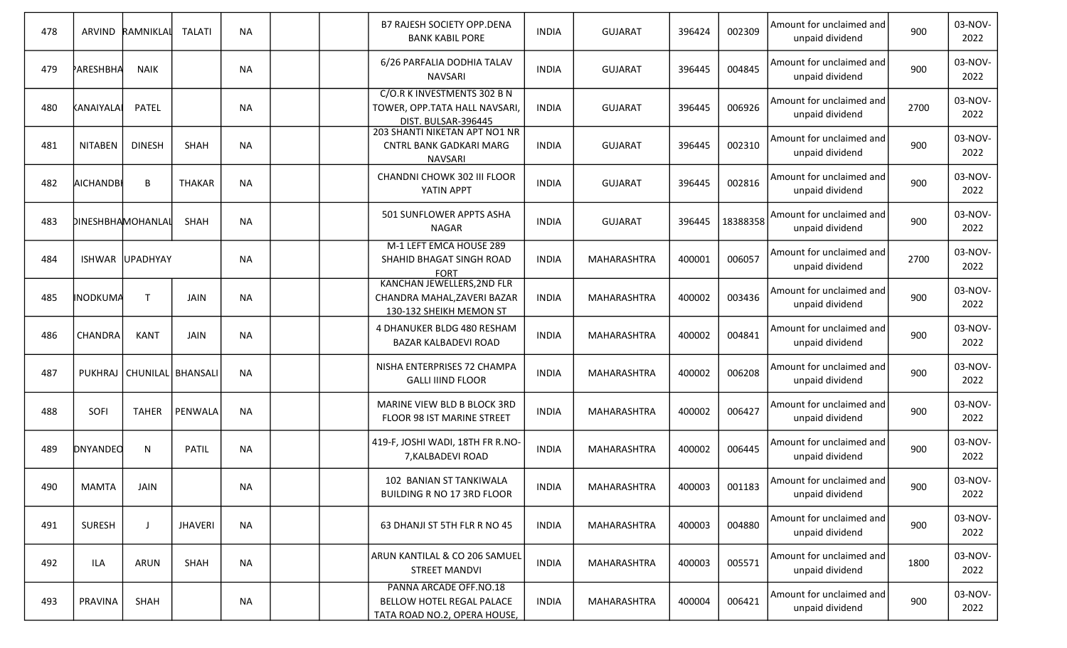| 478 |                   | ARVIND RAMNIKLAI | <b>TALATI</b>                 | <b>NA</b> |  | B7 RAJESH SOCIETY OPP.DENA<br><b>BANK KABIL PORE</b>                                        | <b>INDIA</b> | <b>GUJARAT</b>     | 396424 | 002309   | Amount for unclaimed and<br>unpaid dividend | 900  | 03-NOV-<br>2022 |
|-----|-------------------|------------------|-------------------------------|-----------|--|---------------------------------------------------------------------------------------------|--------------|--------------------|--------|----------|---------------------------------------------|------|-----------------|
| 479 | PARESHBHA         | <b>NAIK</b>      |                               | <b>NA</b> |  | 6/26 PARFALIA DODHIA TALAV<br><b>NAVSARI</b>                                                | <b>INDIA</b> | <b>GUJARAT</b>     | 396445 | 004845   | Amount for unclaimed and<br>unpaid dividend | 900  | 03-NOV-<br>2022 |
| 480 | KANAIYALAI        | <b>PATEL</b>     |                               | <b>NA</b> |  | C/O.R K INVESTMENTS 302 B N<br>TOWER, OPP.TATA HALL NAVSARI,<br>DIST. BULSAR-396445         | <b>INDIA</b> | <b>GUJARAT</b>     | 396445 | 006926   | Amount for unclaimed and<br>unpaid dividend | 2700 | 03-NOV-<br>2022 |
| 481 | <b>NITABEN</b>    | <b>DINESH</b>    | <b>SHAH</b>                   | <b>NA</b> |  | 203 SHANTI NIKETAN APT NO1 NR<br><b>CNTRL BANK GADKARI MARG</b><br><b>NAVSARI</b>           | <b>INDIA</b> | <b>GUJARAT</b>     | 396445 | 002310   | Amount for unclaimed and<br>unpaid dividend | 900  | 03-NOV-<br>2022 |
| 482 | <b>AICHANDBI</b>  | В                | <b>THAKAR</b>                 | <b>NA</b> |  | CHANDNI CHOWK 302 III FLOOR<br>YATIN APPT                                                   | <b>INDIA</b> | <b>GUJARAT</b>     | 396445 | 002816   | Amount for unclaimed and<br>unpaid dividend | 900  | 03-NOV-<br>2022 |
| 483 | DINESHBHAMOHANLAL |                  | SHAH                          | <b>NA</b> |  | 501 SUNFLOWER APPTS ASHA<br><b>NAGAR</b>                                                    | <b>INDIA</b> | <b>GUJARAT</b>     | 396445 | 18388358 | Amount for unclaimed and<br>unpaid dividend | 900  | 03-NOV-<br>2022 |
| 484 |                   | ISHWAR UPADHYAY  |                               | <b>NA</b> |  | M-1 LEFT EMCA HOUSE 289<br>SHAHID BHAGAT SINGH ROAD<br><b>FORT</b>                          | <b>INDIA</b> | MAHARASHTRA        | 400001 | 006057   | Amount for unclaimed and<br>unpaid dividend | 2700 | 03-NOV-<br>2022 |
| 485 | <b>INODKUMA</b>   | $\mathsf{T}$     | JAIN                          | <b>NA</b> |  | <b>KANCHAN JEWELLERS, 2ND FLR</b><br>CHANDRA MAHAL, ZAVERI BAZAR<br>130-132 SHEIKH MEMON ST | <b>INDIA</b> | MAHARASHTRA        | 400002 | 003436   | Amount for unclaimed and<br>unpaid dividend | 900  | 03-NOV-<br>2022 |
| 486 | <b>CHANDRA</b>    | KANT             | JAIN                          | <b>NA</b> |  | 4 DHANUKER BLDG 480 RESHAM<br><b>BAZAR KALBADEVI ROAD</b>                                   | <b>INDIA</b> | MAHARASHTRA        | 400002 | 004841   | Amount for unclaimed and<br>unpaid dividend | 900  | 03-NOV-<br>2022 |
| 487 |                   |                  | PUKHRAJ   CHUNILAL   BHANSALI | <b>NA</b> |  | NISHA ENTERPRISES 72 CHAMPA<br><b>GALLI IIIND FLOOR</b>                                     | <b>INDIA</b> | MAHARASHTRA        | 400002 | 006208   | Amount for unclaimed and<br>unpaid dividend | 900  | 03-NOV-<br>2022 |
| 488 | SOFI              | <b>TAHER</b>     | PENWALA                       | <b>NA</b> |  | MARINE VIEW BLD B BLOCK 3RD<br>FLOOR 98 IST MARINE STREET                                   | <b>INDIA</b> | MAHARASHTRA        | 400002 | 006427   | Amount for unclaimed and<br>unpaid dividend | 900  | 03-NOV-<br>2022 |
| 489 | <b>DNYANDEO</b>   | N                | <b>PATIL</b>                  | <b>NA</b> |  | 419-F, JOSHI WADI, 18TH FR R.NO-<br>7, KALBADEVI ROAD                                       | <b>INDIA</b> | MAHARASHTRA        | 400002 | 006445   | Amount for unclaimed and<br>unpaid dividend | 900  | 03-NOV-<br>2022 |
| 490 | MAMTA             | <b>JAIN</b>      |                               | <b>NA</b> |  | 102 BANIAN ST TANKIWALA<br>BUILDING R NO 17 3RD FLOOR                                       | <b>INDIA</b> | MAHARASHTRA        | 400003 | 001183   | Amount for unclaimed and<br>unpaid dividend | 900  | 03-NOV-<br>2022 |
| 491 | <b>SURESH</b>     |                  | <b>JHAVERI</b>                | <b>NA</b> |  | 63 DHANJI ST 5TH FLR R NO 45                                                                | <b>INDIA</b> | MAHARASHTRA        | 400003 | 004880   | Amount for unclaimed and<br>unpaid dividend | 900  | 03-NOV-<br>2022 |
| 492 | ILA               | <b>ARUN</b>      | SHAH                          | <b>NA</b> |  | ARUN KANTILAL & CO 206 SAMUEL<br><b>STREET MANDVI</b>                                       | <b>INDIA</b> | <b>MAHARASHTRA</b> | 400003 | 005571   | Amount for unclaimed and<br>unpaid dividend | 1800 | 03-NOV-<br>2022 |
| 493 | PRAVINA           | SHAH             |                               | ΝA        |  | PANNA ARCADE OFF.NO.18<br>BELLOW HOTEL REGAL PALACE<br>TATA ROAD NO.2, OPERA HOUSE,         | <b>INDIA</b> | <b>MAHARASHTRA</b> | 400004 | 006421   | Amount for unclaimed and<br>unpaid dividend | 900  | 03-NOV-<br>2022 |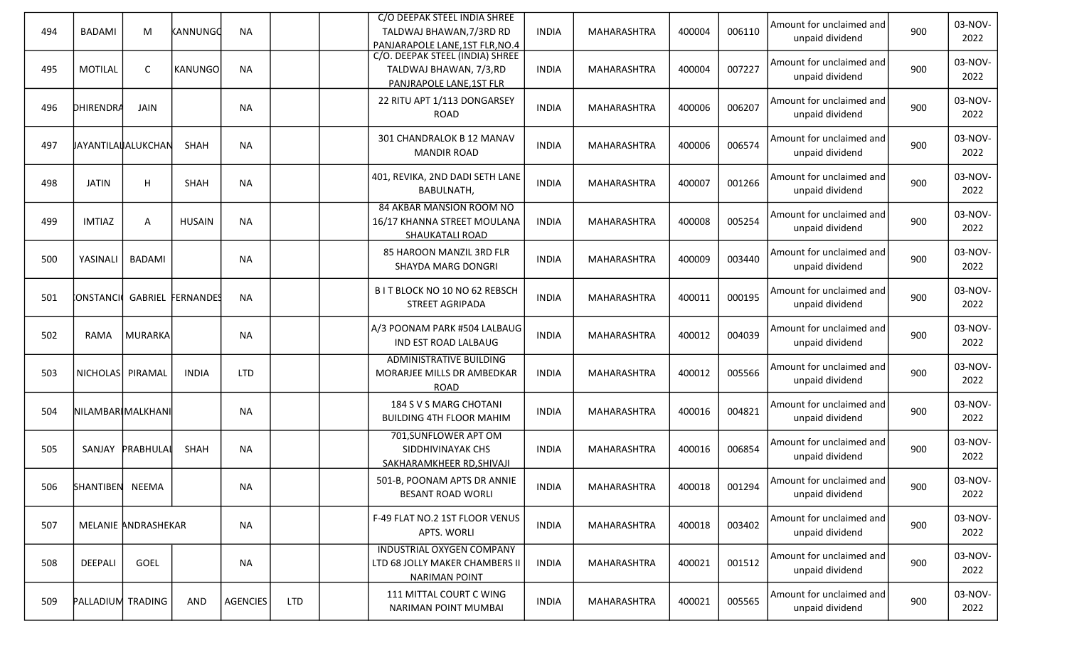| 494 | <b>BADAMI</b>            | M                   | KANNUNGO          | <b>NA</b>       |            | C/O DEEPAK STEEL INDIA SHREE<br>TALDWAJ BHAWAN, 7/3RD RD<br>PANJARAPOLE LANE, 1ST FLR, NO.4 | <b>INDIA</b> | MAHARASHTRA        | 400004 | 006110 | Amount for unclaimed and<br>unpaid dividend | 900 | 03-NOV-<br>2022 |
|-----|--------------------------|---------------------|-------------------|-----------------|------------|---------------------------------------------------------------------------------------------|--------------|--------------------|--------|--------|---------------------------------------------|-----|-----------------|
| 495 | <b>MOTILAL</b>           | C                   | <b>KANUNGO</b>    | <b>NA</b>       |            | C/O. DEEPAK STEEL (INDIA) SHREE<br>TALDWAJ BHAWAN, 7/3,RD<br>PANJRAPOLE LANE, 1ST FLR       | <b>INDIA</b> | MAHARASHTRA        | 400004 | 007227 | Amount for unclaimed and<br>unpaid dividend | 900 | 03-NOV-<br>2022 |
| 496 | DHIRENDRA                | JAIN                |                   | <b>NA</b>       |            | 22 RITU APT 1/113 DONGARSEY<br><b>ROAD</b>                                                  | <b>INDIA</b> | MAHARASHTRA        | 400006 | 006207 | Amount for unclaimed and<br>unpaid dividend | 900 | 03-NOV-<br>2022 |
| 497 | JAYANTILAUALUKCHAN       |                     | SHAH              | <b>NA</b>       |            | 301 CHANDRALOK B 12 MANAV<br><b>MANDIR ROAD</b>                                             | <b>INDIA</b> | MAHARASHTRA        | 400006 | 006574 | Amount for unclaimed and<br>unpaid dividend | 900 | 03-NOV-<br>2022 |
| 498 | <b>JATIN</b>             | н                   | SHAH              | <b>NA</b>       |            | 401, REVIKA, 2ND DADI SETH LANE<br>BABULNATH,                                               | INDIA        | MAHARASHTRA        | 400007 | 001266 | Amount for unclaimed and<br>unpaid dividend | 900 | 03-NOV-<br>2022 |
| 499 | <b>IMTIAZ</b>            | Α                   | <b>HUSAIN</b>     | <b>NA</b>       |            | 84 AKBAR MANSION ROOM NO<br>16/17 KHANNA STREET MOULANA<br>SHAUKATALI ROAD                  | <b>INDIA</b> | MAHARASHTRA        | 400008 | 005254 | Amount for unclaimed and<br>unpaid dividend | 900 | 03-NOV-<br>2022 |
| 500 | YASINALI                 | <b>BADAMI</b>       |                   | <b>NA</b>       |            | 85 HAROON MANZIL 3RD FLR<br>SHAYDA MARG DONGRI                                              | <b>INDIA</b> | <b>MAHARASHTRA</b> | 400009 | 003440 | Amount for unclaimed and<br>unpaid dividend | 900 | 03-NOV-<br>2022 |
| 501 | <b>CONSTANCION</b>       |                     | GABRIEL FERNANDES | <b>NA</b>       |            | B I T BLOCK NO 10 NO 62 REBSCH<br><b>STREET AGRIPADA</b>                                    | <b>INDIA</b> | <b>MAHARASHTRA</b> | 400011 | 000195 | Amount for unclaimed and<br>unpaid dividend | 900 | 03-NOV-<br>2022 |
| 502 | RAMA                     | MURARKA             |                   | <b>NA</b>       |            | A/3 POONAM PARK #504 LALBAUG<br>IND EST ROAD LALBAUG                                        | <b>INDIA</b> | MAHARASHTRA        | 400012 | 004039 | Amount for unclaimed and<br>unpaid dividend | 900 | 03-NOV-<br>2022 |
| 503 | NICHOLAS PIRAMAL         |                     | <b>INDIA</b>      | <b>LTD</b>      |            | <b>ADMINISTRATIVE BUILDING</b><br>MORARJEE MILLS DR AMBEDKAR<br><b>ROAD</b>                 | INDIA        | MAHARASHTRA        | 400012 | 005566 | Amount for unclaimed and<br>unpaid dividend | 900 | 03-NOV-<br>2022 |
| 504 | NILAMBARIMALKHANI        |                     |                   | <b>NA</b>       |            | 184 S V S MARG CHOTANI<br><b>BUILDING 4TH FLOOR MAHIM</b>                                   | INDIA        | MAHARASHTRA        | 400016 | 004821 | Amount for unclaimed and<br>unpaid dividend | 900 | 03-NOV-<br>2022 |
| 505 | SANJAY                   | PRABHULAI           | SHAH              | <b>NA</b>       |            | 701, SUNFLOWER APT OM<br>SIDDHIVINAYAK CHS<br>SAKHARAMKHEER RD, SHIVAJI                     | <b>INDIA</b> | MAHARASHTRA        | 400016 | 006854 | Amount for unclaimed and<br>unpaid dividend | 900 | 03-NOV-<br>2022 |
| 506 | SHANTIBEN NEEMA          |                     |                   | <b>NA</b>       |            | 501-B, POONAM APTS DR ANNIE<br><b>BESANT ROAD WORLI</b>                                     | <b>INDIA</b> | MAHARASHTRA        | 400018 | 001294 | Amount for unclaimed and<br>unpaid dividend | 900 | 03-NOV-<br>2022 |
| 507 |                          | MELANIE ANDRASHEKAR |                   | <b>NA</b>       |            | F-49 FLAT NO.2 1ST FLOOR VENUS<br>APTS. WORLI                                               | <b>INDIA</b> | <b>MAHARASHTRA</b> | 400018 | 003402 | Amount for unclaimed and<br>unpaid dividend | 900 | 03-NOV-<br>2022 |
| 508 | DEEPALI                  | GOEL                |                   | <b>NA</b>       |            | <b>INDUSTRIAL OXYGEN COMPANY</b><br>LTD 68 JOLLY MAKER CHAMBERS II<br><b>NARIMAN POINT</b>  | <b>INDIA</b> | MAHARASHTRA        | 400021 | 001512 | Amount for unclaimed and<br>unpaid dividend | 900 | 03-NOV-<br>2022 |
| 509 | <b>PALLADIUM TRADING</b> |                     | <b>AND</b>        | <b>AGENCIES</b> | <b>LTD</b> | 111 MITTAL COURT C WING<br>NARIMAN POINT MUMBAI                                             | <b>INDIA</b> | MAHARASHTRA        | 400021 | 005565 | Amount for unclaimed and<br>unpaid dividend | 900 | 03-NOV-<br>2022 |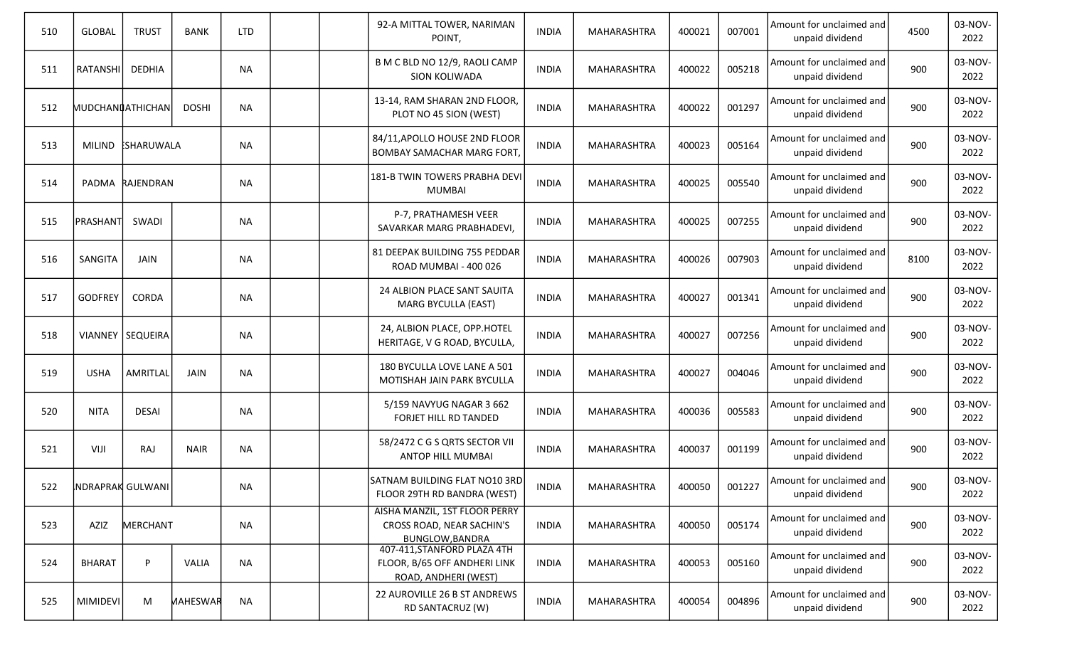| 510 | <b>GLOBAL</b>    | <b>TRUST</b>       | <b>BANK</b>     | <b>LTD</b> |  | 92-A MITTAL TOWER, NARIMAN<br>POINT,                                                 | <b>INDIA</b> | <b>MAHARASHTRA</b> | 400021 | 007001 | Amount for unclaimed and<br>unpaid dividend | 4500 | 03-NOV-<br>2022 |
|-----|------------------|--------------------|-----------------|------------|--|--------------------------------------------------------------------------------------|--------------|--------------------|--------|--------|---------------------------------------------|------|-----------------|
| 511 | RATANSHI         | DEDHIA             |                 | <b>NA</b>  |  | B M C BLD NO 12/9, RAOLI CAMP<br><b>SION KOLIWADA</b>                                | <b>INDIA</b> | MAHARASHTRA        | 400022 | 005218 | Amount for unclaimed and<br>unpaid dividend | 900  | 03-NOV-<br>2022 |
| 512 |                  | MUDCHANIATHICHANI  | <b>DOSHI</b>    | <b>NA</b>  |  | 13-14, RAM SHARAN 2ND FLOOR,<br>PLOT NO 45 SION (WEST)                               | <b>INDIA</b> | MAHARASHTRA        | 400022 | 001297 | Amount for unclaimed and<br>unpaid dividend | 900  | 03-NOV-<br>2022 |
| 513 |                  | MILIND ESHARUWALA  |                 | <b>NA</b>  |  | 84/11, APOLLO HOUSE 2ND FLOOR<br>BOMBAY SAMACHAR MARG FORT,                          | <b>INDIA</b> | MAHARASHTRA        | 400023 | 005164 | Amount for unclaimed and<br>unpaid dividend | 900  | 03-NOV-<br>2022 |
| 514 |                  | PADMA RAJENDRAN    |                 | <b>NA</b>  |  | 181-B TWIN TOWERS PRABHA DEVI<br><b>MUMBAI</b>                                       | <b>INDIA</b> | MAHARASHTRA        | 400025 | 005540 | Amount for unclaimed and<br>unpaid dividend | 900  | 03-NOV-<br>2022 |
| 515 | Iprashantl       | SWADI              |                 | <b>NA</b>  |  | P-7, PRATHAMESH VEER<br>SAVARKAR MARG PRABHADEVI,                                    | <b>INDIA</b> | MAHARASHTRA        | 400025 | 007255 | Amount for unclaimed and<br>unpaid dividend | 900  | 03-NOV-<br>2022 |
| 516 | SANGITA          | JAIN               |                 | <b>NA</b>  |  | 81 DEEPAK BUILDING 755 PEDDAR<br>ROAD MUMBAI - 400 026                               | <b>INDIA</b> | <b>MAHARASHTRA</b> | 400026 | 007903 | Amount for unclaimed and<br>unpaid dividend | 8100 | 03-NOV-<br>2022 |
| 517 | <b>GODFREY</b>   | CORDA              |                 | <b>NA</b>  |  | 24 ALBION PLACE SANT SAUITA<br><b>MARG BYCULLA (EAST)</b>                            | <b>INDIA</b> | MAHARASHTRA        | 400027 | 001341 | Amount for unclaimed and<br>unpaid dividend | 900  | 03-NOV-<br>2022 |
| 518 |                  | VIANNEY   SEQUEIRA |                 | <b>NA</b>  |  | 24, ALBION PLACE, OPP.HOTEL<br>HERITAGE, V G ROAD, BYCULLA,                          | <b>INDIA</b> | MAHARASHTRA        | 400027 | 007256 | Amount for unclaimed and<br>unpaid dividend | 900  | 03-NOV-<br>2022 |
| 519 | <b>USHA</b>      | AMRITLAL           | JAIN            | <b>NA</b>  |  | 180 BYCULLA LOVE LANE A 501<br>MOTISHAH JAIN PARK BYCULLA                            | <b>INDIA</b> | MAHARASHTRA        | 400027 | 004046 | Amount for unclaimed and<br>unpaid dividend | 900  | 03-NOV-<br>2022 |
| 520 | <b>NITA</b>      | <b>DESAI</b>       |                 | <b>NA</b>  |  | 5/159 NAVYUG NAGAR 3 662<br>FORJET HILL RD TANDED                                    | <b>INDIA</b> | MAHARASHTRA        | 400036 | 005583 | Amount for unclaimed and<br>unpaid dividend | 900  | 03-NOV-<br>2022 |
| 521 | VIJI             | RAJ                | <b>NAIR</b>     | <b>NA</b>  |  | 58/2472 C G S QRTS SECTOR VII<br>ANTOP HILL MUMBAI                                   | <b>INDIA</b> | <b>MAHARASHTRA</b> | 400037 | 001199 | Amount for unclaimed and<br>unpaid dividend | 900  | 03-NOV-<br>2022 |
| 522 | NDRAPRAK GULWANI |                    |                 | <b>NA</b>  |  | SATNAM BUILDING FLAT NO10 3RD<br>FLOOR 29TH RD BANDRA (WEST)                         | <b>INDIA</b> | MAHARASHTRA        | 400050 | 001227 | Amount for unclaimed and<br>unpaid dividend | 900  | 03-NOV-<br>2022 |
| 523 | AZIZ             | MERCHANT           |                 | <b>NA</b>  |  | AISHA MANZIL, 1ST FLOOR PERRY<br>CROSS ROAD, NEAR SACHIN'S<br><b>BUNGLOW, BANDRA</b> | <b>INDIA</b> | MAHARASHTRA        | 400050 | 005174 | Amount for unclaimed and<br>unpaid dividend | 900  | 03-NOV-<br>2022 |
| 524 | BHARAT           | P                  | VALIA           | <b>NA</b>  |  | 407-411, STANFORD PLAZA 4TH<br>FLOOR, B/65 OFF ANDHERI LINK<br>ROAD, ANDHERI (WEST)  | <b>INDIA</b> | MAHARASHTRA        | 400053 | 005160 | Amount for unclaimed and<br>unpaid dividend | 900  | 03-NOV-<br>2022 |
| 525 | MIMIDEVI         | M                  | <b>MAHESWAR</b> | <b>NA</b>  |  | 22 AUROVILLE 26 B ST ANDREWS<br>RD SANTACRUZ (W)                                     | <b>INDIA</b> | MAHARASHTRA        | 400054 | 004896 | Amount for unclaimed and<br>unpaid dividend | 900  | 03-NOV-<br>2022 |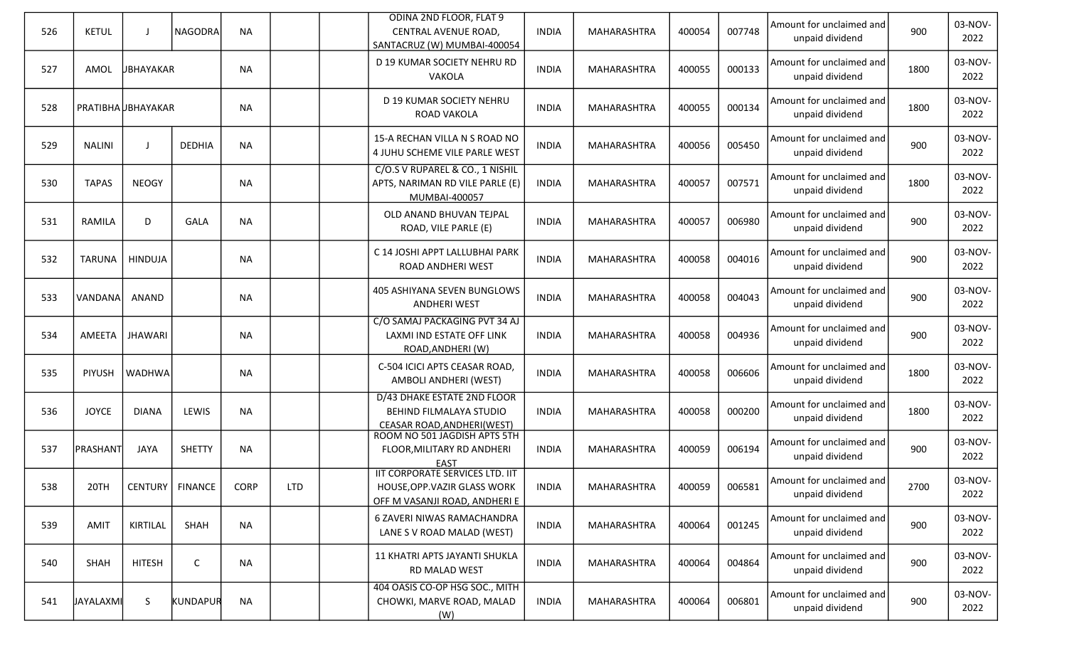| 526 | <b>KETUL</b>       |                  | <b>NAGODRA</b>    | <b>NA</b> |            | <b>ODINA 2ND FLOOR, FLAT 9</b><br>CENTRAL AVENUE ROAD,<br>SANTACRUZ (W) MUMBAI-400054            | <b>INDIA</b> | <b>MAHARASHTRA</b> | 400054 | 007748 | Amount for unclaimed and<br>unpaid dividend | 900  | 03-NOV-<br>2022 |
|-----|--------------------|------------------|-------------------|-----------|------------|--------------------------------------------------------------------------------------------------|--------------|--------------------|--------|--------|---------------------------------------------|------|-----------------|
| 527 | AMOL               | <b>UBHAYAKAR</b> |                   | <b>NA</b> |            | D 19 KUMAR SOCIETY NEHRU RD<br>VAKOLA                                                            | <b>INDIA</b> | MAHARASHTRA        | 400055 | 000133 | Amount for unclaimed and<br>unpaid dividend | 1800 | 03-NOV-<br>2022 |
| 528 | PRATIBHA UBHAYAKAR |                  |                   | <b>NA</b> |            | D 19 KUMAR SOCIETY NEHRU<br>ROAD VAKOLA                                                          | <b>INDIA</b> | MAHARASHTRA        | 400055 | 000134 | Amount for unclaimed and<br>unpaid dividend | 1800 | 03-NOV-<br>2022 |
| 529 | <b>NALINI</b>      |                  | <b>DEDHIA</b>     | <b>NA</b> |            | 15-A RECHAN VILLA N S ROAD NO<br>4 JUHU SCHEME VILE PARLE WEST                                   | <b>INDIA</b> | MAHARASHTRA        | 400056 | 005450 | Amount for unclaimed and<br>unpaid dividend | 900  | 03-NOV-<br>2022 |
| 530 | <b>TAPAS</b>       | <b>NEOGY</b>     |                   | <b>NA</b> |            | C/O.S V RUPAREL & CO., 1 NISHIL<br>APTS, NARIMAN RD VILE PARLE (E)<br>MUMBAI-400057              | <b>INDIA</b> | MAHARASHTRA        | 400057 | 007571 | Amount for unclaimed and<br>unpaid dividend | 1800 | 03-NOV-<br>2022 |
| 531 | RAMILA             | D                | <b>GALA</b>       | <b>NA</b> |            | OLD ANAND BHUVAN TEJPAL<br>ROAD, VILE PARLE (E)                                                  | <b>INDIA</b> | MAHARASHTRA        | 400057 | 006980 | Amount for unclaimed and<br>unpaid dividend | 900  | 03-NOV-<br>2022 |
| 532 | TARUNA             | HINDUJA          |                   | <b>NA</b> |            | C 14 JOSHI APPT LALLUBHAI PARK<br>ROAD ANDHERI WEST                                              | <b>INDIA</b> | <b>MAHARASHTRA</b> | 400058 | 004016 | Amount for unclaimed and<br>unpaid dividend | 900  | 03-NOV-<br>2022 |
| 533 | VANDANA            | ANAND            |                   | <b>NA</b> |            | 405 ASHIYANA SEVEN BUNGLOWS<br><b>ANDHERI WEST</b>                                               | <b>INDIA</b> | MAHARASHTRA        | 400058 | 004043 | Amount for unclaimed and<br>unpaid dividend | 900  | 03-NOV-<br>2022 |
| 534 | AMEETA             | <b>JHAWARI</b>   |                   | <b>NA</b> |            | C/O SAMAJ PACKAGING PVT 34 AJ<br>LAXMI IND ESTATE OFF LINK<br>ROAD, ANDHERI (W)                  | <b>INDIA</b> | MAHARASHTRA        | 400058 | 004936 | Amount for unclaimed and<br>unpaid dividend | 900  | 03-NOV-<br>2022 |
| 535 | <b>PIYUSH</b>      | <b>WADHWA</b>    |                   | <b>NA</b> |            | C-504 ICICI APTS CEASAR ROAD,<br>AMBOLI ANDHERI (WEST)                                           | <b>INDIA</b> | MAHARASHTRA        | 400058 | 006606 | Amount for unclaimed and<br>unpaid dividend | 1800 | 03-NOV-<br>2022 |
| 536 | <b>JOYCE</b>       | <b>DIANA</b>     | LEWIS             | <b>NA</b> |            | D/43 DHAKE ESTATE 2ND FLOOR<br>BEHIND FILMALAYA STUDIO<br>CEASAR ROAD, ANDHERI (WEST)            | <b>INDIA</b> | MAHARASHTRA        | 400058 | 000200 | Amount for unclaimed and<br>unpaid dividend | 1800 | 03-NOV-<br>2022 |
| 537 | PRASHANT           | <b>JAYA</b>      | <b>SHETTY</b>     | <b>NA</b> |            | ROOM NO 501 JAGDISH APTS 5TH<br>FLOOR, MILITARY RD ANDHERI<br><b>EAST</b>                        | <b>INDIA</b> | <b>MAHARASHTRA</b> | 400059 | 006194 | Amount for unclaimed and<br>unpaid dividend | 900  | 03-NOV-<br>2022 |
| 538 | 20TH               |                  | CENTURY   FINANCE | CORP      | <b>LTD</b> | IIT CORPORATE SERVICES LTD. IIT<br>HOUSE, OPP. VAZIR GLASS WORK<br>OFF M VASANJI ROAD, ANDHERI E | <b>INDIA</b> | MAHARASHTRA        | 400059 | 006581 | Amount for unclaimed and<br>unpaid dividend | 2700 | 03-NOV-<br>2022 |
| 539 | AMIT               | KIRTILAL         | SHAH              | <b>NA</b> |            | 6 ZAVERI NIWAS RAMACHANDRA<br>LANE S V ROAD MALAD (WEST)                                         | <b>INDIA</b> | MAHARASHTRA        | 400064 | 001245 | Amount for unclaimed and<br>unpaid dividend | 900  | 03-NOV-<br>2022 |
| 540 | SHAH               | <b>HITESH</b>    | $\mathsf{C}$      | <b>NA</b> |            | 11 KHATRI APTS JAYANTI SHUKLA<br>RD MALAD WEST                                                   | <b>INDIA</b> | MAHARASHTRA        | 400064 | 004864 | Amount for unclaimed and<br>unpaid dividend | 900  | 03-NOV-<br>2022 |
| 541 | JAYALAXMI          | S                | KUNDAPUR          | <b>NA</b> |            | 404 OASIS CO-OP HSG SOC., MITH<br>CHOWKI, MARVE ROAD, MALAD<br>(W)                               | <b>INDIA</b> | <b>MAHARASHTRA</b> | 400064 | 006801 | Amount for unclaimed and<br>unpaid dividend | 900  | 03-NOV-<br>2022 |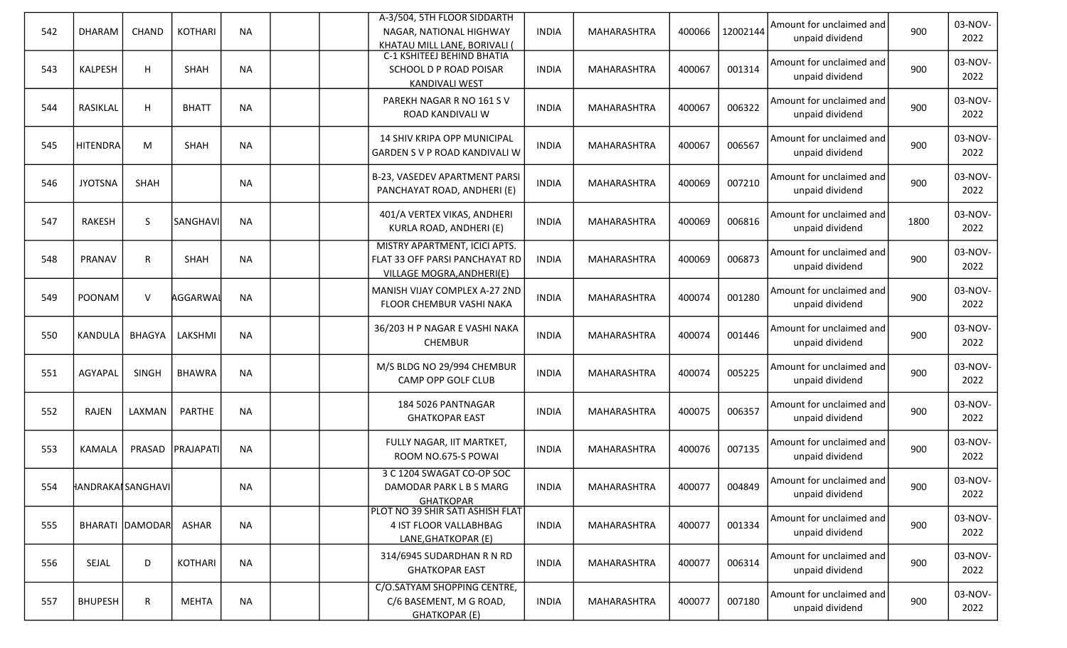| 542 | <b>DHARAM</b>      | CHAND           | <b>KOTHARI</b> | <b>NA</b> | A-3/504, 5TH FLOOR SIDDARTH<br>NAGAR, NATIONAL HIGHWAY<br>KHATAU MILL LANE, BORIVALI (       | <b>INDIA</b> | MAHARASHTRA        | 400066 | 12002144 | Amount for unclaimed and<br>unpaid dividend | 900  | 03-NOV-<br>2022 |
|-----|--------------------|-----------------|----------------|-----------|----------------------------------------------------------------------------------------------|--------------|--------------------|--------|----------|---------------------------------------------|------|-----------------|
| 543 | KALPESH            | H               | <b>SHAH</b>    | <b>NA</b> | <b>C-1 KSHITEEJ BEHIND BHATIA</b><br>SCHOOL D P ROAD POISAR<br><b>KANDIVALI WEST</b>         | <b>INDIA</b> | MAHARASHTRA        | 400067 | 001314   | Amount for unclaimed and<br>unpaid dividend | 900  | 03-NOV-<br>2022 |
| 544 | RASIKLAL           | H               | <b>BHATT</b>   | <b>NA</b> | PAREKH NAGAR R NO 161 S V<br>ROAD KANDIVALI W                                                | <b>INDIA</b> | MAHARASHTRA        | 400067 | 006322   | Amount for unclaimed and<br>unpaid dividend | 900  | 03-NOV-<br>2022 |
| 545 | <b>HITENDRA</b>    | M               | <b>SHAH</b>    | <b>NA</b> | 14 SHIV KRIPA OPP MUNICIPAL<br>GARDEN S V P ROAD KANDIVALI W                                 | <b>INDIA</b> | MAHARASHTRA        | 400067 | 006567   | Amount for unclaimed and<br>unpaid dividend | 900  | 03-NOV-<br>2022 |
| 546 | <b>JYOTSNA</b>     | SHAH            |                | <b>NA</b> | B-23, VASEDEV APARTMENT PARSI<br>PANCHAYAT ROAD, ANDHERI (E)                                 | <b>INDIA</b> | MAHARASHTRA        | 400069 | 007210   | Amount for unclaimed and<br>unpaid dividend | 900  | 03-NOV-<br>2022 |
| 547 | RAKESH             | S               | SANGHAVI       | <b>NA</b> | 401/A VERTEX VIKAS, ANDHERI<br>KURLA ROAD, ANDHERI (E)                                       | <b>INDIA</b> | MAHARASHTRA        | 400069 | 006816   | Amount for unclaimed and<br>unpaid dividend | 1800 | 03-NOV-<br>2022 |
| 548 | PRANAV             | R               | <b>SHAH</b>    | <b>NA</b> | MISTRY APARTMENT, ICICI APTS.<br>FLAT 33 OFF PARSI PANCHAYAT RD<br>VILLAGE MOGRA, ANDHERI(E) | <b>INDIA</b> | MAHARASHTRA        | 400069 | 006873   | Amount for unclaimed and<br>unpaid dividend | 900  | 03-NOV-<br>2022 |
| 549 | POONAM             | $\vee$          | AGGARWAL       | <b>NA</b> | MANISH VIJAY COMPLEX A-27 2ND<br>FLOOR CHEMBUR VASHI NAKA                                    | <b>INDIA</b> | <b>MAHARASHTRA</b> | 400074 | 001280   | Amount for unclaimed and<br>unpaid dividend | 900  | 03-NOV-<br>2022 |
| 550 | KANDULA            | BHAGYA          | LAKSHMI        | <b>NA</b> | 36/203 H P NAGAR E VASHI NAKA<br><b>CHEMBUR</b>                                              | <b>INDIA</b> | MAHARASHTRA        | 400074 | 001446   | Amount for unclaimed and<br>unpaid dividend | 900  | 03-NOV-<br>2022 |
| 551 | AGYAPAL            | <b>SINGH</b>    | <b>BHAWRA</b>  | <b>NA</b> | M/S BLDG NO 29/994 CHEMBUR<br>CAMP OPP GOLF CLUB                                             | <b>INDIA</b> | MAHARASHTRA        | 400074 | 005225   | Amount for unclaimed and<br>unpaid dividend | 900  | 03-NOV-<br>2022 |
| 552 | RAJEN              | LAXMAN          | <b>PARTHE</b>  | <b>NA</b> | 184 5026 PANTNAGAR<br><b>GHATKOPAR EAST</b>                                                  | <b>INDIA</b> | MAHARASHTRA        | 400075 | 006357   | Amount for unclaimed and<br>unpaid dividend | 900  | 03-NOV-<br>2022 |
| 553 | KAMALA             | PRASAD          | PRAJAPATI      | <b>NA</b> | FULLY NAGAR, IIT MARTKET,<br>ROOM NO.675-S POWAI                                             | <b>INDIA</b> | MAHARASHTRA        | 400076 | 007135   | Amount for unclaimed and<br>unpaid dividend | 900  | 03-NOV-<br>2022 |
| 554 | HANDRAKAI SANGHAVI |                 |                | <b>NA</b> | 3 C 1204 SWAGAT CO-OP SOC<br>DAMODAR PARK L B S MARG<br><b>GHATKOPAR</b>                     | <b>INDIA</b> | MAHARASHTRA        | 400077 | 004849   | Amount for unclaimed and<br>unpaid dividend | 900  | 03-NOV-<br>2022 |
| 555 |                    | BHARATI DAMODAR | ASHAR          | <b>NA</b> | PLOT NO 39 SHIR SATI ASHISH FLAT<br>4 IST FLOOR VALLABHBAG<br>LANE, GHATKOPAR (E)            | <b>INDIA</b> | MAHARASHTRA        | 400077 | 001334   | Amount for unclaimed and<br>unpaid dividend | 900  | 03-NOV-<br>2022 |
| 556 | SEJAL              | D               | KOTHARI        | <b>NA</b> | 314/6945 SUDARDHAN R N RD<br><b>GHATKOPAR EAST</b>                                           | <b>INDIA</b> | MAHARASHTRA        | 400077 | 006314   | Amount for unclaimed and<br>unpaid dividend | 900  | 03-NOV-<br>2022 |
| 557 | <b>BHUPESH</b>     | R               | <b>MEHTA</b>   | <b>NA</b> | C/O.SATYAM SHOPPING CENTRE,<br>C/6 BASEMENT, M G ROAD,<br><b>GHATKOPAR (E)</b>               | <b>INDIA</b> | MAHARASHTRA        | 400077 | 007180   | Amount for unclaimed and<br>unpaid dividend | 900  | 03-NOV-<br>2022 |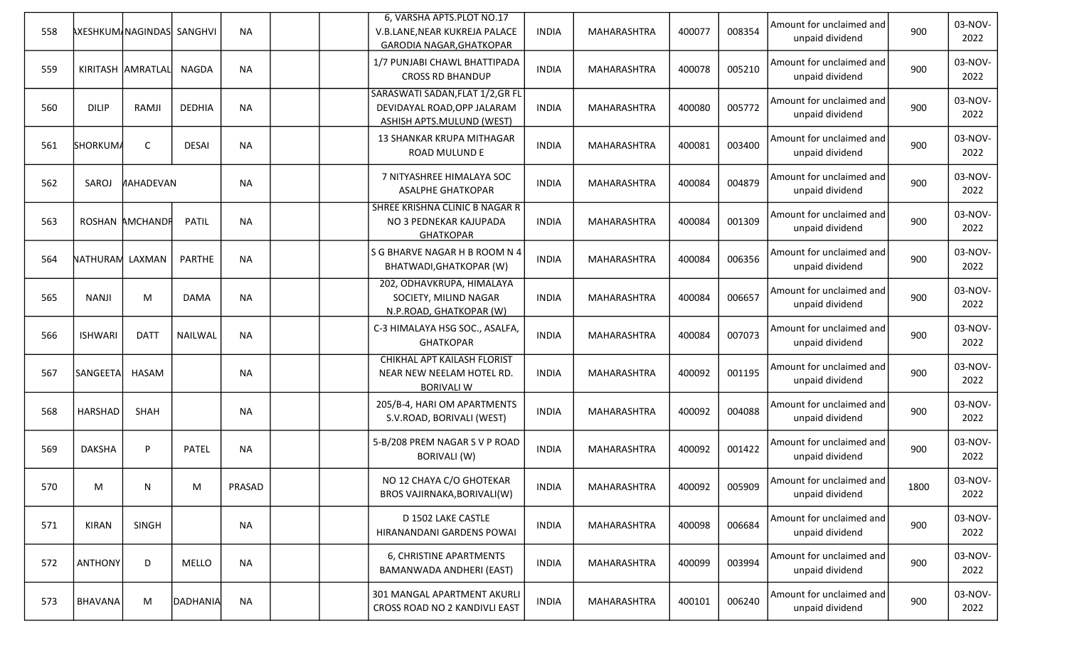| 558 |                 | AXESHKUM/NAGINDAS SANGHVI |               | <b>NA</b> |  | 6, VARSHA APTS.PLOT NO.17<br>V.B.LANE, NEAR KUKREJA PALACE<br><b>GARODIA NAGAR, GHATKOPAR</b>       | <b>INDIA</b> | MAHARASHTRA | 400077 | 008354 | Amount for unclaimed and<br>unpaid dividend | 900  | 03-NOV-<br>2022 |
|-----|-----------------|---------------------------|---------------|-----------|--|-----------------------------------------------------------------------------------------------------|--------------|-------------|--------|--------|---------------------------------------------|------|-----------------|
| 559 |                 | KIRITASH AMRATLAL         | <b>NAGDA</b>  | <b>NA</b> |  | 1/7 PUNJABI CHAWL BHATTIPADA<br><b>CROSS RD BHANDUP</b>                                             | <b>INDIA</b> | MAHARASHTRA | 400078 | 005210 | Amount for unclaimed and<br>unpaid dividend | 900  | 03-NOV-<br>2022 |
| 560 | <b>DILIP</b>    | RAMJI                     | <b>DEDHIA</b> | <b>NA</b> |  | SARASWATI SADAN, FLAT 1/2, GR FL<br>DEVIDAYAL ROAD, OPP JALARAM<br><b>ASHISH APTS.MULUND (WEST)</b> | <b>INDIA</b> | MAHARASHTRA | 400080 | 005772 | Amount for unclaimed and<br>unpaid dividend | 900  | 03-NOV-<br>2022 |
| 561 | SHORKUMA        | $\mathsf C$               | <b>DESAI</b>  | <b>NA</b> |  | 13 SHANKAR KRUPA MITHAGAR<br>ROAD MULUND E                                                          | <b>INDIA</b> | MAHARASHTRA | 400081 | 003400 | Amount for unclaimed and<br>unpaid dividend | 900  | 03-NOV-<br>2022 |
| 562 | SAROJ           | <b>AHADEVAN</b>           |               | <b>NA</b> |  | 7 NITYASHREE HIMALAYA SOC<br><b>ASALPHE GHATKOPAR</b>                                               | <b>INDIA</b> | MAHARASHTRA | 400084 | 004879 | Amount for unclaimed and<br>unpaid dividend | 900  | 03-NOV-<br>2022 |
| 563 |                 | ROSHAN AMCHANDR           | <b>PATIL</b>  | <b>NA</b> |  | SHREE KRISHNA CLINIC B NAGAR R<br>NO 3 PEDNEKAR KAJUPADA<br><b>GHATKOPAR</b>                        | <b>INDIA</b> | MAHARASHTRA | 400084 | 001309 | Amount for unclaimed and<br>unpaid dividend | 900  | 03-NOV-<br>2022 |
| 564 | NATHURAM LAXMAN |                           | <b>PARTHE</b> | <b>NA</b> |  | S G BHARVE NAGAR H B ROOM N 4<br>BHATWADI, GHATKOPAR (W)                                            | <b>INDIA</b> | MAHARASHTRA | 400084 | 006356 | Amount for unclaimed and<br>unpaid dividend | 900  | 03-NOV-<br>2022 |
| 565 | <b>NANJI</b>    | M                         | <b>DAMA</b>   | <b>NA</b> |  | 202, ODHAVKRUPA, HIMALAYA<br>SOCIETY, MILIND NAGAR<br>N.P.ROAD, GHATKOPAR (W)                       | <b>INDIA</b> | MAHARASHTRA | 400084 | 006657 | Amount for unclaimed and<br>unpaid dividend | 900  | 03-NOV-<br>2022 |
| 566 | <b>ISHWARI</b>  | <b>DATT</b>               | NAILWAL       | <b>NA</b> |  | C-3 HIMALAYA HSG SOC., ASALFA,<br><b>GHATKOPAR</b>                                                  | <b>INDIA</b> | MAHARASHTRA | 400084 | 007073 | Amount for unclaimed and<br>unpaid dividend | 900  | 03-NOV-<br>2022 |
| 567 | SANGEETA        | <b>HASAM</b>              |               | <b>NA</b> |  | <b>CHIKHAL APT KAILASH FLORIST</b><br>NEAR NEW NEELAM HOTEL RD.<br><b>BORIVALI W</b>                | <b>INDIA</b> | MAHARASHTRA | 400092 | 001195 | Amount for unclaimed and<br>unpaid dividend | 900  | 03-NOV-<br>2022 |
| 568 | <b>HARSHAD</b>  | SHAH                      |               | <b>NA</b> |  | 205/B-4, HARI OM APARTMENTS<br>S.V.ROAD, BORIVALI (WEST)                                            | <b>INDIA</b> | MAHARASHTRA | 400092 | 004088 | Amount for unclaimed and<br>unpaid dividend | 900  | 03-NOV-<br>2022 |
| 569 | <b>DAKSHA</b>   | P                         | PATEL         | <b>NA</b> |  | 5-B/208 PREM NAGAR S V P ROAD<br><b>BORIVALI (W)</b>                                                | <b>INDIA</b> | MAHARASHTRA | 400092 | 001422 | Amount for unclaimed and<br>unpaid dividend | 900  | 03-NOV-<br>2022 |
| 570 | M               | N                         | М             | PRASAD    |  | NO 12 CHAYA C/O GHOTEKAR<br>BROS VAJIRNAKA, BORIVALI(W)                                             | <b>INDIA</b> | MAHARASHTRA | 400092 | 005909 | Amount for unclaimed and<br>unpaid dividend | 1800 | 03-NOV-<br>2022 |
| 571 | KIRAN           | <b>SINGH</b>              |               | <b>NA</b> |  | D 1502 LAKE CASTLE<br>HIRANANDANI GARDENS POWAI                                                     | <b>INDIA</b> | MAHARASHTRA | 400098 | 006684 | Amount for unclaimed and<br>unpaid dividend | 900  | 03-NOV-<br>2022 |
| 572 | <b>ANTHONY</b>  | D                         | MELLO         | <b>NA</b> |  | 6, CHRISTINE APARTMENTS<br>BAMANWADA ANDHERI (EAST)                                                 | <b>INDIA</b> | MAHARASHTRA | 400099 | 003994 | Amount for unclaimed and<br>unpaid dividend | 900  | 03-NOV-<br>2022 |
| 573 | <b>BHAVANA</b>  | M                         | DADHANIA      | <b>NA</b> |  | 301 MANGAL APARTMENT AKURLI<br>CROSS ROAD NO 2 KANDIVLI EAST                                        | <b>INDIA</b> | MAHARASHTRA | 400101 | 006240 | Amount for unclaimed and<br>unpaid dividend | 900  | 03-NOV-<br>2022 |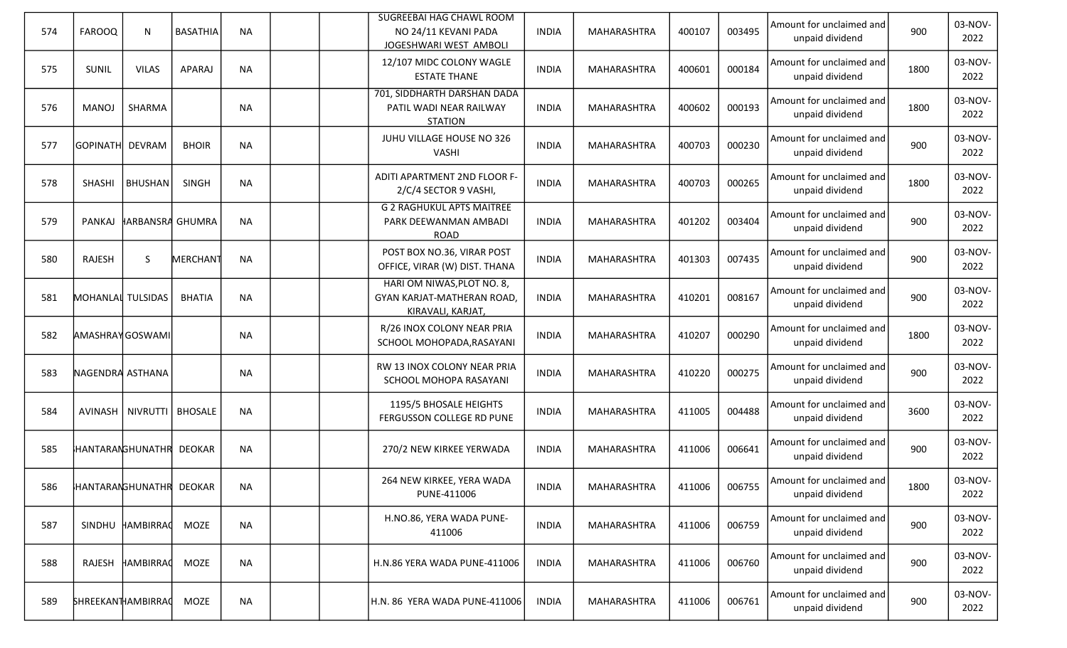| 574 | <b>FAROOQ</b>          | $\mathsf{N}$                 | <b>BASATHIA</b> | <b>NA</b> |  | SUGREEBAI HAG CHAWL ROOM<br>NO 24/11 KEVANI PADA<br>JOGESHWARI WEST AMBOLI           | <b>INDIA</b> | MAHARASHTRA | 400107 | 003495 | Amount for unclaimed and<br>unpaid dividend | 900  | 03-NOV-<br>2022 |
|-----|------------------------|------------------------------|-----------------|-----------|--|--------------------------------------------------------------------------------------|--------------|-------------|--------|--------|---------------------------------------------|------|-----------------|
| 575 | <b>SUNIL</b>           | <b>VILAS</b>                 | <b>APARAJ</b>   | <b>NA</b> |  | 12/107 MIDC COLONY WAGLE<br><b>ESTATE THANE</b>                                      | <b>INDIA</b> | MAHARASHTRA | 400601 | 000184 | Amount for unclaimed and<br>unpaid dividend | 1800 | 03-NOV-<br>2022 |
| 576 | <b>MANOJ</b>           | SHARMA                       |                 | <b>NA</b> |  | 701, SIDDHARTH DARSHAN DADA<br>PATIL WADI NEAR RAILWAY<br><b>STATION</b>             | <b>INDIA</b> | MAHARASHTRA | 400602 | 000193 | Amount for unclaimed and<br>unpaid dividend | 1800 | 03-NOV-<br>2022 |
| 577 | GOPINATH DEVRAM        |                              | <b>BHOIR</b>    | <b>NA</b> |  | JUHU VILLAGE HOUSE NO 326<br><b>VASHI</b>                                            | <b>INDIA</b> | MAHARASHTRA | 400703 | 000230 | Amount for unclaimed and<br>unpaid dividend | 900  | 03-NOV-<br>2022 |
| 578 | <b>SHASHI</b>          | <b>BHUSHAN</b>               | SINGH           | <b>NA</b> |  | ADITI APARTMENT 2ND FLOOR F-<br>2/C/4 SECTOR 9 VASHI,                                | <b>INDIA</b> | MAHARASHTRA | 400703 | 000265 | Amount for unclaimed and<br>unpaid dividend | 1800 | 03-NOV-<br>2022 |
| 579 | PANKAJ                 | HARBANSRA GHUMRA             |                 | <b>NA</b> |  | <b>G 2 RAGHUKUL APTS MAITREE</b><br>PARK DEEWANMAN AMBADI<br><b>ROAD</b>             | <b>INDIA</b> | MAHARASHTRA | 401202 | 003404 | Amount for unclaimed and<br>unpaid dividend | 900  | 03-NOV-<br>2022 |
| 580 | RAJESH                 | S                            | <b>MERCHANT</b> | <b>NA</b> |  | POST BOX NO.36, VIRAR POST<br>OFFICE, VIRAR (W) DIST. THANA                          | <b>INDIA</b> | MAHARASHTRA | 401303 | 007435 | Amount for unclaimed and<br>unpaid dividend | 900  | 03-NOV-<br>2022 |
| 581 | MOHANLAI TULSIDAS      |                              | <b>BHATIA</b>   | <b>NA</b> |  | HARI OM NIWAS, PLOT NO. 8,<br><b>GYAN KARJAT-MATHERAN ROAD,</b><br>KIRAVALI, KARJAT, | <b>INDIA</b> | MAHARASHTRA | 410201 | 008167 | Amount for unclaimed and<br>unpaid dividend | 900  | 03-NOV-<br>2022 |
| 582 | <b>AMASHRAYGOSWAMI</b> |                              |                 | <b>NA</b> |  | R/26 INOX COLONY NEAR PRIA<br>SCHOOL MOHOPADA, RASAYANI                              | <b>INDIA</b> | MAHARASHTRA | 410207 | 000290 | Amount for unclaimed and<br>unpaid dividend | 1800 | 03-NOV-<br>2022 |
| 583 | NAGENDRA ASTHANA       |                              |                 | <b>NA</b> |  | RW 13 INOX COLONY NEAR PRIA<br>SCHOOL MOHOPA RASAYANI                                | <b>INDIA</b> | MAHARASHTRA | 410220 | 000275 | Amount for unclaimed and<br>unpaid dividend | 900  | 03-NOV-<br>2022 |
| 584 |                        | AVINASH   NIVRUTTI   BHOSALE |                 | <b>NA</b> |  | 1195/5 BHOSALE HEIGHTS<br>FERGUSSON COLLEGE RD PUNE                                  | <b>INDIA</b> | MAHARASHTRA | 411005 | 004488 | Amount for unclaimed and<br>unpaid dividend | 3600 | 03-NOV-<br>2022 |
| 585 |                        | HANTARANGHUNATHR DEOKAR      |                 | <b>NA</b> |  | 270/2 NEW KIRKEE YERWADA                                                             | <b>INDIA</b> | MAHARASHTRA | 411006 | 006641 | Amount for unclaimed and<br>unpaid dividend | 900  | 03-NOV-<br>2022 |
| 586 |                        | HANTARANGHUNATHR DEOKAR      |                 | <b>NA</b> |  | 264 NEW KIRKEE, YERA WADA<br>PUNE-411006                                             | <b>INDIA</b> | MAHARASHTRA | 411006 | 006755 | Amount for unclaimed and<br>unpaid dividend | 1800 | 03-NOV-<br>2022 |
| 587 | SINDHU                 | HAMBIRRAC                    | MOZE            | <b>NA</b> |  | H.NO.86, YERA WADA PUNE-<br>411006                                                   | <b>INDIA</b> | MAHARASHTRA | 411006 | 006759 | Amount for unclaimed and<br>unpaid dividend | 900  | 03-NOV-<br>2022 |
| 588 | RAJESH                 | HAMBIRRAC                    | MOZE            | <b>NA</b> |  | H.N.86 YERA WADA PUNE-411006                                                         | <b>INDIA</b> | MAHARASHTRA | 411006 | 006760 | Amount for unclaimed and<br>unpaid dividend | 900  | 03-NOV-<br>2022 |
| 589 | SHREEKANTHAMBIRRAC     |                              | MOZE            | <b>NA</b> |  | H.N. 86 YERA WADA PUNE-411006                                                        | <b>INDIA</b> | MAHARASHTRA | 411006 | 006761 | Amount for unclaimed and<br>unpaid dividend | 900  | 03-NOV-<br>2022 |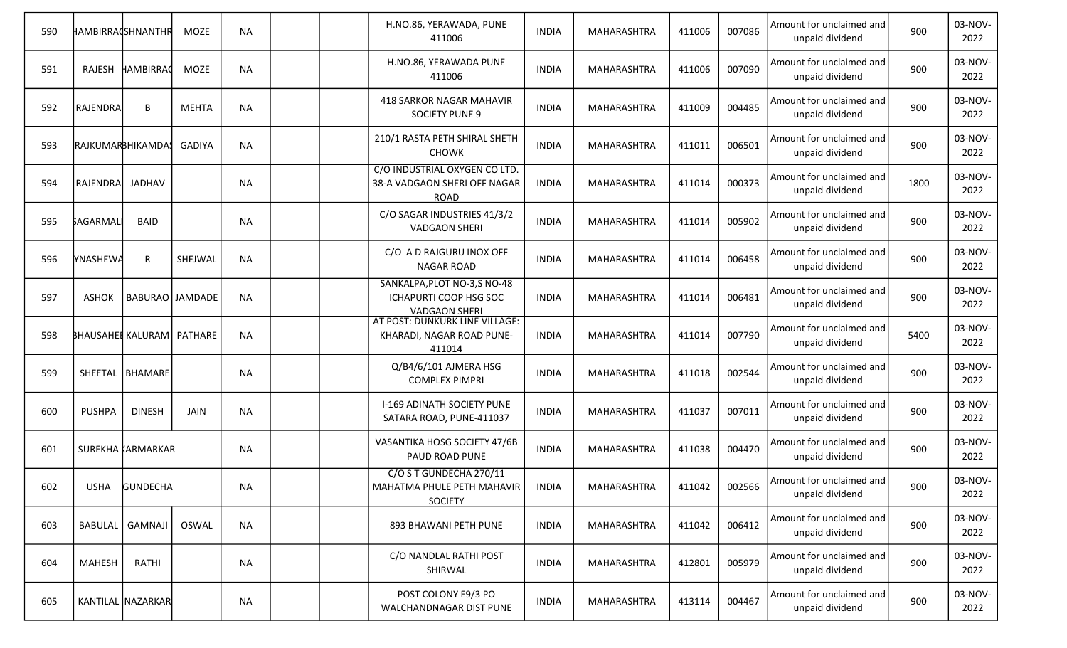| 590 |                   | HAMBIRRACSHNANTHR                  | <b>MOZE</b>  | <b>NA</b> |  | H.NO.86, YERAWADA, PUNE<br>411006                                              | <b>INDIA</b> | MAHARASHTRA        | 411006 | 007086 | Amount for unclaimed and<br>unpaid dividend | 900  | 03-NOV-<br>2022 |
|-----|-------------------|------------------------------------|--------------|-----------|--|--------------------------------------------------------------------------------|--------------|--------------------|--------|--------|---------------------------------------------|------|-----------------|
| 591 | RAJESH            | HAMBIRRAC                          | <b>MOZE</b>  | <b>NA</b> |  | H.NO.86, YERAWADA PUNE<br>411006                                               | <b>INDIA</b> | MAHARASHTRA        | 411006 | 007090 | Amount for unclaimed and<br>unpaid dividend | 900  | 03-NOV-<br>2022 |
| 592 | RAJENDRA          | B                                  | <b>MEHTA</b> | <b>NA</b> |  | 418 SARKOR NAGAR MAHAVIR<br><b>SOCIETY PUNE 9</b>                              | <b>INDIA</b> | MAHARASHTRA        | 411009 | 004485 | Amount for unclaimed and<br>unpaid dividend | 900  | 03-NOV-<br>2022 |
| 593 | RAJKUMARBHIKAMDA! |                                    | GADIYA       | <b>NA</b> |  | 210/1 RASTA PETH SHIRAL SHETH<br><b>CHOWK</b>                                  | <b>INDIA</b> | MAHARASHTRA        | 411011 | 006501 | Amount for unclaimed and<br>unpaid dividend | 900  | 03-NOV-<br>2022 |
| 594 | <b>RAJENDRA</b>   | JADHAV                             |              | <b>NA</b> |  | C/O INDUSTRIAL OXYGEN CO LTD.<br>38-A VADGAON SHERI OFF NAGAR<br><b>ROAD</b>   | <b>INDIA</b> | MAHARASHTRA        | 411014 | 000373 | Amount for unclaimed and<br>unpaid dividend | 1800 | 03-NOV-<br>2022 |
| 595 | <b>SAGARMALI</b>  | <b>BAID</b>                        |              | <b>NA</b> |  | C/O SAGAR INDUSTRIES 41/3/2<br><b>VADGAON SHERI</b>                            | <b>INDIA</b> | MAHARASHTRA        | 411014 | 005902 | Amount for unclaimed and<br>unpaid dividend | 900  | 03-NOV-<br>2022 |
| 596 | <b>YNASHEWA</b>   | $\mathsf{R}$                       | SHEJWAL      | <b>NA</b> |  | C/O A D RAJGURU INOX OFF<br><b>NAGAR ROAD</b>                                  | <b>INDIA</b> | MAHARASHTRA        | 411014 | 006458 | Amount for unclaimed and<br>unpaid dividend | 900  | 03-NOV-<br>2022 |
| 597 | <b>ASHOK</b>      | BABURAO JAMDADE                    |              | <b>NA</b> |  | SANKALPA, PLOT NO-3, S NO-48<br>ICHAPURTI COOP HSG SOC<br><b>VADGAON SHERI</b> | <b>INDIA</b> | MAHARASHTRA        | 411014 | 006481 | Amount for unclaimed and<br>unpaid dividend | 900  | 03-NOV-<br>2022 |
| 598 |                   | <b>BHAUSAHEL KALURAM   PATHARE</b> |              | <b>NA</b> |  | AT POST: DUNKURK LINE VILLAGE:<br>KHARADI, NAGAR ROAD PUNE-<br>411014          | <b>INDIA</b> | MAHARASHTRA        | 411014 | 007790 | Amount for unclaimed and<br>unpaid dividend | 5400 | 03-NOV-<br>2022 |
| 599 |                   | SHEETAL   BHAMARE                  |              | <b>NA</b> |  | Q/B4/6/101 AJMERA HSG<br><b>COMPLEX PIMPRI</b>                                 | <b>INDIA</b> | MAHARASHTRA        | 411018 | 002544 | Amount for unclaimed and<br>unpaid dividend | 900  | 03-NOV-<br>2022 |
| 600 | <b>PUSHPA</b>     | <b>DINESH</b>                      | JAIN         | <b>NA</b> |  | I-169 ADINATH SOCIETY PUNE<br>SATARA ROAD, PUNE-411037                         | <b>INDIA</b> | MAHARASHTRA        | 411037 | 007011 | Amount for unclaimed and<br>unpaid dividend | 900  | 03-NOV-<br>2022 |
| 601 |                   | SUREKHA KARMARKAR                  |              | <b>NA</b> |  | VASANTIKA HOSG SOCIETY 47/6B<br>PAUD ROAD PUNE                                 | <b>INDIA</b> | MAHARASHTRA        | 411038 | 004470 | Amount for unclaimed and<br>unpaid dividend | 900  | 03-NOV-<br>2022 |
| 602 |                   | USHA GUNDECHA                      |              | <b>NA</b> |  | C/O S T GUNDECHA 270/11<br>MAHATMA PHULE PETH MAHAVIR<br><b>SOCIETY</b>        | <b>INDIA</b> | <b>MAHARASHTRA</b> | 411042 | 002566 | Amount for unclaimed and<br>unpaid dividend | 900  | 03-NOV-<br>2022 |
| 603 |                   | BABULAL   GAMNAJI                  | OSWAL        | <b>NA</b> |  | 893 BHAWANI PETH PUNE                                                          | <b>INDIA</b> | MAHARASHTRA        | 411042 | 006412 | Amount for unclaimed and<br>unpaid dividend | 900  | 03-NOV-<br>2022 |
| 604 | MAHESH            | RATHI                              |              | <b>NA</b> |  | C/O NANDLAL RATHI POST<br>SHIRWAL                                              | <b>INDIA</b> | MAHARASHTRA        | 412801 | 005979 | Amount for unclaimed and<br>unpaid dividend | 900  | 03-NOV-<br>2022 |
| 605 |                   | KANTILAL NAZARKAR                  |              | <b>NA</b> |  | POST COLONY E9/3 PO<br>WALCHANDNAGAR DIST PUNE                                 | INDIA        | MAHARASHTRA        | 413114 | 004467 | Amount for unclaimed and<br>unpaid dividend | 900  | 03-NOV-<br>2022 |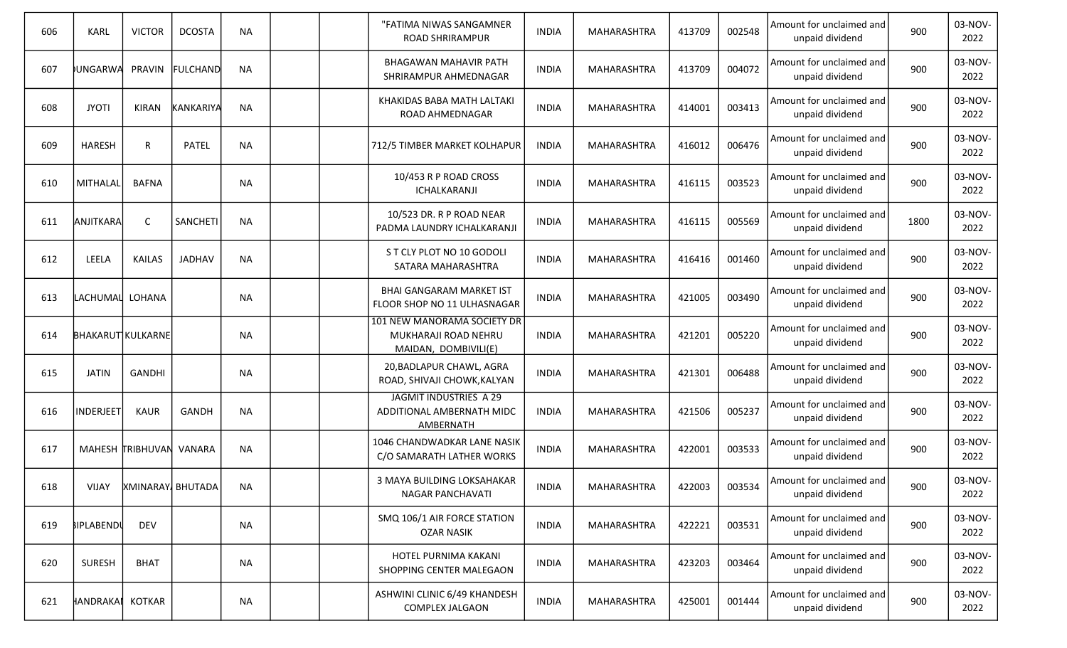| 606 | <b>KARL</b>              | <b>VICTOR</b>           | <b>DCOSTA</b>    | <b>NA</b> |  | "FATIMA NIWAS SANGAMNER<br><b>ROAD SHRIRAMPUR</b>                           | <b>INDIA</b> | MAHARASHTRA        | 413709 | 002548 | Amount for unclaimed and<br>unpaid dividend | 900  | 03-NOV-<br>2022 |
|-----|--------------------------|-------------------------|------------------|-----------|--|-----------------------------------------------------------------------------|--------------|--------------------|--------|--------|---------------------------------------------|------|-----------------|
| 607 | UNGARWA                  | PRAVIN                  | <b>FULCHAND</b>  | <b>NA</b> |  | BHAGAWAN MAHAVIR PATH<br>SHRIRAMPUR AHMEDNAGAR                              | <b>INDIA</b> | MAHARASHTRA        | 413709 | 004072 | Amount for unclaimed and<br>unpaid dividend | 900  | 03-NOV-<br>2022 |
| 608 | <b>JYOTI</b>             | <b>KIRAN</b>            | <b>KANKARIYA</b> | <b>NA</b> |  | KHAKIDAS BABA MATH LALTAKI<br>ROAD AHMEDNAGAR                               | <b>INDIA</b> | MAHARASHTRA        | 414001 | 003413 | Amount for unclaimed and<br>unpaid dividend | 900  | 03-NOV-<br>2022 |
| 609 | <b>HARESH</b>            | R                       | <b>PATEL</b>     | <b>NA</b> |  | 712/5 TIMBER MARKET KOLHAPUR                                                | <b>INDIA</b> | MAHARASHTRA        | 416012 | 006476 | Amount for unclaimed and<br>unpaid dividend | 900  | 03-NOV-<br>2022 |
| 610 | MITHALAL                 | <b>BAFNA</b>            |                  | <b>NA</b> |  | 10/453 R P ROAD CROSS<br>ICHALKARANJI                                       | <b>INDIA</b> | MAHARASHTRA        | 416115 | 003523 | Amount for unclaimed and<br>unpaid dividend | 900  | 03-NOV-<br>2022 |
| 611 | <b>ANJITKARA</b>         | C                       | SANCHETI         | <b>NA</b> |  | 10/523 DR. R P ROAD NEAR<br>PADMA LAUNDRY ICHALKARANJI                      | <b>INDIA</b> | MAHARASHTRA        | 416115 | 005569 | Amount for unclaimed and<br>unpaid dividend | 1800 | 03-NOV-<br>2022 |
| 612 | LEELA                    | <b>KAILAS</b>           | <b>JADHAV</b>    | <b>NA</b> |  | S T CLY PLOT NO 10 GODOLI<br>SATARA MAHARASHTRA                             | <b>INDIA</b> | MAHARASHTRA        | 416416 | 001460 | Amount for unclaimed and<br>unpaid dividend | 900  | 03-NOV-<br>2022 |
| 613 | LACHUMAL LOHANA          |                         |                  | <b>NA</b> |  | <b>BHAI GANGARAM MARKET IST</b><br>FLOOR SHOP NO 11 ULHASNAGAR              | <b>INDIA</b> | MAHARASHTRA        | 421005 | 003490 | Amount for unclaimed and<br>unpaid dividend | 900  | 03-NOV-<br>2022 |
| 614 | <b>BHAKARUT KULKARNE</b> |                         |                  | <b>NA</b> |  | 101 NEW MANORAMA SOCIETY DR<br>MUKHARAJI ROAD NEHRU<br>MAIDAN, DOMBIVILI(E) | <b>INDIA</b> | MAHARASHTRA        | 421201 | 005220 | Amount for unclaimed and<br>unpaid dividend | 900  | 03-NOV-<br>2022 |
| 615 | <b>JATIN</b>             | <b>GANDHI</b>           |                  | <b>NA</b> |  | 20, BADLAPUR CHAWL, AGRA<br>ROAD, SHIVAJI CHOWK, KALYAN                     | <b>INDIA</b> | MAHARASHTRA        | 421301 | 006488 | Amount for unclaimed and<br>unpaid dividend | 900  | 03-NOV-<br>2022 |
| 616 | <b>INDERJEET</b>         | KAUR                    | GANDH            | <b>NA</b> |  | JAGMIT INDUSTRIES A 29<br>ADDITIONAL AMBERNATH MIDC<br>AMBERNATH            | <b>INDIA</b> | MAHARASHTRA        | 421506 | 005237 | Amount for unclaimed and<br>unpaid dividend | 900  | 03-NOV-<br>2022 |
| 617 |                          | MAHESH TRIBHUVAN VANARA |                  | <b>NA</b> |  | 1046 CHANDWADKAR LANE NASIK<br>C/O SAMARATH LATHER WORKS                    | <b>INDIA</b> | MAHARASHTRA        | 422001 | 003533 | Amount for unclaimed and<br>unpaid dividend | 900  | 03-NOV-<br>2022 |
| 618 |                          | VIJAY XMINARAY BHUTADA  |                  | NA        |  | 3 MAYA BUILDING LOKSAHAKAR<br>NAGAR PANCHAVATI                              | <b>INDIA</b> | MAHARASHTRA        | 422003 | 003534 | Amount for unclaimed and<br>unpaid dividend | 900  | 03-NOV-<br>2022 |
| 619 | <b>BIPLABENDU</b>        | <b>DEV</b>              |                  | <b>NA</b> |  | SMQ 106/1 AIR FORCE STATION<br><b>OZAR NASIK</b>                            | <b>INDIA</b> | MAHARASHTRA        | 422221 | 003531 | Amount for unclaimed and<br>unpaid dividend | 900  | 03-NOV-<br>2022 |
| 620 | <b>SURESH</b>            | <b>BHAT</b>             |                  | <b>NA</b> |  | HOTEL PURNIMA KAKANI<br>SHOPPING CENTER MALEGAON                            | <b>INDIA</b> | MAHARASHTRA        | 423203 | 003464 | Amount for unclaimed and<br>unpaid dividend | 900  | 03-NOV-<br>2022 |
| 621 | HANDRAKAI                | <b>KOTKAR</b>           |                  | <b>NA</b> |  | ASHWINI CLINIC 6/49 KHANDESH<br>COMPLEX JALGAON                             | <b>INDIA</b> | <b>MAHARASHTRA</b> | 425001 | 001444 | Amount for unclaimed and<br>unpaid dividend | 900  | 03-NOV-<br>2022 |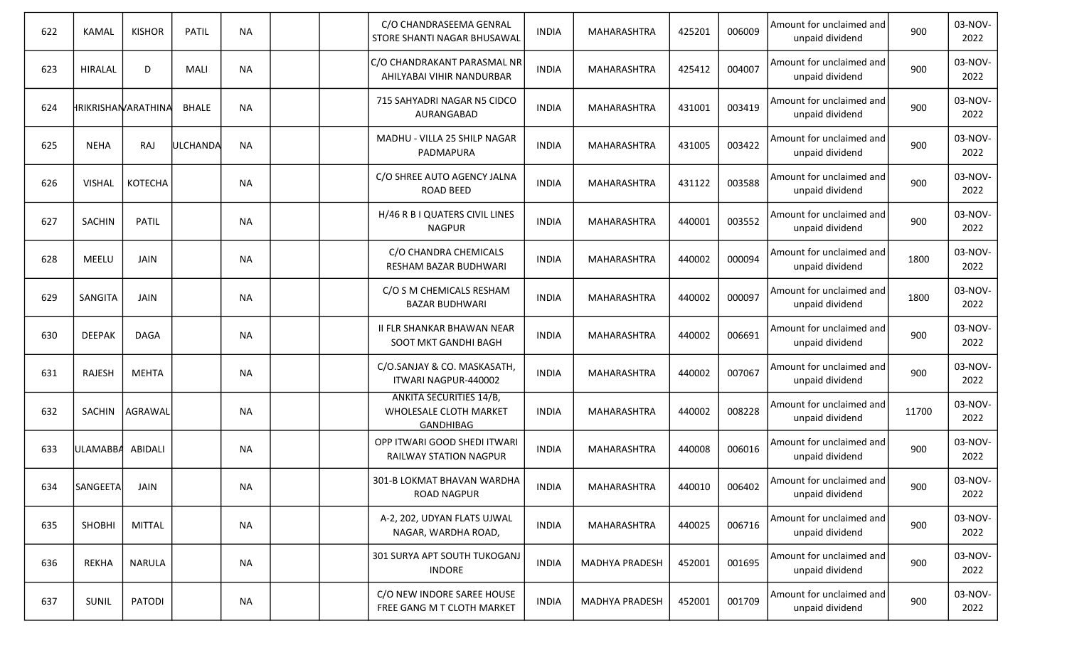| 622 | <b>KAMAL</b>     | <b>KISHOR</b>       | PATIL        | <b>NA</b> |  | C/O CHANDRASEEMA GENRAL<br>STORE SHANTI NAGAR BHUSAWAL                | <b>INDIA</b> | MAHARASHTRA           | 425201 | 006009 | Amount for unclaimed and<br>unpaid dividend | 900   | 03-NOV-<br>2022 |
|-----|------------------|---------------------|--------------|-----------|--|-----------------------------------------------------------------------|--------------|-----------------------|--------|--------|---------------------------------------------|-------|-----------------|
| 623 | <b>HIRALAL</b>   | D                   | MALI         | <b>NA</b> |  | C/O CHANDRAKANT PARASMAL NR<br>AHILYABAI VIHIR NANDURBAR              | <b>INDIA</b> | MAHARASHTRA           | 425412 | 004007 | Amount for unclaimed and<br>unpaid dividend | 900   | 03-NOV-<br>2022 |
| 624 |                  | HRIKRISHAN/ARATHINA | <b>BHALE</b> | <b>NA</b> |  | 715 SAHYADRI NAGAR N5 CIDCO<br>AURANGABAD                             | <b>INDIA</b> | MAHARASHTRA           | 431001 | 003419 | Amount for unclaimed and<br>unpaid dividend | 900   | 03-NOV-<br>2022 |
| 625 | <b>NEHA</b>      | RAJ                 | ULCHANDA     | <b>NA</b> |  | MADHU - VILLA 25 SHILP NAGAR<br>PADMAPURA                             | <b>INDIA</b> | MAHARASHTRA           | 431005 | 003422 | Amount for unclaimed and<br>unpaid dividend | 900   | 03-NOV-<br>2022 |
| 626 | <b>VISHAL</b>    | <b>KOTECHA</b>      |              | <b>NA</b> |  | C/O SHREE AUTO AGENCY JALNA<br>ROAD BEED                              | <b>INDIA</b> | MAHARASHTRA           | 431122 | 003588 | Amount for unclaimed and<br>unpaid dividend | 900   | 03-NOV-<br>2022 |
| 627 | <b>SACHIN</b>    | <b>PATIL</b>        |              | <b>NA</b> |  | H/46 R B I QUATERS CIVIL LINES<br><b>NAGPUR</b>                       | <b>INDIA</b> | MAHARASHTRA           | 440001 | 003552 | Amount for unclaimed and<br>unpaid dividend | 900   | 03-NOV-<br>2022 |
| 628 | MEELU            | JAIN                |              | <b>NA</b> |  | C/O CHANDRA CHEMICALS<br>RESHAM BAZAR BUDHWARI                        | <b>INDIA</b> | MAHARASHTRA           | 440002 | 000094 | Amount for unclaimed and<br>unpaid dividend | 1800  | 03-NOV-<br>2022 |
| 629 | SANGITA          | JAIN                |              | <b>NA</b> |  | C/O S M CHEMICALS RESHAM<br><b>BAZAR BUDHWARI</b>                     | <b>INDIA</b> | MAHARASHTRA           | 440002 | 000097 | Amount for unclaimed and<br>unpaid dividend | 1800  | 03-NOV-<br>2022 |
| 630 | <b>DEEPAK</b>    | <b>DAGA</b>         |              | <b>NA</b> |  | <b>II FLR SHANKAR BHAWAN NEAR</b><br>SOOT MKT GANDHI BAGH             | <b>INDIA</b> | MAHARASHTRA           | 440002 | 006691 | Amount for unclaimed and<br>unpaid dividend | 900   | 03-NOV-<br>2022 |
| 631 | RAJESH           | MEHTA               |              | NA        |  | C/O.SANJAY & CO. MASKASATH,<br>ITWARI NAGPUR-440002                   | <b>INDIA</b> | MAHARASHTRA           | 440002 | 007067 | Amount for unclaimed and<br>unpaid dividend | 900   | 03-NOV-<br>2022 |
| 632 | SACHIN           | AGRAWAL             |              | NA        |  | ANKITA SECURITIES 14/B,<br>WHOLESALE CLOTH MARKET<br><b>GANDHIBAG</b> | <b>INDIA</b> | MAHARASHTRA           | 440002 | 008228 | Amount for unclaimed and<br>unpaid dividend | 11700 | 03-NOV-<br>2022 |
| 633 | ULAMABBA ABIDALI |                     |              | NA        |  | OPP ITWARI GOOD SHEDI ITWARI<br>RAILWAY STATION NAGPUR                | <b>INDIA</b> | MAHARASHTRA           | 440008 | 006016 | Amount for unclaimed and<br>unpaid dividend | 900   | 03-NOV-<br>2022 |
| 634 | SANGEETA         | JAIN                |              | <b>NA</b> |  | 301-B LOKMAT BHAVAN WARDHA<br><b>ROAD NAGPUR</b>                      | <b>INDIA</b> | MAHARASHTRA           | 440010 | 006402 | Amount for unclaimed and<br>unpaid dividend | 900   | 03-NOV-<br>2022 |
| 635 | SHOBHI           | <b>MITTAL</b>       |              | <b>NA</b> |  | A-2, 202, UDYAN FLATS UJWAL<br>NAGAR, WARDHA ROAD,                    | <b>INDIA</b> | MAHARASHTRA           | 440025 | 006716 | Amount for unclaimed and<br>unpaid dividend | 900   | 03-NOV-<br>2022 |
| 636 | <b>REKHA</b>     | NARULA              |              | NA        |  | 301 SURYA APT SOUTH TUKOGANJ<br><b>INDORE</b>                         | <b>INDIA</b> | <b>MADHYA PRADESH</b> | 452001 | 001695 | Amount for unclaimed and<br>unpaid dividend | 900   | 03-NOV-<br>2022 |
| 637 | SUNIL            | PATODI              |              | NA        |  | C/O NEW INDORE SAREE HOUSE<br>FREE GANG M T CLOTH MARKET              | <b>INDIA</b> | <b>MADHYA PRADESH</b> | 452001 | 001709 | Amount for unclaimed and<br>unpaid dividend | 900   | 03-NOV-<br>2022 |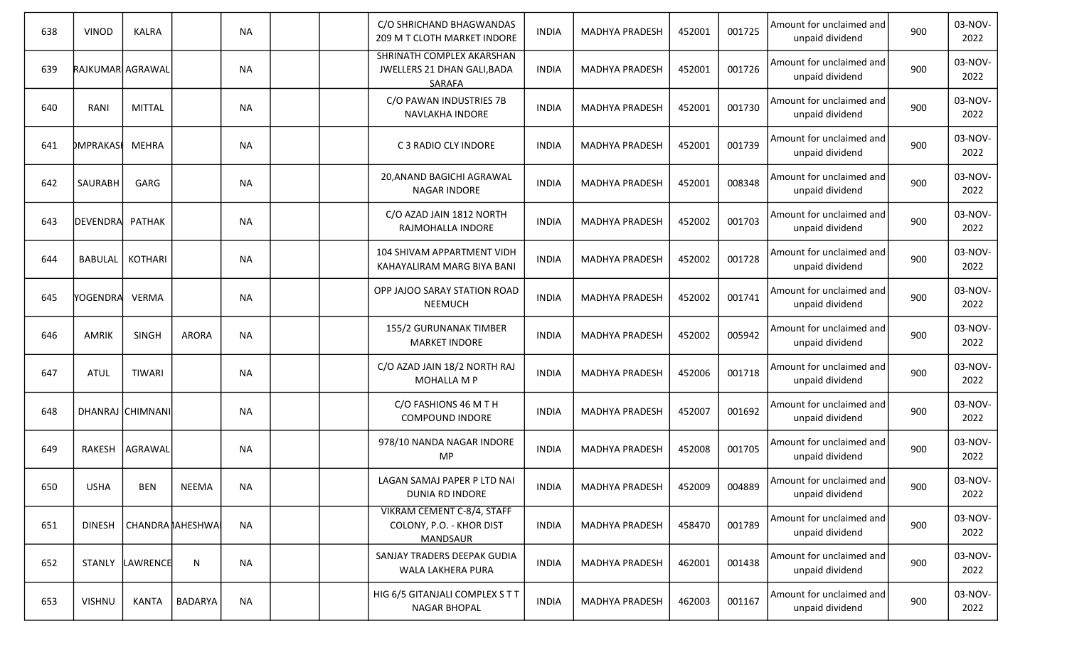| 638 | <b>VINOD</b>     | <b>KALRA</b>     |                     | <b>NA</b> |  | C/O SHRICHAND BHAGWANDAS<br>209 M T CLOTH MARKET INDORE                          | <b>INDIA</b> | <b>MADHYA PRADESH</b> | 452001 | 001725 | Amount for unclaimed and<br>unpaid dividend | 900 | 03-NOV-<br>2022 |
|-----|------------------|------------------|---------------------|-----------|--|----------------------------------------------------------------------------------|--------------|-----------------------|--------|--------|---------------------------------------------|-----|-----------------|
| 639 | RAJKUMAR AGRAWAL |                  |                     | <b>NA</b> |  | SHRINATH COMPLEX AKARSHAN<br>JWELLERS 21 DHAN GALI, BADA<br><b>SARAFA</b>        | <b>INDIA</b> | <b>MADHYA PRADESH</b> | 452001 | 001726 | Amount for unclaimed and<br>unpaid dividend | 900 | 03-NOV-<br>2022 |
| 640 | RANI             | <b>MITTAL</b>    |                     | <b>NA</b> |  | C/O PAWAN INDUSTRIES 7B<br>NAVLAKHA INDORE                                       | <b>INDIA</b> | <b>MADHYA PRADESH</b> | 452001 | 001730 | Amount for unclaimed and<br>unpaid dividend | 900 | 03-NOV-<br>2022 |
| 641 | <b>DMPRAKAS</b>  | <b>MEHRA</b>     |                     | <b>NA</b> |  | C 3 RADIO CLY INDORE                                                             | <b>INDIA</b> | <b>MADHYA PRADESH</b> | 452001 | 001739 | Amount for unclaimed and<br>unpaid dividend | 900 | 03-NOV-<br>2022 |
| 642 | SAURABH          | GARG             |                     | <b>NA</b> |  | 20, ANAND BAGICHI AGRAWAL<br>NAGAR INDORE                                        | <b>INDIA</b> | <b>MADHYA PRADESH</b> | 452001 | 008348 | Amount for unclaimed and<br>unpaid dividend | 900 | 03-NOV-<br>2022 |
| 643 | <b>DEVENDRA</b>  | PATHAK           |                     | <b>NA</b> |  | C/O AZAD JAIN 1812 NORTH<br>RAJMOHALLA INDORE                                    | <b>INDIA</b> | <b>MADHYA PRADESH</b> | 452002 | 001703 | Amount for unclaimed and<br>unpaid dividend | 900 | 03-NOV-<br>2022 |
| 644 | <b>BABULAL</b>   | KOTHARI          |                     | <b>NA</b> |  | 104 SHIVAM APPARTMENT VIDH<br>KAHAYALIRAM MARG BIYA BANI                         | <b>INDIA</b> | <b>MADHYA PRADESH</b> | 452002 | 001728 | Amount for unclaimed and<br>unpaid dividend | 900 | 03-NOV-<br>2022 |
| 645 | YOGENDRA         | VERMA            |                     | <b>NA</b> |  | OPP JAJOO SARAY STATION ROAD<br><b>NEEMUCH</b>                                   | <b>INDIA</b> | <b>MADHYA PRADESH</b> | 452002 | 001741 | Amount for unclaimed and<br>unpaid dividend | 900 | 03-NOV-<br>2022 |
| 646 | AMRIK            | SINGH            | <b>ARORA</b>        | <b>NA</b> |  | 155/2 GURUNANAK TIMBER<br><b>MARKET INDORE</b>                                   | <b>INDIA</b> | <b>MADHYA PRADESH</b> | 452002 | 005942 | Amount for unclaimed and<br>unpaid dividend | 900 | 03-NOV-<br>2022 |
| 647 | <b>ATUL</b>      | <b>TIWARI</b>    |                     | <b>NA</b> |  | C/O AZAD JAIN 18/2 NORTH RAJ<br>MOHALLA M P                                      | <b>INDIA</b> | <b>MADHYA PRADESH</b> | 452006 | 001718 | Amount for unclaimed and<br>unpaid dividend | 900 | 03-NOV-<br>2022 |
| 648 |                  | DHANRAJ CHIMNANI |                     | <b>NA</b> |  | C/O FASHIONS 46 M T H<br><b>COMPOUND INDORE</b>                                  | <b>INDIA</b> | <b>MADHYA PRADESH</b> | 452007 | 001692 | Amount for unclaimed and<br>unpaid dividend | 900 | 03-NOV-<br>2022 |
| 649 |                  | RAKESH   AGRAWAL |                     | <b>NA</b> |  | 978/10 NANDA NAGAR INDORE<br>MP                                                  | <b>INDIA</b> | <b>MADHYA PRADESH</b> | 452008 | 001705 | Amount for unclaimed and<br>unpaid dividend | 900 | 03-NOV-<br>2022 |
| 650 | <b>USHA</b>      | <b>BEN</b>       | <b>NEEMA</b>        | <b>NA</b> |  | LAGAN SAMAJ PAPER P LTD NAI<br>DUNIA RD INDORE                                   | <b>INDIA</b> | MADHYA PRADESH        | 452009 | 004889 | Amount for unclaimed and<br>unpaid dividend | 900 | 03-NOV-<br>2022 |
| 651 | <b>DINESH</b>    |                  | CHANDRA    AHESHWAI | <b>NA</b> |  | <b>VIKRAM CEMENT C-8/4, STAFF</b><br>COLONY, P.O. - KHOR DIST<br><b>MANDSAUR</b> | <b>INDIA</b> | <b>MADHYA PRADESH</b> | 458470 | 001789 | Amount for unclaimed and<br>unpaid dividend | 900 | 03-NOV-<br>2022 |
| 652 |                  | STANLY LAWRENCE  | N                   | <b>NA</b> |  | SANJAY TRADERS DEEPAK GUDIA<br>WALA LAKHERA PURA                                 | <b>INDIA</b> | <b>MADHYA PRADESH</b> | 462001 | 001438 | Amount for unclaimed and<br>unpaid dividend | 900 | 03-NOV-<br>2022 |
| 653 | <b>VISHNU</b>    | <b>KANTA</b>     | BADARYA             | <b>NA</b> |  | HIG 6/5 GITANJALI COMPLEX S T T<br><b>NAGAR BHOPAL</b>                           | <b>INDIA</b> | <b>MADHYA PRADESH</b> | 462003 | 001167 | Amount for unclaimed and<br>unpaid dividend | 900 | 03-NOV-<br>2022 |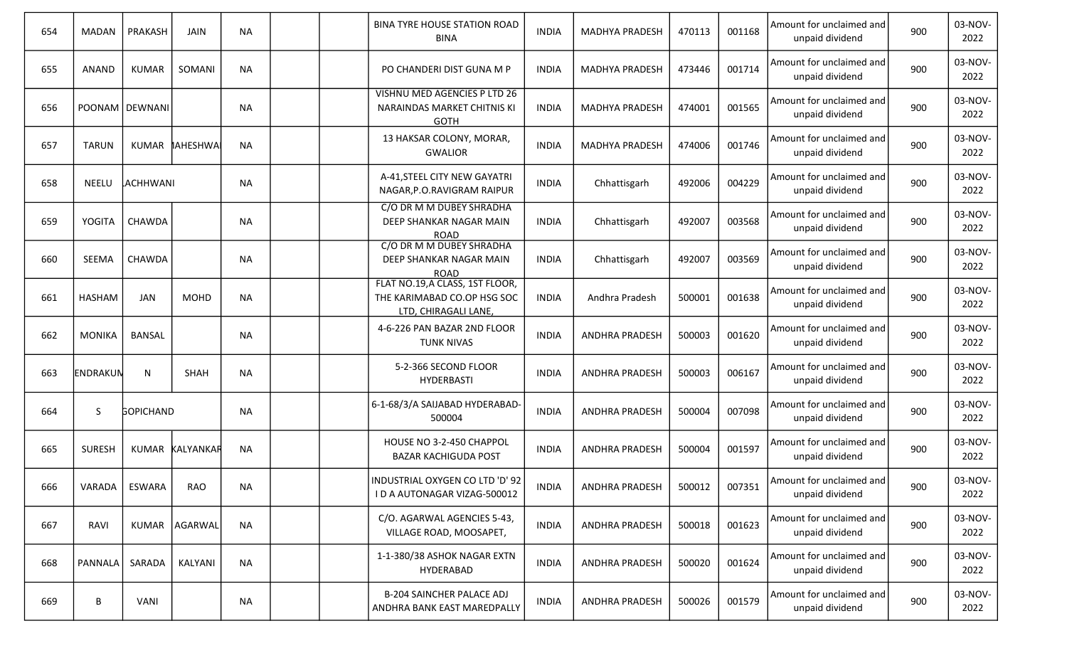| 654 | <b>MADAN</b>   | PRAKASH          | <b>JAIN</b>     | <b>NA</b> |  | <b>BINA TYRE HOUSE STATION ROAD</b><br><b>BINA</b>                                     | <b>INDIA</b> | <b>MADHYA PRADESH</b> | 470113 | 001168 | Amount for unclaimed and<br>unpaid dividend | 900 | 03-NOV-<br>2022 |
|-----|----------------|------------------|-----------------|-----------|--|----------------------------------------------------------------------------------------|--------------|-----------------------|--------|--------|---------------------------------------------|-----|-----------------|
| 655 | <b>ANAND</b>   | <b>KUMAR</b>     | SOMANI          | <b>NA</b> |  | PO CHANDERI DIST GUNA M P                                                              | <b>INDIA</b> | MADHYA PRADESH        | 473446 | 001714 | Amount for unclaimed and<br>unpaid dividend | 900 | 03-NOV-<br>2022 |
| 656 |                | POONAM   DEWNANI |                 | <b>NA</b> |  | VISHNU MED AGENCIES P LTD 26<br>NARAINDAS MARKET CHITNIS KI<br><b>GOTH</b>             | <b>INDIA</b> | <b>MADHYA PRADESH</b> | 474001 | 001565 | Amount for unclaimed and<br>unpaid dividend | 900 | 03-NOV-<br>2022 |
| 657 | <b>TARUN</b>   |                  | KUMAR AHESHWA   | <b>NA</b> |  | 13 HAKSAR COLONY, MORAR,<br><b>GWALIOR</b>                                             | <b>INDIA</b> | <b>MADHYA PRADESH</b> | 474006 | 001746 | Amount for unclaimed and<br>unpaid dividend | 900 | 03-NOV-<br>2022 |
| 658 | NEELU          | <b>ACHHWANI</b>  |                 | <b>NA</b> |  | A-41, STEEL CITY NEW GAYATRI<br>NAGAR, P.O.RAVIGRAM RAIPUR                             | <b>INDIA</b> | Chhattisgarh          | 492006 | 004229 | Amount for unclaimed and<br>unpaid dividend | 900 | 03-NOV-<br>2022 |
| 659 | YOGITA         | CHAWDA           |                 | <b>NA</b> |  | C/O DR M M DUBEY SHRADHA<br>DEEP SHANKAR NAGAR MAIN<br><b>ROAD</b>                     | <b>INDIA</b> | Chhattisgarh          | 492007 | 003568 | Amount for unclaimed and<br>unpaid dividend | 900 | 03-NOV-<br>2022 |
| 660 | <b>SEEMA</b>   | CHAWDA           |                 | <b>NA</b> |  | C/O DR M M DUBEY SHRADHA<br>DEEP SHANKAR NAGAR MAIN<br>ROAD                            | <b>INDIA</b> | Chhattisgarh          | 492007 | 003569 | Amount for unclaimed and<br>unpaid dividend | 900 | 03-NOV-<br>2022 |
| 661 | HASHAM         | JAN              | <b>MOHD</b>     | <b>NA</b> |  | FLAT NO.19, A CLASS, 1ST FLOOR,<br>THE KARIMABAD CO.OP HSG SOC<br>LTD, CHIRAGALI LANE, | <b>INDIA</b> | Andhra Pradesh        | 500001 | 001638 | Amount for unclaimed and<br>unpaid dividend | 900 | 03-NOV-<br>2022 |
| 662 | <b>MONIKA</b>  | <b>BANSAL</b>    |                 | <b>NA</b> |  | 4-6-226 PAN BAZAR 2ND FLOOR<br><b>TUNK NIVAS</b>                                       | <b>INDIA</b> | <b>ANDHRA PRADESH</b> | 500003 | 001620 | Amount for unclaimed and<br>unpaid dividend | 900 | 03-NOV-<br>2022 |
| 663 | ENDRAKUN       | N                | <b>SHAH</b>     | <b>NA</b> |  | 5-2-366 SECOND FLOOR<br>HYDERBASTI                                                     | <b>INDIA</b> | <b>ANDHRA PRADESH</b> | 500003 | 006167 | Amount for unclaimed and<br>unpaid dividend | 900 | 03-NOV-<br>2022 |
| 664 | <sub>S</sub>   | <b>GOPICHAND</b> |                 | <b>NA</b> |  | 6-1-68/3/A SAIJABAD HYDERABAD-<br>500004                                               | <b>INDIA</b> | ANDHRA PRADESH        | 500004 | 007098 | Amount for unclaimed and<br>unpaid dividend | 900 | 03-NOV-<br>2022 |
| 665 | <b>SURESH</b>  |                  | KUMAR KALYANKAR | <b>NA</b> |  | HOUSE NO 3-2-450 CHAPPOL<br><b>BAZAR KACHIGUDA POST</b>                                | <b>INDIA</b> | <b>ANDHRA PRADESH</b> | 500004 | 001597 | Amount for unclaimed and<br>unpaid dividend | 900 | 03-NOV-<br>2022 |
| 666 | VARADA         | ESWARA           | <b>RAO</b>      | <b>NA</b> |  | INDUSTRIAL OXYGEN CO LTD 'D' 92<br>I D A AUTONAGAR VIZAG-500012                        | <b>INDIA</b> | ANDHRA PRADESH        | 500012 | 007351 | Amount for unclaimed and<br>unpaid dividend | 900 | 03-NOV-<br>2022 |
| 667 | RAVI           |                  | KUMAR   AGARWAL | <b>NA</b> |  | C/O. AGARWAL AGENCIES 5-43,<br>VILLAGE ROAD, MOOSAPET,                                 | <b>INDIA</b> | ANDHRA PRADESH        | 500018 | 001623 | Amount for unclaimed and<br>unpaid dividend | 900 | 03-NOV-<br>2022 |
| 668 | <b>PANNALA</b> | SARADA           | KALYANI         | <b>NA</b> |  | 1-1-380/38 ASHOK NAGAR EXTN<br>HYDERABAD                                               | <b>INDIA</b> | ANDHRA PRADESH        | 500020 | 001624 | Amount for unclaimed and<br>unpaid dividend | 900 | 03-NOV-<br>2022 |
| 669 | B              | VANI             |                 | NA        |  | <b>B-204 SAINCHER PALACE ADJ</b><br>ANDHRA BANK EAST MAREDPALLY                        | <b>INDIA</b> | ANDHRA PRADESH        | 500026 | 001579 | Amount for unclaimed and<br>unpaid dividend | 900 | 03-NOV-<br>2022 |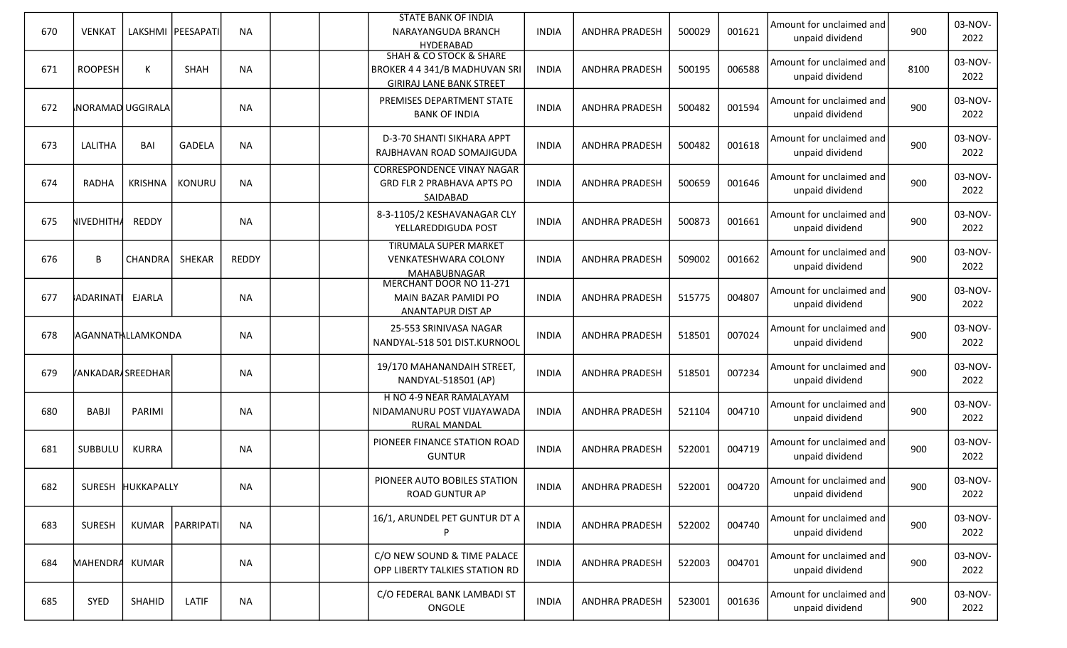| 670 | <b>VENKAT</b>     |                   | LAKSHMI   PEESAPATI | <b>NA</b>    |  | <b>STATE BANK OF INDIA</b><br>NARAYANGUDA BRANCH<br><b>HYDERABAD</b>                                       | <b>INDIA</b> | <b>ANDHRA PRADESH</b> | 500029 | 001621 | Amount for unclaimed and<br>unpaid dividend | 900  | 03-NOV-<br>2022 |
|-----|-------------------|-------------------|---------------------|--------------|--|------------------------------------------------------------------------------------------------------------|--------------|-----------------------|--------|--------|---------------------------------------------|------|-----------------|
| 671 | <b>ROOPESH</b>    | K                 | <b>SHAH</b>         | <b>NA</b>    |  | <b>SHAH &amp; CO STOCK &amp; SHARE</b><br>BROKER 4 4 341/B MADHUVAN SRI<br><b>GIRIRAJ LANE BANK STREET</b> | <b>INDIA</b> | <b>ANDHRA PRADESH</b> | 500195 | 006588 | Amount for unclaimed and<br>unpaid dividend | 8100 | 03-NOV-<br>2022 |
| 672 | NORAMAD UGGIRALA  |                   |                     | <b>NA</b>    |  | PREMISES DEPARTMENT STATE<br><b>BANK OF INDIA</b>                                                          | <b>INDIA</b> | <b>ANDHRA PRADESH</b> | 500482 | 001594 | Amount for unclaimed and<br>unpaid dividend | 900  | 03-NOV-<br>2022 |
| 673 | LALITHA           | BAI               | <b>GADELA</b>       | <b>NA</b>    |  | D-3-70 SHANTI SIKHARA APPT<br>RAJBHAVAN ROAD SOMAJIGUDA                                                    | <b>INDIA</b> | <b>ANDHRA PRADESH</b> | 500482 | 001618 | Amount for unclaimed and<br>unpaid dividend | 900  | 03-NOV-<br>2022 |
| 674 | <b>RADHA</b>      | <b>KRISHNA</b>    | KONURU              | <b>NA</b>    |  | <b>CORRESPONDENCE VINAY NAGAR</b><br><b>GRD FLR 2 PRABHAVA APTS PO</b><br>SAIDABAD                         | <b>INDIA</b> | <b>ANDHRA PRADESH</b> | 500659 | 001646 | Amount for unclaimed and<br>unpaid dividend | 900  | 03-NOV-<br>2022 |
| 675 | NIVEDHITHA        | <b>REDDY</b>      |                     | <b>NA</b>    |  | 8-3-1105/2 KESHAVANAGAR CLY<br>YELLAREDDIGUDA POST                                                         | <b>INDIA</b> | <b>ANDHRA PRADESH</b> | 500873 | 001661 | Amount for unclaimed and<br>unpaid dividend | 900  | 03-NOV-<br>2022 |
| 676 | B                 | CHANDRA           | SHEKAR              | <b>REDDY</b> |  | <b>TIRUMALA SUPER MARKET</b><br><b>VENKATESHWARA COLONY</b><br>MAHABUBNAGAR                                | <b>INDIA</b> | <b>ANDHRA PRADESH</b> | 509002 | 001662 | Amount for unclaimed and<br>unpaid dividend | 900  | 03-NOV-<br>2022 |
| 677 | ADARINAT          | <b>EJARLA</b>     |                     | <b>NA</b>    |  | MERCHANT DOOR NO 11-271<br>MAIN BAZAR PAMIDI PO<br>ANANTAPUR DIST AP                                       | <b>INDIA</b> | <b>ANDHRA PRADESH</b> | 515775 | 004807 | Amount for unclaimed and<br>unpaid dividend | 900  | 03-NOV-<br>2022 |
| 678 | AGANNATHLLAMKONDA |                   |                     | <b>NA</b>    |  | 25-553 SRINIVASA NAGAR<br>NANDYAL-518 501 DIST.KURNOOL                                                     | <b>INDIA</b> | <b>ANDHRA PRADESH</b> | 518501 | 007024 | Amount for unclaimed and<br>unpaid dividend | 900  | 03-NOV-<br>2022 |
| 679 | VANKADAR/SREEDHAR |                   |                     | <b>NA</b>    |  | 19/170 MAHANANDAIH STREET,<br>NANDYAL-518501 (AP)                                                          | <b>INDIA</b> | <b>ANDHRA PRADESH</b> | 518501 | 007234 | Amount for unclaimed and<br>unpaid dividend | 900  | 03-NOV-<br>2022 |
| 680 | <b>BABJI</b>      | PARIMI            |                     | <b>NA</b>    |  | H NO 4-9 NEAR RAMALAYAM<br>NIDAMANURU POST VIJAYAWADA<br><b>RURAL MANDAL</b>                               | <b>INDIA</b> | <b>ANDHRA PRADESH</b> | 521104 | 004710 | Amount for unclaimed and<br>unpaid dividend | 900  | 03-NOV-<br>2022 |
| 681 | SUBBULU           | <b>KURRA</b>      |                     | <b>NA</b>    |  | PIONEER FINANCE STATION ROAD<br><b>GUNTUR</b>                                                              | <b>INDIA</b> | <b>ANDHRA PRADESH</b> | 522001 | 004719 | Amount for unclaimed and<br>unpaid dividend | 900  | 03-NOV-<br>2022 |
| 682 |                   | SURESH HUKKAPALLY |                     | <b>NA</b>    |  | PIONEER AUTO BOBILES STATION<br><b>ROAD GUNTUR AP</b>                                                      | <b>INDIA</b> | ANDHRA PRADESH        | 522001 | 004720 | Amount for unclaimed and<br>unpaid dividend | 900  | 03-NOV-<br>2022 |
| 683 | <b>SURESH</b>     |                   | KUMAR   PARRIPATI   | <b>NA</b>    |  | 16/1, ARUNDEL PET GUNTUR DT A                                                                              | <b>INDIA</b> | <b>ANDHRA PRADESH</b> | 522002 | 004740 | Amount for unclaimed and<br>unpaid dividend | 900  | 03-NOV-<br>2022 |
| 684 | MAHENDRA KUMAR    |                   |                     | <b>NA</b>    |  | C/O NEW SOUND & TIME PALACE<br>OPP LIBERTY TALKIES STATION RD                                              | <b>INDIA</b> | <b>ANDHRA PRADESH</b> | 522003 | 004701 | Amount for unclaimed and<br>unpaid dividend | 900  | 03-NOV-<br>2022 |
| 685 | SYED              | SHAHID            | LATIF               | <b>NA</b>    |  | C/O FEDERAL BANK LAMBADI ST<br>ONGOLE                                                                      | <b>INDIA</b> | <b>ANDHRA PRADESH</b> | 523001 | 001636 | Amount for unclaimed and<br>unpaid dividend | 900  | 03-NOV-<br>2022 |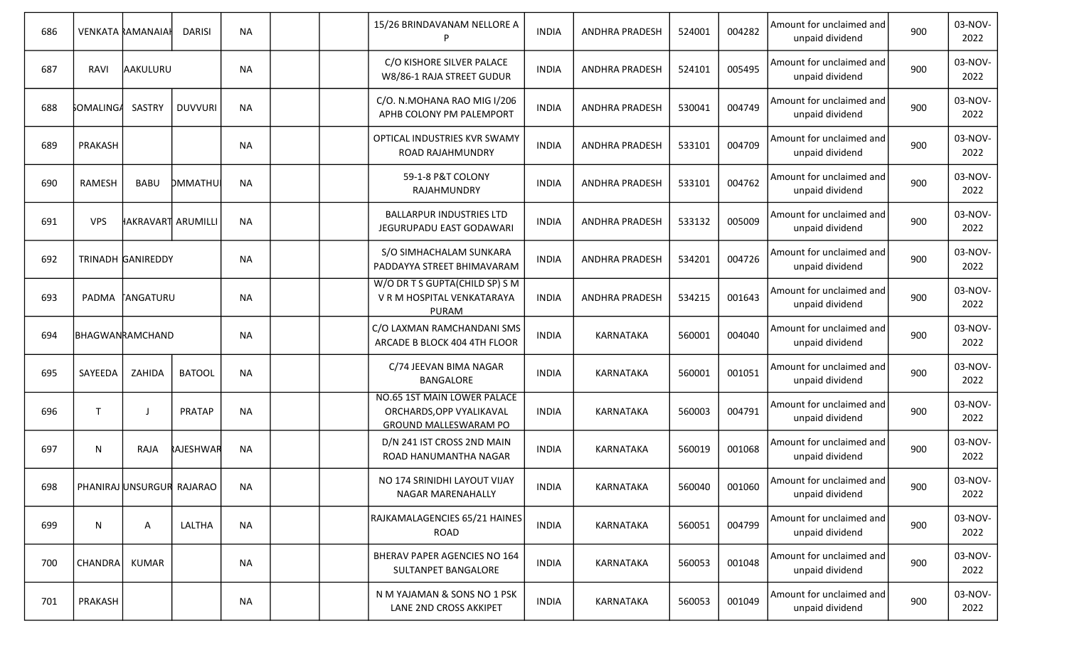| 686 |                  | <b>VENKATA RAMANAIAH</b>  | <b>DARISI</b>  | <b>NA</b> |  | 15/26 BRINDAVANAM NELLORE A<br>P                                                               | <b>INDIA</b> | ANDHRA PRADESH        | 524001 | 004282 | Amount for unclaimed and<br>unpaid dividend | 900 | 03-NOV-<br>2022 |
|-----|------------------|---------------------------|----------------|-----------|--|------------------------------------------------------------------------------------------------|--------------|-----------------------|--------|--------|---------------------------------------------|-----|-----------------|
| 687 | RAVI             | AAKULURU                  |                | <b>NA</b> |  | C/O KISHORE SILVER PALACE<br>W8/86-1 RAJA STREET GUDUR                                         | <b>INDIA</b> | ANDHRA PRADESH        | 524101 | 005495 | Amount for unclaimed and<br>unpaid dividend | 900 | 03-NOV-<br>2022 |
| 688 | <b>SOMALINGA</b> | SASTRY                    | <b>DUVVURI</b> | <b>NA</b> |  | C/O. N.MOHANA RAO MIG I/206<br>APHB COLONY PM PALEMPORT                                        | <b>INDIA</b> | ANDHRA PRADESH        | 530041 | 004749 | Amount for unclaimed and<br>unpaid dividend | 900 | 03-NOV-<br>2022 |
| 689 | PRAKASH          |                           |                | <b>NA</b> |  | OPTICAL INDUSTRIES KVR SWAMY<br>ROAD RAJAHMUNDRY                                               | <b>INDIA</b> | <b>ANDHRA PRADESH</b> | 533101 | 004709 | Amount for unclaimed and<br>unpaid dividend | 900 | 03-NOV-<br>2022 |
| 690 | <b>RAMESH</b>    | <b>BABU</b>               | DMMATHU        | <b>NA</b> |  | 59-1-8 P&T COLONY<br>RAJAHMUNDRY                                                               | <b>INDIA</b> | <b>ANDHRA PRADESH</b> | 533101 | 004762 | Amount for unclaimed and<br>unpaid dividend | 900 | 03-NOV-<br>2022 |
| 691 | <b>VPS</b>       | HAKRAVART ARUMILLI        |                | <b>NA</b> |  | <b>BALLARPUR INDUSTRIES LTD</b><br>JEGURUPADU EAST GODAWARI                                    | <b>INDIA</b> | <b>ANDHRA PRADESH</b> | 533132 | 005009 | Amount for unclaimed and<br>unpaid dividend | 900 | 03-NOV-<br>2022 |
| 692 |                  | <b>TRINADH GANIREDDY</b>  |                | <b>NA</b> |  | S/O SIMHACHALAM SUNKARA<br>PADDAYYA STREET BHIMAVARAM                                          | <b>INDIA</b> | ANDHRA PRADESH        | 534201 | 004726 | Amount for unclaimed and<br>unpaid dividend | 900 | 03-NOV-<br>2022 |
| 693 |                  | PADMA TANGATURU           |                | <b>NA</b> |  | W/O DR T S GUPTA(CHILD SP) S M<br>V R M HOSPITAL VENKATARAYA<br><b>PURAM</b>                   | <b>INDIA</b> | <b>ANDHRA PRADESH</b> | 534215 | 001643 | Amount for unclaimed and<br>unpaid dividend | 900 | 03-NOV-<br>2022 |
| 694 |                  | BHAGWANRAMCHAND           |                | <b>NA</b> |  | C/O LAXMAN RAMCHANDANI SMS<br>ARCADE B BLOCK 404 4TH FLOOR                                     | <b>INDIA</b> | <b>KARNATAKA</b>      | 560001 | 004040 | Amount for unclaimed and<br>unpaid dividend | 900 | 03-NOV-<br>2022 |
| 695 | SAYEEDA          | ZAHIDA                    | <b>BATOOL</b>  | <b>NA</b> |  | C/74 JEEVAN BIMA NAGAR<br>BANGALORE                                                            | <b>INDIA</b> | <b>KARNATAKA</b>      | 560001 | 001051 | Amount for unclaimed and<br>unpaid dividend | 900 | 03-NOV-<br>2022 |
| 696 | $\mathsf T$      |                           | <b>PRATAP</b>  | <b>NA</b> |  | <b>NO.65 1ST MAIN LOWER PALACE</b><br>ORCHARDS, OPP VYALIKAVAL<br><b>GROUND MALLESWARAM PO</b> | <b>INDIA</b> | <b>KARNATAKA</b>      | 560003 | 004791 | Amount for unclaimed and<br>unpaid dividend | 900 | 03-NOV-<br>2022 |
| 697 | N                | <b>RAJA</b>               | RAJESHWAR      | <b>NA</b> |  | D/N 241 IST CROSS 2ND MAIN<br>ROAD HANUMANTHA NAGAR                                            | <b>INDIA</b> | <b>KARNATAKA</b>      | 560019 | 001068 | Amount for unclaimed and<br>unpaid dividend | 900 | 03-NOV-<br>2022 |
| 698 |                  | PHANIRAJ UNSURGUR RAJARAO |                | <b>NA</b> |  | NO 174 SRINIDHI LAYOUT VIJAY<br>NAGAR MARENAHALLY                                              | <b>INDIA</b> | KARNATAKA             | 560040 | 001060 | Amount for unclaimed and<br>unpaid dividend | 900 | 03-NOV-<br>2022 |
| 699 | N                | A                         | LALTHA         | <b>NA</b> |  | RAJKAMALAGENCIES 65/21 HAINES<br>ROAD                                                          | <b>INDIA</b> | KARNATAKA             | 560051 | 004799 | Amount for unclaimed and<br>unpaid dividend | 900 | 03-NOV-<br>2022 |
| 700 | <b>CHANDRA</b>   | KUMAR                     |                | NA        |  | BHERAV PAPER AGENCIES NO 164<br>SULTANPET BANGALORE                                            | <b>INDIA</b> | KARNATAKA             | 560053 | 001048 | Amount for unclaimed and<br>unpaid dividend | 900 | 03-NOV-<br>2022 |
| 701 | PRAKASH          |                           |                | NA        |  | N M YAJAMAN & SONS NO 1 PSK<br>LANE 2ND CROSS AKKIPET                                          | <b>INDIA</b> | KARNATAKA             | 560053 | 001049 | Amount for unclaimed and<br>unpaid dividend | 900 | 03-NOV-<br>2022 |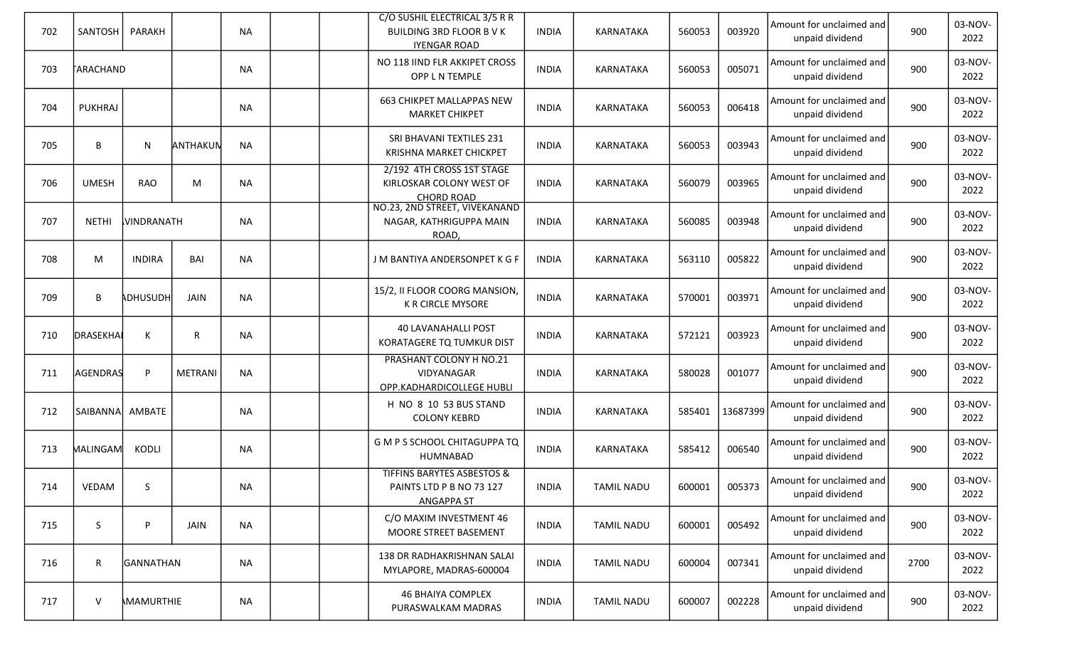| 702 | SANTOSH          | PARAKH            |          | <b>NA</b> |  | C/O SUSHIL ELECTRICAL 3/5 R R<br><b>BUILDING 3RD FLOOR B V K</b><br><b>IYENGAR ROAD</b> | <b>INDIA</b> | KARNATAKA         | 560053 | 003920   | Amount for unclaimed and<br>unpaid dividend | 900  | 03-NOV-<br>2022 |
|-----|------------------|-------------------|----------|-----------|--|-----------------------------------------------------------------------------------------|--------------|-------------------|--------|----------|---------------------------------------------|------|-----------------|
| 703 | TARACHAND        |                   |          | <b>NA</b> |  | NO 118 IIND FLR AKKIPET CROSS<br>OPP L N TEMPLE                                         | <b>INDIA</b> | KARNATAKA         | 560053 | 005071   | Amount for unclaimed and<br>unpaid dividend | 900  | 03-NOV-<br>2022 |
| 704 | <b>PUKHRAJ</b>   |                   |          | <b>NA</b> |  | <b>663 CHIKPET MALLAPPAS NEW</b><br><b>MARKET CHIKPET</b>                               | <b>INDIA</b> | KARNATAKA         | 560053 | 006418   | Amount for unclaimed and<br>unpaid dividend | 900  | 03-NOV-<br>2022 |
| 705 | B                | N                 | ANTHAKUN | <b>NA</b> |  | SRI BHAVANI TEXTILES 231<br>KRISHNA MARKET CHICKPET                                     | <b>INDIA</b> | <b>KARNATAKA</b>  | 560053 | 003943   | Amount for unclaimed and<br>unpaid dividend | 900  | 03-NOV-<br>2022 |
| 706 | <b>UMESH</b>     | <b>RAO</b>        | M        | <b>NA</b> |  | 2/192 4TH CROSS 1ST STAGE<br>KIRLOSKAR COLONY WEST OF<br><b>CHORD ROAD</b>              | <b>INDIA</b> | <b>KARNATAKA</b>  | 560079 | 003965   | Amount for unclaimed and<br>unpaid dividend | 900  | 03-NOV-<br>2022 |
| 707 | <b>NETHI</b>     | <b>VINDRANATH</b> |          | <b>NA</b> |  | NO.23, 2ND STREET, VIVEKANAND<br>NAGAR, KATHRIGUPPA MAIN<br>ROAD,                       | <b>INDIA</b> | <b>KARNATAKA</b>  | 560085 | 003948   | Amount for unclaimed and<br>unpaid dividend | 900  | 03-NOV-<br>2022 |
| 708 | M                | <b>INDIRA</b>     | BAI      | <b>NA</b> |  | J M BANTIYA ANDERSONPET K G F                                                           | <b>INDIA</b> | <b>KARNATAKA</b>  | 563110 | 005822   | Amount for unclaimed and<br>unpaid dividend | 900  | 03-NOV-<br>2022 |
| 709 | B                | <b>ADHUSUDH</b>   | JAIN     | <b>NA</b> |  | 15/2, II FLOOR COORG MANSION,<br>K R CIRCLE MYSORE                                      | <b>INDIA</b> | <b>KARNATAKA</b>  | 570001 | 003971   | Amount for unclaimed and<br>unpaid dividend | 900  | 03-NOV-<br>2022 |
| 710 | DRASEKHAI        | К                 | R        | <b>NA</b> |  | <b>40 LAVANAHALLI POST</b><br>KORATAGERE TQ TUMKUR DIST                                 | <b>INDIA</b> | <b>KARNATAKA</b>  | 572121 | 003923   | Amount for unclaimed and<br>unpaid dividend | 900  | 03-NOV-<br>2022 |
| 711 | AGENDRAS         | P                 | METRANI  | <b>NA</b> |  | PRASHANT COLONY H NO.21<br>VIDYANAGAR<br>OPP.KADHARDICOLLEGE HUBLI                      | <b>INDIA</b> | KARNATAKA         | 580028 | 001077   | Amount for unclaimed and<br>unpaid dividend | 900  | 03-NOV-<br>2022 |
| 712 | SAIBANNA  AMBATE |                   |          | <b>NA</b> |  | H NO 8 10 53 BUS STAND<br><b>COLONY KEBRD</b>                                           | <b>INDIA</b> | KARNATAKA         | 585401 | 13687399 | Amount for unclaimed and<br>unpaid dividend | 900  | 03-NOV-<br>2022 |
| 713 | <b>MALINGAM</b>  | KODLI             |          | NA        |  | G M P S SCHOOL CHITAGUPPA TQ<br>HUMNABAD                                                | <b>INDIA</b> | KARNATAKA         | 585412 | 006540   | Amount for unclaimed and<br>unpaid dividend | 900  | 03-NOV-<br>2022 |
| 714 | VEDAM            | S.                |          | <b>NA</b> |  | <b>TIFFINS BARYTES ASBESTOS &amp;</b><br>PAINTS LTD P B NO 73 127<br><b>ANGAPPA ST</b>  | <b>INDIA</b> | <b>TAMIL NADU</b> | 600001 | 005373   | Amount for unclaimed and<br>unpaid dividend | 900  | 03-NOV-<br>2022 |
| 715 | S                | P                 | JAIN     | <b>NA</b> |  | C/O MAXIM INVESTMENT 46<br>MOORE STREET BASEMENT                                        | <b>INDIA</b> | <b>TAMIL NADU</b> | 600001 | 005492   | Amount for unclaimed and<br>unpaid dividend | 900  | 03-NOV-<br>2022 |
| 716 | R                | GANNATHAN         |          | <b>NA</b> |  | 138 DR RADHAKRISHNAN SALAI<br>MYLAPORE, MADRAS-600004                                   | <b>INDIA</b> | <b>TAMIL NADU</b> | 600004 | 007341   | Amount for unclaimed and<br>unpaid dividend | 2700 | 03-NOV-<br>2022 |
| 717 | $\vee$           | MAMURTHIE         |          | NA        |  | <b>46 BHAIYA COMPLEX</b><br>PURASWALKAM MADRAS                                          | <b>INDIA</b> | <b>TAMIL NADU</b> | 600007 | 002228   | Amount for unclaimed and<br>unpaid dividend | 900  | 03-NOV-<br>2022 |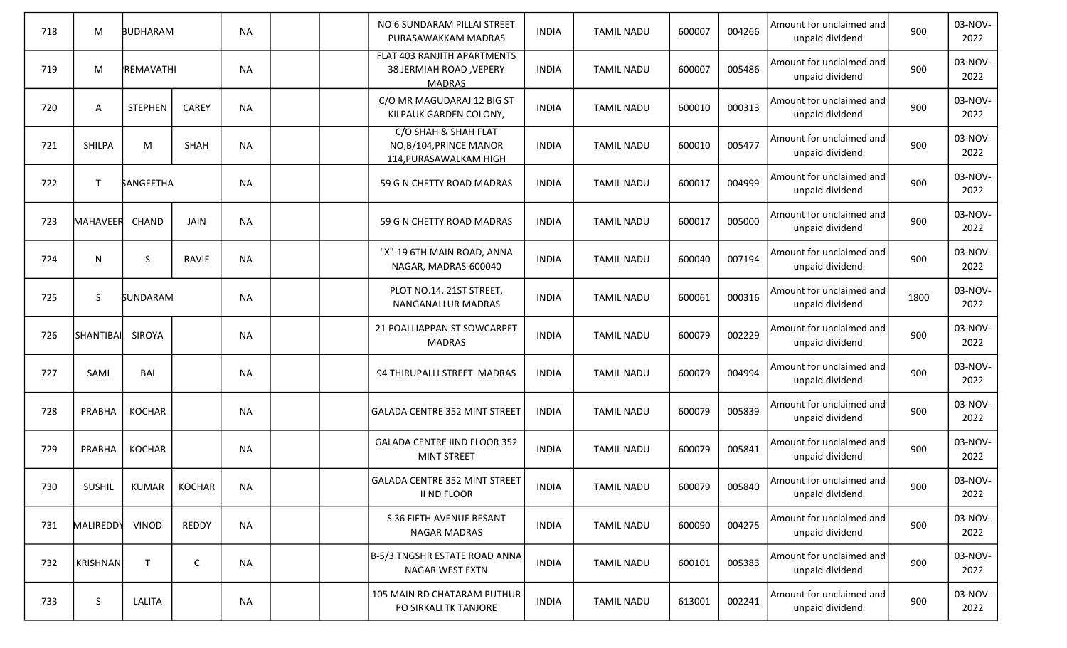| 718 | M               | <b>BUDHARAM</b>  |               | <b>NA</b> |  | NO 6 SUNDARAM PILLAI STREET<br>PURASAWAKKAM MADRAS                             | <b>INDIA</b> | <b>TAMIL NADU</b> | 600007 | 004266 | Amount for unclaimed and<br>unpaid dividend | 900  | 03-NOV-<br>2022 |
|-----|-----------------|------------------|---------------|-----------|--|--------------------------------------------------------------------------------|--------------|-------------------|--------|--------|---------------------------------------------|------|-----------------|
| 719 | M               | REMAVATHI        |               | <b>NA</b> |  | FLAT 403 RANJITH APARTMENTS<br><b>38 JERMIAH ROAD, VEPERY</b><br><b>MADRAS</b> | <b>INDIA</b> | <b>TAMIL NADU</b> | 600007 | 005486 | Amount for unclaimed and<br>unpaid dividend | 900  | 03-NOV-<br>2022 |
| 720 | A               | <b>STEPHEN</b>   | CAREY         | <b>NA</b> |  | C/O MR MAGUDARAJ 12 BIG ST<br>KILPAUK GARDEN COLONY,                           | <b>INDIA</b> | <b>TAMIL NADU</b> | 600010 | 000313 | Amount for unclaimed and<br>unpaid dividend | 900  | 03-NOV-<br>2022 |
| 721 | <b>SHILPA</b>   | M                | SHAH          | <b>NA</b> |  | C/O SHAH & SHAH FLAT<br>NO, B/104, PRINCE MANOR<br>114, PURASAWALKAM HIGH      | <b>INDIA</b> | <b>TAMIL NADU</b> | 600010 | 005477 | Amount for unclaimed and<br>unpaid dividend | 900  | 03-NOV-<br>2022 |
| 722 | $\mathsf{T}$    | <b>SANGEETHA</b> |               | <b>NA</b> |  | 59 G N CHETTY ROAD MADRAS                                                      | <b>INDIA</b> | <b>TAMIL NADU</b> | 600017 | 004999 | Amount for unclaimed and<br>unpaid dividend | 900  | 03-NOV-<br>2022 |
| 723 | <b>MAHAVEER</b> | CHAND            | <b>JAIN</b>   | <b>NA</b> |  | 59 G N CHETTY ROAD MADRAS                                                      | <b>INDIA</b> | <b>TAMIL NADU</b> | 600017 | 005000 | Amount for unclaimed and<br>unpaid dividend | 900  | 03-NOV-<br>2022 |
| 724 | N               | S.               | <b>RAVIE</b>  | <b>NA</b> |  | "X"-19 6TH MAIN ROAD, ANNA<br>NAGAR, MADRAS-600040                             | <b>INDIA</b> | <b>TAMIL NADU</b> | 600040 | 007194 | Amount for unclaimed and<br>unpaid dividend | 900  | 03-NOV-<br>2022 |
| 725 | <sub>S</sub>    | <b>SUNDARAM</b>  |               | <b>NA</b> |  | PLOT NO.14, 21ST STREET,<br>NANGANALLUR MADRAS                                 | <b>INDIA</b> | <b>TAMIL NADU</b> | 600061 | 000316 | Amount for unclaimed and<br>unpaid dividend | 1800 | 03-NOV-<br>2022 |
| 726 | SHANTIBAI       | SIROYA           |               | <b>NA</b> |  | 21 POALLIAPPAN ST SOWCARPET<br><b>MADRAS</b>                                   | <b>INDIA</b> | <b>TAMIL NADU</b> | 600079 | 002229 | Amount for unclaimed and<br>unpaid dividend | 900  | 03-NOV-<br>2022 |
| 727 | SAMI            | BAI              |               | <b>NA</b> |  | 94 THIRUPALLI STREET MADRAS                                                    | <b>INDIA</b> | <b>TAMIL NADU</b> | 600079 | 004994 | Amount for unclaimed and<br>unpaid dividend | 900  | 03-NOV-<br>2022 |
| 728 | PRABHA          | <b>KOCHAR</b>    |               | <b>NA</b> |  | GALADA CENTRE 352 MINT STREET                                                  | <b>INDIA</b> | <b>TAMIL NADU</b> | 600079 | 005839 | Amount for unclaimed and<br>unpaid dividend | 900  | 03-NOV-<br>2022 |
| 729 | PRABHA          | <b>KOCHAR</b>    |               | <b>NA</b> |  | <b>GALADA CENTRE IIND FLOOR 352</b><br><b>MINT STREET</b>                      | <b>INDIA</b> | <b>TAMIL NADU</b> | 600079 | 005841 | Amount for unclaimed and<br>unpaid dividend | 900  | 03-NOV-<br>2022 |
| 730 | <b>SUSHIL</b>   | KUMAR            | <b>KOCHAR</b> | ΝA        |  | GALADA CENTRE 352 MINT STREET<br><b>II ND FLOOR</b>                            | <b>INDIA</b> | <b>TAMIL NADU</b> | 600079 | 005840 | Amount for unclaimed and<br>unpaid dividend | 900  | 03-NOV-<br>2022 |
| 731 | MALIREDDY       | <b>VINOD</b>     | REDDY         | <b>NA</b> |  | S 36 FIFTH AVENUE BESANT<br><b>NAGAR MADRAS</b>                                | <b>INDIA</b> | <b>TAMIL NADU</b> | 600090 | 004275 | Amount for unclaimed and<br>unpaid dividend | 900  | 03-NOV-<br>2022 |
| 732 | <b>KRISHNAN</b> | $\mathsf{T}$     | C             | <b>NA</b> |  | B-5/3 TNGSHR ESTATE ROAD ANNA<br>NAGAR WEST EXTN                               | <b>INDIA</b> | <b>TAMIL NADU</b> | 600101 | 005383 | Amount for unclaimed and<br>unpaid dividend | 900  | 03-NOV-<br>2022 |
| 733 | S.              | LALITA           |               | NA        |  | 105 MAIN RD CHATARAM PUTHUR<br>PO SIRKALI TK TANJORE                           | <b>INDIA</b> | <b>TAMIL NADU</b> | 613001 | 002241 | Amount for unclaimed and<br>unpaid dividend | 900  | 03-NOV-<br>2022 |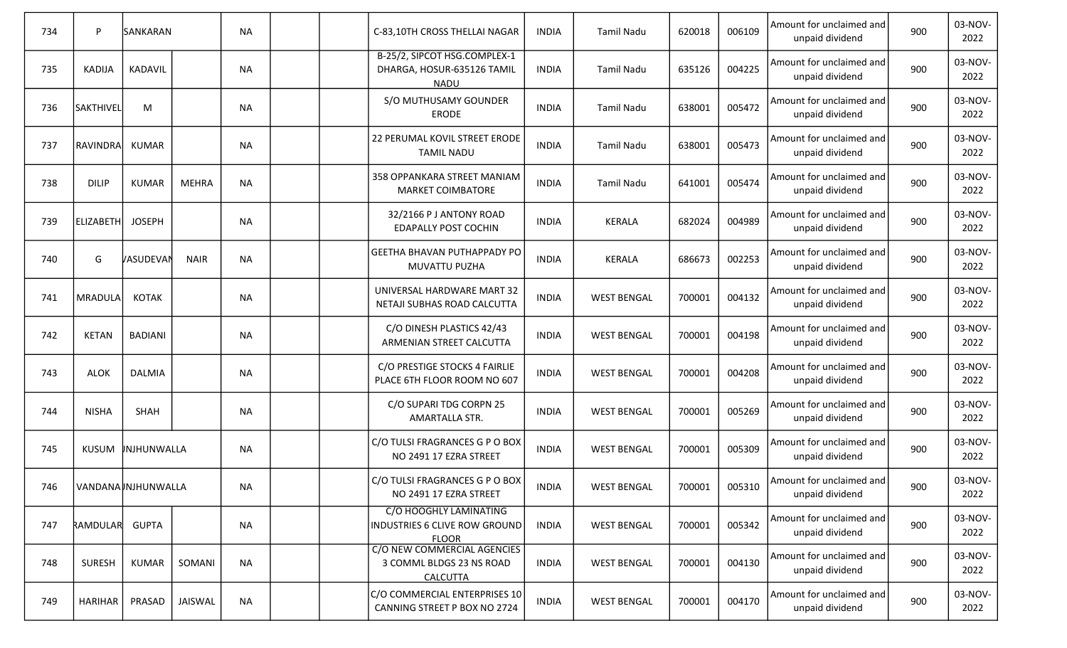| 734 | P                | SANKARAN           |              | <b>NA</b> |  | C-83,10TH CROSS THELLAI NAGAR                                                  | <b>INDIA</b> | <b>Tamil Nadu</b>  | 620018 | 006109 | Amount for unclaimed and<br>unpaid dividend | 900 | 03-NOV-<br>2022 |
|-----|------------------|--------------------|--------------|-----------|--|--------------------------------------------------------------------------------|--------------|--------------------|--------|--------|---------------------------------------------|-----|-----------------|
| 735 | <b>KADIJA</b>    | KADAVIL            |              | <b>NA</b> |  | B-25/2, SIPCOT HSG.COMPLEX-1<br>DHARGA, HOSUR-635126 TAMIL<br><b>NADU</b>      | INDIA        | Tamil Nadu         | 635126 | 004225 | Amount for unclaimed and<br>unpaid dividend | 900 | 03-NOV-<br>2022 |
| 736 | <b>SAKTHIVEL</b> | M                  |              | <b>NA</b> |  | S/O MUTHUSAMY GOUNDER<br>ERODE                                                 | <b>INDIA</b> | Tamil Nadu         | 638001 | 005472 | Amount for unclaimed and<br>unpaid dividend | 900 | 03-NOV-<br>2022 |
| 737 | RAVINDRA         | KUMAR              |              | <b>NA</b> |  | 22 PERUMAL KOVIL STREET ERODE<br><b>TAMIL NADU</b>                             | <b>INDIA</b> | Tamil Nadu         | 638001 | 005473 | Amount for unclaimed and<br>unpaid dividend | 900 | 03-NOV-<br>2022 |
| 738 | <b>DILIP</b>     | <b>KUMAR</b>       | <b>MEHRA</b> | <b>NA</b> |  | 358 OPPANKARA STREET MANIAM<br>MARKET COIMBATORE                               | <b>INDIA</b> | Tamil Nadu         | 641001 | 005474 | Amount for unclaimed and<br>unpaid dividend | 900 | 03-NOV-<br>2022 |
| 739 | ELIZABETH        | <b>JOSEPH</b>      |              | <b>NA</b> |  | 32/2166 P J ANTONY ROAD<br><b>EDAPALLY POST COCHIN</b>                         | <b>INDIA</b> | <b>KERALA</b>      | 682024 | 004989 | Amount for unclaimed and<br>unpaid dividend | 900 | 03-NOV-<br>2022 |
| 740 | G                | VASUDEVAN          | <b>NAIR</b>  | <b>NA</b> |  | <b>GEETHA BHAVAN PUTHAPPADY PO</b><br>MUVATTU PUZHA                            | <b>INDIA</b> | <b>KERALA</b>      | 686673 | 002253 | Amount for unclaimed and<br>unpaid dividend | 900 | 03-NOV-<br>2022 |
| 741 | MRADULA          | <b>KOTAK</b>       |              | <b>NA</b> |  | UNIVERSAL HARDWARE MART 32<br>NETAJI SUBHAS ROAD CALCUTTA                      | INDIA        | <b>WEST BENGAL</b> | 700001 | 004132 | Amount for unclaimed and<br>unpaid dividend | 900 | 03-NOV-<br>2022 |
| 742 | <b>KETAN</b>     | <b>BADIANI</b>     |              | <b>NA</b> |  | C/O DINESH PLASTICS 42/43<br>ARMENIAN STREET CALCUTTA                          | <b>INDIA</b> | <b>WEST BENGAL</b> | 700001 | 004198 | Amount for unclaimed and<br>unpaid dividend | 900 | 03-NOV-<br>2022 |
| 743 | <b>ALOK</b>      | <b>DALMIA</b>      |              | <b>NA</b> |  | C/O PRESTIGE STOCKS 4 FAIRLIE<br>PLACE 6TH FLOOR ROOM NO 607                   | <b>INDIA</b> | <b>WEST BENGAL</b> | 700001 | 004208 | Amount for unclaimed and<br>unpaid dividend | 900 | 03-NOV-<br>2022 |
| 744 | <b>NISHA</b>     | SHAH               |              | <b>NA</b> |  | C/O SUPARI TDG CORPN 25<br>AMARTALLA STR.                                      | INDIA        | <b>WEST BENGAL</b> | 700001 | 005269 | Amount for unclaimed and<br>unpaid dividend | 900 | 03-NOV-<br>2022 |
| 745 | KUSUM            | <b>JNJHUNWALLA</b> |              | <b>NA</b> |  | C/O TULSI FRAGRANCES G P O BOX<br>NO 2491 17 EZRA STREET                       | INDIA        | <b>WEST BENGAL</b> | 700001 | 005309 | Amount for unclaimed and<br>unpaid dividend | 900 | 03-NOV-<br>2022 |
| 746 |                  | VANDANA NJHUNWALLA |              | <b>NA</b> |  | C/O TULSI FRAGRANCES G P O BOX<br>NO 2491 17 EZRA STREET                       | <b>INDIA</b> | <b>WEST BENGAL</b> | 700001 | 005310 | Amount for unclaimed and<br>unpaid dividend | 900 | 03-NOV-<br>2022 |
| 747 | RAMDULAR         | <b>GUPTA</b>       |              | <b>NA</b> |  | C/O HOOGHLY LAMINATING<br><b>INDUSTRIES 6 CLIVE ROW GROUND</b><br><b>FLOOR</b> | <b>INDIA</b> | <b>WEST BENGAL</b> | 700001 | 005342 | Amount for unclaimed and<br>unpaid dividend | 900 | 03-NOV-<br>2022 |
| 748 | <b>SURESH</b>    | KUMAR              | SOMANI       | <b>NA</b> |  | C/O NEW COMMERCIAL AGENCIES<br>3 COMML BLDGS 23 NS ROAD<br><b>CALCUTTA</b>     | <b>INDIA</b> | <b>WEST BENGAL</b> | 700001 | 004130 | Amount for unclaimed and<br>unpaid dividend | 900 | 03-NOV-<br>2022 |
| 749 | HARIHAR          | PRASAD             | JAISWAL      | <b>NA</b> |  | C/O COMMERCIAL ENTERPRISES 10<br>CANNING STREET P BOX NO 2724                  | <b>INDIA</b> | <b>WEST BENGAL</b> | 700001 | 004170 | Amount for unclaimed and<br>unpaid dividend | 900 | 03-NOV-<br>2022 |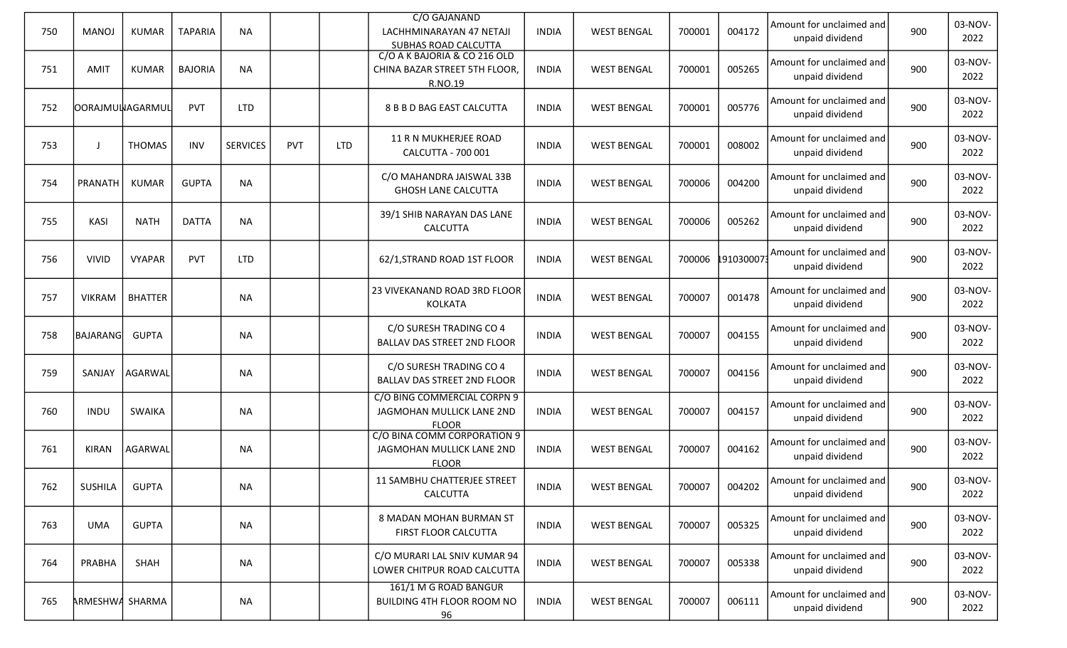| 750 | <b>MANOJ</b>           | <b>KUMAR</b>   | <b>TAPARIA</b> | <b>NA</b>       |     |            | C/O GAJANAND<br>LACHHMINARAYAN 47 NETAJI<br>SUBHAS ROAD CALCUTTA         | <b>INDIA</b> | <b>WEST BENGAL</b> | 700001 | 004172            | Amount for unclaimed and<br>unpaid dividend | 900 | 03-NOV-<br>2022 |
|-----|------------------------|----------------|----------------|-----------------|-----|------------|--------------------------------------------------------------------------|--------------|--------------------|--------|-------------------|---------------------------------------------|-----|-----------------|
| 751 | AMIT                   | <b>KUMAR</b>   | <b>BAJORIA</b> | <b>NA</b>       |     |            | C/O A K BAJORIA & CO 216 OLD<br>CHINA BAZAR STREET 5TH FLOOR,<br>R.NO.19 | INDIA        | <b>WEST BENGAL</b> | 700001 | 005265            | Amount for unclaimed and<br>unpaid dividend | 900 | 03-NOV-<br>2022 |
| 752 | <b>OORAJMULAGARMUL</b> |                | <b>PVT</b>     | <b>LTD</b>      |     |            | 8 B B D BAG EAST CALCUTTA                                                | <b>INDIA</b> | <b>WEST BENGAL</b> | 700001 | 005776            | Amount for unclaimed and<br>unpaid dividend | 900 | 03-NOV-<br>2022 |
| 753 |                        | <b>THOMAS</b>  | <b>INV</b>     | <b>SERVICES</b> | PVT | <b>LTD</b> | 11 R N MUKHERJEE ROAD<br>CALCUTTA - 700 001                              | <b>INDIA</b> | <b>WEST BENGAL</b> | 700001 | 008002            | Amount for unclaimed and<br>unpaid dividend | 900 | 03-NOV-<br>2022 |
| 754 | PRANATH                | <b>KUMAR</b>   | <b>GUPTA</b>   | <b>NA</b>       |     |            | C/O MAHANDRA JAISWAL 33B<br><b>GHOSH LANE CALCUTTA</b>                   | <b>INDIA</b> | <b>WEST BENGAL</b> | 700006 | 004200            | Amount for unclaimed and<br>unpaid dividend | 900 | 03-NOV-<br>2022 |
| 755 | KASI                   | <b>NATH</b>    | <b>DATTA</b>   | <b>NA</b>       |     |            | 39/1 SHIB NARAYAN DAS LANE<br><b>CALCUTTA</b>                            | <b>INDIA</b> | <b>WEST BENGAL</b> | 700006 | 005262            | Amount for unclaimed and<br>unpaid dividend | 900 | 03-NOV-<br>2022 |
| 756 | <b>VIVID</b>           | <b>VYAPAR</b>  | <b>PVT</b>     | <b>LTD</b>      |     |            | 62/1, STRAND ROAD 1ST FLOOR                                              | <b>INDIA</b> | <b>WEST BENGAL</b> |        | 700006 1910300073 | Amount for unclaimed and<br>unpaid dividend | 900 | 03-NOV-<br>2022 |
| 757 | <b>VIKRAM</b>          | <b>BHATTER</b> |                | <b>NA</b>       |     |            | 23 VIVEKANAND ROAD 3RD FLOOR<br>KOLKATA                                  | <b>INDIA</b> | <b>WEST BENGAL</b> | 700007 | 001478            | Amount for unclaimed and<br>unpaid dividend | 900 | 03-NOV-<br>2022 |
| 758 | BAJARANG               | <b>GUPTA</b>   |                | <b>NA</b>       |     |            | C/O SURESH TRADING CO 4<br><b>BALLAV DAS STREET 2ND FLOOR</b>            | <b>INDIA</b> | <b>WEST BENGAL</b> | 700007 | 004155            | Amount for unclaimed and<br>unpaid dividend | 900 | 03-NOV-<br>2022 |
| 759 | SANJAY                 | AGARWAL        |                | <b>NA</b>       |     |            | C/O SURESH TRADING CO 4<br><b>BALLAV DAS STREET 2ND FLOOR</b>            | <b>INDIA</b> | <b>WEST BENGAL</b> | 700007 | 004156            | Amount for unclaimed and<br>unpaid dividend | 900 | 03-NOV-<br>2022 |
| 760 | <b>INDU</b>            | <b>SWAIKA</b>  |                | <b>NA</b>       |     |            | C/O BING COMMERCIAL CORPN 9<br>JAGMOHAN MULLICK LANE 2ND<br><b>FLOOR</b> | <b>INDIA</b> | <b>WEST BENGAL</b> | 700007 | 004157            | Amount for unclaimed and<br>unpaid dividend | 900 | 03-NOV-<br>2022 |
| 761 | KIRAN                  | AGARWAL        |                | <b>NA</b>       |     |            | C/O BINA COMM CORPORATION 9<br>JAGMOHAN MULLICK LANE 2ND<br><b>FLOOR</b> | <b>INDIA</b> | <b>WEST BENGAL</b> | 700007 | 004162            | Amount for unclaimed and<br>unpaid dividend | 900 | 03-NOV-<br>2022 |
| 762 | SUSHILA                | <b>GUPTA</b>   |                | <b>NA</b>       |     |            | <b>11 SAMBHU CHATTERJEE STREET</b><br>CALCUTTA                           | <b>INDIA</b> | <b>WEST BENGAL</b> | 700007 | 004202            | Amount for unclaimed and<br>unpaid dividend | 900 | 03-NOV-<br>2022 |
| 763 | <b>UMA</b>             | <b>GUPTA</b>   |                | <b>NA</b>       |     |            | 8 MADAN MOHAN BURMAN ST<br>FIRST FLOOR CALCUTTA                          | <b>INDIA</b> | <b>WEST BENGAL</b> | 700007 | 005325            | Amount for unclaimed and<br>unpaid dividend | 900 | 03-NOV-<br>2022 |
| 764 | PRABHA                 | SHAH           |                | <b>NA</b>       |     |            | C/O MURARI LAL SNIV KUMAR 94<br>LOWER CHITPUR ROAD CALCUTTA              | <b>INDIA</b> | <b>WEST BENGAL</b> | 700007 | 005338            | Amount for unclaimed and<br>unpaid dividend | 900 | 03-NOV-<br>2022 |
| 765 | ARMESHWA SHARMA        |                |                | <b>NA</b>       |     |            | 161/1 M G ROAD BANGUR<br>BUILDING 4TH FLOOR ROOM NO<br>96                | <b>INDIA</b> | <b>WEST BENGAL</b> | 700007 | 006111            | Amount for unclaimed and<br>unpaid dividend | 900 | 03-NOV-<br>2022 |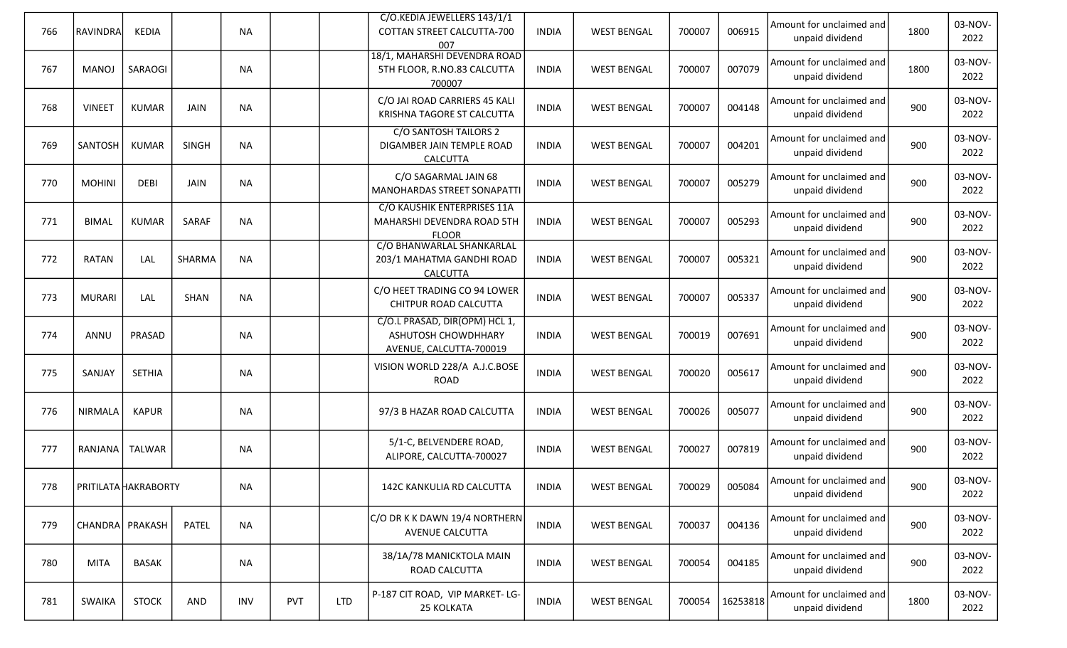| 766 | <b>RAVINDRA</b>             | KEDIA         |              | <b>NA</b> |     |            | C/O.KEDIA JEWELLERS 143/1/1<br>COTTAN STREET CALCUTTA-700<br>007                | <b>INDIA</b> | <b>WEST BENGAL</b> | 700007 | 006915   | Amount for unclaimed and<br>unpaid dividend | 1800 | 03-NOV-<br>2022 |
|-----|-----------------------------|---------------|--------------|-----------|-----|------------|---------------------------------------------------------------------------------|--------------|--------------------|--------|----------|---------------------------------------------|------|-----------------|
| 767 | MANOJ                       | SARAOGI       |              | <b>NA</b> |     |            | 18/1, MAHARSHI DEVENDRA ROAD<br>5TH FLOOR, R.NO.83 CALCUTTA<br>700007           | <b>INDIA</b> | <b>WEST BENGAL</b> | 700007 | 007079   | Amount for unclaimed and<br>unpaid dividend | 1800 | 03-NOV-<br>2022 |
| 768 | <b>VINEET</b>               | <b>KUMAR</b>  | JAIN         | <b>NA</b> |     |            | C/O JAI ROAD CARRIERS 45 KALI<br>KRISHNA TAGORE ST CALCUTTA                     | INDIA        | <b>WEST BENGAL</b> | 700007 | 004148   | Amount for unclaimed and<br>unpaid dividend | 900  | 03-NOV-<br>2022 |
| 769 | SANTOSH                     | <b>KUMAR</b>  | <b>SINGH</b> | <b>NA</b> |     |            | C/O SANTOSH TAILORS 2<br>DIGAMBER JAIN TEMPLE ROAD<br>CALCUTTA                  | <b>INDIA</b> | <b>WEST BENGAL</b> | 700007 | 004201   | Amount for unclaimed and<br>unpaid dividend | 900  | 03-NOV-<br>2022 |
| 770 | <b>MOHINI</b>               | <b>DEBI</b>   | JAIN         | <b>NA</b> |     |            | C/O SAGARMAL JAIN 68<br><b>MANOHARDAS STREET SONAPATTI</b>                      | INDIA        | <b>WEST BENGAL</b> | 700007 | 005279   | Amount for unclaimed and<br>unpaid dividend | 900  | 03-NOV-<br>2022 |
| 771 | <b>BIMAL</b>                | <b>KUMAR</b>  | SARAF        | <b>NA</b> |     |            | C/O KAUSHIK ENTERPRISES 11A<br>MAHARSHI DEVENDRA ROAD 5TH<br><b>FLOOR</b>       | INDIA        | <b>WEST BENGAL</b> | 700007 | 005293   | Amount for unclaimed and<br>unpaid dividend | 900  | 03-NOV-<br>2022 |
| 772 | <b>RATAN</b>                | LAL           | SHARMA       | <b>NA</b> |     |            | C/O BHANWARLAL SHANKARLAL<br>203/1 MAHATMA GANDHI ROAD<br><b>CALCUTTA</b>       | <b>INDIA</b> | <b>WEST BENGAL</b> | 700007 | 005321   | Amount for unclaimed and<br>unpaid dividend | 900  | 03-NOV-<br>2022 |
| 773 | <b>MURARI</b>               | LAL           | SHAN         | <b>NA</b> |     |            | C/O HEET TRADING CO 94 LOWER<br>CHITPUR ROAD CALCUTTA                           | <b>INDIA</b> | <b>WEST BENGAL</b> | 700007 | 005337   | Amount for unclaimed and<br>unpaid dividend | 900  | 03-NOV-<br>2022 |
| 774 | ANNU                        | PRASAD        |              | <b>NA</b> |     |            | C/O.L PRASAD, DIR(OPM) HCL 1,<br>ASHUTOSH CHOWDHHARY<br>AVENUE, CALCUTTA-700019 | <b>INDIA</b> | <b>WEST BENGAL</b> | 700019 | 007691   | Amount for unclaimed and<br>unpaid dividend | 900  | 03-NOV-<br>2022 |
| 775 | SANJAY                      | <b>SETHIA</b> |              | <b>NA</b> |     |            | VISION WORLD 228/A A.J.C.BOSE<br>ROAD                                           | <b>INDIA</b> | <b>WEST BENGAL</b> | 700020 | 005617   | Amount for unclaimed and<br>unpaid dividend | 900  | 03-NOV-<br>2022 |
| 776 | <b>NIRMALA</b>              | <b>KAPUR</b>  |              | <b>NA</b> |     |            | 97/3 B HAZAR ROAD CALCUTTA                                                      | <b>INDIA</b> | <b>WEST BENGAL</b> | 700026 | 005077   | Amount for unclaimed and<br>unpaid dividend | 900  | 03-NOV-<br>2022 |
| 777 | RANJANA                     | TALWAR        |              | <b>NA</b> |     |            | 5/1-C, BELVENDERE ROAD,<br>ALIPORE, CALCUTTA-700027                             | <b>INDIA</b> | <b>WEST BENGAL</b> | 700027 | 007819   | Amount for unclaimed and<br>unpaid dividend | 900  | 03-NOV-<br>2022 |
| 778 | <b>PRITILATA HAKRABORTY</b> |               |              | <b>NA</b> |     |            | 142C KANKULIA RD CALCUTTA                                                       | <b>INDIA</b> | <b>WEST BENGAL</b> | 700029 | 005084   | Amount for unclaimed and<br>unpaid dividend | 900  | 03-NOV-<br>2022 |
| 779 | CHANDRA PRAKASH             |               | PATEL        | NA        |     |            | C/O DR K K DAWN 19/4 NORTHERN<br>AVENUE CALCUTTA                                | <b>INDIA</b> | <b>WEST BENGAL</b> | 700037 | 004136   | Amount for unclaimed and<br>unpaid dividend | 900  | 03-NOV-<br>2022 |
| 780 | <b>MITA</b>                 | <b>BASAK</b>  |              | <b>NA</b> |     |            | 38/1A/78 MANICKTOLA MAIN<br>ROAD CALCUTTA                                       | <b>INDIA</b> | <b>WEST BENGAL</b> | 700054 | 004185   | Amount for unclaimed and<br>unpaid dividend | 900  | 03-NOV-<br>2022 |
| 781 | SWAIKA                      | <b>STOCK</b>  | AND          | INV       | PVT | <b>LTD</b> | P-187 CIT ROAD, VIP MARKET-LG-<br>25 KOLKATA                                    | <b>INDIA</b> | <b>WEST BENGAL</b> | 700054 | 16253818 | Amount for unclaimed and<br>unpaid dividend | 1800 | 03-NOV-<br>2022 |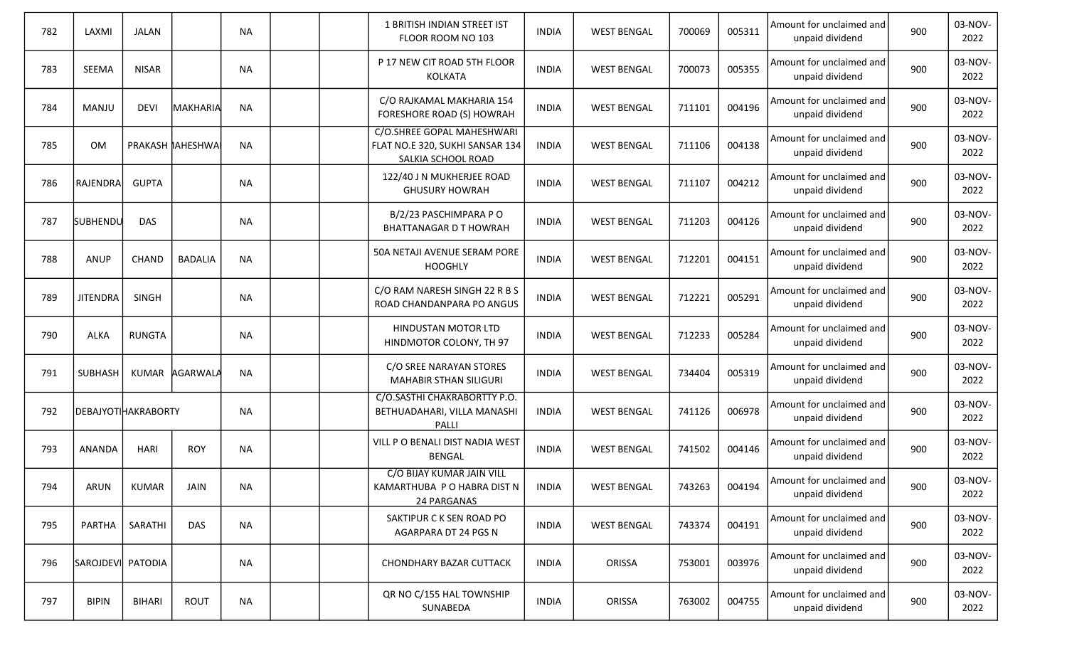| 782 | LAXMI               | JALAN         |                   | <b>NA</b> |  | 1 BRITISH INDIAN STREET IST<br>FLOOR ROOM NO 103                                    | <b>INDIA</b> | <b>WEST BENGAL</b> | 700069 | 005311 | Amount for unclaimed and<br>unpaid dividend | 900 | 03-NOV-<br>2022 |
|-----|---------------------|---------------|-------------------|-----------|--|-------------------------------------------------------------------------------------|--------------|--------------------|--------|--------|---------------------------------------------|-----|-----------------|
| 783 | <b>SEEMA</b>        | <b>NISAR</b>  |                   | <b>NA</b> |  | P 17 NEW CIT ROAD 5TH FLOOR<br><b>KOLKATA</b>                                       | <b>INDIA</b> | <b>WEST BENGAL</b> | 700073 | 005355 | Amount for unclaimed and<br>unpaid dividend | 900 | 03-NOV-<br>2022 |
| 784 | <b>MANJU</b>        | <b>DEVI</b>   | MAKHARIA          | <b>NA</b> |  | C/O RAJKAMAL MAKHARIA 154<br>FORESHORE ROAD (S) HOWRAH                              | <b>INDIA</b> | <b>WEST BENGAL</b> | 711101 | 004196 | Amount for unclaimed and<br>unpaid dividend | 900 | 03-NOV-<br>2022 |
| 785 | <b>OM</b>           |               | PRAKASH IAHESHWAI | <b>NA</b> |  | C/O.SHREE GOPAL MAHESHWARI<br>FLAT NO.E 320, SUKHI SANSAR 134<br>SALKIA SCHOOL ROAD | <b>INDIA</b> | <b>WEST BENGAL</b> | 711106 | 004138 | Amount for unclaimed and<br>unpaid dividend | 900 | 03-NOV-<br>2022 |
| 786 | RAJENDRA            | <b>GUPTA</b>  |                   | <b>NA</b> |  | 122/40 J N MUKHERJEE ROAD<br><b>GHUSURY HOWRAH</b>                                  | <b>INDIA</b> | <b>WEST BENGAL</b> | 711107 | 004212 | Amount for unclaimed and<br>unpaid dividend | 900 | 03-NOV-<br>2022 |
| 787 | <b>SUBHENDU</b>     | <b>DAS</b>    |                   | <b>NA</b> |  | B/2/23 PASCHIMPARA PO<br><b>BHATTANAGAR D T HOWRAH</b>                              | <b>INDIA</b> | <b>WEST BENGAL</b> | 711203 | 004126 | Amount for unclaimed and<br>unpaid dividend | 900 | 03-NOV-<br>2022 |
| 788 | <b>ANUP</b>         | <b>CHAND</b>  | <b>BADALIA</b>    | <b>NA</b> |  | 50A NETAJI AVENUE SERAM PORE<br><b>HOOGHLY</b>                                      | <b>INDIA</b> | <b>WEST BENGAL</b> | 712201 | 004151 | Amount for unclaimed and<br>unpaid dividend | 900 | 03-NOV-<br>2022 |
| 789 | <b>JITENDRA</b>     | SINGH         |                   | <b>NA</b> |  | C/O RAM NARESH SINGH 22 R B S<br>ROAD CHANDANPARA PO ANGUS                          | <b>INDIA</b> | <b>WEST BENGAL</b> | 712221 | 005291 | Amount for unclaimed and<br>unpaid dividend | 900 | 03-NOV-<br>2022 |
| 790 | <b>ALKA</b>         | <b>RUNGTA</b> |                   | <b>NA</b> |  | HINDUSTAN MOTOR LTD<br>HINDMOTOR COLONY, TH 97                                      | <b>INDIA</b> | <b>WEST BENGAL</b> | 712233 | 005284 | Amount for unclaimed and<br>unpaid dividend | 900 | 03-NOV-<br>2022 |
| 791 | SUBHASH             |               | KUMAR AGARWALA    | <b>NA</b> |  | C/O SREE NARAYAN STORES<br><b>MAHABIR STHAN SILIGURI</b>                            | <b>INDIA</b> | <b>WEST BENGAL</b> | 734404 | 005319 | Amount for unclaimed and<br>unpaid dividend | 900 | 03-NOV-<br>2022 |
| 792 | DEBAJYOTIHAKRABORTY |               |                   | <b>NA</b> |  | C/O.SASTHI CHAKRABORTTY P.O.<br>BETHUADAHARI, VILLA MANASHI<br>PALLI                | <b>INDIA</b> | <b>WEST BENGAL</b> | 741126 | 006978 | Amount for unclaimed and<br>unpaid dividend | 900 | 03-NOV-<br>2022 |
| 793 | ANANDA              | <b>HARI</b>   | <b>ROY</b>        | <b>NA</b> |  | VILL P O BENALI DIST NADIA WEST<br><b>BENGAL</b>                                    | <b>INDIA</b> | <b>WEST BENGAL</b> | 741502 | 004146 | Amount for unclaimed and<br>unpaid dividend | 900 | 03-NOV-<br>2022 |
| 794 | ARUN                | <b>KUMAR</b>  | <b>JAIN</b>       | NA        |  | C/O BIJAY KUMAR JAIN VILL<br>KAMARTHUBA P O HABRA DIST N<br>24 PARGANAS             | <b>INDIA</b> | <b>WEST BENGAL</b> | 743263 | 004194 | Amount for unclaimed and<br>unpaid dividend | 900 | 03-NOV-<br>2022 |
| 795 | PARTHA              | SARATHI       | <b>DAS</b>        | <b>NA</b> |  | SAKTIPUR C K SEN ROAD PO<br>AGARPARA DT 24 PGS N                                    | <b>INDIA</b> | <b>WEST BENGAL</b> | 743374 | 004191 | Amount for unclaimed and<br>unpaid dividend | 900 | 03-NOV-<br>2022 |
| 796 | SAROJDEVI PATODIA   |               |                   | <b>NA</b> |  | <b>CHONDHARY BAZAR CUTTACK</b>                                                      | <b>INDIA</b> | ORISSA             | 753001 | 003976 | Amount for unclaimed and<br>unpaid dividend | 900 | 03-NOV-<br>2022 |
| 797 | <b>BIPIN</b>        | <b>BIHARI</b> | ROUT              | <b>NA</b> |  | QR NO C/155 HAL TOWNSHIP<br>SUNABEDA                                                | <b>INDIA</b> | ORISSA             | 763002 | 004755 | Amount for unclaimed and<br>unpaid dividend | 900 | 03-NOV-<br>2022 |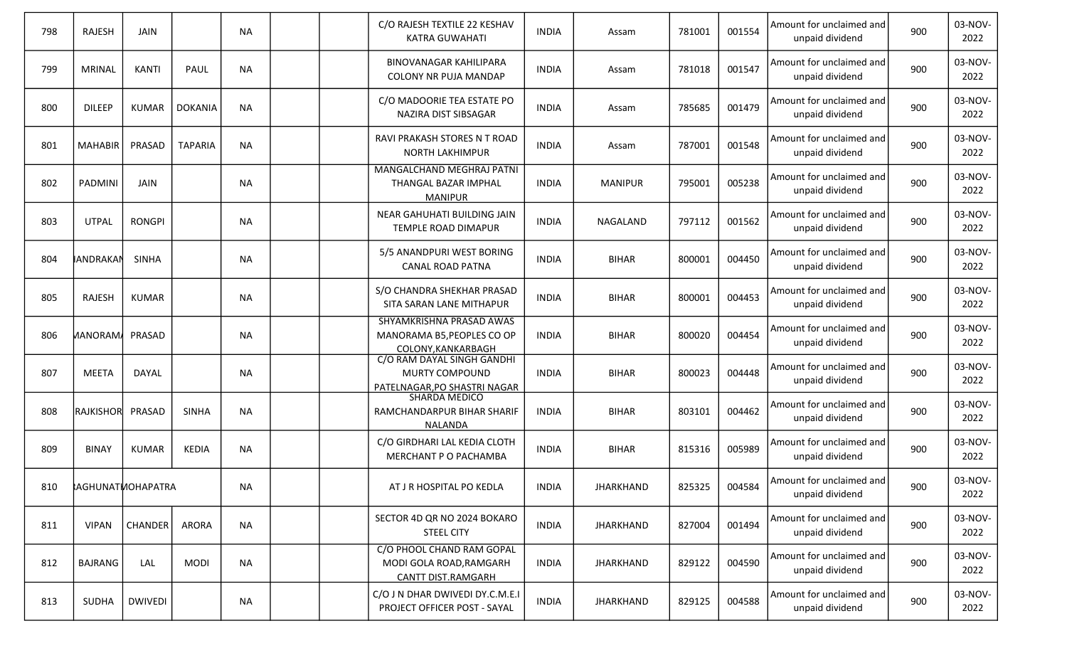| 798 | <b>RAJESH</b>           | <b>JAIN</b>    |                | <b>NA</b> |  | C/O RAJESH TEXTILE 22 KESHAV<br>KATRA GUWAHATI                                      | <b>INDIA</b> | Assam            | 781001 | 001554 | Amount for unclaimed and<br>unpaid dividend | 900 | 03-NOV-<br>2022 |
|-----|-------------------------|----------------|----------------|-----------|--|-------------------------------------------------------------------------------------|--------------|------------------|--------|--------|---------------------------------------------|-----|-----------------|
| 799 | <b>MRINAL</b>           | <b>KANTI</b>   | PAUL           | <b>NA</b> |  | <b>BINOVANAGAR KAHILIPARA</b><br>COLONY NR PUJA MANDAP                              | <b>INDIA</b> | Assam            | 781018 | 001547 | Amount for unclaimed and<br>unpaid dividend | 900 | 03-NOV-<br>2022 |
| 800 | <b>DILEEP</b>           | <b>KUMAR</b>   | <b>DOKANIA</b> | <b>NA</b> |  | C/O MADOORIE TEA ESTATE PO<br>NAZIRA DIST SIBSAGAR                                  | <b>INDIA</b> | Assam            | 785685 | 001479 | Amount for unclaimed and<br>unpaid dividend | 900 | 03-NOV-<br>2022 |
| 801 | <b>MAHABIR</b>          | PRASAD         | <b>TAPARIA</b> | <b>NA</b> |  | RAVI PRAKASH STORES N T ROAD<br><b>NORTH LAKHIMPUR</b>                              | <b>INDIA</b> | Assam            | 787001 | 001548 | Amount for unclaimed and<br>unpaid dividend | 900 | 03-NOV-<br>2022 |
| 802 | PADMINI                 | JAIN           |                | <b>NA</b> |  | MANGALCHAND MEGHRAJ PATNI<br>THANGAL BAZAR IMPHAL<br><b>MANIPUR</b>                 | <b>INDIA</b> | <b>MANIPUR</b>   | 795001 | 005238 | Amount for unclaimed and<br>unpaid dividend | 900 | 03-NOV-<br>2022 |
| 803 | <b>UTPAL</b>            | <b>RONGPI</b>  |                | <b>NA</b> |  | NEAR GAHUHATI BUILDING JAIN<br>TEMPLE ROAD DIMAPUR                                  | INDIA        | NAGALAND         | 797112 | 001562 | Amount for unclaimed and<br>unpaid dividend | 900 | 03-NOV-<br>2022 |
| 804 | IANDRAKAN               | <b>SINHA</b>   |                | <b>NA</b> |  | 5/5 ANANDPURI WEST BORING<br><b>CANAL ROAD PATNA</b>                                | <b>INDIA</b> | <b>BIHAR</b>     | 800001 | 004450 | Amount for unclaimed and<br>unpaid dividend | 900 | 03-NOV-<br>2022 |
| 805 | <b>RAJESH</b>           | KUMAR          |                | <b>NA</b> |  | S/O CHANDRA SHEKHAR PRASAD<br>SITA SARAN LANE MITHAPUR                              | <b>INDIA</b> | <b>BIHAR</b>     | 800001 | 004453 | Amount for unclaimed and<br>unpaid dividend | 900 | 03-NOV-<br>2022 |
| 806 | MANORAM/ PRASAD         |                |                | <b>NA</b> |  | SHYAMKRISHNA PRASAD AWAS<br>MANORAMA B5, PEOPLES CO OP<br>COLONY, KANKARBAGH        | <b>INDIA</b> | <b>BIHAR</b>     | 800020 | 004454 | Amount for unclaimed and<br>unpaid dividend | 900 | 03-NOV-<br>2022 |
| 807 | <b>MEETA</b>            | DAYAL          |                | <b>NA</b> |  | C/O RAM DAYAL SINGH GANDHI<br><b>MURTY COMPOUND</b><br>PATELNAGAR, PO SHASTRI NAGAR | <b>INDIA</b> | <b>BIHAR</b>     | 800023 | 004448 | Amount for unclaimed and<br>unpaid dividend | 900 | 03-NOV-<br>2022 |
| 808 | <b>RAJKISHOR</b>        | PRASAD         | <b>SINHA</b>   | <b>NA</b> |  | <b>SHARDA MEDICO</b><br>RAMCHANDARPUR BIHAR SHARIF<br><b>NALANDA</b>                | <b>INDIA</b> | <b>BIHAR</b>     | 803101 | 004462 | Amount for unclaimed and<br>unpaid dividend | 900 | 03-NOV-<br>2022 |
| 809 | <b>BINAY</b>            | <b>KUMAR</b>   | KEDIA          | <b>NA</b> |  | C/O GIRDHARI LAL KEDIA CLOTH<br>MERCHANT P O PACHAMBA                               | <b>INDIA</b> | <b>BIHAR</b>     | 815316 | 005989 | Amount for unclaimed and<br>unpaid dividend | 900 | 03-NOV-<br>2022 |
| 810 | <b>AGHUNATIOHAPATRA</b> |                |                | <b>NA</b> |  | AT J R HOSPITAL PO KEDLA                                                            | <b>INDIA</b> | JHARKHAND        | 825325 | 004584 | Amount for unclaimed and<br>unpaid dividend | 900 | 03-NOV-<br>2022 |
| 811 | <b>VIPAN</b>            | <b>CHANDER</b> | <b>ARORA</b>   | <b>NA</b> |  | SECTOR 4D QR NO 2024 BOKARO<br><b>STEEL CITY</b>                                    | <b>INDIA</b> | JHARKHAND        | 827004 | 001494 | Amount for unclaimed and<br>unpaid dividend | 900 | 03-NOV-<br>2022 |
| 812 | BAJRANG                 | LAL            | <b>MODI</b>    | <b>NA</b> |  | C/O PHOOL CHAND RAM GOPAL<br>MODI GOLA ROAD, RAMGARH<br>CANTT DIST.RAMGARH          | <b>INDIA</b> | JHARKHAND        | 829122 | 004590 | Amount for unclaimed and<br>unpaid dividend | 900 | 03-NOV-<br>2022 |
| 813 | <b>SUDHA</b>            | <b>DWIVEDI</b> |                | <b>NA</b> |  | C/O J N DHAR DWIVEDI DY.C.M.E.I<br>PROJECT OFFICER POST - SAYAL                     | <b>INDIA</b> | <b>JHARKHAND</b> | 829125 | 004588 | Amount for unclaimed and<br>unpaid dividend | 900 | 03-NOV-<br>2022 |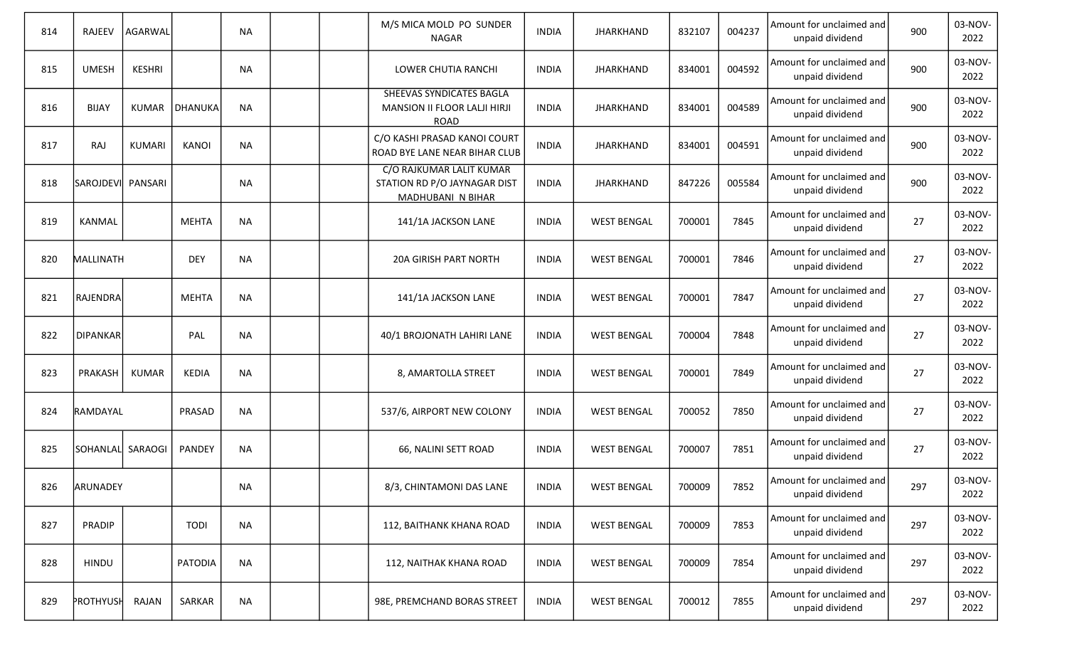| 814 | <b>RAJEEV</b>    | AGARWAL       |              | <b>NA</b> |  | M/S MICA MOLD PO SUNDER<br><b>NAGAR</b>                                       | <b>INDIA</b> | <b>JHARKHAND</b>   | 832107 | 004237 | Amount for unclaimed and<br>unpaid dividend | 900 | 03-NOV-<br>2022 |
|-----|------------------|---------------|--------------|-----------|--|-------------------------------------------------------------------------------|--------------|--------------------|--------|--------|---------------------------------------------|-----|-----------------|
| 815 | <b>UMESH</b>     | <b>KESHRI</b> |              | <b>NA</b> |  | LOWER CHUTIA RANCHI                                                           | <b>INDIA</b> | <b>JHARKHAND</b>   | 834001 | 004592 | Amount for unclaimed and<br>unpaid dividend | 900 | 03-NOV-<br>2022 |
| 816 | <b>BIJAY</b>     | <b>KUMAR</b>  | DHANUKA      | <b>NA</b> |  | SHEEVAS SYNDICATES BAGLA<br>MANSION II FLOOR LALJI HIRJI<br><b>ROAD</b>       | <b>INDIA</b> | <b>JHARKHAND</b>   | 834001 | 004589 | Amount for unclaimed and<br>unpaid dividend | 900 | 03-NOV-<br>2022 |
| 817 | <b>RAJ</b>       | <b>KUMARI</b> | <b>KANOI</b> | <b>NA</b> |  | C/O KASHI PRASAD KANOI COURT<br>ROAD BYE LANE NEAR BIHAR CLUB                 | <b>INDIA</b> | <b>JHARKHAND</b>   | 834001 | 004591 | Amount for unclaimed and<br>unpaid dividend | 900 | 03-NOV-<br>2022 |
| 818 | <b>SAROJDEVI</b> | PANSARI       |              | <b>NA</b> |  | C/O RAJKUMAR LALIT KUMAR<br>STATION RD P/O JAYNAGAR DIST<br>MADHUBANI N BIHAR | <b>INDIA</b> | <b>JHARKHAND</b>   | 847226 | 005584 | Amount for unclaimed and<br>unpaid dividend | 900 | 03-NOV-<br>2022 |
| 819 | KANMAL           |               | <b>MEHTA</b> | <b>NA</b> |  | 141/1A JACKSON LANE                                                           | <b>INDIA</b> | <b>WEST BENGAL</b> | 700001 | 7845   | Amount for unclaimed and<br>unpaid dividend | 27  | 03-NOV-<br>2022 |
| 820 | MALLINATH        |               | <b>DEY</b>   | <b>NA</b> |  | <b>20A GIRISH PART NORTH</b>                                                  | <b>INDIA</b> | <b>WEST BENGAL</b> | 700001 | 7846   | Amount for unclaimed and<br>unpaid dividend | 27  | 03-NOV-<br>2022 |
| 821 | RAJENDRA         |               | <b>MEHTA</b> | <b>NA</b> |  | 141/1A JACKSON LANE                                                           | <b>INDIA</b> | <b>WEST BENGAL</b> | 700001 | 7847   | Amount for unclaimed and<br>unpaid dividend | 27  | 03-NOV-<br>2022 |
| 822 | DIPANKAR         |               | PAL          | <b>NA</b> |  | 40/1 BROJONATH LAHIRI LANE                                                    | <b>INDIA</b> | <b>WEST BENGAL</b> | 700004 | 7848   | Amount for unclaimed and<br>unpaid dividend | 27  | 03-NOV-<br>2022 |
| 823 | PRAKASH          | <b>KUMAR</b>  | <b>KEDIA</b> | <b>NA</b> |  | 8, AMARTOLLA STREET                                                           | <b>INDIA</b> | <b>WEST BENGAL</b> | 700001 | 7849   | Amount for unclaimed and<br>unpaid dividend | 27  | 03-NOV-<br>2022 |
| 824 | RAMDAYAL         |               | PRASAD       | <b>NA</b> |  | 537/6, AIRPORT NEW COLONY                                                     | <b>INDIA</b> | <b>WEST BENGAL</b> | 700052 | 7850   | Amount for unclaimed and<br>unpaid dividend | 27  | 03-NOV-<br>2022 |
| 825 | SOHANLAL SARAOGI |               | PANDEY       | <b>NA</b> |  | 66, NALINI SETT ROAD                                                          | <b>INDIA</b> | <b>WEST BENGAL</b> | 700007 | 7851   | Amount for unclaimed and<br>unpaid dividend | 27  | 03-NOV-<br>2022 |
| 826 | ARUNADEY         |               |              | <b>NA</b> |  | 8/3, CHINTAMONI DAS LANE                                                      | <b>INDIA</b> | <b>WEST BENGAL</b> | 700009 | 7852   | Amount for unclaimed and<br>unpaid dividend | 297 | 03-NOV-<br>2022 |
| 827 | PRADIP           |               | <b>TODI</b>  | <b>NA</b> |  | 112, BAITHANK KHANA ROAD                                                      | <b>INDIA</b> | <b>WEST BENGAL</b> | 700009 | 7853   | Amount for unclaimed and<br>unpaid dividend | 297 | 03-NOV-<br>2022 |
| 828 | HINDU            |               | PATODIA      | <b>NA</b> |  | 112, NAITHAK KHANA ROAD                                                       | <b>INDIA</b> | <b>WEST BENGAL</b> | 700009 | 7854   | Amount for unclaimed and<br>unpaid dividend | 297 | 03-NOV-<br>2022 |
| 829 | PROTHYUSH        | RAJAN         | SARKAR       | <b>NA</b> |  | 98E, PREMCHAND BORAS STREET                                                   | <b>INDIA</b> | <b>WEST BENGAL</b> | 700012 | 7855   | Amount for unclaimed and<br>unpaid dividend | 297 | 03-NOV-<br>2022 |